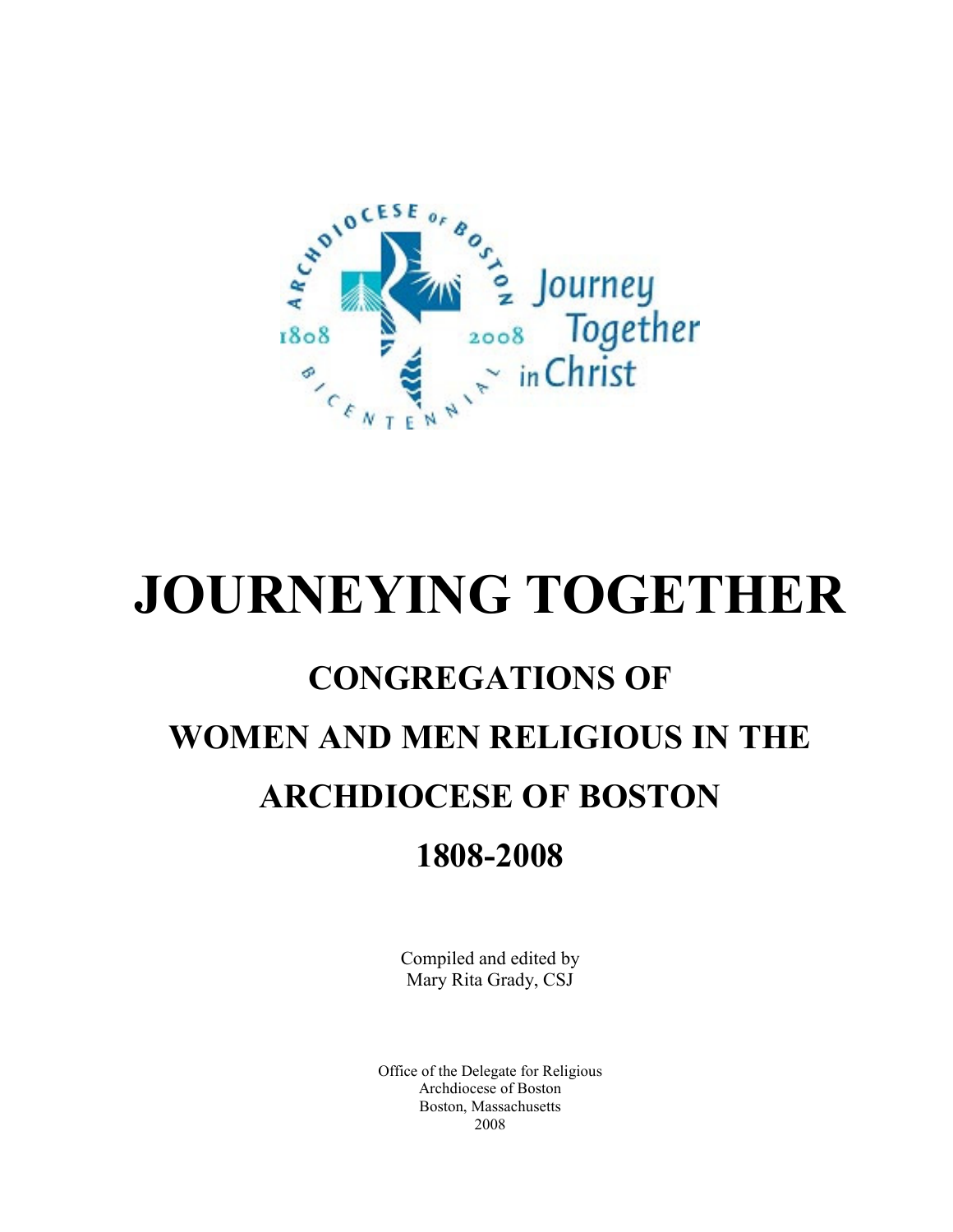

# **CONGREGATIONS OF WOMEN AND MEN RELIGIOUS IN THE ARCHDIOCESE OF BOSTON 1808-2008**

Compiled and edited by Mary Rita Grady, CSJ

Office of the Delegate for Religious Archdiocese of Boston Boston, Massachusetts 2008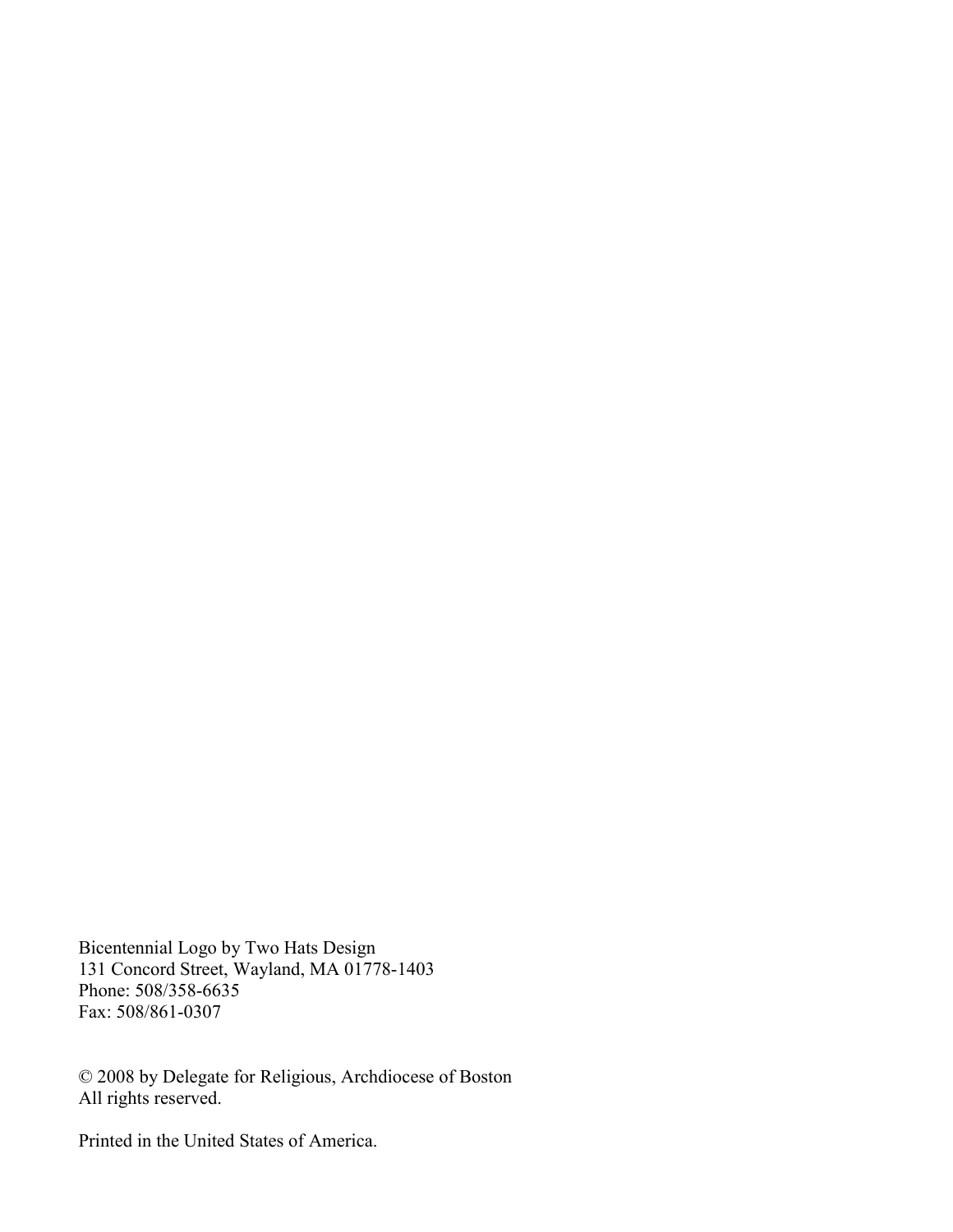Bicentennial Logo by Two Hats Design 131 Concord Street, Wayland, MA 01778-1403 Phone: 508/358-6635 Fax: 508/861-0307

© 2008 by Delegate for Religious, Archdiocese of Boston All rights reserved.

Printed in the United States of America.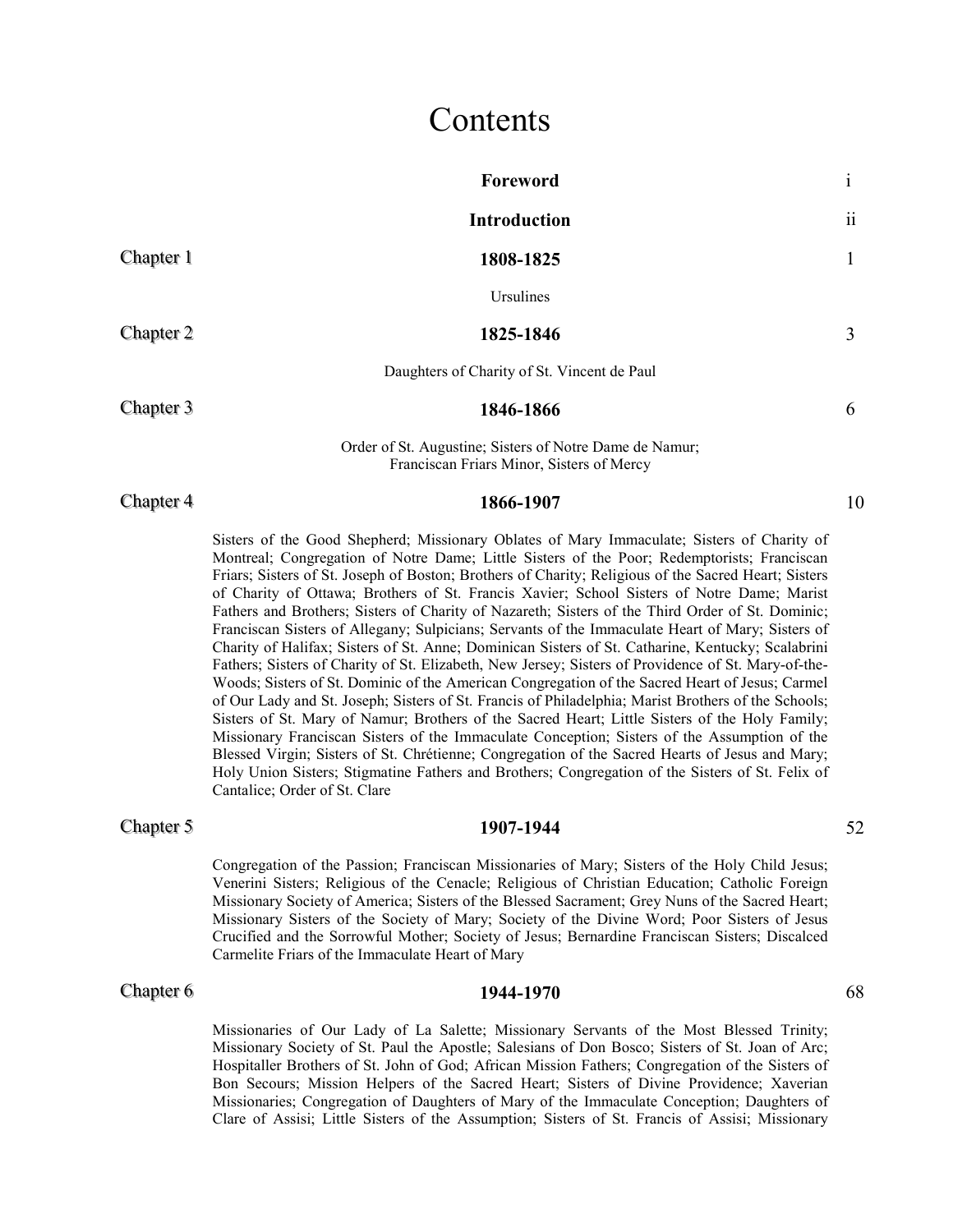### Contents

|           | Foreword                                                                                                                                                                                                                                                                                                                                                                                                                                                                                                                                                                                                                                                                                                                                                                                                                                                                                                                                                                                                                                                                                                                     | $\mathbf{i}$ |
|-----------|------------------------------------------------------------------------------------------------------------------------------------------------------------------------------------------------------------------------------------------------------------------------------------------------------------------------------------------------------------------------------------------------------------------------------------------------------------------------------------------------------------------------------------------------------------------------------------------------------------------------------------------------------------------------------------------------------------------------------------------------------------------------------------------------------------------------------------------------------------------------------------------------------------------------------------------------------------------------------------------------------------------------------------------------------------------------------------------------------------------------------|--------------|
|           | <b>Introduction</b>                                                                                                                                                                                                                                                                                                                                                                                                                                                                                                                                                                                                                                                                                                                                                                                                                                                                                                                                                                                                                                                                                                          | 11           |
| Chapter 1 | 1808-1825                                                                                                                                                                                                                                                                                                                                                                                                                                                                                                                                                                                                                                                                                                                                                                                                                                                                                                                                                                                                                                                                                                                    | 1            |
|           | Ursulines                                                                                                                                                                                                                                                                                                                                                                                                                                                                                                                                                                                                                                                                                                                                                                                                                                                                                                                                                                                                                                                                                                                    |              |
| Chapter 2 | 1825-1846                                                                                                                                                                                                                                                                                                                                                                                                                                                                                                                                                                                                                                                                                                                                                                                                                                                                                                                                                                                                                                                                                                                    | 3            |
|           | Daughters of Charity of St. Vincent de Paul                                                                                                                                                                                                                                                                                                                                                                                                                                                                                                                                                                                                                                                                                                                                                                                                                                                                                                                                                                                                                                                                                  |              |
| Chapter 3 | 1846-1866                                                                                                                                                                                                                                                                                                                                                                                                                                                                                                                                                                                                                                                                                                                                                                                                                                                                                                                                                                                                                                                                                                                    | 6            |
|           | Order of St. Augustine; Sisters of Notre Dame de Namur;<br>Franciscan Friars Minor, Sisters of Mercy                                                                                                                                                                                                                                                                                                                                                                                                                                                                                                                                                                                                                                                                                                                                                                                                                                                                                                                                                                                                                         |              |
| Chapter 4 | 1866-1907                                                                                                                                                                                                                                                                                                                                                                                                                                                                                                                                                                                                                                                                                                                                                                                                                                                                                                                                                                                                                                                                                                                    | 10           |
|           | Sisters of the Good Shepherd; Missionary Oblates of Mary Immaculate; Sisters of Charity of<br>Montreal; Congregation of Notre Dame; Little Sisters of the Poor; Redemptorists; Franciscan<br>Friars; Sisters of St. Joseph of Boston; Brothers of Charity; Religious of the Sacred Heart; Sisters<br>of Charity of Ottawa; Brothers of St. Francis Xavier; School Sisters of Notre Dame; Marist<br>Fathers and Brothers; Sisters of Charity of Nazareth; Sisters of the Third Order of St. Dominic;<br>Franciscan Sisters of Allegany; Sulpicians; Servants of the Immaculate Heart of Mary; Sisters of<br>Charity of Halifax; Sisters of St. Anne; Dominican Sisters of St. Catharine, Kentucky; Scalabrini<br>Fathers; Sisters of Charity of St. Elizabeth, New Jersey; Sisters of Providence of St. Mary-of-the-<br>Woods; Sisters of St. Dominic of the American Congregation of the Sacred Heart of Jesus; Carmel<br>of Our Lady and St. Joseph; Sisters of St. Francis of Philadelphia; Marist Brothers of the Schools;<br>Sistem of St. Moure of Nomen, Drothom of the Second Heavy, Little Sistem of the Holy Equily |              |

Sisters of St. Mary of Namur; Brothers of the Sacred Heart; Little Sisters of the Holy Family; Missionary Franciscan Sisters of the Immaculate Conception; Sisters of the Assumption of the Blessed Virgin; Sisters of St. Chrétienne; Congregation of the Sacred Hearts of Jesus and Mary; Holy Union Sisters; Stigmatine Fathers and Brothers; Congregation of the Sisters of St. Felix of Cantalice; Order of St. Clare

### **Chapter 5 1907-1944 52**

#### Congregation of the Passion; Franciscan Missionaries of Mary; Sisters of the Holy Child Jesus; Venerini Sisters; Religious of the Cenacle; Religious of Christian Education; Catholic Foreign Missionary Society of America; Sisters of the Blessed Sacrament; Grey Nuns of the Sacred Heart; Missionary Sisters of the Society of Mary; Society of the Divine Word; Poor Sisters of Jesus Crucified and the Sorrowful Mother; Society of Jesus; Bernardine Franciscan Sisters; Discalced Carmelite Friars of the Immaculate Heart of Mary

#### **Chapter 6 68 1944-1970 68 68 1944-1970** 68

Missionaries of Our Lady of La Salette; Missionary Servants of the Most Blessed Trinity; Missionary Society of St. Paul the Apostle; Salesians of Don Bosco; Sisters of St. Joan of Arc; Hospitaller Brothers of St. John of God; African Mission Fathers; Congregation of the Sisters of Bon Secours; Mission Helpers of the Sacred Heart; Sisters of Divine Providence; Xaverian Missionaries; Congregation of Daughters of Mary of the Immaculate Conception; Daughters of Clare of Assisi; Little Sisters of the Assumption; Sisters of St. Francis of Assisi; Missionary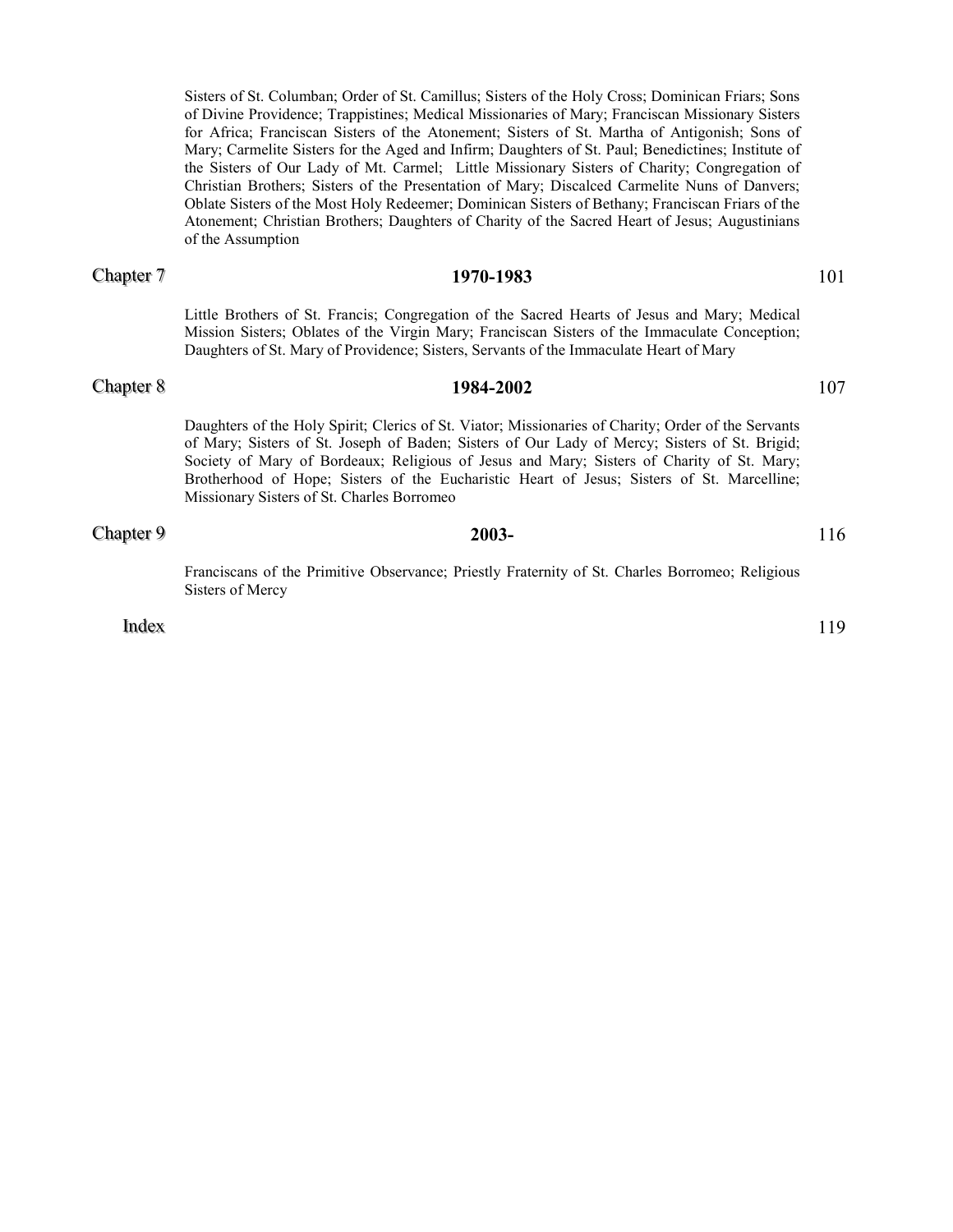Sisters of St. Columban; Order of St. Camillus; Sisters of the Holy Cross; Dominican Friars; Sons of Divine Providence; Trappistines; Medical Missionaries of Mary; Franciscan Missionary Sisters for Africa; Franciscan Sisters of the Atonement; Sisters of St. Martha of Antigonish; Sons of Mary; Carmelite Sisters for the Aged and Infirm; Daughters of St. Paul; Benedictines; Institute of the Sisters of Our Lady of Mt. Carmel; Little Missionary Sisters of Charity; Congregation of Christian Brothers; Sisters of the Presentation of Mary; Discalced Carmelite Nuns of Danvers; Oblate Sisters of the Most Holy Redeemer; Dominican Sisters of Bethany; Franciscan Friars of the Atonement; Christian Brothers; Daughters of Charity of the Sacred Heart of Jesus; Augustinians of the Assumption

#### Chapter  $7$

#### ter 7 **1970-1983 1970-1983 101**

Little Brothers of St. Francis; Congregation of the Sacred Hearts of Jesus and Mary; Medical Mission Sisters; Oblates of the Virgin Mary; Franciscan Sisters of the Immaculate Conception; Daughters of St. Mary of Providence; Sisters, Servants of the Immaculate Heart of Mary

#### **Chapter 8 1984-2002** 107

Daughters of the Holy Spirit; Clerics of St. Viator; Missionaries of Charity; Order of the Servants of Mary; Sisters of St. Joseph of Baden; Sisters of Our Lady of Mercy; Sisters of St. Brigid; Society of Mary of Bordeaux; Religious of Jesus and Mary; Sisters of Charity of St. Mary; Brotherhood of Hope; Sisters of the Eucharistic Heart of Jesus; Sisters of St. Marcelline; Missionary Sisters of St. Charles Borromeo

#### **Chapter 9** 2003- **2003-** 116

Franciscans of the Primitive Observance; Priestly Fraternity of St. Charles Borromeo; Religious Sisters of Mercy

 $Index \qquad 119$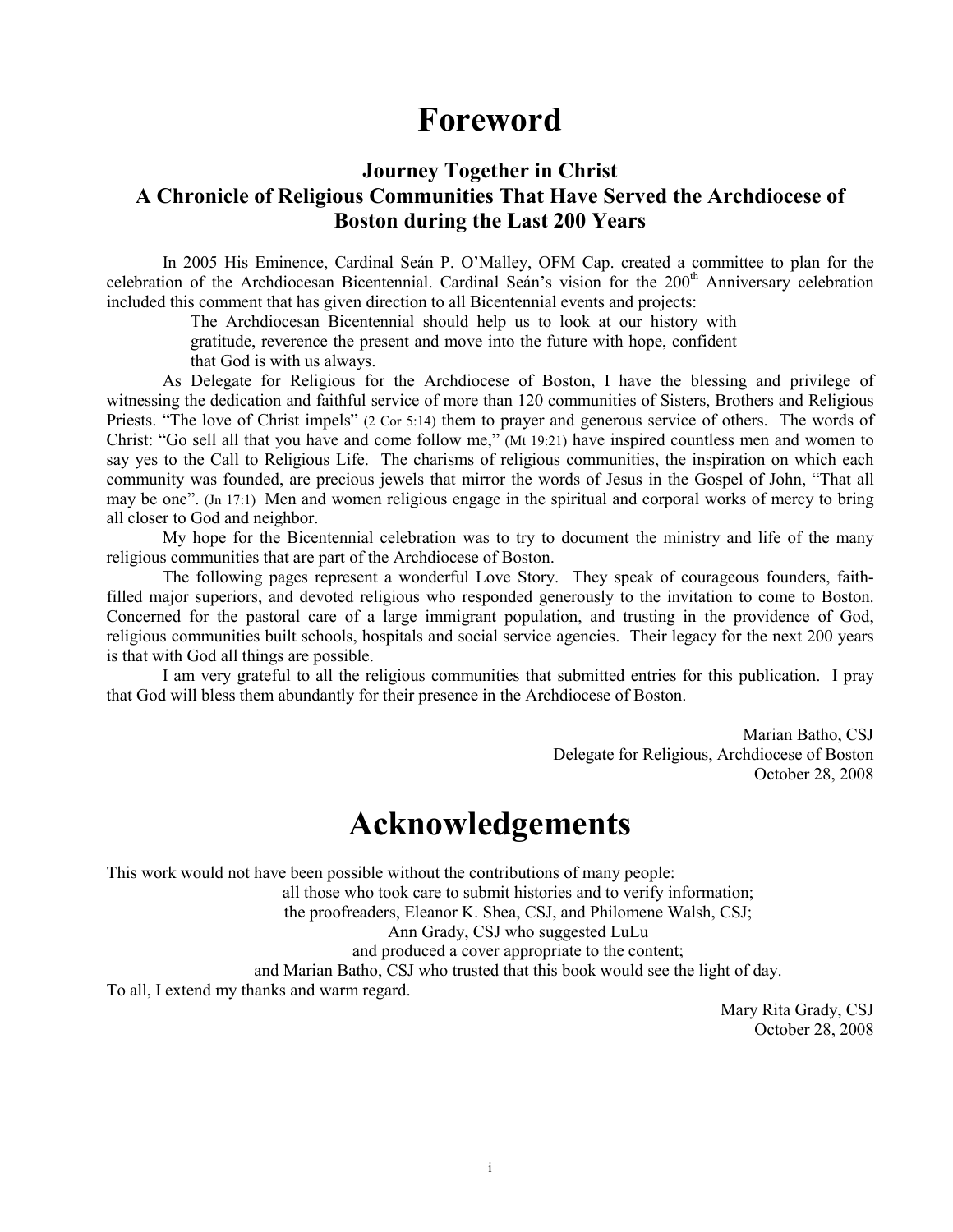### **Foreword**

### **Journey Together in Christ A Chronicle of Religious Communities That Have Served the Archdiocese of Boston during the Last 200 Years**

In 2005 His Eminence, Cardinal Seán P. O'Malley, OFM Cap. created a committee to plan for the celebration of the Archdiocesan Bicentennial. Cardinal Seán's vision for the 200<sup>th</sup> Anniversary celebration included this comment that has given direction to all Bicentennial events and projects:

> The Archdiocesan Bicentennial should help us to look at our history with gratitude, reverence the present and move into the future with hope, confident

that God is with us always.

As Delegate for Religious for the Archdiocese of Boston, I have the blessing and privilege of witnessing the dedication and faithful service of more than 120 communities of Sisters, Brothers and Religious Priests. "The love of Christ impels" (2 Cor 5:14) them to prayer and generous service of others. The words of Christ: "Go sell all that you have and come follow me," (Mt 19:21) have inspired countless men and women to say yes to the Call to Religious Life. The charisms of religious communities, the inspiration on which each community was founded, are precious jewels that mirror the words of Jesus in the Gospel of John, "That all may be one". (Jn 17:1) Men and women religious engage in the spiritual and corporal works of mercy to bring all closer to God and neighbor.

My hope for the Bicentennial celebration was to try to document the ministry and life of the many religious communities that are part of the Archdiocese of Boston.

The following pages represent a wonderful Love Story. They speak of courageous founders, faithfilled major superiors, and devoted religious who responded generously to the invitation to come to Boston. Concerned for the pastoral care of a large immigrant population, and trusting in the providence of God, religious communities built schools, hospitals and social service agencies. Their legacy for the next 200 years is that with God all things are possible.

I am very grateful to all the religious communities that submitted entries for this publication. I pray that God will bless them abundantly for their presence in the Archdiocese of Boston.

> Marian Batho, CSJ Delegate for Religious, Archdiocese of Boston October 28, 2008

## **Acknowledgements**

This work would not have been possible without the contributions of many people:

all those who took care to submit histories and to verify information;

the proofreaders, Eleanor K. Shea, CSJ, and Philomene Walsh, CSJ;

Ann Grady, CSJ who suggested LuLu

and produced a cover appropriate to the content;

and Marian Batho, CSJ who trusted that this book would see the light of day.

To all, I extend my thanks and warm regard.

Mary Rita Grady, CSJ October 28, 2008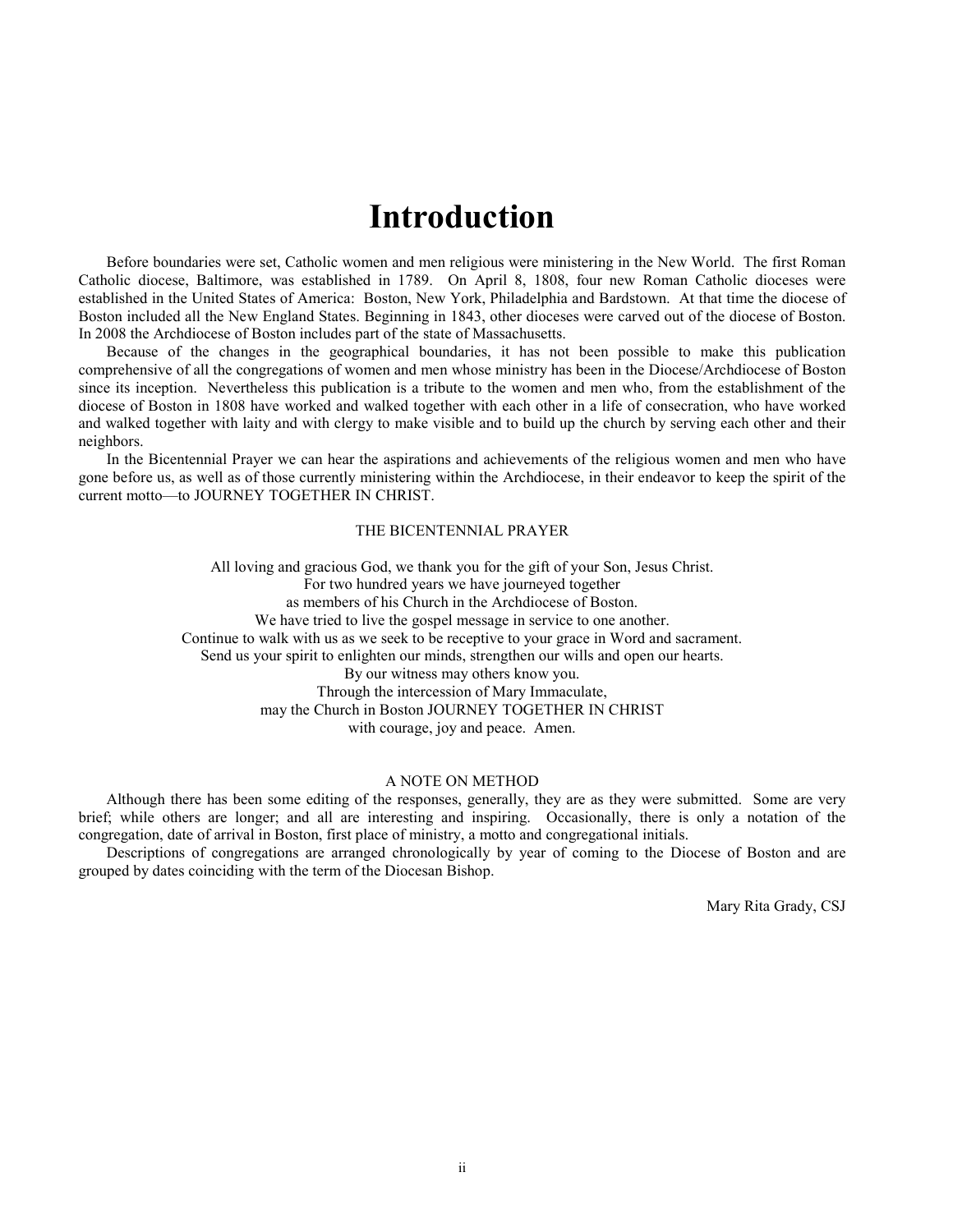### **Introduction**

Before boundaries were set, Catholic women and men religious were ministering in the New World. The first Roman Catholic diocese, Baltimore, was established in 1789. On April 8, 1808, four new Roman Catholic dioceses were established in the United States of America: Boston, New York, Philadelphia and Bardstown. At that time the diocese of Boston included all the New England States. Beginning in 1843, other dioceses were carved out of the diocese of Boston. In 2008 the Archdiocese of Boston includes part of the state of Massachusetts.

Because of the changes in the geographical boundaries, it has not been possible to make this publication comprehensive of all the congregations of women and men whose ministry has been in the Diocese/Archdiocese of Boston since its inception. Nevertheless this publication is a tribute to the women and men who, from the establishment of the diocese of Boston in 1808 have worked and walked together with each other in a life of consecration, who have worked and walked together with laity and with clergy to make visible and to build up the church by serving each other and their neighbors.

In the Bicentennial Prayer we can hear the aspirations and achievements of the religious women and men who have gone before us, as well as of those currently ministering within the Archdiocese, in their endeavor to keep the spirit of the current motto—to JOURNEY TOGETHER IN CHRIST.

#### THE BICENTENNIAL PRAYER

All loving and gracious God, we thank you for the gift of your Son, Jesus Christ. For two hundred years we have journeyed together as members of his Church in the Archdiocese of Boston. We have tried to live the gospel message in service to one another. Continue to walk with us as we seek to be receptive to your grace in Word and sacrament. Send us your spirit to enlighten our minds, strengthen our wills and open our hearts. By our witness may others know you. Through the intercession of Mary Immaculate, may the Church in Boston JOURNEY TOGETHER IN CHRIST with courage, joy and peace. Amen.

#### A NOTE ON METHOD

Although there has been some editing of the responses, generally, they are as they were submitted. Some are very brief; while others are longer; and all are interesting and inspiring. Occasionally, there is only a notation of the congregation, date of arrival in Boston, first place of ministry, a motto and congregational initials.

Descriptions of congregations are arranged chronologically by year of coming to the Diocese of Boston and are grouped by dates coinciding with the term of the Diocesan Bishop.

Mary Rita Grady, CSJ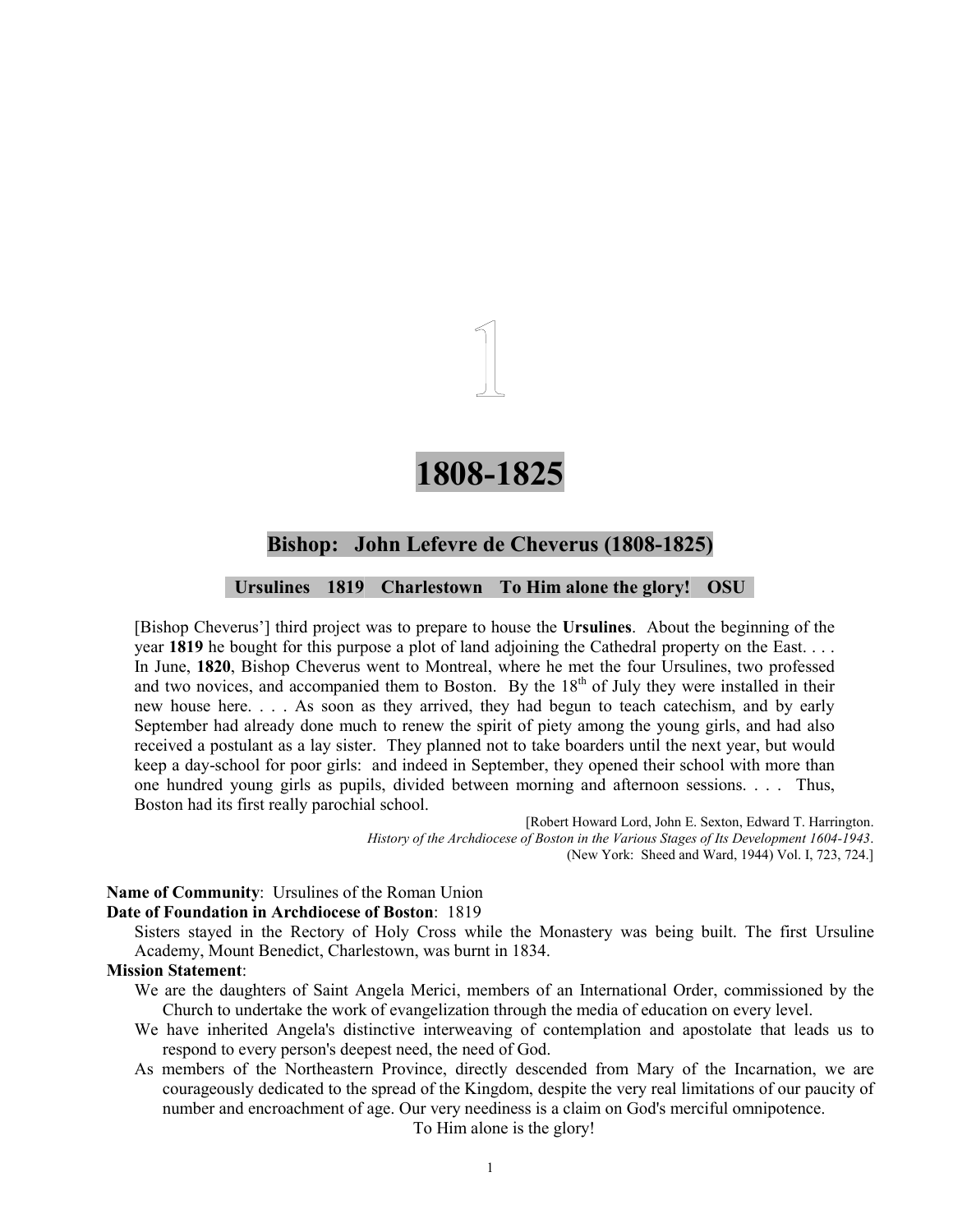## **1808-1825**

#### **Bishop: John Lefevre de Cheverus (1808-1825)**

#### **Ursulines 1819 Charlestown To Him alone the glory! OSU**

[Bishop Cheverus'] third project was to prepare to house the **Ursulines**. About the beginning of the year **1819** he bought for this purpose a plot of land adjoining the Cathedral property on the East. . . . In June, **1820**, Bishop Cheverus went to Montreal, where he met the four Ursulines, two professed and two novices, and accompanied them to Boston. By the  $18<sup>th</sup>$  of July they were installed in their new house here. . . . As soon as they arrived, they had begun to teach catechism, and by early September had already done much to renew the spirit of piety among the young girls, and had also received a postulant as a lay sister. They planned not to take boarders until the next year, but would keep a day-school for poor girls: and indeed in September, they opened their school with more than one hundred young girls as pupils, divided between morning and afternoon sessions. . . . Thus, Boston had its first really parochial school.

> [Robert Howard Lord, John E. Sexton, Edward T. Harrington. *History of the Archdiocese of Boston in the Various Stages of Its Development 1604-1943*. (New York: Sheed and Ward, 1944) Vol. I, 723, 724.]

**Name of Community**: Ursulines of the Roman Union

#### **Date of Foundation in Archdiocese of Boston**: 1819

Sisters stayed in the Rectory of Holy Cross while the Monastery was being built. The first Ursuline Academy, Mount Benedict, Charlestown, was burnt in 1834.

#### **Mission Statement**:

- We are the daughters of Saint Angela Merici, members of an International Order, commissioned by the Church to undertake the work of evangelization through the media of education on every level.
- We have inherited Angela's distinctive interweaving of contemplation and apostolate that leads us to respond to every person's deepest need, the need of God.
- As members of the Northeastern Province, directly descended from Mary of the Incarnation, we are courageously dedicated to the spread of the Kingdom, despite the very real limitations of our paucity of number and encroachment of age. Our very neediness is a claim on God's merciful omnipotence.

To Him alone is the glory!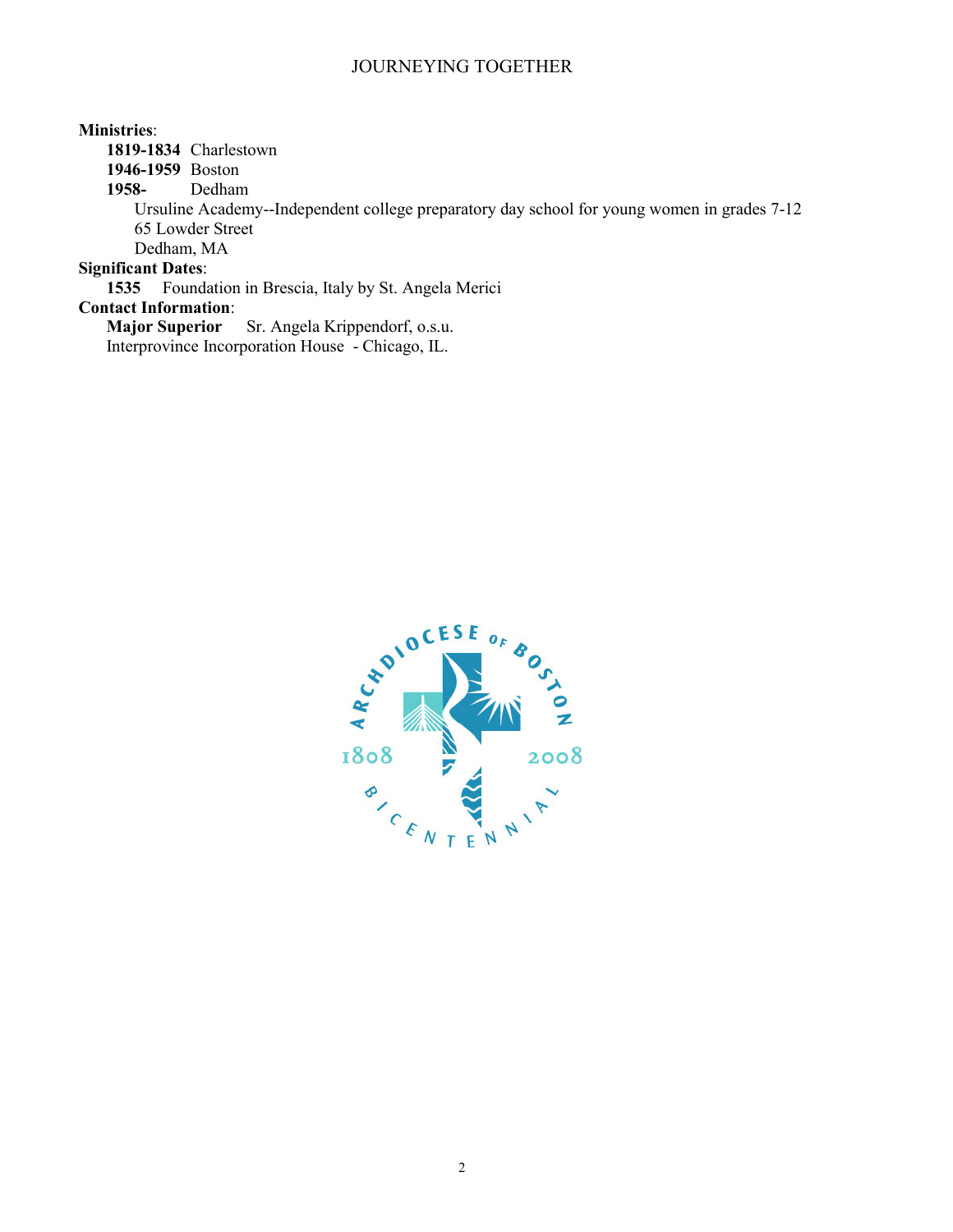#### **Ministries**:

**1819-1834** Charlestown

**1946-1959** Boston

**1958-** Dedham

Ursuline Academy--Independent college preparatory day school for young women in grades 7-12 65 Lowder Street

Dedham, MA

#### **Significant Dates**:

**1535** Foundation in Brescia, Italy by St. Angela Merici

## **Contact Information**:

**Sr. Angela Krippendorf, o.s.u.** Interprovince Incorporation House - Chicago, IL.

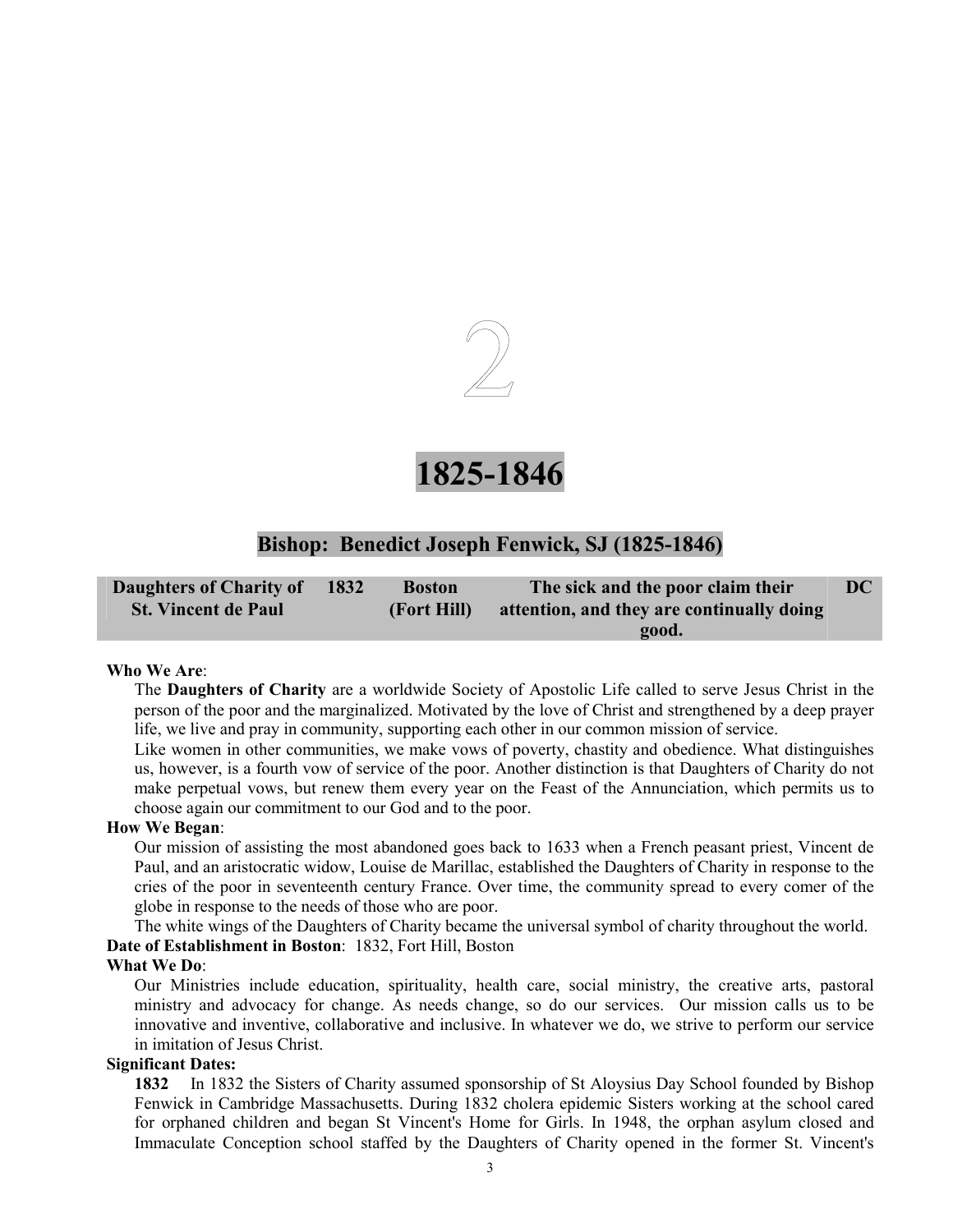

## **1825-1846**

### **Bishop: Benedict Joseph Fenwick, SJ (1825-1846)**

| Daughters of Charity of    | 1832 | <b>Boston</b> | The sick and the poor claim their         | DC |
|----------------------------|------|---------------|-------------------------------------------|----|
| <b>St. Vincent de Paul</b> |      | (Fort Hill)   | attention, and they are continually doing |    |
|                            |      |               | <b>good.</b>                              |    |

#### **Who We Are**:

The **Daughters of Charity** are a worldwide Society of Apostolic Life called to serve Jesus Christ in the person of the poor and the marginalized. Motivated by the love of Christ and strengthened by a deep prayer life, we live and pray in community, supporting each other in our common mission of service.

Like women in other communities, we make vows of poverty, chastity and obedience. What distinguishes us, however, is a fourth vow of service of the poor. Another distinction is that Daughters of Charity do not make perpetual vows, but renew them every year on the Feast of the Annunciation, which permits us to choose again our commitment to our God and to the poor.

#### **How We Began**:

Our mission of assisting the most abandoned goes back to 1633 when a French peasant priest, Vincent de Paul, and an aristocratic widow, Louise de Marillac, established the Daughters of Charity in response to the cries of the poor in seventeenth century France. Over time, the community spread to every comer of the globe in response to the needs of those who are poor.

The white wings of the Daughters of Charity became the universal symbol of charity throughout the world. **Date of Establishment in Boston**: 1832, Fort Hill, Boston

#### **What We Do**:

Our Ministries include education, spirituality, health care, social ministry, the creative arts, pastoral ministry and advocacy for change. As needs change, so do our services. Our mission calls us to be innovative and inventive, collaborative and inclusive. In whatever we do, we strive to perform our service in imitation of Jesus Christ.

#### **Significant Dates:**

**1832** In 1832 the Sisters of Charity assumed sponsorship of St Aloysius Day School founded by Bishop Fenwick in Cambridge Massachusetts. During 1832 cholera epidemic Sisters working at the school cared for orphaned children and began St Vincent's Home for Girls. In 1948, the orphan asylum closed and Immaculate Conception school staffed by the Daughters of Charity opened in the former St. Vincent's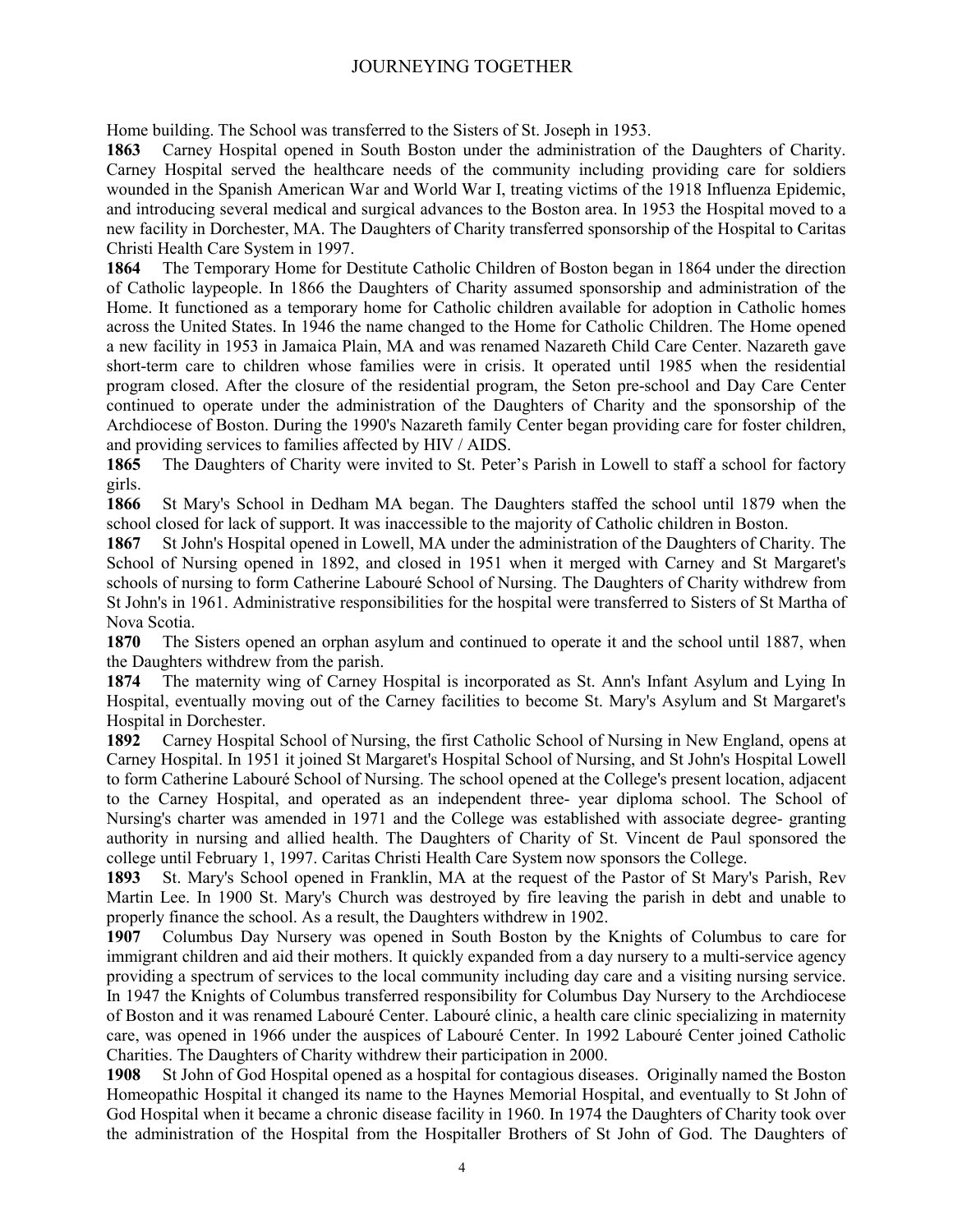Home building. The School was transferred to the Sisters of St. Joseph in 1953.

**1863** Carney Hospital opened in South Boston under the administration of the Daughters of Charity. Carney Hospital served the healthcare needs of the community including providing care for soldiers wounded in the Spanish American War and World War I, treating victims of the 1918 Influenza Epidemic, and introducing several medical and surgical advances to the Boston area. In 1953 the Hospital moved to a new facility in Dorchester, MA. The Daughters of Charity transferred sponsorship of the Hospital to Caritas Christi Health Care System in 1997.

**1864** The Temporary Home for Destitute Catholic Children of Boston began in 1864 under the direction of Catholic laypeople. In 1866 the Daughters of Charity assumed sponsorship and administration of the Home. It functioned as a temporary home for Catholic children available for adoption in Catholic homes across the United States. In 1946 the name changed to the Home for Catholic Children. The Home opened a new facility in 1953 in Jamaica Plain, MA and was renamed Nazareth Child Care Center. Nazareth gave short-term care to children whose families were in crisis. It operated until 1985 when the residential program closed. After the closure of the residential program, the Seton pre-school and Day Care Center continued to operate under the administration of the Daughters of Charity and the sponsorship of the Archdiocese of Boston. During the 1990's Nazareth family Center began providing care for foster children, and providing services to families affected by HIV / AIDS.

**1865** The Daughters of Charity were invited to St. Peter's Parish in Lowell to staff a school for factory girls.

**1866** St Mary's School in Dedham MA began. The Daughters staffed the school until 1879 when the school closed for lack of support. It was inaccessible to the majority of Catholic children in Boston.

**1867** St John's Hospital opened in Lowell, MA under the administration of the Daughters of Charity. The School of Nursing opened in 1892, and closed in 1951 when it merged with Carney and St Margaret's schools of nursing to form Catherine Labouré School of Nursing. The Daughters of Charity withdrew from St John's in 1961. Administrative responsibilities for the hospital were transferred to Sisters of St Martha of Nova Scotia.

**1870** The Sisters opened an orphan asylum and continued to operate it and the school until 1887, when the Daughters withdrew from the parish.

**1874** The maternity wing of Carney Hospital is incorporated as St. Ann's Infant Asylum and Lying In Hospital, eventually moving out of the Carney facilities to become St. Mary's Asylum and St Margaret's Hospital in Dorchester.

**1892** Carney Hospital School of Nursing, the first Catholic School of Nursing in New England, opens at Carney Hospital. In 1951 it joined St Margaret's Hospital School of Nursing, and St John's Hospital Lowell to form Catherine Labouré School of Nursing. The school opened at the College's present location, adjacent to the Carney Hospital, and operated as an independent three- year diploma school. The School of Nursing's charter was amended in 1971 and the College was established with associate degree- granting authority in nursing and allied health. The Daughters of Charity of St. Vincent de Paul sponsored the college until February 1, 1997. Caritas Christi Health Care System now sponsors the College.

**1893** St. Mary's School opened in Franklin, MA at the request of the Pastor of St Mary's Parish, Rev Martin Lee. In 1900 St. Mary's Church was destroyed by fire leaving the parish in debt and unable to properly finance the school. As a result, the Daughters withdrew in 1902.

**1907** Columbus Day Nursery was opened in South Boston by the Knights of Columbus to care for immigrant children and aid their mothers. It quickly expanded from a day nursery to a multi-service agency providing a spectrum of services to the local community including day care and a visiting nursing service. In 1947 the Knights of Columbus transferred responsibility for Columbus Day Nursery to the Archdiocese of Boston and it was renamed Labouré Center. Labouré clinic, a health care clinic specializing in maternity care, was opened in 1966 under the auspices of Labouré Center. In 1992 Labouré Center joined Catholic Charities. The Daughters of Charity withdrew their participation in 2000.

**1908** St John of God Hospital opened as a hospital for contagious diseases. Originally named the Boston Homeopathic Hospital it changed its name to the Haynes Memorial Hospital, and eventually to St John of God Hospital when it became a chronic disease facility in 1960. In 1974 the Daughters of Charity took over the administration of the Hospital from the Hospitaller Brothers of St John of God. The Daughters of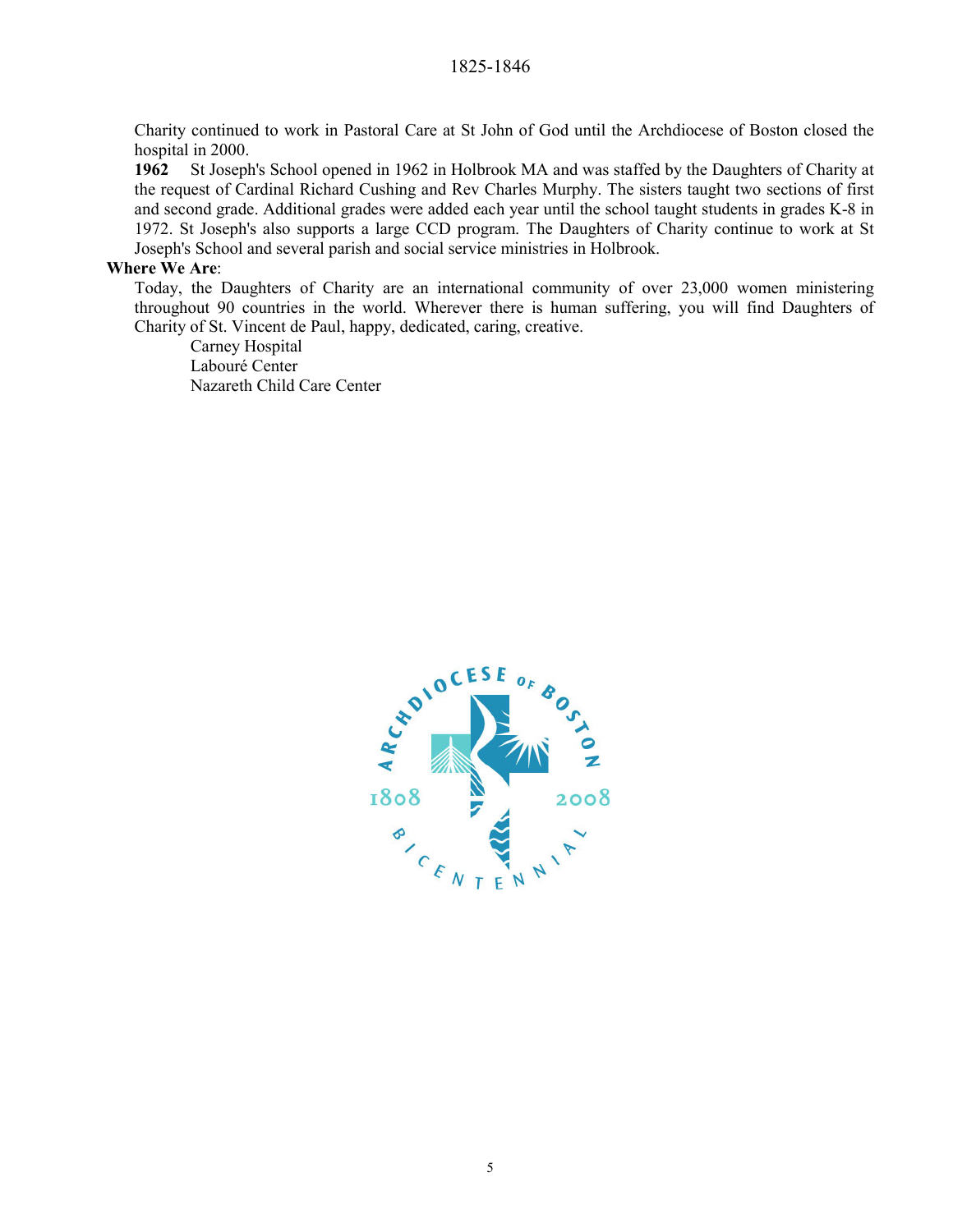Charity continued to work in Pastoral Care at St John of God until the Archdiocese of Boston closed the hospital in 2000.

**1962** St Joseph's School opened in 1962 in Holbrook MA and was staffed by the Daughters of Charity at the request of Cardinal Richard Cushing and Rev Charles Murphy. The sisters taught two sections of first and second grade. Additional grades were added each year until the school taught students in grades K-8 in 1972. St Joseph's also supports a large CCD program. The Daughters of Charity continue to work at St Joseph's School and several parish and social service ministries in Holbrook.

#### **Where We Are**:

Today, the Daughters of Charity are an international community of over 23,000 women ministering throughout 90 countries in the world. Wherever there is human suffering, you will find Daughters of Charity of St. Vincent de Paul, happy, dedicated, caring, creative.

Carney Hospital Labouré Center Nazareth Child Care Center

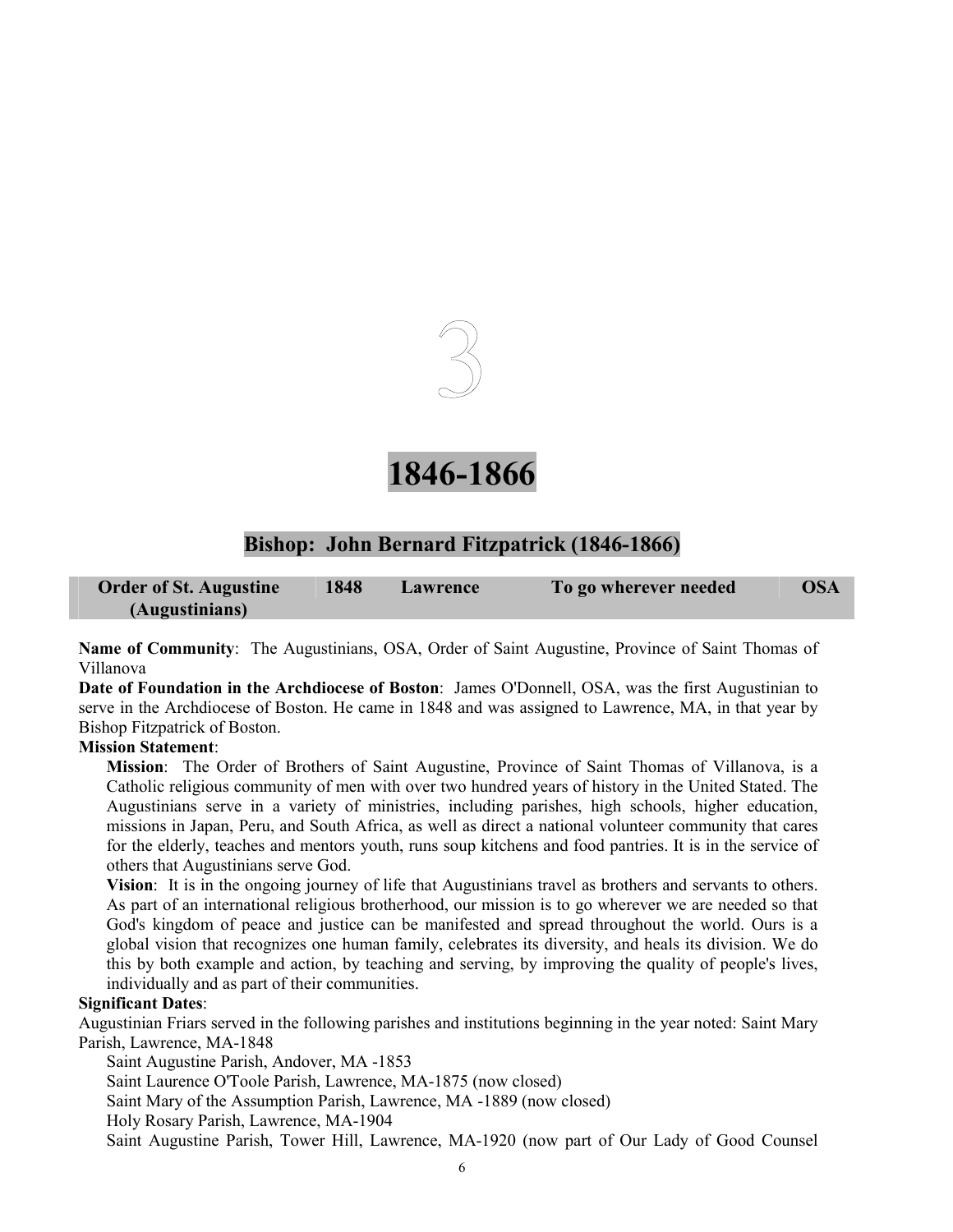

## **1846-1866**

### **Bishop: John Bernard Fitzpatrick (1846-1866)**

| <b>Order of St. Augustine</b> | 1848 | <b>Lawrence</b> | To go wherever needed | <b>OSA</b> |
|-------------------------------|------|-----------------|-----------------------|------------|
| (Augustinians)                |      |                 |                       |            |

**Name of Community**: The Augustinians, OSA, Order of Saint Augustine, Province of Saint Thomas of Villanova

**Date of Foundation in the Archdiocese of Boston**: James O'Donnell, OSA, was the first Augustinian to serve in the Archdiocese of Boston. He came in 1848 and was assigned to Lawrence, MA, in that year by Bishop Fitzpatrick of Boston.

#### **Mission Statement**:

**Mission**: The Order of Brothers of Saint Augustine, Province of Saint Thomas of Villanova, is a Catholic religious community of men with over two hundred years of history in the United Stated. The Augustinians serve in a variety of ministries, including parishes, high schools, higher education, missions in Japan, Peru, and South Africa, as well as direct a national volunteer community that cares for the elderly, teaches and mentors youth, runs soup kitchens and food pantries. It is in the service of others that Augustinians serve God.

**Vision**: It is in the ongoing journey of life that Augustinians travel as brothers and servants to others. As part of an international religious brotherhood, our mission is to go wherever we are needed so that God's kingdom of peace and justice can be manifested and spread throughout the world. Ours is a global vision that recognizes one human family, celebrates its diversity, and heals its division. We do this by both example and action, by teaching and serving, by improving the quality of people's lives, individually and as part of their communities.

#### **Significant Dates**:

Augustinian Friars served in the following parishes and institutions beginning in the year noted: Saint Mary Parish, Lawrence, MA-1848

Saint Augustine Parish, Andover, MA -1853

Saint Laurence O'Toole Parish, Lawrence, MA-1875 (now closed)

Saint Mary of the Assumption Parish, Lawrence, MA -1889 (now closed)

Holy Rosary Parish, Lawrence, MA-1904

Saint Augustine Parish, Tower Hill, Lawrence, MA-1920 (now part of Our Lady of Good Counsel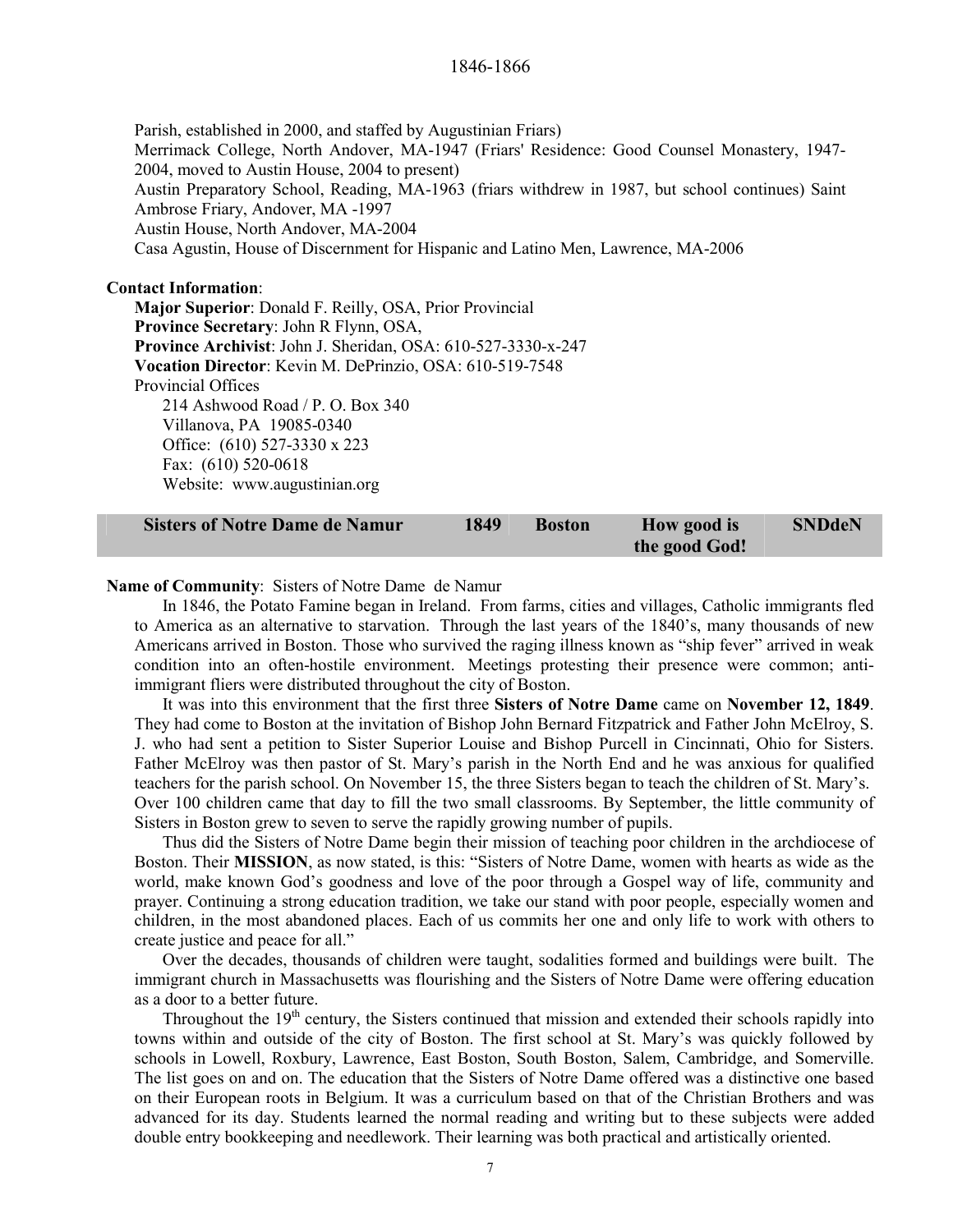Parish, established in 2000, and staffed by Augustinian Friars) Merrimack College, North Andover, MA-1947 (Friars' Residence: Good Counsel Monastery, 1947- 2004, moved to Austin House, 2004 to present) Austin Preparatory School, Reading, MA-1963 (friars withdrew in 1987, but school continues) Saint Ambrose Friary, Andover, MA -1997 Austin House, North Andover, MA-2004 Casa Agustin, House of Discernment for Hispanic and Latino Men, Lawrence, MA-2006

#### **Contact Information**:

**Major Superior**: Donald F. Reilly, OSA, Prior Provincial **Province Secretary**: John R Flynn, OSA, **Province Archivist**: John J. Sheridan, OSA: 610-527-3330-x-247 **Vocation Director**: Kevin M. DePrinzio, OSA: 610-519-7548 Provincial Offices 214 Ashwood Road / P. O. Box 340 Villanova, PA 19085-0340 Office: (610) 527-3330 x 223 Fax: (610) 520-0618 Website: www.augustinian.org

| <b>Sisters of Notre Dame de Namur</b> | 1849 | <b>Boston</b> | How good is   | <b>SNDdeN</b> |
|---------------------------------------|------|---------------|---------------|---------------|
|                                       |      |               | the good God! |               |

#### **Name of Community**: Sisters of Notre Dame de Namur

In 1846, the Potato Famine began in Ireland. From farms, cities and villages, Catholic immigrants fled to America as an alternative to starvation. Through the last years of the 1840's, many thousands of new Americans arrived in Boston. Those who survived the raging illness known as "ship fever" arrived in weak condition into an often-hostile environment. Meetings protesting their presence were common; antiimmigrant fliers were distributed throughout the city of Boston.

It was into this environment that the first three **Sisters of Notre Dame** came on **November 12, 1849**. They had come to Boston at the invitation of Bishop John Bernard Fitzpatrick and Father John McElroy, S. J. who had sent a petition to Sister Superior Louise and Bishop Purcell in Cincinnati, Ohio for Sisters. Father McElroy was then pastor of St. Mary's parish in the North End and he was anxious for qualified teachers for the parish school. On November 15, the three Sisters began to teach the children of St. Mary's. Over 100 children came that day to fill the two small classrooms. By September, the little community of Sisters in Boston grew to seven to serve the rapidly growing number of pupils.

Thus did the Sisters of Notre Dame begin their mission of teaching poor children in the archdiocese of Boston. Their **MISSION**, as now stated, is this: "Sisters of Notre Dame, women with hearts as wide as the world, make known God's goodness and love of the poor through a Gospel way of life, community and prayer. Continuing a strong education tradition, we take our stand with poor people, especially women and children, in the most abandoned places. Each of us commits her one and only life to work with others to create justice and peace for all."

Over the decades, thousands of children were taught, sodalities formed and buildings were built. The immigrant church in Massachusetts was flourishing and the Sisters of Notre Dame were offering education as a door to a better future.

Throughout the 19<sup>th</sup> century, the Sisters continued that mission and extended their schools rapidly into towns within and outside of the city of Boston. The first school at St. Mary's was quickly followed by schools in Lowell, Roxbury, Lawrence, East Boston, South Boston, Salem, Cambridge, and Somerville. The list goes on and on. The education that the Sisters of Notre Dame offered was a distinctive one based on their European roots in Belgium. It was a curriculum based on that of the Christian Brothers and was advanced for its day. Students learned the normal reading and writing but to these subjects were added double entry bookkeeping and needlework. Their learning was both practical and artistically oriented.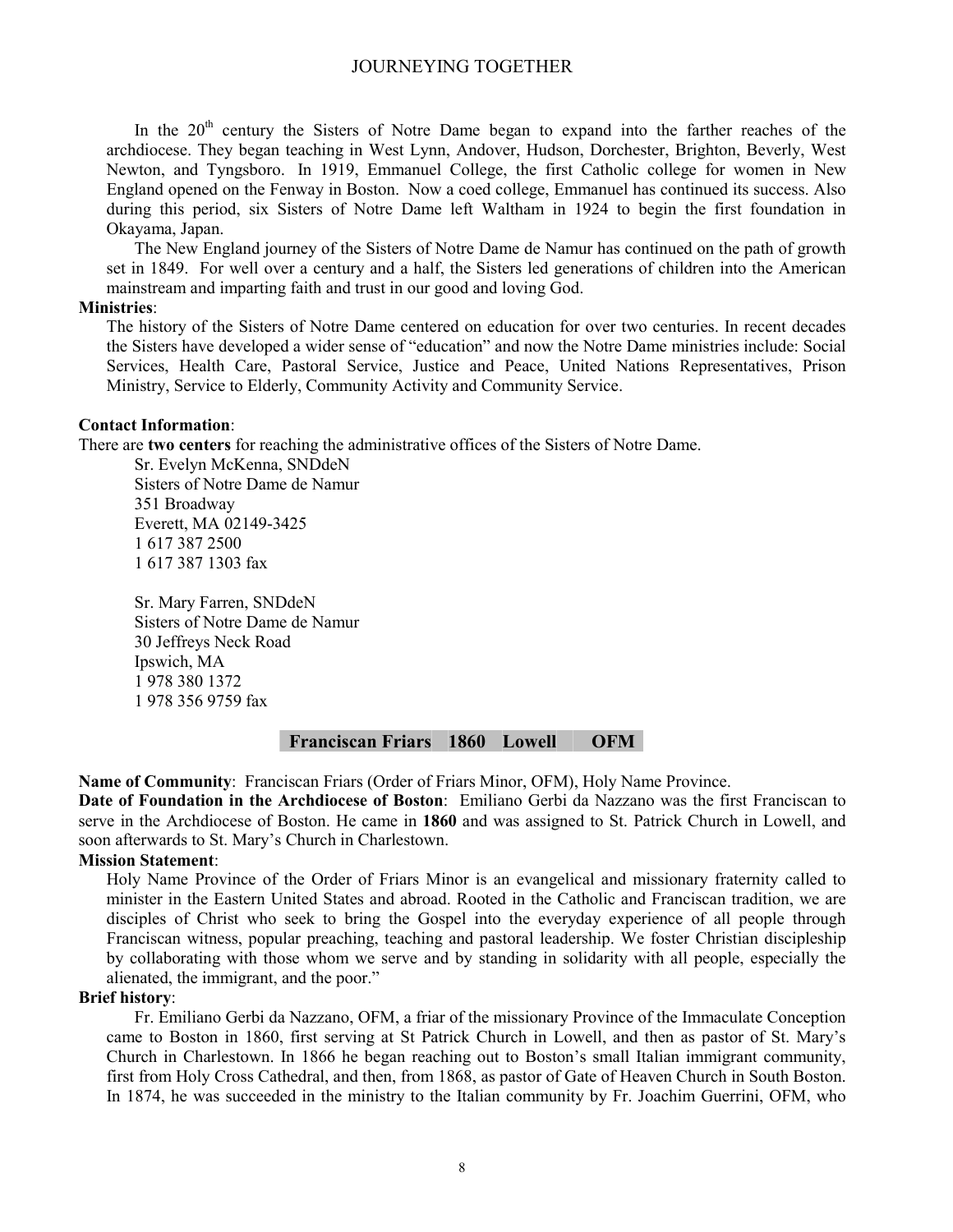In the  $20<sup>th</sup>$  century the Sisters of Notre Dame began to expand into the farther reaches of the archdiocese. They began teaching in West Lynn, Andover, Hudson, Dorchester, Brighton, Beverly, West Newton, and Tyngsboro. In 1919, Emmanuel College, the first Catholic college for women in New England opened on the Fenway in Boston. Now a coed college, Emmanuel has continued its success. Also during this period, six Sisters of Notre Dame left Waltham in 1924 to begin the first foundation in Okayama, Japan.

The New England journey of the Sisters of Notre Dame de Namur has continued on the path of growth set in 1849. For well over a century and a half, the Sisters led generations of children into the American mainstream and imparting faith and trust in our good and loving God.

#### **Ministries**:

The history of the Sisters of Notre Dame centered on education for over two centuries. In recent decades the Sisters have developed a wider sense of "education" and now the Notre Dame ministries include: Social Services, Health Care, Pastoral Service, Justice and Peace, United Nations Representatives, Prison Ministry, Service to Elderly, Community Activity and Community Service.

#### **Contact Information**:

There are **two centers** for reaching the administrative offices of the Sisters of Notre Dame.

Sr. Evelyn McKenna, SNDdeN Sisters of Notre Dame de Namur 351 Broadway Everett, MA 02149-3425 1 617 387 2500 1 617 387 1303 fax

Sr. Mary Farren, SNDdeN Sisters of Notre Dame de Namur 30 Jeffreys Neck Road Ipswich, MA 1 978 380 1372 1 978 356 9759 fax

#### **Franciscan Friars 1860 Lowell OFM**

**Name of Community**: Franciscan Friars (Order of Friars Minor, OFM), Holy Name Province.

**Date of Foundation in the Archdiocese of Boston**: Emiliano Gerbi da Nazzano was the first Franciscan to serve in the Archdiocese of Boston. He came in **1860** and was assigned to St. Patrick Church in Lowell, and soon afterwards to St. Mary's Church in Charlestown.

#### **Mission Statement**:

Holy Name Province of the Order of Friars Minor is an evangelical and missionary fraternity called to minister in the Eastern United States and abroad. Rooted in the Catholic and Franciscan tradition, we are disciples of Christ who seek to bring the Gospel into the everyday experience of all people through Franciscan witness, popular preaching, teaching and pastoral leadership. We foster Christian discipleship by collaborating with those whom we serve and by standing in solidarity with all people, especially the alienated, the immigrant, and the poor."

#### **Brief history**:

Fr. Emiliano Gerbi da Nazzano, OFM, a friar of the missionary Province of the Immaculate Conception came to Boston in 1860, first serving at St Patrick Church in Lowell, and then as pastor of St. Mary's Church in Charlestown. In 1866 he began reaching out to Boston's small Italian immigrant community, first from Holy Cross Cathedral, and then, from 1868, as pastor of Gate of Heaven Church in South Boston. In 1874, he was succeeded in the ministry to the Italian community by Fr. Joachim Guerrini, OFM, who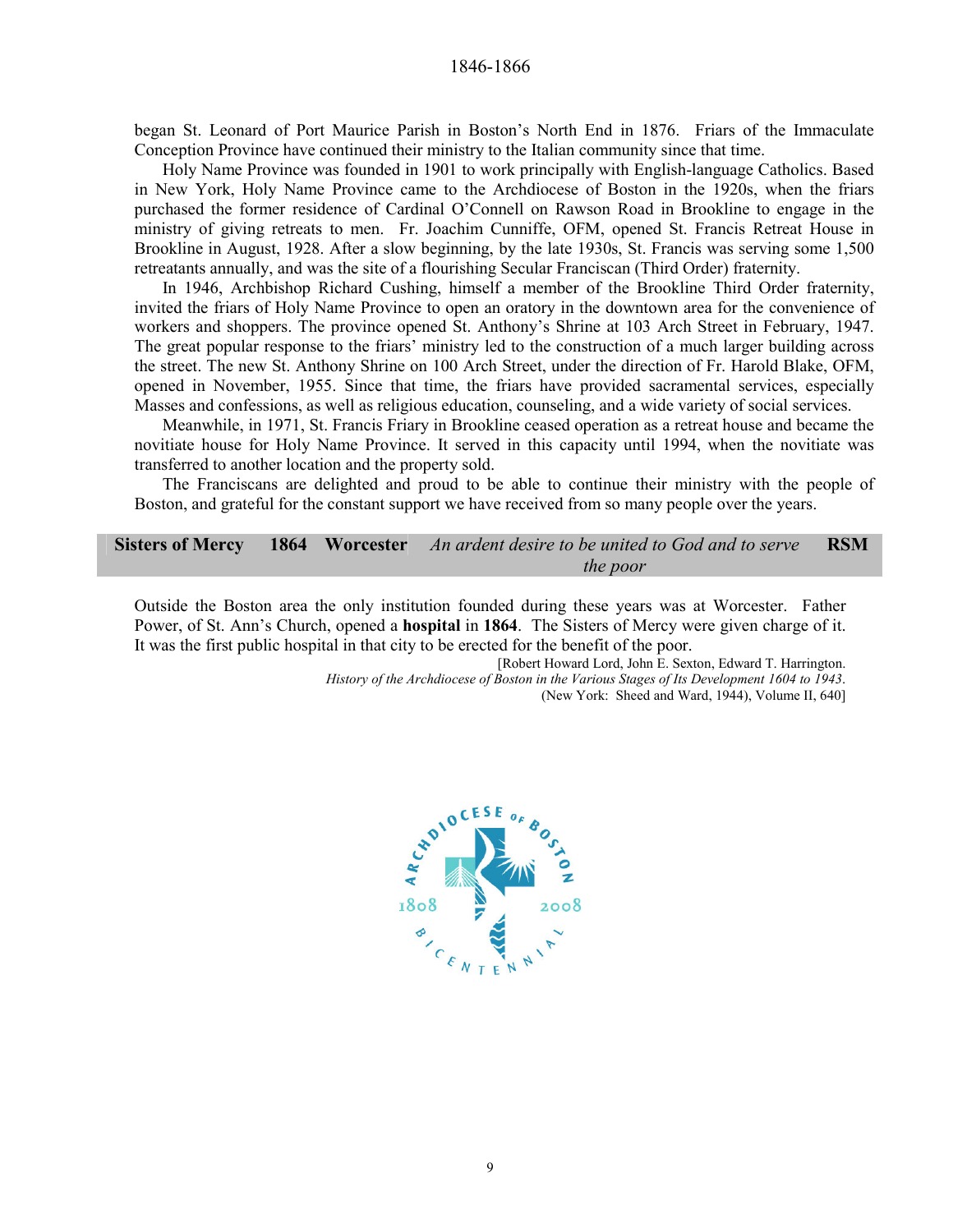began St. Leonard of Port Maurice Parish in Boston's North End in 1876. Friars of the Immaculate Conception Province have continued their ministry to the Italian community since that time.

Holy Name Province was founded in 1901 to work principally with English-language Catholics. Based in New York, Holy Name Province came to the Archdiocese of Boston in the 1920s, when the friars purchased the former residence of Cardinal O'Connell on Rawson Road in Brookline to engage in the ministry of giving retreats to men. Fr. Joachim Cunniffe, OFM, opened St. Francis Retreat House in Brookline in August, 1928. After a slow beginning, by the late 1930s, St. Francis was serving some 1,500 retreatants annually, and was the site of a flourishing Secular Franciscan (Third Order) fraternity.

In 1946, Archbishop Richard Cushing, himself a member of the Brookline Third Order fraternity, invited the friars of Holy Name Province to open an oratory in the downtown area for the convenience of workers and shoppers. The province opened St. Anthony's Shrine at 103 Arch Street in February, 1947. The great popular response to the friars' ministry led to the construction of a much larger building across the street. The new St. Anthony Shrine on 100 Arch Street, under the direction of Fr. Harold Blake, OFM, opened in November, 1955. Since that time, the friars have provided sacramental services, especially Masses and confessions, as well as religious education, counseling, and a wide variety of social services.

Meanwhile, in 1971, St. Francis Friary in Brookline ceased operation as a retreat house and became the novitiate house for Holy Name Province. It served in this capacity until 1994, when the novitiate was transferred to another location and the property sold.

The Franciscans are delighted and proud to be able to continue their ministry with the people of Boston, and grateful for the constant support we have received from so many people over the years.

**Sisters of Mercy 1864 Worcester** *An ardent desire to be united to God and to serve the poor* **RSM** 

Outside the Boston area the only institution founded during these years was at Worcester. Father Power, of St. Ann's Church, opened a **hospital** in **1864**. The Sisters of Mercy were given charge of it. It was the first public hospital in that city to be erected for the benefit of the poor.

[Robert Howard Lord, John E. Sexton, Edward T. Harrington. *History of the Archdiocese of Boston in the Various Stages of Its Development 1604 to 1943*. (New York: Sheed and Ward, 1944), Volume II, 640]

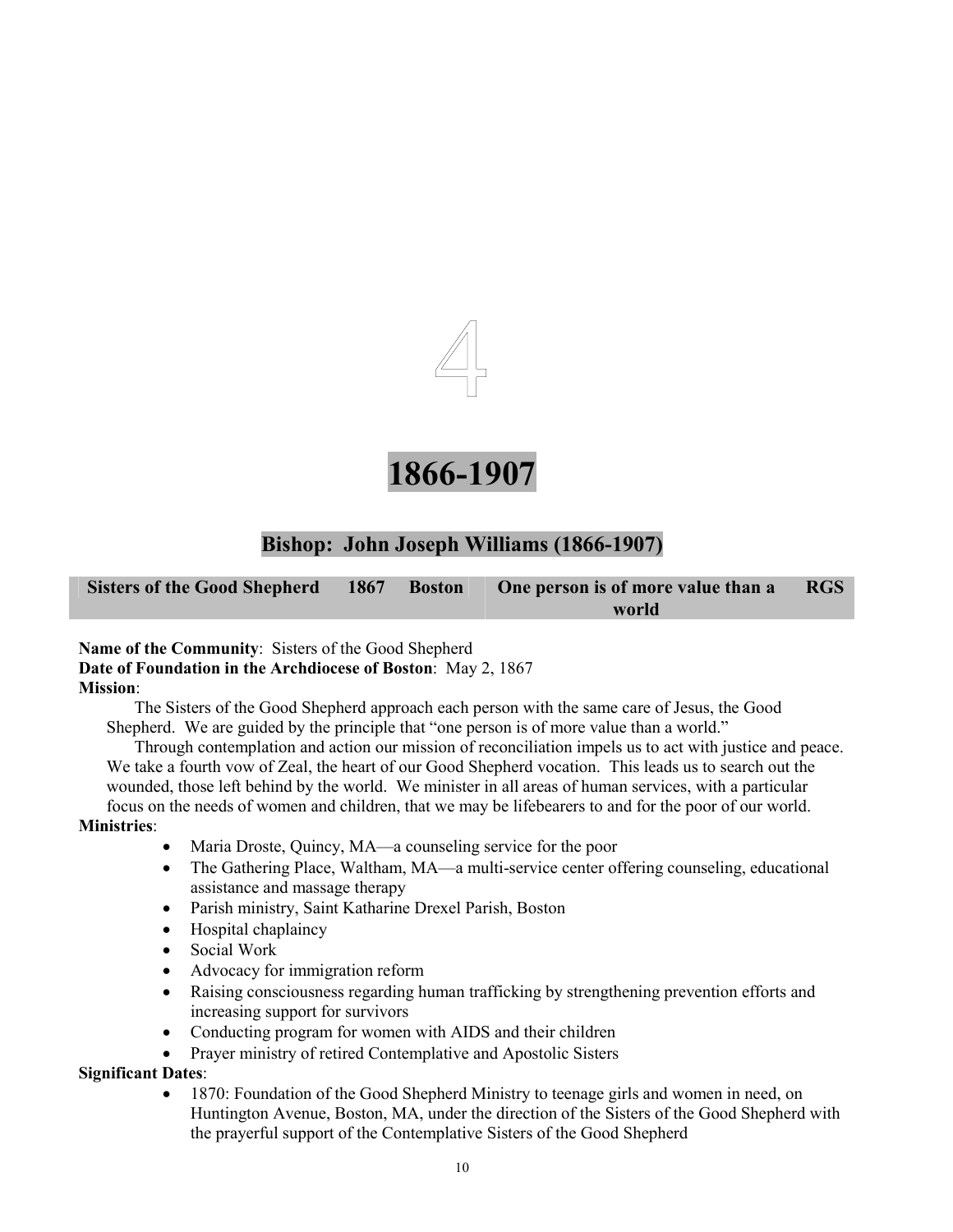



### **Bishop: John Joseph Williams (1866-1907)**

**Sisters of the Good Shepherd 1867 Boston One person is of more value than a world RGS** 

#### **Name of the Community**: Sisters of the Good Shepherd **Date of Foundation in the Archdiocese of Boston**: May 2, 1867 **Mission**:

The Sisters of the Good Shepherd approach each person with the same care of Jesus, the Good Shepherd. We are guided by the principle that "one person is of more value than a world."

Through contemplation and action our mission of reconciliation impels us to act with justice and peace. We take a fourth vow of Zeal, the heart of our Good Shepherd vocation. This leads us to search out the wounded, those left behind by the world. We minister in all areas of human services, with a particular focus on the needs of women and children, that we may be lifebearers to and for the poor of our world.

#### **Ministries**:

- Maria Droste, Quincy, MA—a counseling service for the poor
- The Gathering Place, Waltham, MA—a multi-service center offering counseling, educational assistance and massage therapy
- Parish ministry, Saint Katharine Drexel Parish, Boston
- Hospital chaplaincy
- Social Work
- Advocacy for immigration reform
- Raising consciousness regarding human trafficking by strengthening prevention efforts and increasing support for survivors
- Conducting program for women with AIDS and their children
- Prayer ministry of retired Contemplative and Apostolic Sisters

#### **Significant Dates**:

• 1870: Foundation of the Good Shepherd Ministry to teenage girls and women in need, on Huntington Avenue, Boston, MA, under the direction of the Sisters of the Good Shepherd with the prayerful support of the Contemplative Sisters of the Good Shepherd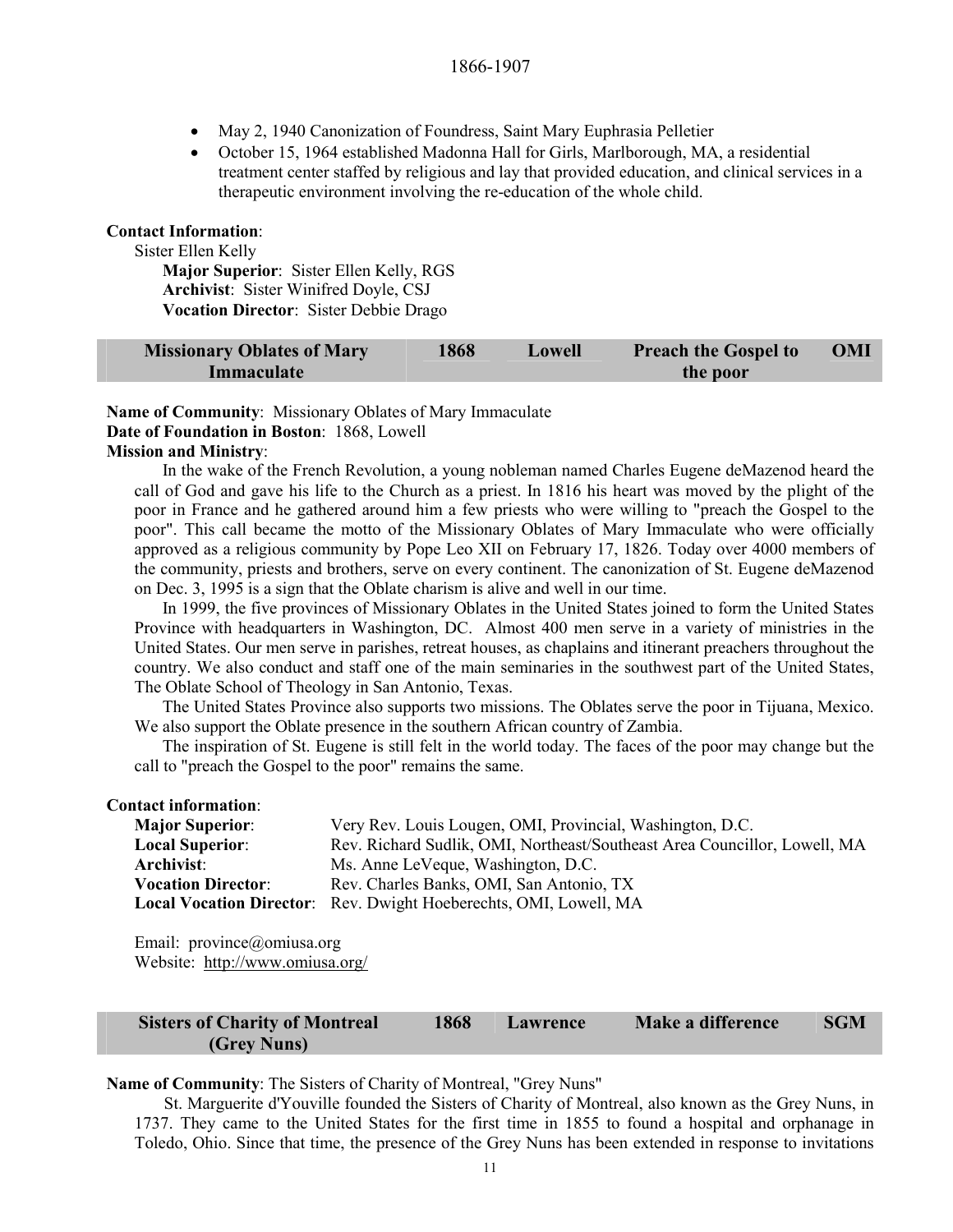- May 2, 1940 Canonization of Foundress, Saint Mary Euphrasia Pelletier
- October 15, 1964 established Madonna Hall for Girls, Marlborough, MA, a residential treatment center staffed by religious and lay that provided education, and clinical services in a therapeutic environment involving the re-education of the whole child.

#### **Contact Information**:

Sister Ellen Kelly

**Major Superior**: Sister Ellen Kelly, RGS **Archivist**: Sister Winifred Doyle, CSJ **Vocation Director**: Sister Debbie Drago

| <b>Missionary Oblates of Mary</b> | 1868 | Lowell | <b>Preach the Gospel to</b> | OMI |
|-----------------------------------|------|--------|-----------------------------|-----|
| Immaculate                        |      |        | the poor                    |     |

**Name of Community**: Missionary Oblates of Mary Immaculate **Date of Foundation in Boston**: 1868, Lowell **Mission and Ministry**:

In the wake of the French Revolution, a young nobleman named Charles Eugene deMazenod heard the call of God and gave his life to the Church as a priest. In 1816 his heart was moved by the plight of the poor in France and he gathered around him a few priests who were willing to "preach the Gospel to the poor". This call became the motto of the Missionary Oblates of Mary Immaculate who were officially approved as a religious community by Pope Leo XII on February 17, 1826. Today over 4000 members of the community, priests and brothers, serve on every continent. The canonization of St. Eugene deMazenod on Dec. 3, 1995 is a sign that the Oblate charism is alive and well in our time.

In 1999, the five provinces of Missionary Oblates in the United States joined to form the United States Province with headquarters in Washington, DC. Almost 400 men serve in a variety of ministries in the United States. Our men serve in parishes, retreat houses, as chaplains and itinerant preachers throughout the country. We also conduct and staff one of the main seminaries in the southwest part of the United States, The Oblate School of Theology in San Antonio, Texas.

The United States Province also supports two missions. The Oblates serve the poor in Tijuana, Mexico. We also support the Oblate presence in the southern African country of Zambia.

The inspiration of St. Eugene is still felt in the world today. The faces of the poor may change but the call to "preach the Gospel to the poor" remains the same.

#### **Contact information**:

| <b>Major Superior:</b>    | Very Rev. Louis Lougen, OMI, Provincial, Washington, D.C.                 |
|---------------------------|---------------------------------------------------------------------------|
| <b>Local Superior:</b>    | Rev. Richard Sudlik, OMI, Northeast/Southeast Area Councillor, Lowell, MA |
| Archivist:                | Ms. Anne LeVeque, Washington, D.C.                                        |
| <b>Vocation Director:</b> | Rev. Charles Banks, OMI, San Antonio, TX                                  |
|                           | Local Vocation Director: Rev. Dwight Hoeberechts, OMI, Lowell, MA         |

Email: province@omiusa.org Website: http://www.omiusa.org/

| <b>Sisters of Charity of Montreal</b> | 1868 | Lawrence | Make a difference | <b>SGM</b> |
|---------------------------------------|------|----------|-------------------|------------|
| (Grey Nuns)                           |      |          |                   |            |

#### **Name of Community**: The Sisters of Charity of Montreal, "Grey Nuns"

St. Marguerite d'Youville founded the Sisters of Charity of Montreal, also known as the Grey Nuns, in 1737. They came to the United States for the first time in 1855 to found a hospital and orphanage in Toledo, Ohio. Since that time, the presence of the Grey Nuns has been extended in response to invitations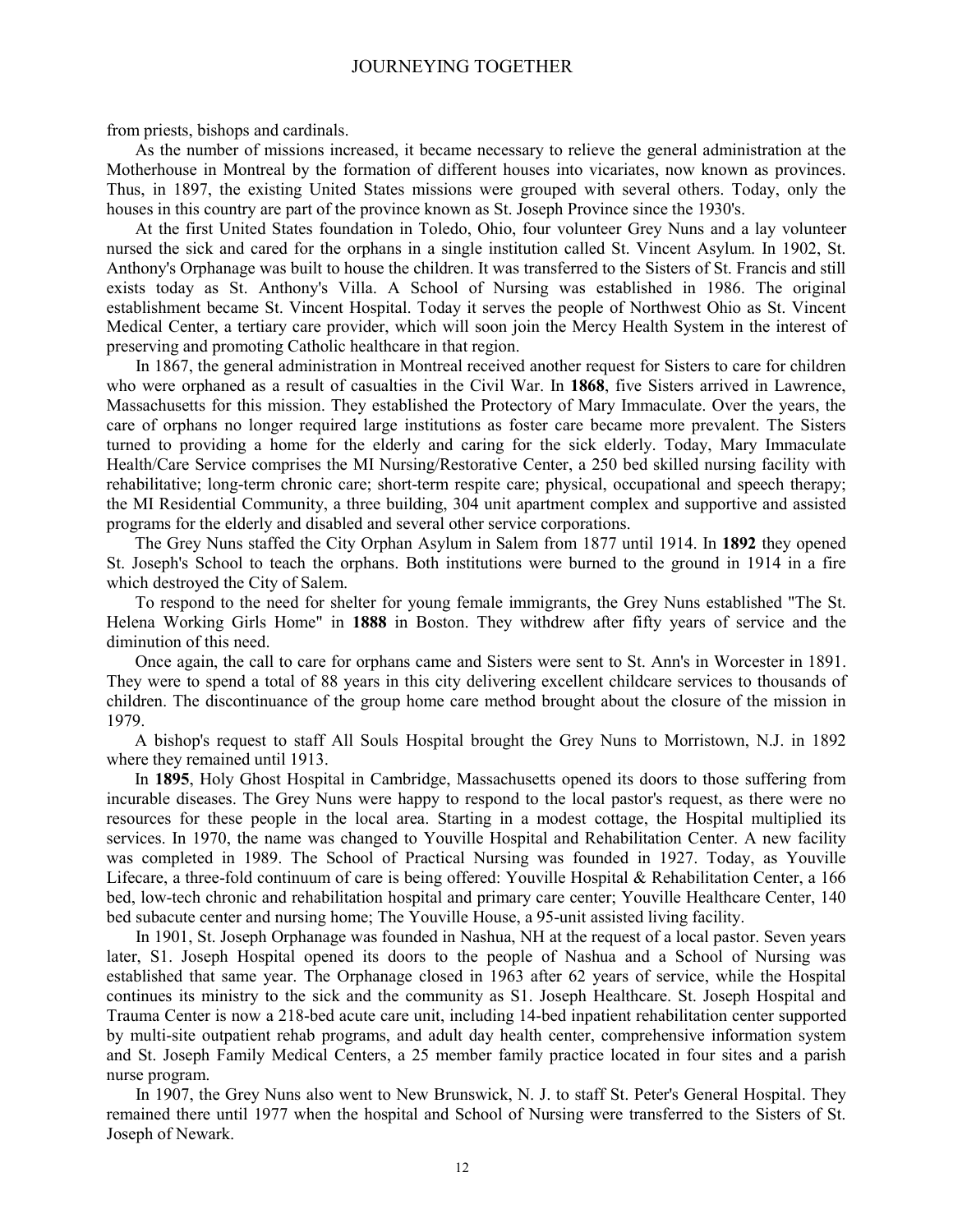from priests, bishops and cardinals.

As the number of missions increased, it became necessary to relieve the general administration at the Motherhouse in Montreal by the formation of different houses into vicariates, now known as provinces. Thus, in 1897, the existing United States missions were grouped with several others. Today, only the houses in this country are part of the province known as St. Joseph Province since the 1930's.

At the first United States foundation in Toledo, Ohio, four volunteer Grey Nuns and a lay volunteer nursed the sick and cared for the orphans in a single institution called St. Vincent Asylum. In 1902, St. Anthony's Orphanage was built to house the children. It was transferred to the Sisters of St. Francis and still exists today as St. Anthony's Villa. A School of Nursing was established in 1986. The original establishment became St. Vincent Hospital. Today it serves the people of Northwest Ohio as St. Vincent Medical Center, a tertiary care provider, which will soon join the Mercy Health System in the interest of preserving and promoting Catholic healthcare in that region.

In 1867, the general administration in Montreal received another request for Sisters to care for children who were orphaned as a result of casualties in the Civil War. In **1868**, five Sisters arrived in Lawrence, Massachusetts for this mission. They established the Protectory of Mary Immaculate. Over the years, the care of orphans no longer required large institutions as foster care became more prevalent. The Sisters turned to providing a home for the elderly and caring for the sick elderly. Today, Mary Immaculate Health/Care Service comprises the MI Nursing/Restorative Center, a 250 bed skilled nursing facility with rehabilitative; long-term chronic care; short-term respite care; physical, occupational and speech therapy; the MI Residential Community, a three building, 304 unit apartment complex and supportive and assisted programs for the elderly and disabled and several other service corporations.

The Grey Nuns staffed the City Orphan Asylum in Salem from 1877 until 1914. In **1892** they opened St. Joseph's School to teach the orphans. Both institutions were burned to the ground in 1914 in a fire which destroyed the City of Salem.

To respond to the need for shelter for young female immigrants, the Grey Nuns established "The St. Helena Working Girls Home" in **1888** in Boston. They withdrew after fifty years of service and the diminution of this need.

Once again, the call to care for orphans came and Sisters were sent to St. Ann's in Worcester in 1891. They were to spend a total of 88 years in this city delivering excellent childcare services to thousands of children. The discontinuance of the group home care method brought about the closure of the mission in 1979.

A bishop's request to staff All Souls Hospital brought the Grey Nuns to Morristown, N.J. in 1892 where they remained until 1913.

In **1895**, Holy Ghost Hospital in Cambridge, Massachusetts opened its doors to those suffering from incurable diseases. The Grey Nuns were happy to respond to the local pastor's request, as there were no resources for these people in the local area. Starting in a modest cottage, the Hospital multiplied its services. In 1970, the name was changed to Youville Hospital and Rehabilitation Center. A new facility was completed in 1989. The School of Practical Nursing was founded in 1927. Today, as Youville Lifecare, a three-fold continuum of care is being offered: Youville Hospital & Rehabilitation Center, a 166 bed, low-tech chronic and rehabilitation hospital and primary care center; Youville Healthcare Center, 140 bed subacute center and nursing home; The Youville House, a 95-unit assisted living facility.

In 1901, St. Joseph Orphanage was founded in Nashua, NH at the request of a local pastor. Seven years later, S1. Joseph Hospital opened its doors to the people of Nashua and a School of Nursing was established that same year. The Orphanage closed in 1963 after 62 years of service, while the Hospital continues its ministry to the sick and the community as S1. Joseph Healthcare. St. Joseph Hospital and Trauma Center is now a 218-bed acute care unit, including 14-bed inpatient rehabilitation center supported by multi-site outpatient rehab programs, and adult day health center, comprehensive information system and St. Joseph Family Medical Centers, a 25 member family practice located in four sites and a parish nurse program.

In 1907, the Grey Nuns also went to New Brunswick, N. J. to staff St. Peter's General Hospital. They remained there until 1977 when the hospital and School of Nursing were transferred to the Sisters of St. Joseph of Newark.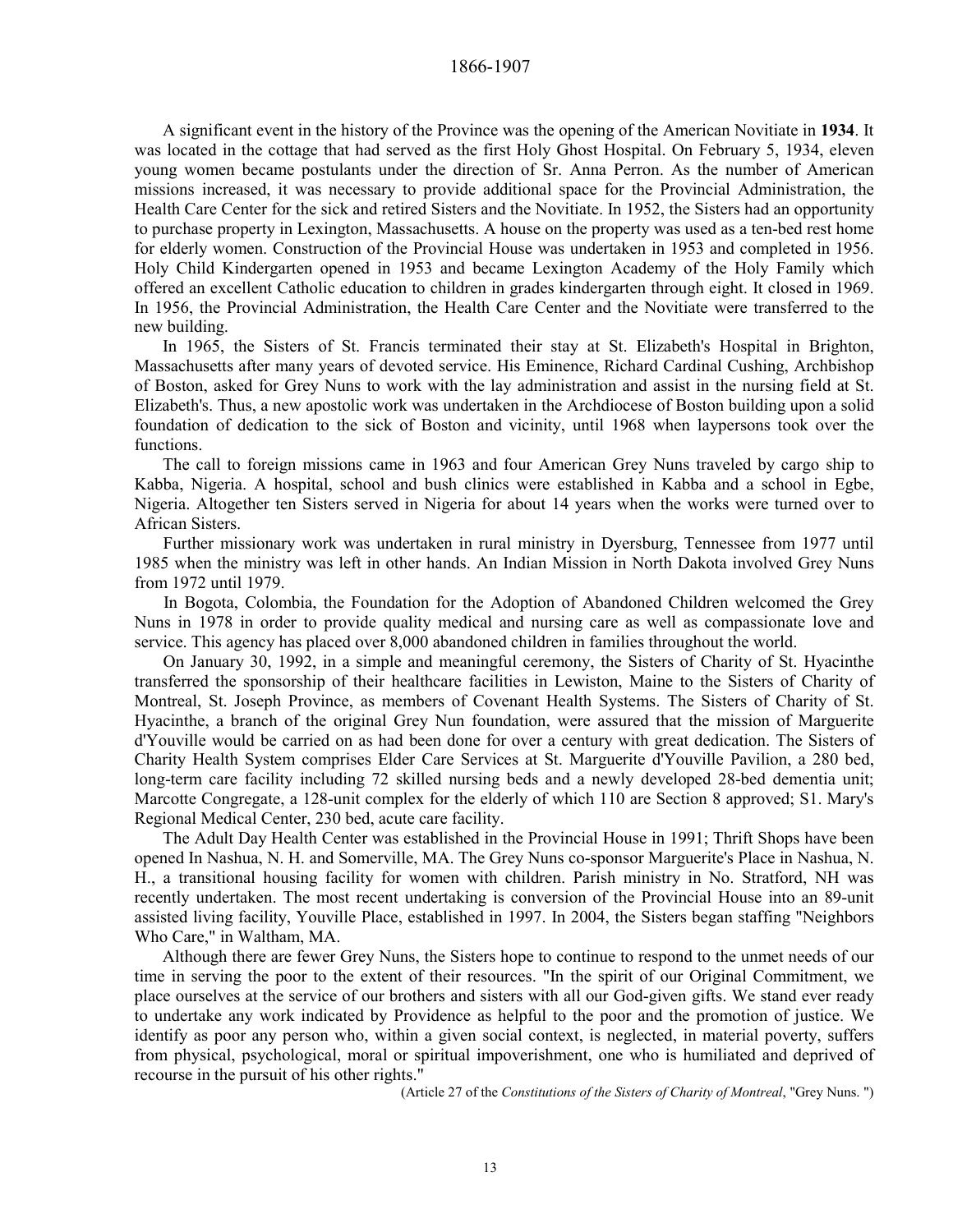A significant event in the history of the Province was the opening of the American Novitiate in **1934**. It was located in the cottage that had served as the first Holy Ghost Hospital. On February 5, 1934, eleven young women became postulants under the direction of Sr. Anna Perron. As the number of American missions increased, it was necessary to provide additional space for the Provincial Administration, the Health Care Center for the sick and retired Sisters and the Novitiate. In 1952, the Sisters had an opportunity to purchase property in Lexington, Massachusetts. A house on the property was used as a ten-bed rest home for elderly women. Construction of the Provincial House was undertaken in 1953 and completed in 1956. Holy Child Kindergarten opened in 1953 and became Lexington Academy of the Holy Family which offered an excellent Catholic education to children in grades kindergarten through eight. It closed in 1969. In 1956, the Provincial Administration, the Health Care Center and the Novitiate were transferred to the new building.

In 1965, the Sisters of St. Francis terminated their stay at St. Elizabeth's Hospital in Brighton, Massachusetts after many years of devoted service. His Eminence, Richard Cardinal Cushing, Archbishop of Boston, asked for Grey Nuns to work with the lay administration and assist in the nursing field at St. Elizabeth's. Thus, a new apostolic work was undertaken in the Archdiocese of Boston building upon a solid foundation of dedication to the sick of Boston and vicinity, until 1968 when laypersons took over the functions.

The call to foreign missions came in 1963 and four American Grey Nuns traveled by cargo ship to Kabba, Nigeria. A hospital, school and bush clinics were established in Kabba and a school in Egbe, Nigeria. Altogether ten Sisters served in Nigeria for about 14 years when the works were turned over to African Sisters.

Further missionary work was undertaken in rural ministry in Dyersburg, Tennessee from 1977 until 1985 when the ministry was left in other hands. An Indian Mission in North Dakota involved Grey Nuns from 1972 until 1979.

In Bogota, Colombia, the Foundation for the Adoption of Abandoned Children welcomed the Grey Nuns in 1978 in order to provide quality medical and nursing care as well as compassionate love and service. This agency has placed over 8,000 abandoned children in families throughout the world.

On January 30, 1992, in a simple and meaningful ceremony, the Sisters of Charity of St. Hyacinthe transferred the sponsorship of their healthcare facilities in Lewiston, Maine to the Sisters of Charity of Montreal, St. Joseph Province, as members of Covenant Health Systems. The Sisters of Charity of St. Hyacinthe, a branch of the original Grey Nun foundation, were assured that the mission of Marguerite d'Youville would be carried on as had been done for over a century with great dedication. The Sisters of Charity Health System comprises Elder Care Services at St. Marguerite d'Youville Pavilion, a 280 bed, long-term care facility including 72 skilled nursing beds and a newly developed 28-bed dementia unit; Marcotte Congregate, a 128-unit complex for the elderly of which 110 are Section 8 approved; S1. Mary's Regional Medical Center, 230 bed, acute care facility.

The Adult Day Health Center was established in the Provincial House in 1991; Thrift Shops have been opened In Nashua, N. H. and Somerville, MA. The Grey Nuns co-sponsor Marguerite's Place in Nashua, N. H., a transitional housing facility for women with children. Parish ministry in No. Stratford, NH was recently undertaken. The most recent undertaking is conversion of the Provincial House into an 89-unit assisted living facility, Youville Place, established in 1997. In 2004, the Sisters began staffing "Neighbors Who Care," in Waltham, MA.

Although there are fewer Grey Nuns, the Sisters hope to continue to respond to the unmet needs of our time in serving the poor to the extent of their resources. "In the spirit of our Original Commitment, we place ourselves at the service of our brothers and sisters with all our God-given gifts. We stand ever ready to undertake any work indicated by Providence as helpful to the poor and the promotion of justice. We identify as poor any person who, within a given social context, is neglected, in material poverty, suffers from physical, psychological, moral or spiritual impoverishment, one who is humiliated and deprived of recourse in the pursuit of his other rights."

(Article 27 of the *Constitutions of the Sisters of Charity of Montreal*, "Grey Nuns. ")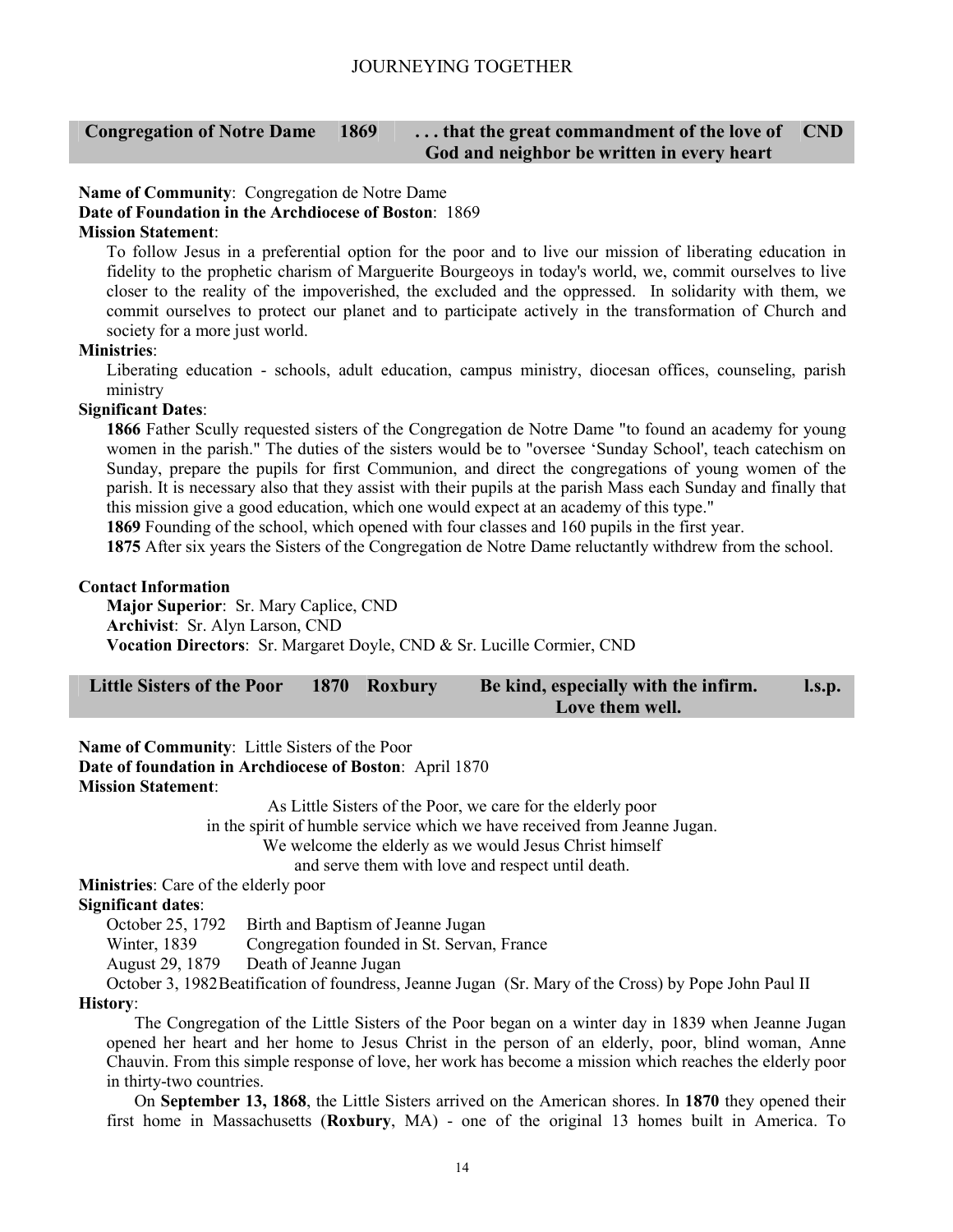#### **Congregation of Notre Dame 1869 . . . that the great commandment of the love of God and neighbor be written in every heart CND**

#### **Name of Community**: Congregation de Notre Dame **Date of Foundation in the Archdiocese of Boston**: 1869 **Mission Statement**:

To follow Jesus in a preferential option for the poor and to live our mission of liberating education in fidelity to the prophetic charism of Marguerite Bourgeoys in today's world, we, commit ourselves to live closer to the reality of the impoverished, the excluded and the oppressed. In solidarity with them, we commit ourselves to protect our planet and to participate actively in the transformation of Church and society for a more just world.

#### **Ministries**:

Liberating education - schools, adult education, campus ministry, diocesan offices, counseling, parish ministry

#### **Significant Dates**:

**1866** Father Scully requested sisters of the Congregation de Notre Dame "to found an academy for young women in the parish." The duties of the sisters would be to "oversee 'Sunday School', teach catechism on Sunday, prepare the pupils for first Communion, and direct the congregations of young women of the parish. It is necessary also that they assist with their pupils at the parish Mass each Sunday and finally that this mission give a good education, which one would expect at an academy of this type."

**1869** Founding of the school, which opened with four classes and 160 pupils in the first year.

**1875** After six years the Sisters of the Congregation de Notre Dame reluctantly withdrew from the school.

#### **Contact Information**

**Major Superior**: Sr. Mary Caplice, CND **Archivist**: Sr. Alyn Larson, CND **Vocation Directors**: Sr. Margaret Doyle, CND & Sr. Lucille Cormier, CND

| Little Sisters of the Poor 1870 Roxbury |  | Be kind, especially with the infirm. | $\mathbf{l}.\mathbf{s}.\mathbf{p}$ . |  |
|-----------------------------------------|--|--------------------------------------|--------------------------------------|--|
|                                         |  |                                      | Love them well.                      |  |

**Name of Community**: Little Sisters of the Poor **Date of foundation in Archdiocese of Boston**: April 1870 **Mission Statement**:

As Little Sisters of the Poor, we care for the elderly poor

in the spirit of humble service which we have received from Jeanne Jugan.

We welcome the elderly as we would Jesus Christ himself

and serve them with love and respect until death.

**Ministries**: Care of the elderly poor

#### **Significant dates**:

October 25, 1792 Birth and Baptism of Jeanne Jugan

Winter, 1839 Congregation founded in St. Servan, France

August 29, 1879 Death of Jeanne Jugan

October 3, 1982 Beatification of foundress, Jeanne Jugan (Sr. Mary of the Cross) by Pope John Paul II **History**:

The Congregation of the Little Sisters of the Poor began on a winter day in 1839 when Jeanne Jugan opened her heart and her home to Jesus Christ in the person of an elderly, poor, blind woman, Anne Chauvin. From this simple response of love, her work has become a mission which reaches the elderly poor in thirty-two countries.

On **September 13, 1868**, the Little Sisters arrived on the American shores. In **1870** they opened their first home in Massachusetts (**Roxbury**, MA) - one of the original 13 homes built in America. To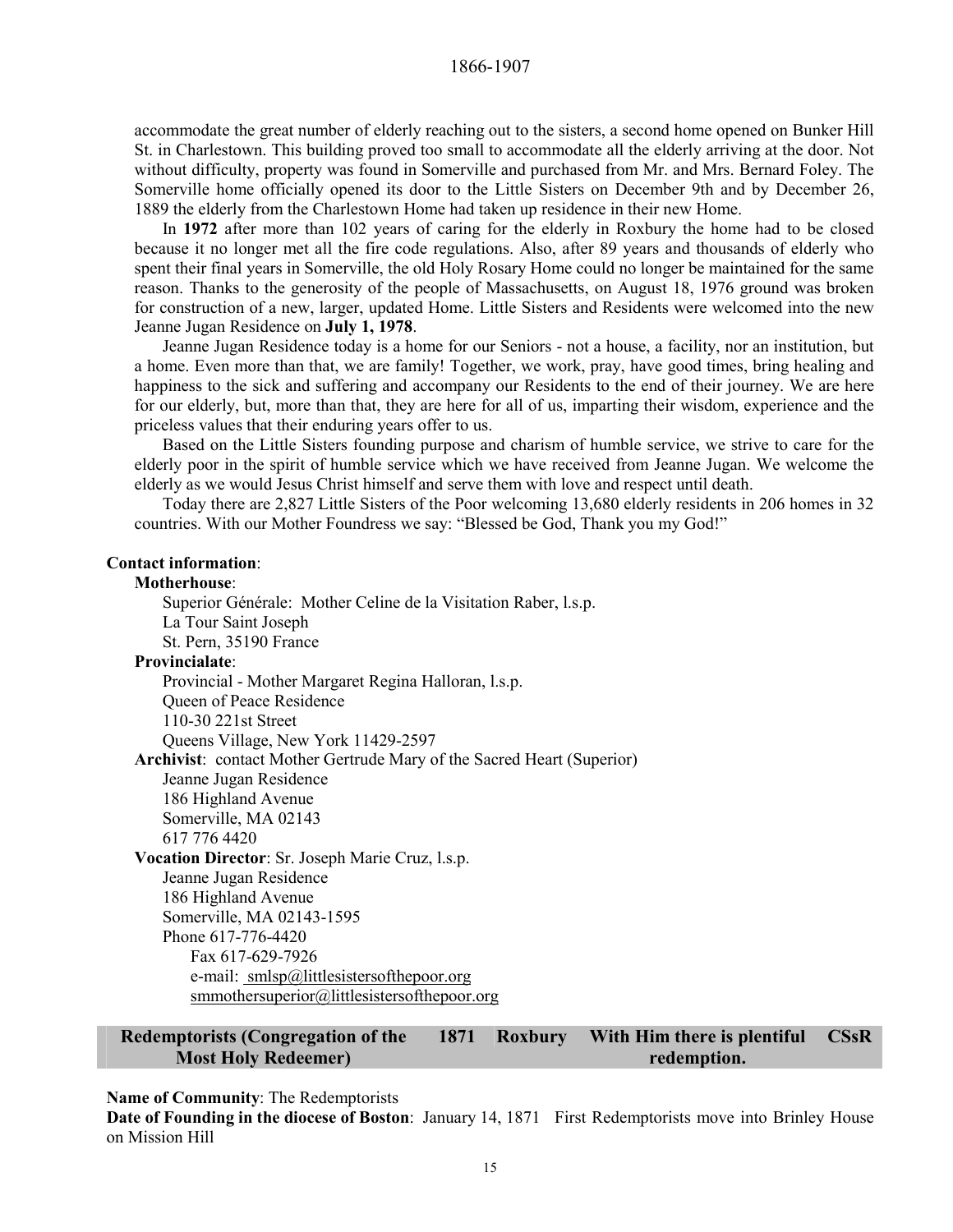accommodate the great number of elderly reaching out to the sisters, a second home opened on Bunker Hill St. in Charlestown. This building proved too small to accommodate all the elderly arriving at the door. Not without difficulty, property was found in Somerville and purchased from Mr. and Mrs. Bernard Foley. The Somerville home officially opened its door to the Little Sisters on December 9th and by December 26, 1889 the elderly from the Charlestown Home had taken up residence in their new Home.

In **1972** after more than 102 years of caring for the elderly in Roxbury the home had to be closed because it no longer met all the fire code regulations. Also, after 89 years and thousands of elderly who spent their final years in Somerville, the old Holy Rosary Home could no longer be maintained for the same reason. Thanks to the generosity of the people of Massachusetts, on August 18, 1976 ground was broken for construction of a new, larger, updated Home. Little Sisters and Residents were welcomed into the new Jeanne Jugan Residence on **July 1, 1978**.

Jeanne Jugan Residence today is a home for our Seniors - not a house, a facility, nor an institution, but a home. Even more than that, we are family! Together, we work, pray, have good times, bring healing and happiness to the sick and suffering and accompany our Residents to the end of their journey. We are here for our elderly, but, more than that, they are here for all of us, imparting their wisdom, experience and the priceless values that their enduring years offer to us.

Based on the Little Sisters founding purpose and charism of humble service, we strive to care for the elderly poor in the spirit of humble service which we have received from Jeanne Jugan. We welcome the elderly as we would Jesus Christ himself and serve them with love and respect until death.

Today there are 2,827 Little Sisters of the Poor welcoming 13,680 elderly residents in 206 homes in 32 countries. With our Mother Foundress we say: "Blessed be God, Thank you my God!"

#### **Contact information**:

#### **Motherhouse**:

Superior Générale: Mother Celine de la Visitation Raber, l.s.p. La Tour Saint Joseph St. Pern, 35190 France **Provincialate**: Provincial - Mother Margaret Regina Halloran, l.s.p. Queen of Peace Residence 110-30 221st Street Queens Village, New York 11429-2597 **Archivist**: contact Mother Gertrude Mary of the Sacred Heart (Superior) Jeanne Jugan Residence 186 Highland Avenue Somerville, MA 02143 617 776 4420 **Vocation Director**: Sr. Joseph Marie Cruz, l.s.p. Jeanne Jugan Residence 186 Highland Avenue Somerville, MA 02143-1595 Phone 617-776-4420 Fax 617-629-7926 e-mail: smlsp@littlesistersofthepoor.org smmothersuperior@littlesistersofthepoor.org

#### **Redemptorists (Congregation of the Most Holy Redeemer) 1871 Roxbury With Him there is plentiful redemption. CSsR**

#### **Name of Community**: The Redemptorists

**Date of Founding in the diocese of Boston**: January 14, 1871 First Redemptorists move into Brinley House on Mission Hill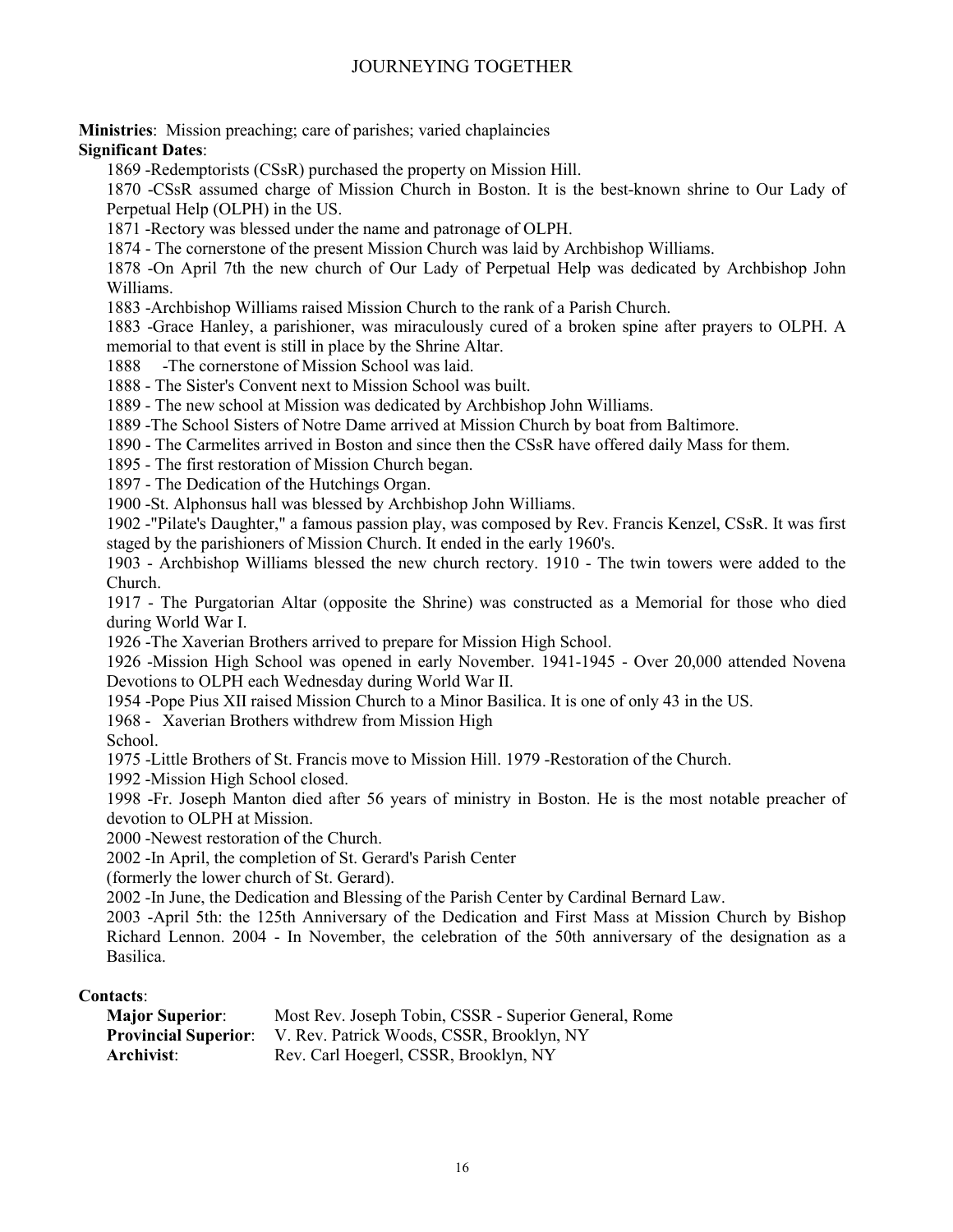**Ministries**: Mission preaching; care of parishes; varied chaplaincies

#### **Significant Dates**:

1869 -Redemptorists (CSsR) purchased the property on Mission Hill.

1870 -CSsR assumed charge of Mission Church in Boston. It is the best-known shrine to Our Lady of Perpetual Help (OLPH) in the US.

1871 -Rectory was blessed under the name and patronage of OLPH.

1874 - The cornerstone of the present Mission Church was laid by Archbishop Williams.

1878 -On April 7th the new church of Our Lady of Perpetual Help was dedicated by Archbishop John Williams.

1883 -Archbishop Williams raised Mission Church to the rank of a Parish Church.

1883 -Grace Hanley, a parishioner, was miraculously cured of a broken spine after prayers to OLPH. A memorial to that event is still in place by the Shrine Altar.

1888 -The cornerstone of Mission School was laid.

1888 - The Sister's Convent next to Mission School was built.

1889 - The new school at Mission was dedicated by Archbishop John Williams.

1889 -The School Sisters of Notre Dame arrived at Mission Church by boat from Baltimore.

1890 - The Carmelites arrived in Boston and since then the CSsR have offered daily Mass for them.

1895 - The first restoration of Mission Church began.

1897 - The Dedication of the Hutchings Organ.

1900 -St. Alphonsus hall was blessed by Archbishop John Williams.

1902 -"Pilate's Daughter," a famous passion play, was composed by Rev. Francis Kenzel, CSsR. It was first staged by the parishioners of Mission Church. It ended in the early 1960's.

1903 - Archbishop Williams blessed the new church rectory. 1910 - The twin towers were added to the Church.

1917 - The Purgatorian Altar (opposite the Shrine) was constructed as a Memorial for those who died during World War I.

1926 -The Xaverian Brothers arrived to prepare for Mission High School.

1926 -Mission High School was opened in early November. 1941-1945 - Over 20,000 attended Novena Devotions to OLPH each Wednesday during World War II.

1954 -Pope Pius XII raised Mission Church to a Minor Basilica. It is one of only 43 in the US.

1968 - Xaverian Brothers withdrew from Mission High

School.

1975 -Little Brothers of St. Francis move to Mission Hill. 1979 -Restoration of the Church.

1992 -Mission High School closed.

1998 -Fr. Joseph Manton died after 56 years of ministry in Boston. He is the most notable preacher of devotion to OLPH at Mission.

2000 -Newest restoration of the Church.

2002 -In April, the completion of St. Gerard's Parish Center

(formerly the lower church of St. Gerard).

2002 -In June, the Dedication and Blessing of the Parish Center by Cardinal Bernard Law.

2003 -April 5th: the 125th Anniversary of the Dedication and First Mass at Mission Church by Bishop Richard Lennon. 2004 - In November, the celebration of the 50th anniversary of the designation as a Basilica.

#### **Contacts**:

| <b>Major Superior:</b> | Most Rev. Joseph Tobin, CSSR - Superior General, Rome                 |
|------------------------|-----------------------------------------------------------------------|
|                        | <b>Provincial Superior:</b> V. Rev. Patrick Woods, CSSR, Brooklyn, NY |
| Archivist:             | Rev. Carl Hoegerl, CSSR, Brooklyn, NY                                 |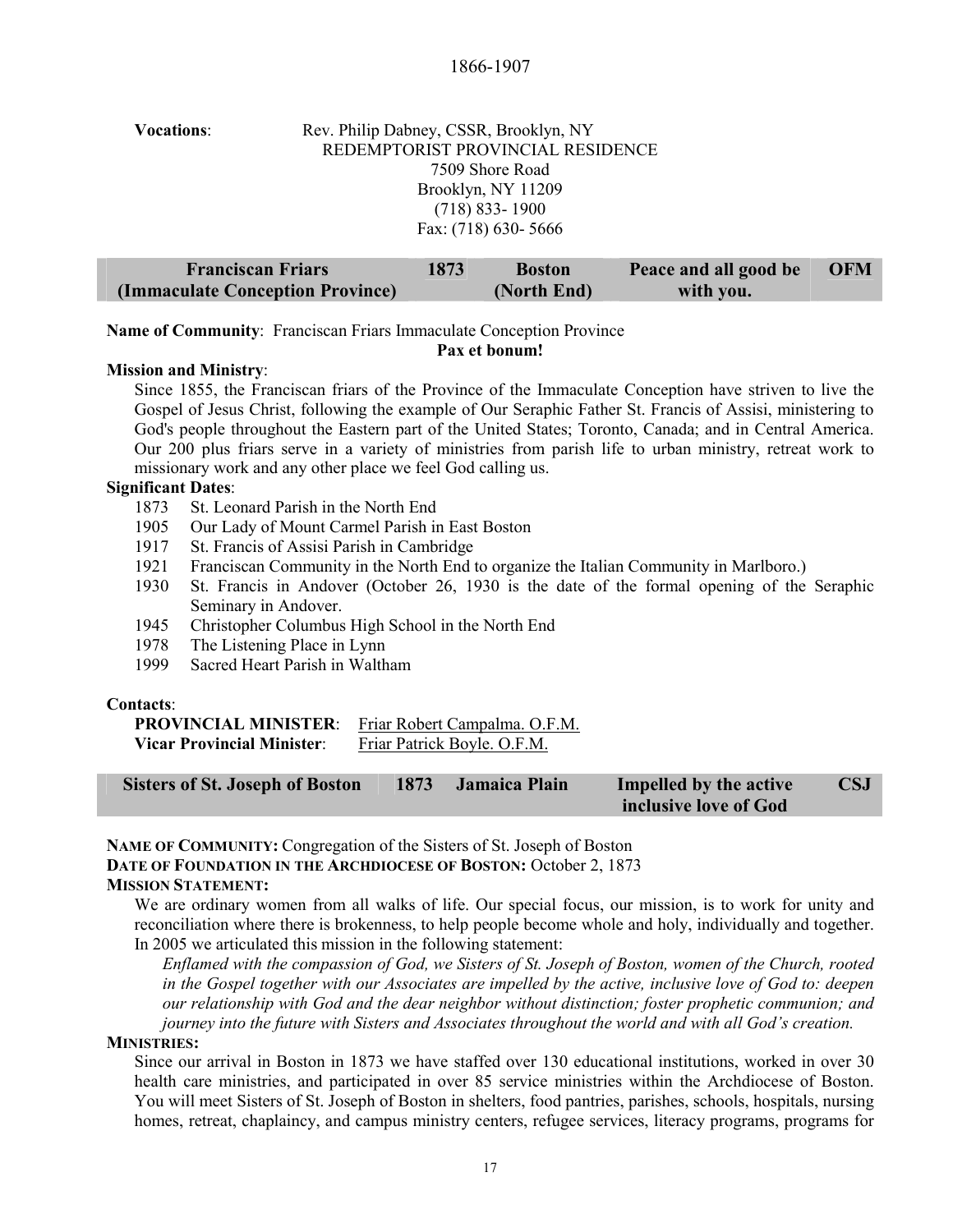#### 1866-1907

| <b>Vocations:</b> | Rev. Philip Dabney, CSSR, Brooklyn, NY |
|-------------------|----------------------------------------|
|                   | REDEMPTORIST PROVINCIAL RESIDENCE      |
|                   | 7509 Shore Road                        |
|                   | Brooklyn, NY 11209                     |
|                   | $(718)$ 833-1900                       |
|                   | Fax: (718) 630-5666                    |
|                   |                                        |

| <b>Franciscan Friars</b>         | 1873 | <b>Boston</b> | Peace and all good be | <b>OFM</b> |
|----------------------------------|------|---------------|-----------------------|------------|
| (Immaculate Conception Province) |      | (North End)   | with you.             |            |

**Name of Community**: Franciscan Friars Immaculate Conception Province

**Pax et bonum!**

#### **Mission and Ministry**:

Since 1855, the Franciscan friars of the Province of the Immaculate Conception have striven to live the Gospel of Jesus Christ, following the example of Our Seraphic Father St. Francis of Assisi, ministering to God's people throughout the Eastern part of the United States; Toronto, Canada; and in Central America. Our 200 plus friars serve in a variety of ministries from parish life to urban ministry, retreat work to missionary work and any other place we feel God calling us.

#### **Significant Dates**:

- 1873 St. Leonard Parish in the North End
- 1905 Our Lady of Mount Carmel Parish in East Boston
- 1917 St. Francis of Assisi Parish in Cambridge
- 1921 Franciscan Community in the North End to organize the Italian Community in Marlboro.)
- 1930 St. Francis in Andover (October 26, 1930 is the date of the formal opening of the Seraphic Seminary in Andover.
- 1945 Christopher Columbus High School in the North End
- 1978 The Listening Place in Lynn
- 1999 Sacred Heart Parish in Waltham

#### **Contacts**:

| <b>PROVINCIAL MINISTER:</b>       | Friar Robert Campalma. O.F.M. |
|-----------------------------------|-------------------------------|
| <b>Vicar Provincial Minister:</b> | Friar Patrick Boyle. O.F.M.   |

| <b>Sisters of St. Joseph of Boston</b> | 1873 | <b>Jamaica Plain</b> | Impelled by the active | <b>CSJ</b> |
|----------------------------------------|------|----------------------|------------------------|------------|
|                                        |      |                      | inclusive love of God  |            |

#### **NAME OF COMMUNITY:** Congregation of the Sisters of St. Joseph of Boston

**DATE OF FOUNDATION IN THE ARCHDIOCESE OF BOSTON:** October 2, 1873

#### **MISSION STATEMENT:**

We are ordinary women from all walks of life. Our special focus, our mission, is to work for unity and reconciliation where there is brokenness, to help people become whole and holy, individually and together. In 2005 we articulated this mission in the following statement:

*Enflamed with the compassion of God, we Sisters of St. Joseph of Boston, women of the Church, rooted in the Gospel together with our Associates are impelled by the active, inclusive love of God to: deepen our relationship with God and the dear neighbor without distinction; foster prophetic communion; and journey into the future with Sisters and Associates throughout the world and with all God's creation.*

#### **MINISTRIES:**

Since our arrival in Boston in 1873 we have staffed over 130 educational institutions, worked in over 30 health care ministries, and participated in over 85 service ministries within the Archdiocese of Boston. You will meet Sisters of St. Joseph of Boston in shelters, food pantries, parishes, schools, hospitals, nursing homes, retreat, chaplaincy, and campus ministry centers, refugee services, literacy programs, programs for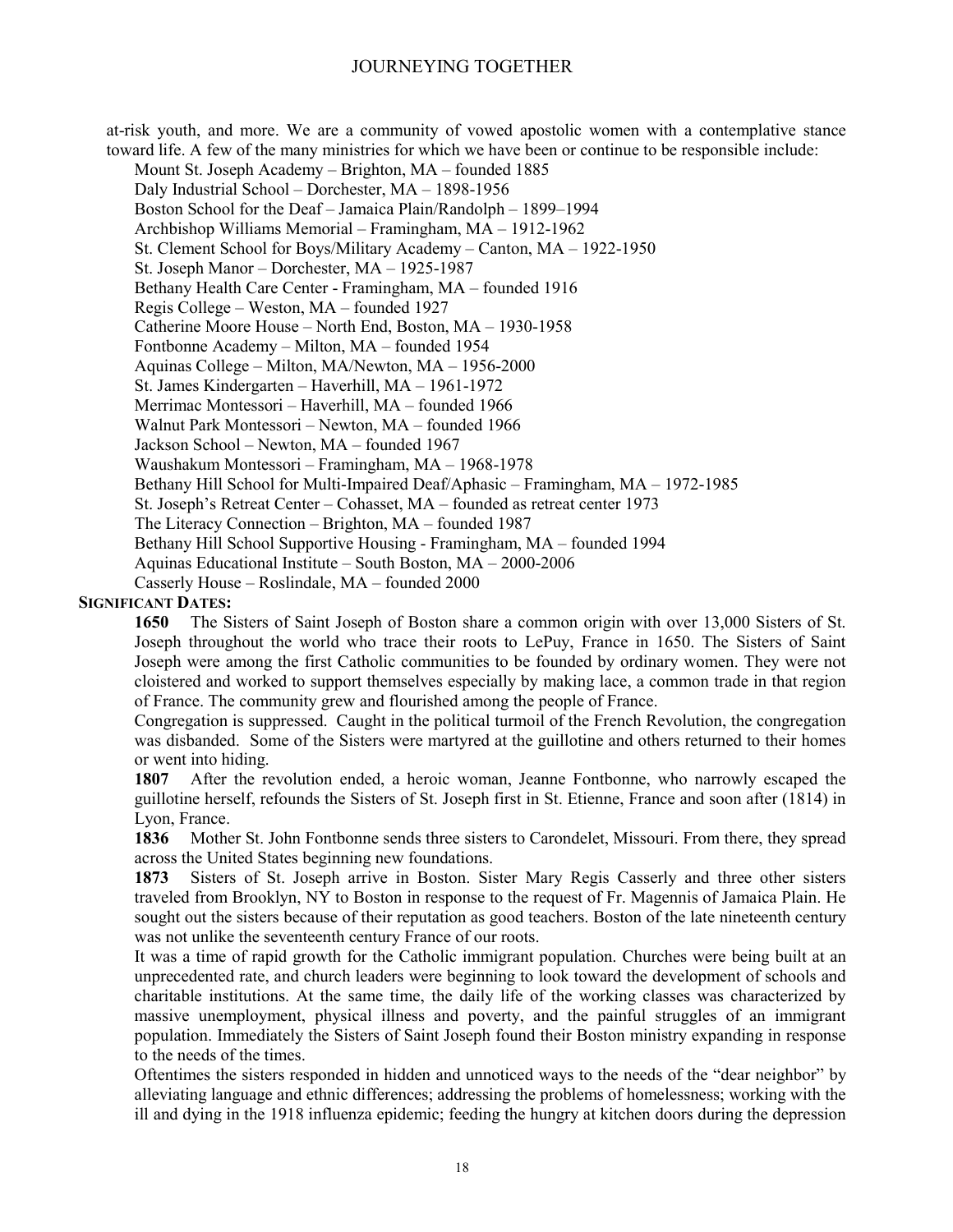at-risk youth, and more. We are a community of vowed apostolic women with a contemplative stance toward life. A few of the many ministries for which we have been or continue to be responsible include:

Mount St. Joseph Academy – Brighton, MA – founded 1885 Daly Industrial School – Dorchester, MA – 1898-1956 Boston School for the Deaf – Jamaica Plain/Randolph – 1899–1994 Archbishop Williams Memorial – Framingham, MA – 1912-1962 St. Clement School for Boys/Military Academy – Canton, MA – 1922-1950 St. Joseph Manor – Dorchester, MA – 1925-1987 Bethany Health Care Center - Framingham, MA – founded 1916 Regis College – Weston, MA – founded 1927 Catherine Moore House – North End, Boston, MA – 1930-1958 Fontbonne Academy – Milton, MA – founded 1954 Aquinas College – Milton, MA/Newton, MA – 1956-2000 St. James Kindergarten – Haverhill, MA – 1961-1972 Merrimac Montessori – Haverhill, MA – founded 1966 Walnut Park Montessori – Newton, MA – founded 1966 Jackson School – Newton, MA – founded 1967 Waushakum Montessori – Framingham, MA – 1968-1978 Bethany Hill School for Multi-Impaired Deaf/Aphasic – Framingham, MA – 1972-1985 St. Joseph's Retreat Center – Cohasset, MA – founded as retreat center 1973 The Literacy Connection – Brighton, MA – founded 1987 Bethany Hill School Supportive Housing - Framingham, MA – founded 1994 Aquinas Educational Institute – South Boston, MA – 2000-2006 Casserly House – Roslindale, MA – founded 2000

#### **SIGNIFICANT DATES:**

**1650** The Sisters of Saint Joseph of Boston share a common origin with over 13,000 Sisters of St. Joseph throughout the world who trace their roots to LePuy, France in 1650. The Sisters of Saint Joseph were among the first Catholic communities to be founded by ordinary women. They were not cloistered and worked to support themselves especially by making lace, a common trade in that region of France. The community grew and flourished among the people of France.

Congregation is suppressed. Caught in the political turmoil of the French Revolution, the congregation was disbanded. Some of the Sisters were martyred at the guillotine and others returned to their homes or went into hiding.

**1807** After the revolution ended, a heroic woman, Jeanne Fontbonne, who narrowly escaped the guillotine herself, refounds the Sisters of St. Joseph first in St. Etienne, France and soon after (1814) in Lyon, France.

**1836** Mother St. John Fontbonne sends three sisters to Carondelet, Missouri. From there, they spread across the United States beginning new foundations.

**1873** Sisters of St. Joseph arrive in Boston. Sister Mary Regis Casserly and three other sisters traveled from Brooklyn, NY to Boston in response to the request of Fr. Magennis of Jamaica Plain. He sought out the sisters because of their reputation as good teachers. Boston of the late nineteenth century was not unlike the seventeenth century France of our roots.

It was a time of rapid growth for the Catholic immigrant population. Churches were being built at an unprecedented rate, and church leaders were beginning to look toward the development of schools and charitable institutions. At the same time, the daily life of the working classes was characterized by massive unemployment, physical illness and poverty, and the painful struggles of an immigrant population. Immediately the Sisters of Saint Joseph found their Boston ministry expanding in response to the needs of the times.

Oftentimes the sisters responded in hidden and unnoticed ways to the needs of the "dear neighbor" by alleviating language and ethnic differences; addressing the problems of homelessness; working with the ill and dying in the 1918 influenza epidemic; feeding the hungry at kitchen doors during the depression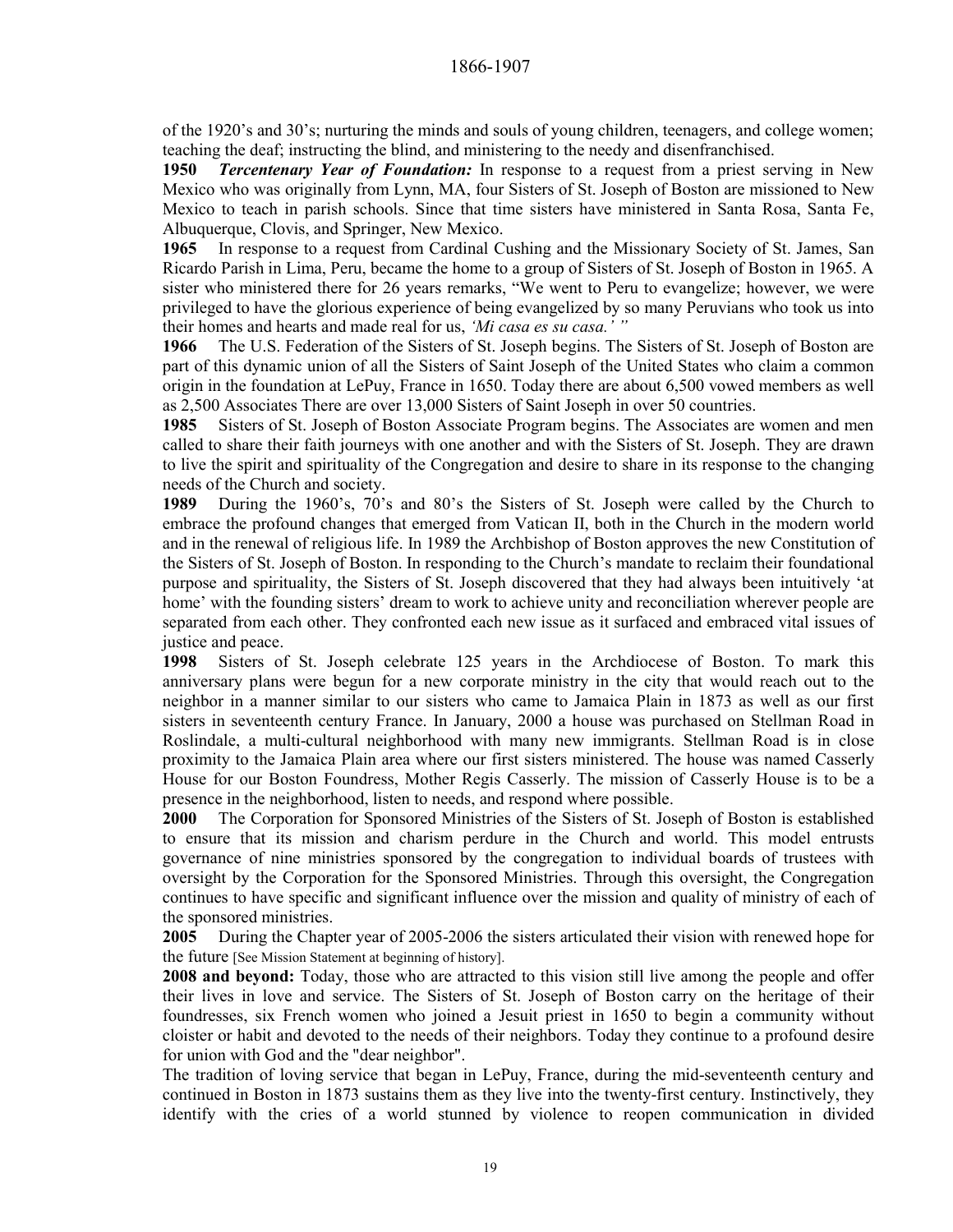of the 1920's and 30's; nurturing the minds and souls of young children, teenagers, and college women; teaching the deaf; instructing the blind, and ministering to the needy and disenfranchised.

**1950** *Tercentenary Year of Foundation:* In response to a request from a priest serving in New Mexico who was originally from Lynn, MA, four Sisters of St. Joseph of Boston are missioned to New Mexico to teach in parish schools. Since that time sisters have ministered in Santa Rosa, Santa Fe, Albuquerque, Clovis, and Springer, New Mexico.

**1965** In response to a request from Cardinal Cushing and the Missionary Society of St. James, San Ricardo Parish in Lima, Peru, became the home to a group of Sisters of St. Joseph of Boston in 1965. A sister who ministered there for 26 years remarks, "We went to Peru to evangelize; however, we were privileged to have the glorious experience of being evangelized by so many Peruvians who took us into their homes and hearts and made real for us, *'Mi casa es su casa.' "*

**1966** The U.S. Federation of the Sisters of St. Joseph begins. The Sisters of St. Joseph of Boston are part of this dynamic union of all the Sisters of Saint Joseph of the United States who claim a common origin in the foundation at LePuy, France in 1650. Today there are about 6,500 vowed members as well as 2,500 Associates There are over 13,000 Sisters of Saint Joseph in over 50 countries.

**1985** Sisters of St. Joseph of Boston Associate Program begins. The Associates are women and men called to share their faith journeys with one another and with the Sisters of St. Joseph. They are drawn to live the spirit and spirituality of the Congregation and desire to share in its response to the changing needs of the Church and society.

**1989** During the 1960's, 70's and 80's the Sisters of St. Joseph were called by the Church to embrace the profound changes that emerged from Vatican II, both in the Church in the modern world and in the renewal of religious life. In 1989 the Archbishop of Boston approves the new Constitution of the Sisters of St. Joseph of Boston. In responding to the Church's mandate to reclaim their foundational purpose and spirituality, the Sisters of St. Joseph discovered that they had always been intuitively 'at home' with the founding sisters' dream to work to achieve unity and reconciliation wherever people are separated from each other. They confronted each new issue as it surfaced and embraced vital issues of justice and peace.

**1998** Sisters of St. Joseph celebrate 125 years in the Archdiocese of Boston. To mark this anniversary plans were begun for a new corporate ministry in the city that would reach out to the neighbor in a manner similar to our sisters who came to Jamaica Plain in 1873 as well as our first sisters in seventeenth century France. In January, 2000 a house was purchased on Stellman Road in Roslindale, a multi-cultural neighborhood with many new immigrants. Stellman Road is in close proximity to the Jamaica Plain area where our first sisters ministered. The house was named Casserly House for our Boston Foundress, Mother Regis Casserly. The mission of Casserly House is to be a presence in the neighborhood, listen to needs, and respond where possible.

**2000** The Corporation for Sponsored Ministries of the Sisters of St. Joseph of Boston is established to ensure that its mission and charism perdure in the Church and world. This model entrusts governance of nine ministries sponsored by the congregation to individual boards of trustees with oversight by the Corporation for the Sponsored Ministries. Through this oversight, the Congregation continues to have specific and significant influence over the mission and quality of ministry of each of the sponsored ministries.

**2005** During the Chapter year of 2005-2006 the sisters articulated their vision with renewed hope for the future [See Mission Statement at beginning of history].

**2008 and beyond:** Today, those who are attracted to this vision still live among the people and offer their lives in love and service. The Sisters of St. Joseph of Boston carry on the heritage of their foundresses, six French women who joined a Jesuit priest in 1650 to begin a community without cloister or habit and devoted to the needs of their neighbors. Today they continue to a profound desire for union with God and the "dear neighbor".

The tradition of loving service that began in LePuy, France, during the mid-seventeenth century and continued in Boston in 1873 sustains them as they live into the twenty-first century. Instinctively, they identify with the cries of a world stunned by violence to reopen communication in divided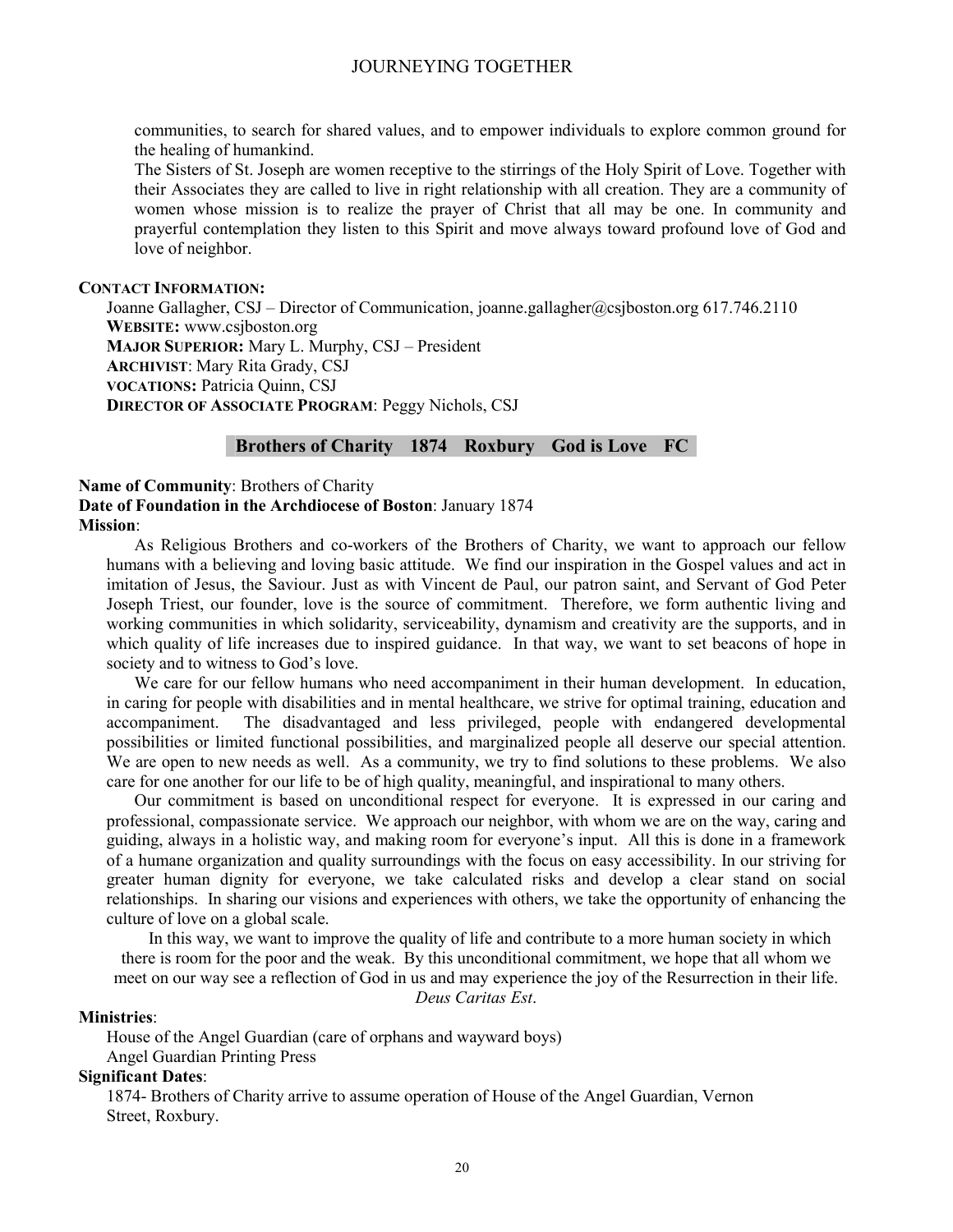communities, to search for shared values, and to empower individuals to explore common ground for the healing of humankind.

The Sisters of St. Joseph are women receptive to the stirrings of the Holy Spirit of Love. Together with their Associates they are called to live in right relationship with all creation. They are a community of women whose mission is to realize the prayer of Christ that all may be one. In community and prayerful contemplation they listen to this Spirit and move always toward profound love of God and love of neighbor.

#### **CONTACT INFORMATION:**

Joanne Gallagher, CSJ – Director of Communication, joanne.gallagher@csjboston.org 617.746.2110 **WEBSITE:** www.csjboston.org **MAJOR SUPERIOR:** Mary L. Murphy, CSJ – President **ARCHIVIST**: Mary Rita Grady, CSJ **VOCATIONS:** Patricia Quinn, CSJ **DIRECTOR OF ASSOCIATE PROGRAM**: Peggy Nichols, CSJ

#### **Brothers of Charity 1874 Roxbury God is Love FC**

**Name of Community**: Brothers of Charity **Date of Foundation in the Archdiocese of Boston**: January 1874 **Mission**:

As Religious Brothers and co-workers of the Brothers of Charity, we want to approach our fellow humans with a believing and loving basic attitude. We find our inspiration in the Gospel values and act in imitation of Jesus, the Saviour. Just as with Vincent de Paul, our patron saint, and Servant of God Peter Joseph Triest, our founder, love is the source of commitment. Therefore, we form authentic living and working communities in which solidarity, serviceability, dynamism and creativity are the supports, and in which quality of life increases due to inspired guidance. In that way, we want to set beacons of hope in society and to witness to God's love.

We care for our fellow humans who need accompaniment in their human development. In education, in caring for people with disabilities and in mental healthcare, we strive for optimal training, education and accompaniment. The disadvantaged and less privileged, people with endangered developmental possibilities or limited functional possibilities, and marginalized people all deserve our special attention. We are open to new needs as well. As a community, we try to find solutions to these problems. We also care for one another for our life to be of high quality, meaningful, and inspirational to many others.

Our commitment is based on unconditional respect for everyone. It is expressed in our caring and professional, compassionate service. We approach our neighbor, with whom we are on the way, caring and guiding, always in a holistic way, and making room for everyone's input. All this is done in a framework of a humane organization and quality surroundings with the focus on easy accessibility. In our striving for greater human dignity for everyone, we take calculated risks and develop a clear stand on social relationships. In sharing our visions and experiences with others, we take the opportunity of enhancing the culture of love on a global scale.

In this way, we want to improve the quality of life and contribute to a more human society in which there is room for the poor and the weak. By this unconditional commitment, we hope that all whom we meet on our way see a reflection of God in us and may experience the joy of the Resurrection in their life.

*Deus Caritas Est*.

#### **Ministries**:

House of the Angel Guardian (care of orphans and wayward boys) Angel Guardian Printing Press

#### **Significant Dates**:

1874- Brothers of Charity arrive to assume operation of House of the Angel Guardian, Vernon Street, Roxbury.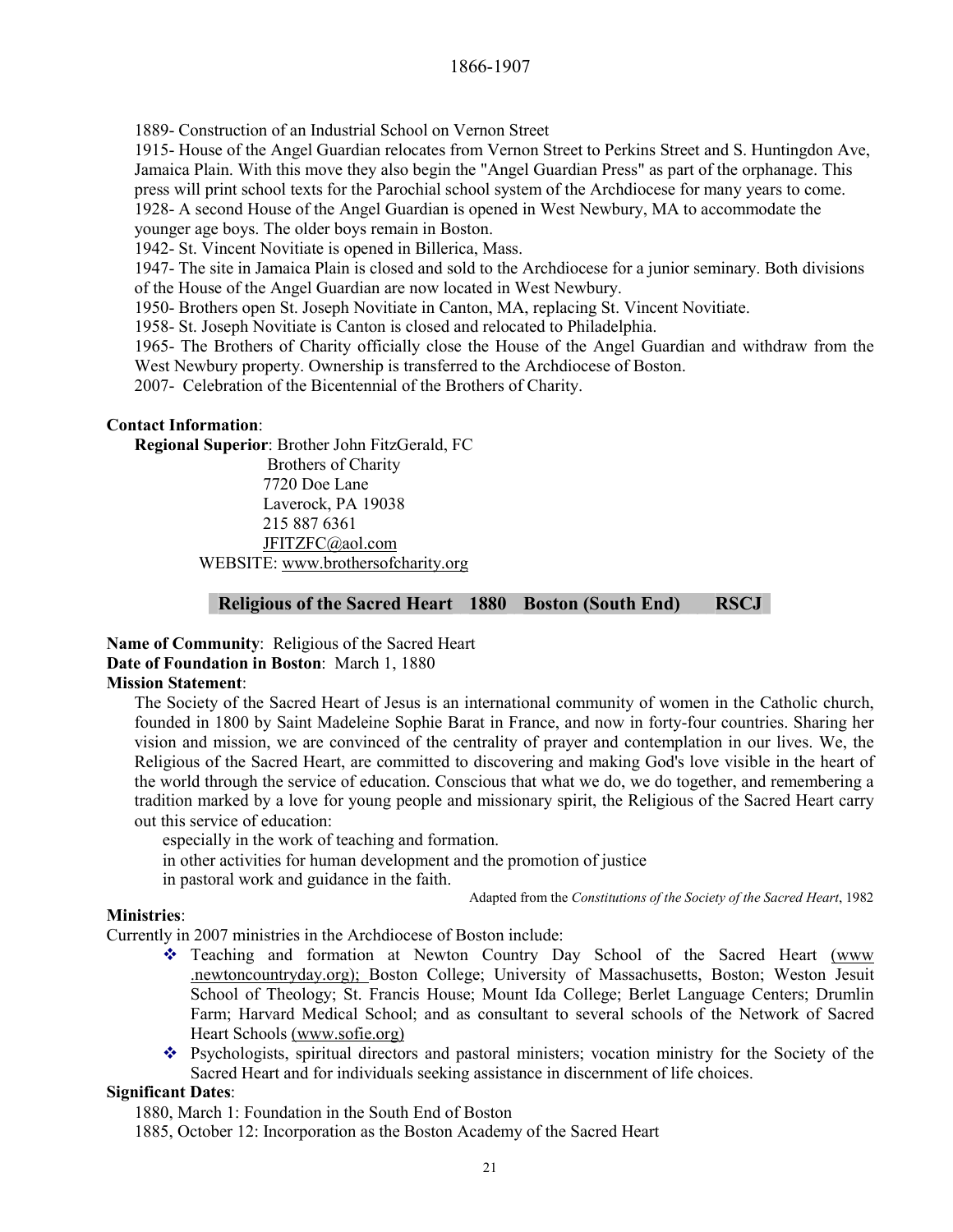1889- Construction of an Industrial School on Vernon Street

1915- House of the Angel Guardian relocates from Vernon Street to Perkins Street and S. Huntingdon Ave, Jamaica Plain. With this move they also begin the "Angel Guardian Press" as part of the orphanage. This press will print school texts for the Parochial school system of the Archdiocese for many years to come. 1928- A second House of the Angel Guardian is opened in West Newbury, MA to accommodate the younger age boys. The older boys remain in Boston.

1942- St. Vincent Novitiate is opened in Billerica, Mass.

1947- The site in Jamaica Plain is closed and sold to the Archdiocese for a junior seminary. Both divisions of the House of the Angel Guardian are now located in West Newbury.

1950- Brothers open St. Joseph Novitiate in Canton, MA, replacing St. Vincent Novitiate.

1958- St. Joseph Novitiate is Canton is closed and relocated to Philadelphia.

1965- The Brothers of Charity officially close the House of the Angel Guardian and withdraw from the West Newbury property. Ownership is transferred to the Archdiocese of Boston.

2007- Celebration of the Bicentennial of the Brothers of Charity.

#### **Contact Information**:

**Regional Superior**: Brother John FitzGerald, FC

 Brothers of Charity 7720 Doe Lane Laverock, PA 19038 215 887 6361 JFITZFC@aol.com WEBSITE: www.brothersofcharity.org

#### **Religious of the Sacred Heart 1880 Boston (South End) RSCJ**

**Name of Community**: Religious of the Sacred Heart **Date of Foundation in Boston**: March 1, 1880 **Mission Statement**:

The Society of the Sacred Heart of Jesus is an international community of women in the Catholic church, founded in 1800 by Saint Madeleine Sophie Barat in France, and now in forty-four countries. Sharing her vision and mission, we are convinced of the centrality of prayer and contemplation in our lives. We, the Religious of the Sacred Heart, are committed to discovering and making God's love visible in the heart of the world through the service of education. Conscious that what we do, we do together, and remembering a tradition marked by a love for young people and missionary spirit, the Religious of the Sacred Heart carry out this service of education:

especially in the work of teaching and formation. in other activities for human development and the promotion of justice in pastoral work and guidance in the faith.

Adapted from the *Constitutions of the Society of the Sacred Heart*, 1982

#### **Ministries**:

Currently in 2007 ministries in the Archdiocese of Boston include:

- \* Teaching and formation at Newton Country Day School of the Sacred Heart (www .newtoncountryday.org); Boston College; University of Massachusetts, Boston; Weston Jesuit School of Theology; St. Francis House; Mount Ida College; Berlet Language Centers; Drumlin Farm; Harvard Medical School; and as consultant to several schools of the Network of Sacred Heart Schools (www.sofie.org)
- Psychologists, spiritual directors and pastoral ministers; vocation ministry for the Society of the Sacred Heart and for individuals seeking assistance in discernment of life choices.

#### **Significant Dates**:

1880, March 1: Foundation in the South End of Boston

1885, October 12: Incorporation as the Boston Academy of the Sacred Heart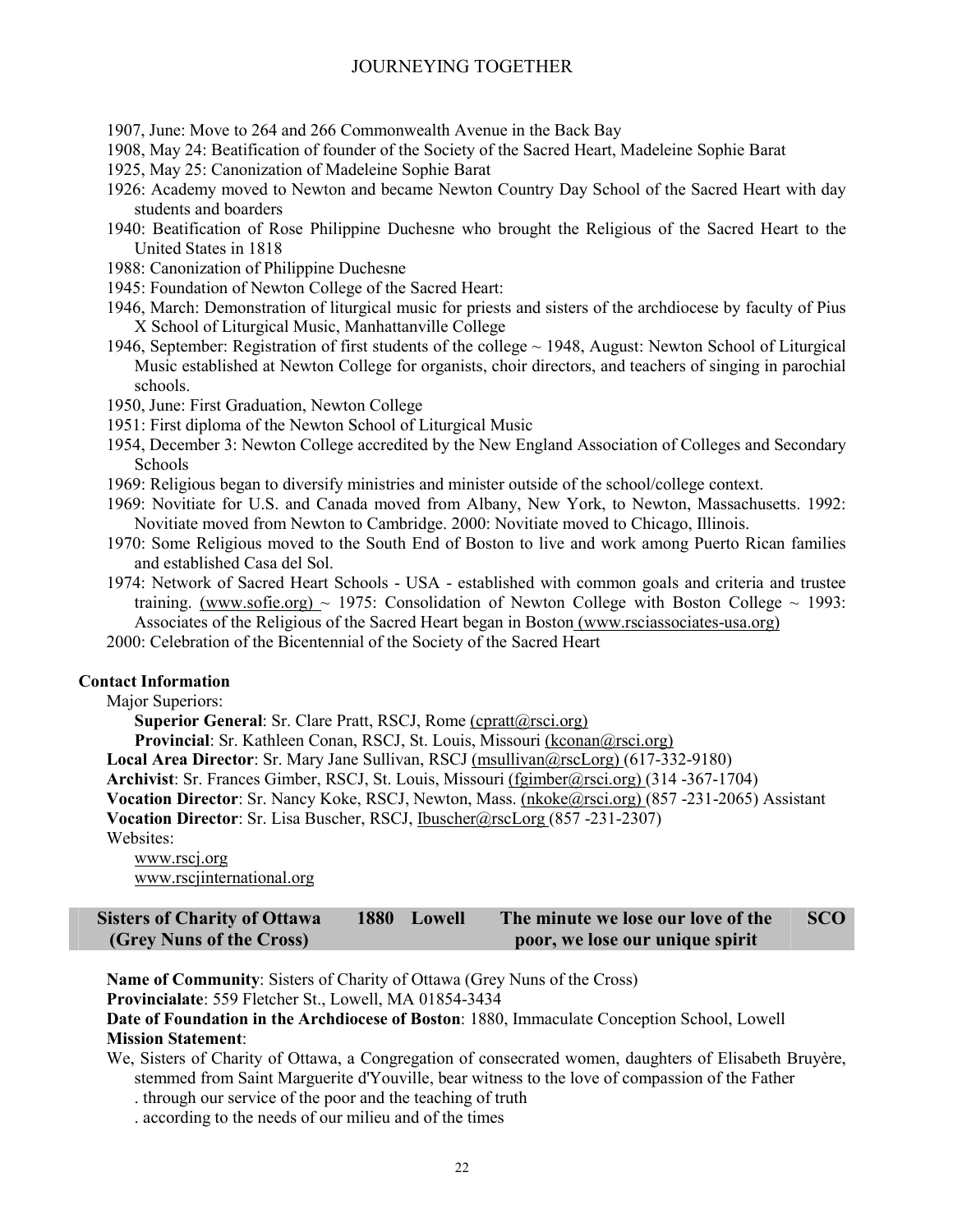- 1907, June: Move to 264 and 266 Commonwealth Avenue in the Back Bay
- 1908, May 24: Beatification of founder of the Society of the Sacred Heart, Madeleine Sophie Barat
- 1925, May 25: Canonization of Madeleine Sophie Barat
- 1926: Academy moved to Newton and became Newton Country Day School of the Sacred Heart with day students and boarders
- 1940: Beatification of Rose Philippine Duchesne who brought the Religious of the Sacred Heart to the United States in 1818
- 1988: Canonization of Philippine Duchesne
- 1945: Foundation of Newton College of the Sacred Heart:
- 1946, March: Demonstration of liturgical music for priests and sisters of the archdiocese by faculty of Pius X School of Liturgical Music, Manhattanville College
- 1946, September: Registration of first students of the college  $\sim$  1948, August: Newton School of Liturgical Music established at Newton College for organists, choir directors, and teachers of singing in parochial schools.
- 1950, June: First Graduation, Newton College
- 1951: First diploma of the Newton School of Liturgical Music
- 1954, December 3: Newton College accredited by the New England Association of Colleges and Secondary Schools
- 1969: Religious began to diversify ministries and minister outside of the school/college context.
- 1969: Novitiate for U.S. and Canada moved from Albany, New York, to Newton, Massachusetts. 1992: Novitiate moved from Newton to Cambridge. 2000: Novitiate moved to Chicago, Illinois.
- 1970: Some Religious moved to the South End of Boston to live and work among Puerto Rican families and established Casa del Sol.
- 1974: Network of Sacred Heart Schools USA established with common goals and criteria and trustee training. (www.sofie.org)  $\sim$  1975: Consolidation of Newton College with Boston College  $\sim$  1993: Associates of the Religious of the Sacred Heart began in Boston (www.rsciassociates-usa.org)
- 2000: Celebration of the Bicentennial of the Society of the Sacred Heart

#### **Contact Information**

Major Superiors:

**Superior General: Sr. Clare Pratt, RSCJ, Rome (cpratt@rsci.org)** 

**Provincial**: Sr. Kathleen Conan, RSCJ, St. Louis, Missouri (kconan@rsci.org)

**Local Area Director**: Sr. Mary Jane Sullivan, RSCJ (msullivan@rscLorg) (617-332-9180)

**Archivist**: Sr. Frances Gimber, RSCJ, St. Louis, Missouri (fgimber@rsci.org) (314 -367-1704)

**Vocation Director**: Sr. Nancy Koke, RSCJ, Newton, Mass. (nkoke@rsci.org) (857 -231-2065) Assistant

**Vocation Director**: Sr. Lisa Buscher, RSCJ, Ibuscher@rscLorg (857 -231-2307)

Websites:

www.rscj.org www.rscjinternational.org

| <b>Sisters of Charity of Ottawa</b> | 1880 Lowell | The minute we lose our love of the | <b>SCO</b> |
|-------------------------------------|-------------|------------------------------------|------------|
| (Grey Nuns of the Cross)            |             | poor, we lose our unique spirit    |            |

**Name of Community**: Sisters of Charity of Ottawa (Grey Nuns of the Cross)

**Provincialate**: 559 Fletcher St., Lowell, MA 01854-3434

**Date of Foundation in the Archdiocese of Boston**: 1880, Immaculate Conception School, Lowell **Mission Statement**:

We, Sisters of Charity of Ottawa, a Congregation of consecrated women, daughters of Elisabeth Bruyère, stemmed from Saint Marguerite d'Youville, bear witness to the love of compassion of the Father

. through our service of the poor and the teaching of truth

. according to the needs of our milieu and of the times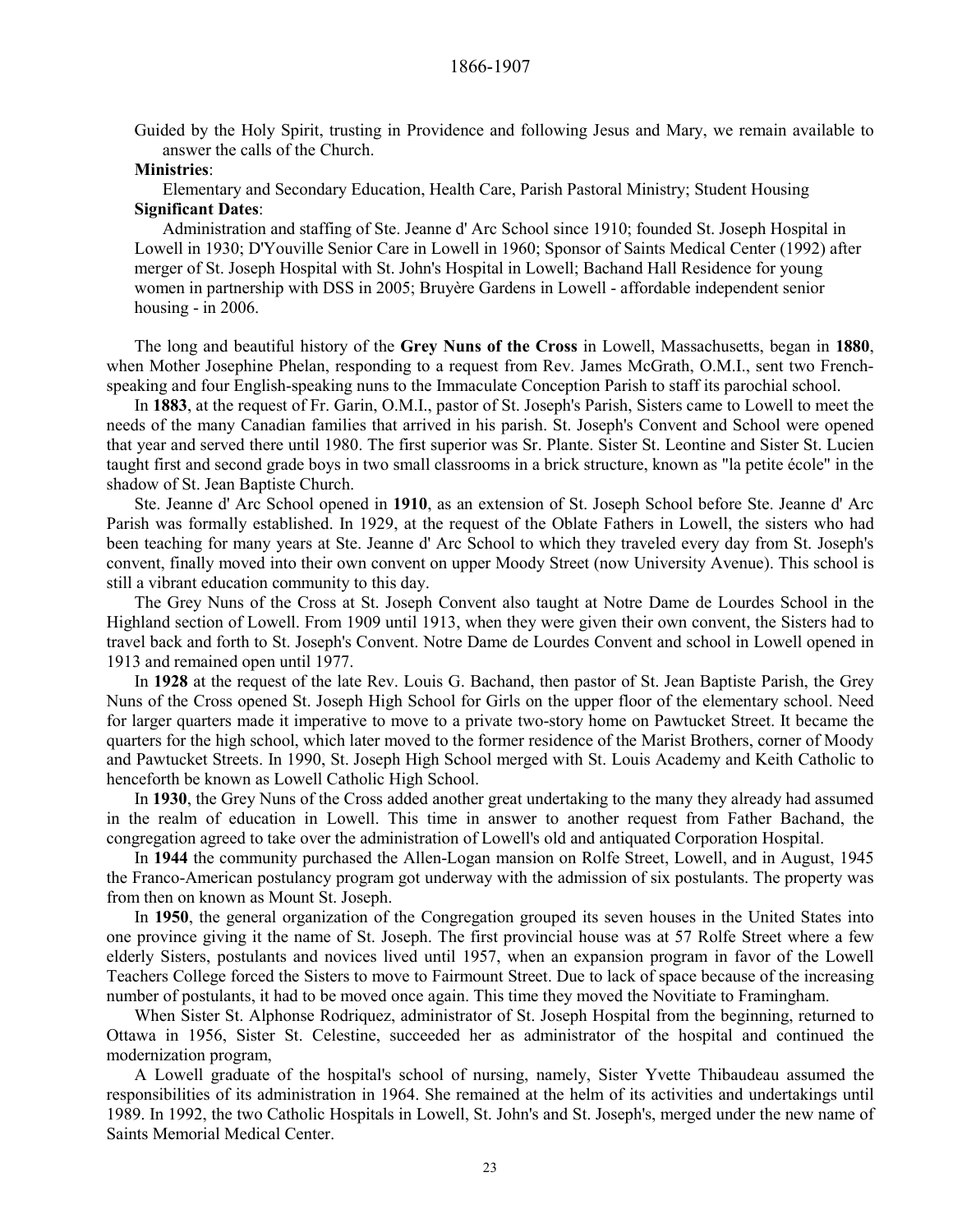Guided by the Holy Spirit, trusting in Providence and following Jesus and Mary, we remain available to answer the calls of the Church.

#### **Ministries**:

Elementary and Secondary Education, Health Care, Parish Pastoral Ministry; Student Housing **Significant Dates**:

Administration and staffing of Ste. Jeanne d' Arc School since 1910; founded St. Joseph Hospital in Lowell in 1930; D'Youville Senior Care in Lowell in 1960; Sponsor of Saints Medical Center (1992) after merger of St. Joseph Hospital with St. John's Hospital in Lowell; Bachand Hall Residence for young women in partnership with DSS in 2005; Bruyère Gardens in Lowell - affordable independent senior housing - in 2006.

The long and beautiful history of the **Grey Nuns of the Cross** in Lowell, Massachusetts, began in **1880**, when Mother Josephine Phelan, responding to a request from Rev. James McGrath, O.M.I., sent two Frenchspeaking and four English-speaking nuns to the Immaculate Conception Parish to staff its parochial school.

In **1883**, at the request of Fr. Garin, O.M.I., pastor of St. Joseph's Parish, Sisters came to Lowell to meet the needs of the many Canadian families that arrived in his parish. St. Joseph's Convent and School were opened that year and served there until 1980. The first superior was Sr. Plante. Sister St. Leontine and Sister St. Lucien taught first and second grade boys in two small classrooms in a brick structure, known as "la petite école" in the shadow of St. Jean Baptiste Church.

Ste. Jeanne d' Arc School opened in **1910**, as an extension of St. Joseph School before Ste. Jeanne d' Arc Parish was formally established. In 1929, at the request of the Oblate Fathers in Lowell, the sisters who had been teaching for many years at Ste. Jeanne d' Arc School to which they traveled every day from St. Joseph's convent, finally moved into their own convent on upper Moody Street (now University Avenue). This school is still a vibrant education community to this day.

The Grey Nuns of the Cross at St. Joseph Convent also taught at Notre Dame de Lourdes School in the Highland section of Lowell. From 1909 until 1913, when they were given their own convent, the Sisters had to travel back and forth to St. Joseph's Convent. Notre Dame de Lourdes Convent and school in Lowell opened in 1913 and remained open until 1977.

In **1928** at the request of the late Rev. Louis G. Bachand, then pastor of St. Jean Baptiste Parish, the Grey Nuns of the Cross opened St. Joseph High School for Girls on the upper floor of the elementary school. Need for larger quarters made it imperative to move to a private two-story home on Pawtucket Street. It became the quarters for the high school, which later moved to the former residence of the Marist Brothers, corner of Moody and Pawtucket Streets. In 1990, St. Joseph High School merged with St. Louis Academy and Keith Catholic to henceforth be known as Lowell Catholic High School.

In **1930**, the Grey Nuns of the Cross added another great undertaking to the many they already had assumed in the realm of education in Lowell. This time in answer to another request from Father Bachand, the congregation agreed to take over the administration of Lowell's old and antiquated Corporation Hospital.

In **1944** the community purchased the Allen-Logan mansion on Rolfe Street, Lowell, and in August, 1945 the Franco-American postulancy program got underway with the admission of six postulants. The property was from then on known as Mount St. Joseph.

In **1950**, the general organization of the Congregation grouped its seven houses in the United States into one province giving it the name of St. Joseph. The first provincial house was at 57 Rolfe Street where a few elderly Sisters, postulants and novices lived until 1957, when an expansion program in favor of the Lowell Teachers College forced the Sisters to move to Fairmount Street. Due to lack of space because of the increasing number of postulants, it had to be moved once again. This time they moved the Novitiate to Framingham.

When Sister St. Alphonse Rodriquez, administrator of St. Joseph Hospital from the beginning, returned to Ottawa in 1956, Sister St. Celestine, succeeded her as administrator of the hospital and continued the modernization program,

A Lowell graduate of the hospital's school of nursing, namely, Sister Yvette Thibaudeau assumed the responsibilities of its administration in 1964. She remained at the helm of its activities and undertakings until 1989. In 1992, the two Catholic Hospitals in Lowell, St. John's and St. Joseph's, merged under the new name of Saints Memorial Medical Center.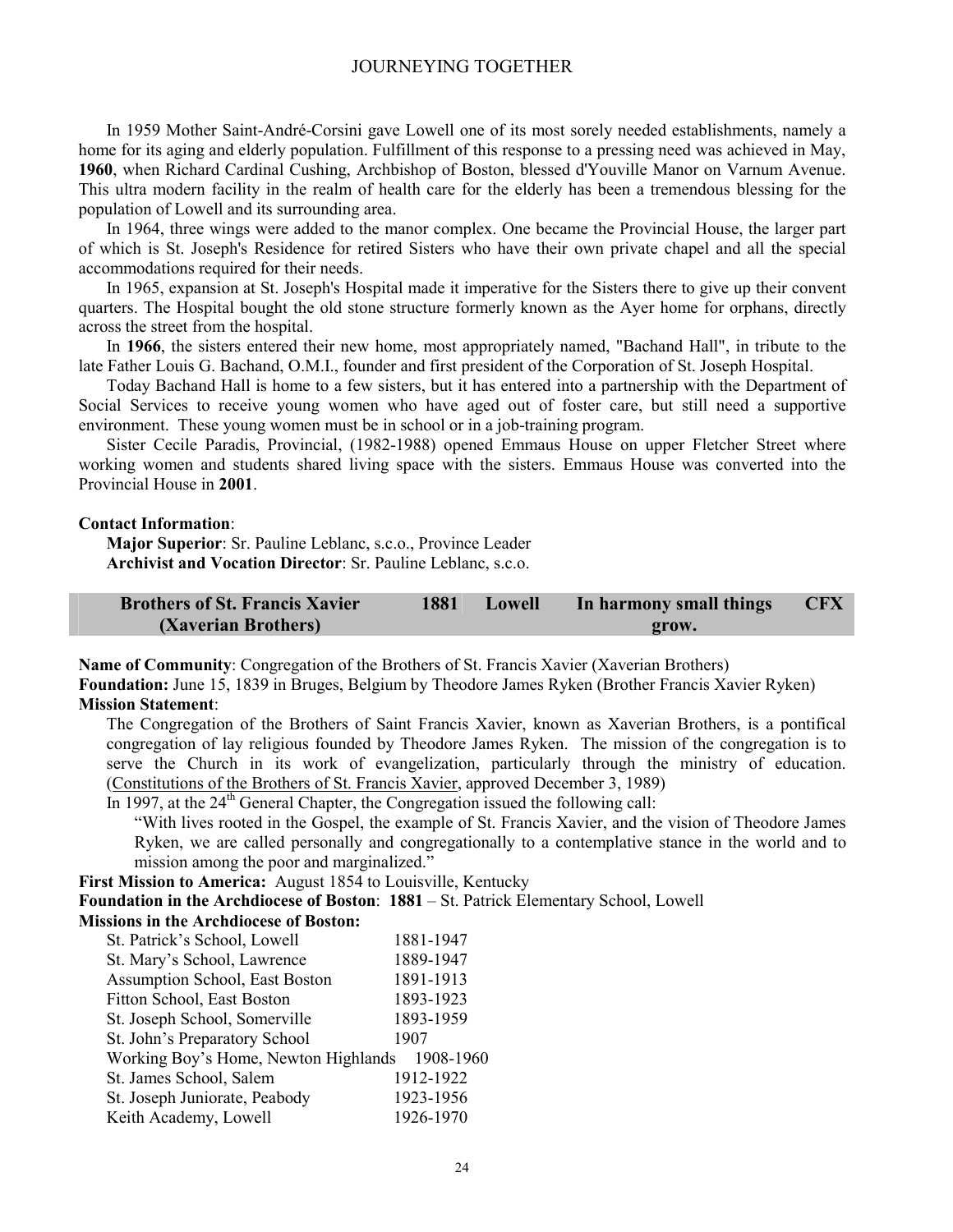In 1959 Mother Saint-André-Corsini gave Lowell one of its most sorely needed establishments, namely a home for its aging and elderly population. Fulfillment of this response to a pressing need was achieved in May, **1960**, when Richard Cardinal Cushing, Archbishop of Boston, blessed d'Youville Manor on Varnum Avenue. This ultra modern facility in the realm of health care for the elderly has been a tremendous blessing for the population of Lowell and its surrounding area.

In 1964, three wings were added to the manor complex. One became the Provincial House, the larger part of which is St. Joseph's Residence for retired Sisters who have their own private chapel and all the special accommodations required for their needs.

In 1965, expansion at St. Joseph's Hospital made it imperative for the Sisters there to give up their convent quarters. The Hospital bought the old stone structure formerly known as the Ayer home for orphans, directly across the street from the hospital.

In **1966**, the sisters entered their new home, most appropriately named, "Bachand Hall", in tribute to the late Father Louis G. Bachand, O.M.I., founder and first president of the Corporation of St. Joseph Hospital.

Today Bachand Hall is home to a few sisters, but it has entered into a partnership with the Department of Social Services to receive young women who have aged out of foster care, but still need a supportive environment. These young women must be in school or in a job-training program.

Sister Cecile Paradis, Provincial, (1982-1988) opened Emmaus House on upper Fletcher Street where working women and students shared living space with the sisters. Emmaus House was converted into the Provincial House in **2001**.

#### **Contact Information**:

**Major Superior**: Sr. Pauline Leblanc, s.c.o., Province Leader **Archivist and Vocation Director**: Sr. Pauline Leblanc, s.c.o.

| <b>Brothers of St. Francis Xavier</b> | 1881 | Lowell | In harmony small things | <b>CFX</b> |
|---------------------------------------|------|--------|-------------------------|------------|
| (Xaverian Brothers)                   |      |        | grow.                   |            |

**Name of Community**: Congregation of the Brothers of St. Francis Xavier (Xaverian Brothers)

**Foundation:** June 15, 1839 in Bruges, Belgium by Theodore James Ryken (Brother Francis Xavier Ryken) **Mission Statement**:

The Congregation of the Brothers of Saint Francis Xavier, known as Xaverian Brothers, is a pontifical congregation of lay religious founded by Theodore James Ryken. The mission of the congregation is to serve the Church in its work of evangelization, particularly through the ministry of education. (Constitutions of the Brothers of St. Francis Xavier, approved December 3, 1989)

In 1997, at the  $24<sup>th</sup>$  General Chapter, the Congregation issued the following call:

"With lives rooted in the Gospel, the example of St. Francis Xavier, and the vision of Theodore James Ryken, we are called personally and congregationally to a contemplative stance in the world and to mission among the poor and marginalized."

**First Mission to America:** August 1854 to Louisville, Kentucky

**Foundation in the Archdiocese of Boston**: **1881** – St. Patrick Elementary School, Lowell **Missions in the Archdiocese of Boston:** 

| St. Patrick's School, Lowell         | 1881-1947 |
|--------------------------------------|-----------|
| St. Mary's School, Lawrence          | 1889-1947 |
| Assumption School, East Boston       | 1891-1913 |
| Fitton School, East Boston           | 1893-1923 |
| St. Joseph School, Somerville        | 1893-1959 |
| St. John's Preparatory School        | 1907      |
| Working Boy's Home, Newton Highlands | 1908-1960 |
| St. James School, Salem              | 1912-1922 |
| St. Joseph Juniorate, Peabody        | 1923-1956 |
| Keith Academy, Lowell                | 1926-1970 |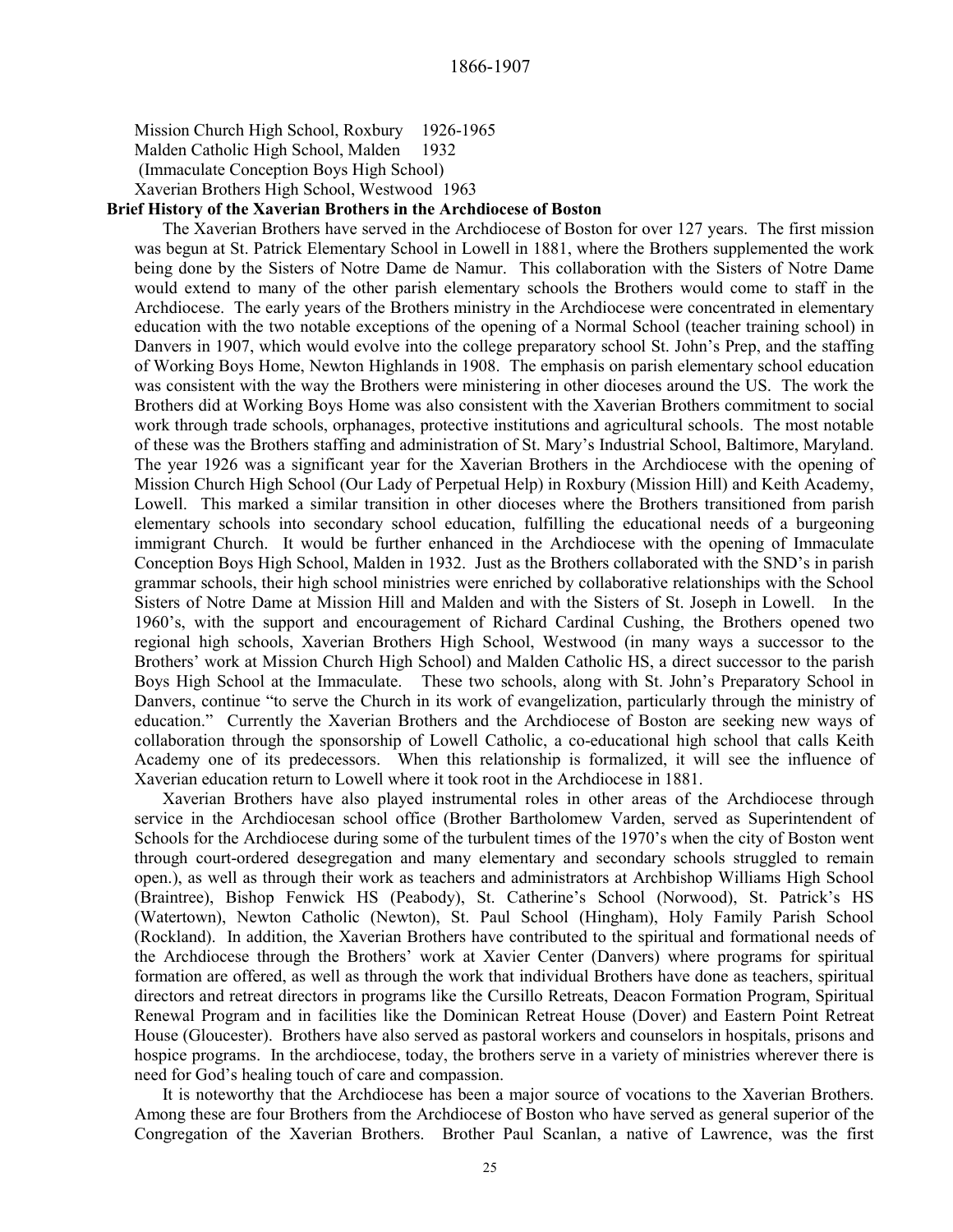Mission Church High School, Roxbury 1926-1965

Malden Catholic High School, Malden 1932

(Immaculate Conception Boys High School)

Xaverian Brothers High School, Westwood 1963

#### **Brief History of the Xaverian Brothers in the Archdiocese of Boston**

The Xaverian Brothers have served in the Archdiocese of Boston for over 127 years. The first mission was begun at St. Patrick Elementary School in Lowell in 1881, where the Brothers supplemented the work being done by the Sisters of Notre Dame de Namur. This collaboration with the Sisters of Notre Dame would extend to many of the other parish elementary schools the Brothers would come to staff in the Archdiocese. The early years of the Brothers ministry in the Archdiocese were concentrated in elementary education with the two notable exceptions of the opening of a Normal School (teacher training school) in Danvers in 1907, which would evolve into the college preparatory school St. John's Prep, and the staffing of Working Boys Home, Newton Highlands in 1908. The emphasis on parish elementary school education was consistent with the way the Brothers were ministering in other dioceses around the US. The work the Brothers did at Working Boys Home was also consistent with the Xaverian Brothers commitment to social work through trade schools, orphanages, protective institutions and agricultural schools. The most notable of these was the Brothers staffing and administration of St. Mary's Industrial School, Baltimore, Maryland. The year 1926 was a significant year for the Xaverian Brothers in the Archdiocese with the opening of Mission Church High School (Our Lady of Perpetual Help) in Roxbury (Mission Hill) and Keith Academy, Lowell. This marked a similar transition in other dioceses where the Brothers transitioned from parish elementary schools into secondary school education, fulfilling the educational needs of a burgeoning immigrant Church. It would be further enhanced in the Archdiocese with the opening of Immaculate Conception Boys High School, Malden in 1932. Just as the Brothers collaborated with the SND's in parish grammar schools, their high school ministries were enriched by collaborative relationships with the School Sisters of Notre Dame at Mission Hill and Malden and with the Sisters of St. Joseph in Lowell. In the 1960's, with the support and encouragement of Richard Cardinal Cushing, the Brothers opened two regional high schools, Xaverian Brothers High School, Westwood (in many ways a successor to the Brothers' work at Mission Church High School) and Malden Catholic HS, a direct successor to the parish Boys High School at the Immaculate. These two schools, along with St. John's Preparatory School in Danvers, continue "to serve the Church in its work of evangelization, particularly through the ministry of education." Currently the Xaverian Brothers and the Archdiocese of Boston are seeking new ways of collaboration through the sponsorship of Lowell Catholic, a co-educational high school that calls Keith Academy one of its predecessors. When this relationship is formalized, it will see the influence of Xaverian education return to Lowell where it took root in the Archdiocese in 1881.

Xaverian Brothers have also played instrumental roles in other areas of the Archdiocese through service in the Archdiocesan school office (Brother Bartholomew Varden, served as Superintendent of Schools for the Archdiocese during some of the turbulent times of the 1970's when the city of Boston went through court-ordered desegregation and many elementary and secondary schools struggled to remain open.), as well as through their work as teachers and administrators at Archbishop Williams High School (Braintree), Bishop Fenwick HS (Peabody), St. Catherine's School (Norwood), St. Patrick's HS (Watertown), Newton Catholic (Newton), St. Paul School (Hingham), Holy Family Parish School (Rockland). In addition, the Xaverian Brothers have contributed to the spiritual and formational needs of the Archdiocese through the Brothers' work at Xavier Center (Danvers) where programs for spiritual formation are offered, as well as through the work that individual Brothers have done as teachers, spiritual directors and retreat directors in programs like the Cursillo Retreats, Deacon Formation Program, Spiritual Renewal Program and in facilities like the Dominican Retreat House (Dover) and Eastern Point Retreat House (Gloucester). Brothers have also served as pastoral workers and counselors in hospitals, prisons and hospice programs. In the archdiocese, today, the brothers serve in a variety of ministries wherever there is need for God's healing touch of care and compassion.

It is noteworthy that the Archdiocese has been a major source of vocations to the Xaverian Brothers. Among these are four Brothers from the Archdiocese of Boston who have served as general superior of the Congregation of the Xaverian Brothers. Brother Paul Scanlan, a native of Lawrence, was the first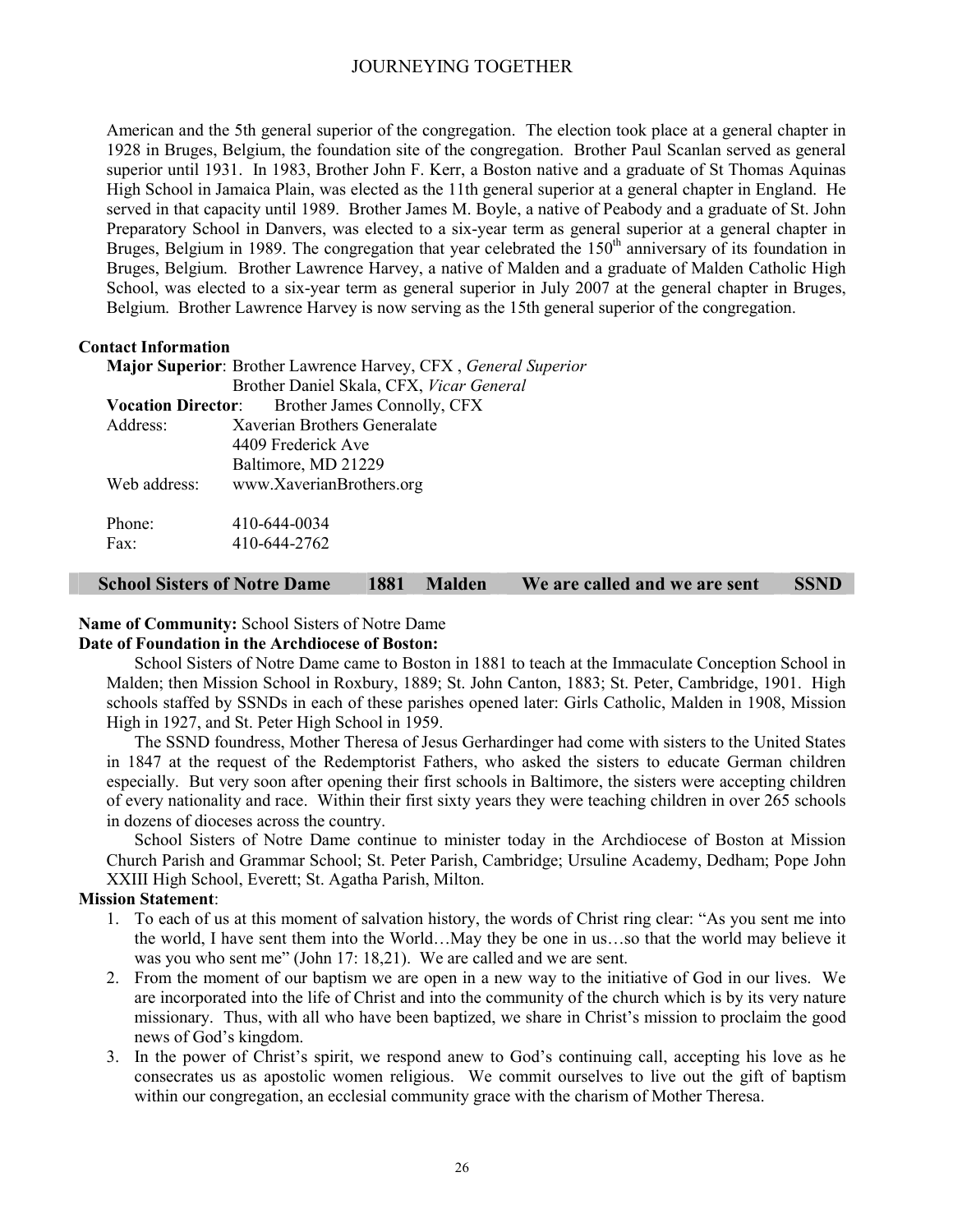American and the 5th general superior of the congregation. The election took place at a general chapter in 1928 in Bruges, Belgium, the foundation site of the congregation. Brother Paul Scanlan served as general superior until 1931. In 1983, Brother John F. Kerr, a Boston native and a graduate of St Thomas Aquinas High School in Jamaica Plain, was elected as the 11th general superior at a general chapter in England. He served in that capacity until 1989. Brother James M. Boyle, a native of Peabody and a graduate of St. John Preparatory School in Danvers, was elected to a six-year term as general superior at a general chapter in Bruges, Belgium in 1989. The congregation that year celebrated the 150<sup>th</sup> anniversary of its foundation in Bruges, Belgium. Brother Lawrence Harvey, a native of Malden and a graduate of Malden Catholic High School, was elected to a six-year term as general superior in July 2007 at the general chapter in Bruges, Belgium. Brother Lawrence Harvey is now serving as the 15th general superior of the congregation.

#### **Contact Information**

| Major Superior: Brother Lawrence Harvey, CFX, General Superior |                                                       |  |  |
|----------------------------------------------------------------|-------------------------------------------------------|--|--|
|                                                                | Brother Daniel Skala, CFX, Vicar General              |  |  |
|                                                                | <b>Vocation Director:</b> Brother James Connolly, CFX |  |  |
| Address:                                                       | Xaverian Brothers Generalate                          |  |  |
|                                                                | 4409 Frederick Ave                                    |  |  |
|                                                                | Baltimore, MD 21229                                   |  |  |
| Web address:                                                   | www.XaverianBrothers.org                              |  |  |
|                                                                |                                                       |  |  |
| Phone:                                                         | 410-644-0034                                          |  |  |
| Fax:                                                           | 410-644-2762                                          |  |  |

#### **School Sisters of Notre Dame 1881 Malden We are called and we are sent SSND**

#### **Name of Community:** School Sisters of Notre Dame

#### **Date of Foundation in the Archdiocese of Boston:**

School Sisters of Notre Dame came to Boston in 1881 to teach at the Immaculate Conception School in Malden; then Mission School in Roxbury, 1889; St. John Canton, 1883; St. Peter, Cambridge, 1901. High schools staffed by SSNDs in each of these parishes opened later: Girls Catholic, Malden in 1908, Mission High in 1927, and St. Peter High School in 1959.

The SSND foundress, Mother Theresa of Jesus Gerhardinger had come with sisters to the United States in 1847 at the request of the Redemptorist Fathers, who asked the sisters to educate German children especially. But very soon after opening their first schools in Baltimore, the sisters were accepting children of every nationality and race. Within their first sixty years they were teaching children in over 265 schools in dozens of dioceses across the country.

School Sisters of Notre Dame continue to minister today in the Archdiocese of Boston at Mission Church Parish and Grammar School; St. Peter Parish, Cambridge; Ursuline Academy, Dedham; Pope John XXIII High School, Everett; St. Agatha Parish, Milton.

#### **Mission Statement**:

- 1. To each of us at this moment of salvation history, the words of Christ ring clear: "As you sent me into the world, I have sent them into the World…May they be one in us…so that the world may believe it was you who sent me" (John 17: 18,21). We are called and we are sent.
- 2. From the moment of our baptism we are open in a new way to the initiative of God in our lives. We are incorporated into the life of Christ and into the community of the church which is by its very nature missionary. Thus, with all who have been baptized, we share in Christ's mission to proclaim the good news of God's kingdom.
- 3. In the power of Christ's spirit, we respond anew to God's continuing call, accepting his love as he consecrates us as apostolic women religious. We commit ourselves to live out the gift of baptism within our congregation, an ecclesial community grace with the charism of Mother Theresa.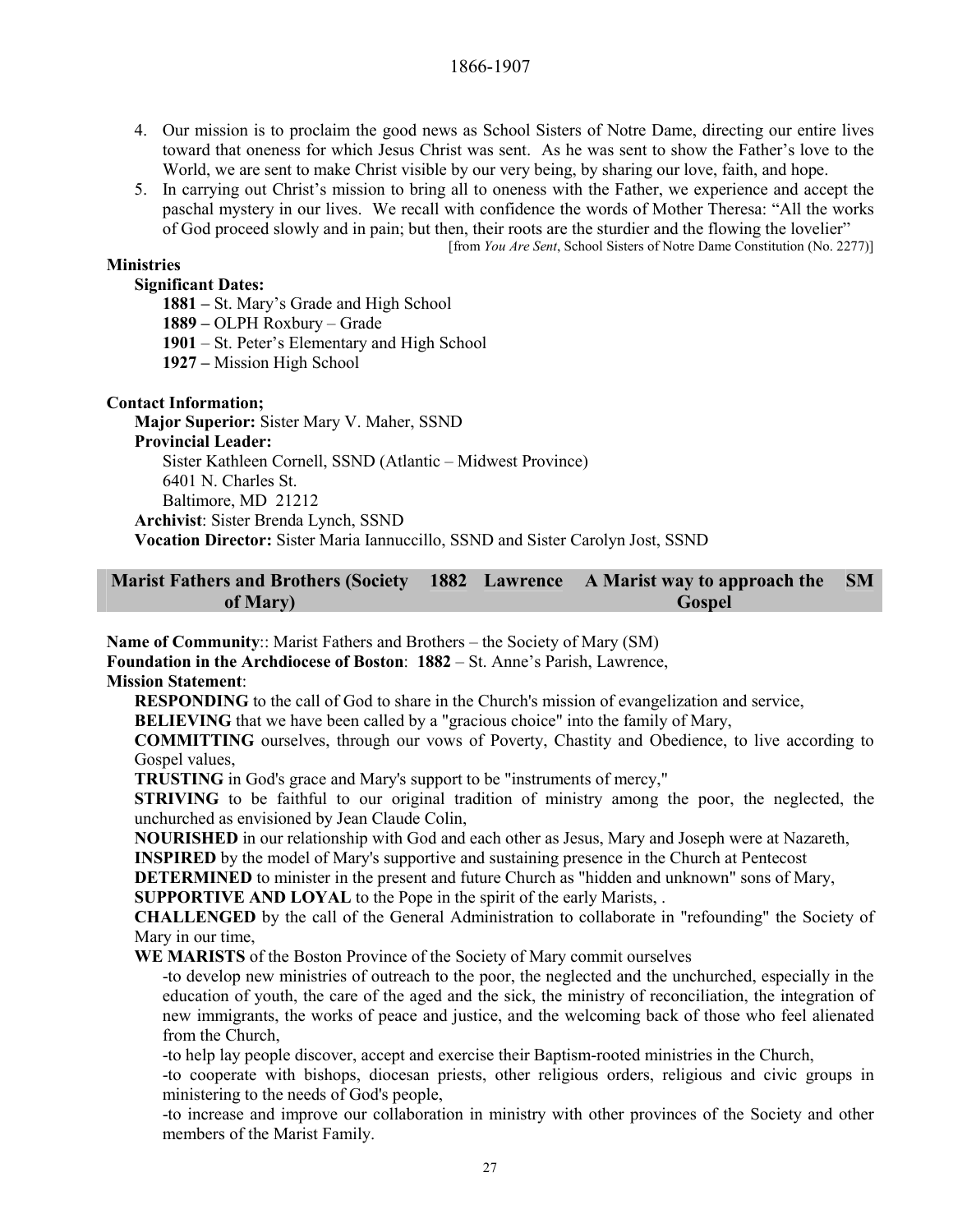- 4. Our mission is to proclaim the good news as School Sisters of Notre Dame, directing our entire lives toward that oneness for which Jesus Christ was sent. As he was sent to show the Father's love to the World, we are sent to make Christ visible by our very being, by sharing our love, faith, and hope.
- 5. In carrying out Christ's mission to bring all to oneness with the Father, we experience and accept the paschal mystery in our lives. We recall with confidence the words of Mother Theresa: "All the works of God proceed slowly and in pain; but then, their roots are the sturdier and the flowing the lovelier" [from *You Are Sent*, School Sisters of Notre Dame Constitution (No. 2277)]

#### **Ministries**

#### **Significant Dates:**

**1881 –** St. Mary's Grade and High School

**1889 –** OLPH Roxbury – Grade

**1901** – St. Peter's Elementary and High School

**1927 –** Mission High School

#### **Contact Information;**

**Major Superior:** Sister Mary V. Maher, SSND **Provincial Leader:**  Sister Kathleen Cornell, SSND (Atlantic – Midwest Province) 6401 N. Charles St. Baltimore, MD 21212 **Archivist**: Sister Brenda Lynch, SSND **Vocation Director:** Sister Maria Iannuccillo, SSND and Sister Carolyn Jost, SSND

#### **Marist Fathers and Brothers (Society of Mary) 1882 Lawrence A Marist way to approach the Gospel SM**

**Name of Community**:: Marist Fathers and Brothers – the Society of Mary (SM) **Foundation in the Archdiocese of Boston**: **1882** – St. Anne's Parish, Lawrence, **Mission Statement**:

**RESPONDING** to the call of God to share in the Church's mission of evangelization and service,

**BELIEVING** that we have been called by a "gracious choice" into the family of Mary,

**COMMITTING** ourselves, through our vows of Poverty, Chastity and Obedience, to live according to Gospel values.

**TRUSTING** in God's grace and Mary's support to be "instruments of mercy,"

**STRIVING** to be faithful to our original tradition of ministry among the poor, the neglected, the unchurched as envisioned by Jean Claude Colin,

**NOURISHED** in our relationship with God and each other as Jesus, Mary and Joseph were at Nazareth,

**INSPIRED** by the model of Mary's supportive and sustaining presence in the Church at Pentecost

**DETERMINED** to minister in the present and future Church as "hidden and unknown" sons of Mary,

**SUPPORTIVE AND LOYAL** to the Pope in the spirit of the early Marists, .

**CHALLENGED** by the call of the General Administration to collaborate in "refounding" the Society of Mary in our time,

**WE MARISTS** of the Boston Province of the Society of Mary commit ourselves

-to develop new ministries of outreach to the poor, the neglected and the unchurched, especially in the education of youth, the care of the aged and the sick, the ministry of reconciliation, the integration of new immigrants, the works of peace and justice, and the welcoming back of those who feel alienated from the Church,

-to help lay people discover, accept and exercise their Baptism-rooted ministries in the Church,

-to cooperate with bishops, diocesan priests, other religious orders, religious and civic groups in ministering to the needs of God's people,

-to increase and improve our collaboration in ministry with other provinces of the Society and other members of the Marist Family.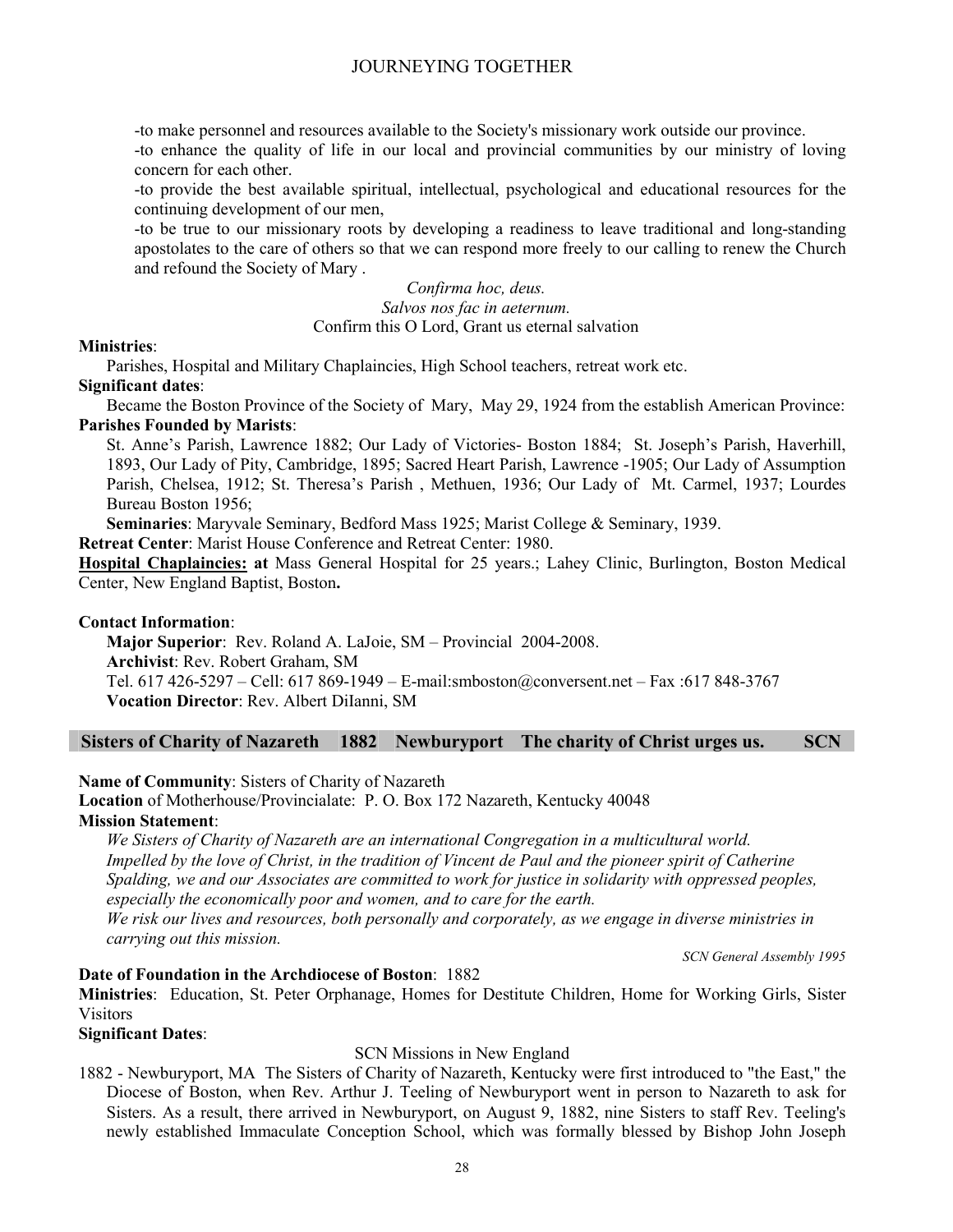-to make personnel and resources available to the Society's missionary work outside our province.

-to enhance the quality of life in our local and provincial communities by our ministry of loving concern for each other.

-to provide the best available spiritual, intellectual, psychological and educational resources for the continuing development of our men,

-to be true to our missionary roots by developing a readiness to leave traditional and long-standing apostolates to the care of others so that we can respond more freely to our calling to renew the Church and refound the Society of Mary .

> *Confirma hoc, deus. Salvos nos fac in aeternum.* Confirm this O Lord, Grant us eternal salvation

#### **Ministries**:

Parishes, Hospital and Military Chaplaincies, High School teachers, retreat work etc.

#### **Significant dates**:

Became the Boston Province of the Society of Mary, May 29, 1924 from the establish American Province: **Parishes Founded by Marists**:

St. Anne's Parish, Lawrence 1882; Our Lady of Victories- Boston 1884; St. Joseph's Parish, Haverhill, 1893, Our Lady of Pity, Cambridge, 1895; Sacred Heart Parish, Lawrence -1905; Our Lady of Assumption Parish, Chelsea, 1912; St. Theresa's Parish , Methuen, 1936; Our Lady of Mt. Carmel, 1937; Lourdes Bureau Boston 1956;

**Seminaries**: Maryvale Seminary, Bedford Mass 1925; Marist College & Seminary, 1939.

**Retreat Center**: Marist House Conference and Retreat Center: 1980.

**Hospital Chaplaincies: at** Mass General Hospital for 25 years.; Lahey Clinic, Burlington, Boston Medical Center, New England Baptist, Boston**.** 

#### **Contact Information**:

**Major Superior**: Rev. Roland A. LaJoie, SM – Provincial 2004-2008. **Archivist**: Rev. Robert Graham, SM

Tel. 617 426-5297 – Cell: 617 869-1949 – E-mail:smboston@conversent.net – Fax :617 848-3767 **Vocation Director**: Rev. Albert DiIanni, SM

#### **Sisters of Charity of Nazareth 1882 Newburyport The charity of Christ urges us. SCN**

**Name of Community**: Sisters of Charity of Nazareth

**Location** of Motherhouse/Provincialate: P. O. Box 172 Nazareth, Kentucky 40048

#### **Mission Statement**:

*We Sisters of Charity of Nazareth are an international Congregation in a multicultural world. Impelled by the love of Christ, in the tradition of Vincent de Paul and the pioneer spirit of Catherine Spalding, we and our Associates are committed to work for justice in solidarity with oppressed peoples, especially the economically poor and women, and to care for the earth. We risk our lives and resources, both personally and corporately, as we engage in diverse ministries in carrying out this mission.* 

*SCN General Assembly 1995*

#### **Date of Foundation in the Archdiocese of Boston**: 1882

**Ministries**: Education, St. Peter Orphanage, Homes for Destitute Children, Home for Working Girls, Sister Visitors

#### **Significant Dates**:

#### SCN Missions in New England

1882 - Newburyport, MA The Sisters of Charity of Nazareth, Kentucky were first introduced to "the East," the Diocese of Boston, when Rev. Arthur J. Teeling of Newburyport went in person to Nazareth to ask for Sisters. As a result, there arrived in Newburyport, on August 9, 1882, nine Sisters to staff Rev. Teeling's newly established Immaculate Conception School, which was formally blessed by Bishop John Joseph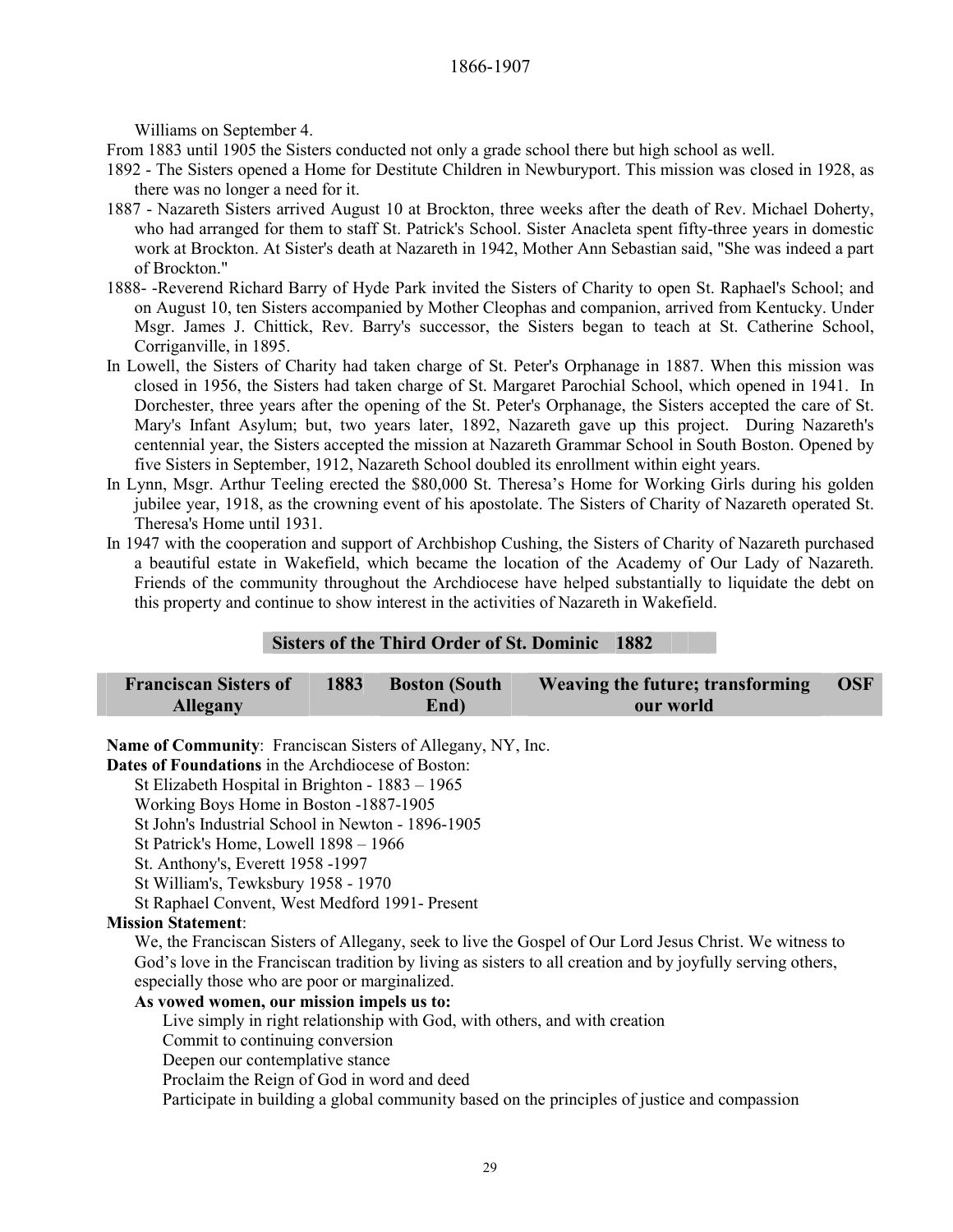Williams on September 4.

From 1883 until 1905 the Sisters conducted not only a grade school there but high school as well.

- 1892 The Sisters opened a Home for Destitute Children in Newburyport. This mission was closed in 1928, as there was no longer a need for it.
- 1887 Nazareth Sisters arrived August 10 at Brockton, three weeks after the death of Rev. Michael Doherty, who had arranged for them to staff St. Patrick's School. Sister Anacleta spent fifty-three years in domestic work at Brockton. At Sister's death at Nazareth in 1942, Mother Ann Sebastian said, "She was indeed a part of Brockton."
- 1888- -Reverend Richard Barry of Hyde Park invited the Sisters of Charity to open St. Raphael's School; and on August 10, ten Sisters accompanied by Mother Cleophas and companion, arrived from Kentucky. Under Msgr. James J. Chittick, Rev. Barry's successor, the Sisters began to teach at St. Catherine School, Corriganville, in 1895.
- In Lowell, the Sisters of Charity had taken charge of St. Peter's Orphanage in 1887. When this mission was closed in 1956, the Sisters had taken charge of St. Margaret Parochial School, which opened in 1941. In Dorchester, three years after the opening of the St. Peter's Orphanage, the Sisters accepted the care of St. Mary's Infant Asylum; but, two years later, 1892, Nazareth gave up this project. During Nazareth's centennial year, the Sisters accepted the mission at Nazareth Grammar School in South Boston. Opened by five Sisters in September, 1912, Nazareth School doubled its enrollment within eight years.
- In Lynn, Msgr. Arthur Teeling erected the \$80,000 St. Theresa's Home for Working Girls during his golden jubilee year, 1918, as the crowning event of his apostolate. The Sisters of Charity of Nazareth operated St. Theresa's Home until 1931.
- In 1947 with the cooperation and support of Archbishop Cushing, the Sisters of Charity of Nazareth purchased a beautiful estate in Wakefield, which became the location of the Academy of Our Lady of Nazareth. Friends of the community throughout the Archdiocese have helped substantially to liquidate the debt on this property and continue to show interest in the activities of Nazareth in Wakefield.

#### **Sisters of the Third Order of St. Dominic 1882**

| <b>Franciscan Sisters of</b> | 1883 | <b>Boston (South</b> | Weaving the future; transforming | <b>OSF</b> |
|------------------------------|------|----------------------|----------------------------------|------------|
| <b>Allegany</b>              |      | End)                 | our world                        |            |

**Name of Community**: Franciscan Sisters of Allegany, NY, Inc.

**Dates of Foundations** in the Archdiocese of Boston:

St Elizabeth Hospital in Brighton - 1883 – 1965

Working Boys Home in Boston -1887-1905

St John's Industrial School in Newton - 1896-1905

St Patrick's Home, Lowell 1898 – 1966

St. Anthony's, Everett 1958 -1997

St William's, Tewksbury 1958 - 1970

St Raphael Convent, West Medford 1991- Present

#### **Mission Statement**:

We, the Franciscan Sisters of Allegany, seek to live the Gospel of Our Lord Jesus Christ. We witness to God's love in the Franciscan tradition by living as sisters to all creation and by joyfully serving others, especially those who are poor or marginalized.

#### **As vowed women, our mission impels us to:**

Live simply in right relationship with God, with others, and with creation

Commit to continuing conversion

Deepen our contemplative stance

Proclaim the Reign of God in word and deed

Participate in building a global community based on the principles of justice and compassion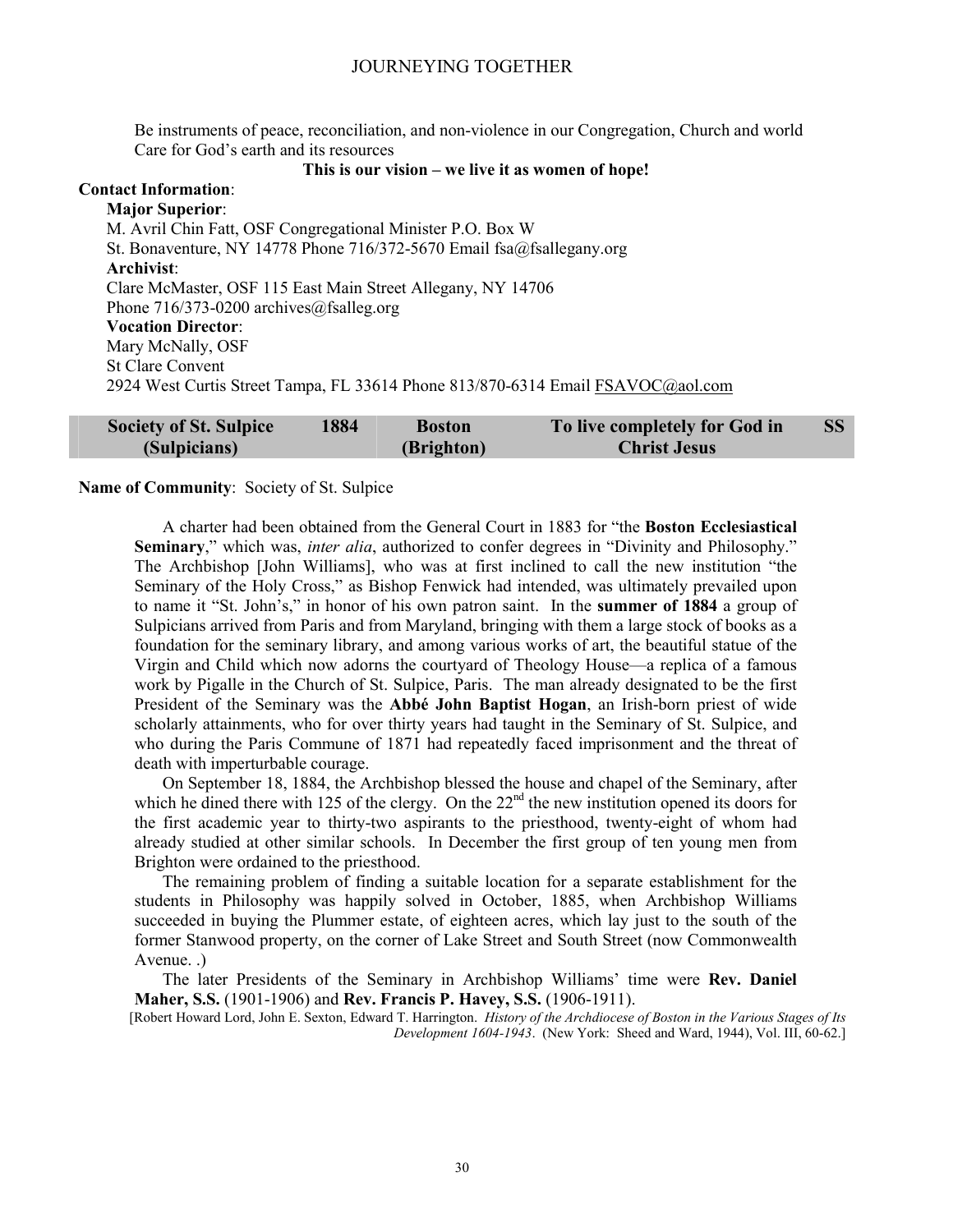Be instruments of peace, reconciliation, and non-violence in our Congregation, Church and world Care for God's earth and its resources

#### **This is our vision – we live it as women of hope!**

**Contact Information**: **Major Superior**: M. Avril Chin Fatt, OSF Congregational Minister P.O. Box W St. Bonaventure, NY 14778 Phone 716/372-5670 Email fsa@fsallegany.org **Archivist**: Clare McMaster, OSF 115 East Main Street Allegany, NY 14706 Phone 716/373-0200 archives@fsalleg.org **Vocation Director**: Mary McNally, OSF St Clare Convent 2924 West Curtis Street Tampa, FL 33614 Phone 813/870-6314 Email FSAVOC@aol.com

| <b>Society of St. Sulpice</b> | 1884 | <b>Boston</b> | To live completely for God in |  |
|-------------------------------|------|---------------|-------------------------------|--|
| (Sulpicians)                  |      | (Brighton)    | <b>Christ Jesus</b>           |  |

#### **Name of Community**: Society of St. Sulpice

A charter had been obtained from the General Court in 1883 for "the **Boston Ecclesiastical Seminary**," which was, *inter alia*, authorized to confer degrees in "Divinity and Philosophy." The Archbishop [John Williams], who was at first inclined to call the new institution "the Seminary of the Holy Cross," as Bishop Fenwick had intended, was ultimately prevailed upon to name it "St. John's," in honor of his own patron saint. In the **summer of 1884** a group of Sulpicians arrived from Paris and from Maryland, bringing with them a large stock of books as a foundation for the seminary library, and among various works of art, the beautiful statue of the Virgin and Child which now adorns the courtyard of Theology House—a replica of a famous work by Pigalle in the Church of St. Sulpice, Paris. The man already designated to be the first President of the Seminary was the **Abbé John Baptist Hogan**, an Irish-born priest of wide scholarly attainments, who for over thirty years had taught in the Seminary of St. Sulpice, and who during the Paris Commune of 1871 had repeatedly faced imprisonment and the threat of death with imperturbable courage.

On September 18, 1884, the Archbishop blessed the house and chapel of the Seminary, after which he dined there with 125 of the clergy. On the  $22<sup>nd</sup>$  the new institution opened its doors for the first academic year to thirty-two aspirants to the priesthood, twenty-eight of whom had already studied at other similar schools. In December the first group of ten young men from Brighton were ordained to the priesthood.

The remaining problem of finding a suitable location for a separate establishment for the students in Philosophy was happily solved in October, 1885, when Archbishop Williams succeeded in buying the Plummer estate, of eighteen acres, which lay just to the south of the former Stanwood property, on the corner of Lake Street and South Street (now Commonwealth Avenue. .)

The later Presidents of the Seminary in Archbishop Williams' time were **Rev. Daniel Maher, S.S.** (1901-1906) and **Rev. Francis P. Havey, S.S.** (1906-1911).

[Robert Howard Lord, John E. Sexton, Edward T. Harrington. *History of the Archdiocese of Boston in the Various Stages of Its Development 1604-1943*. (New York: Sheed and Ward, 1944), Vol. III, 60-62.]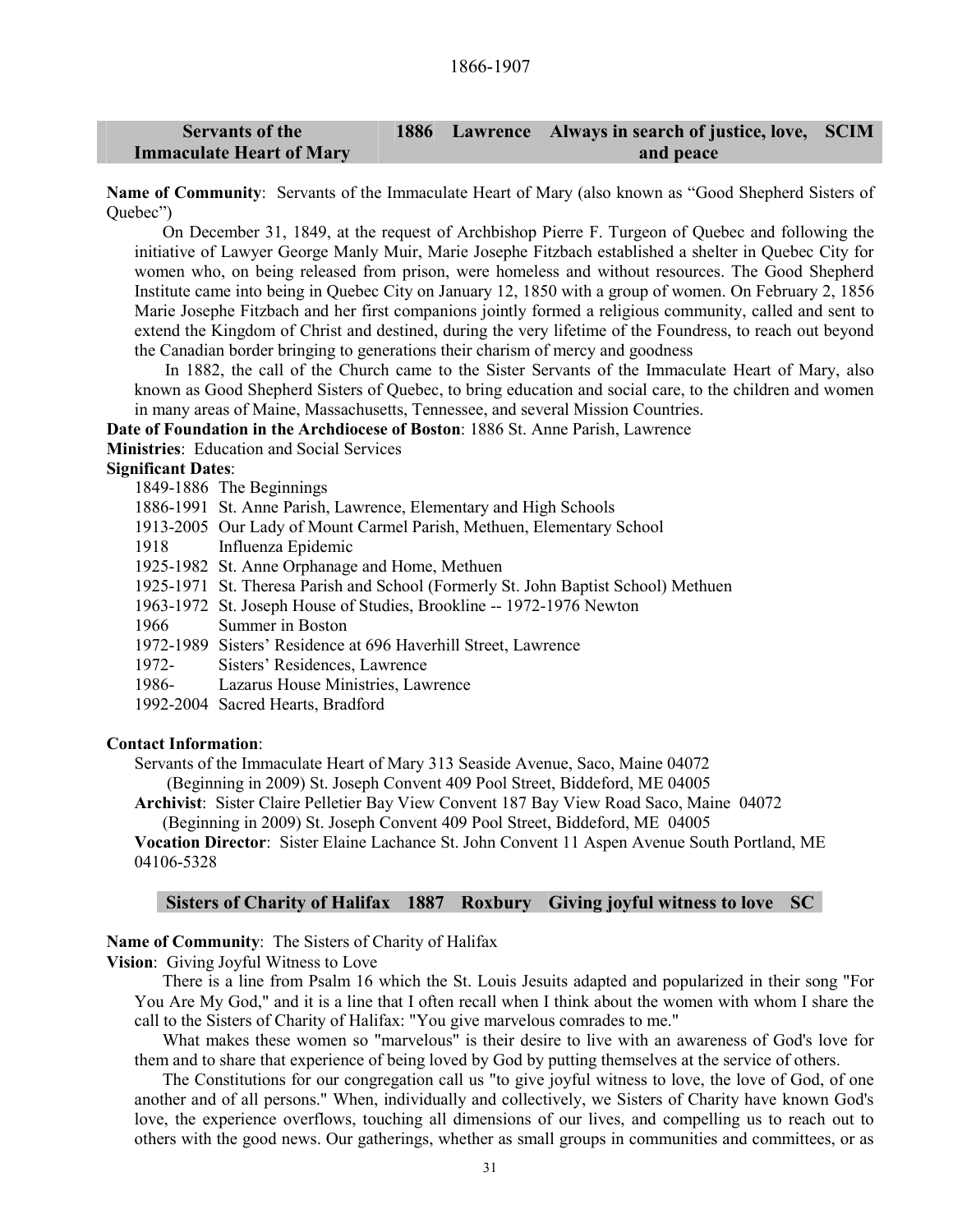#### **Servants of the Immaculate Heart of Mary 1886 Lawrence Always in search of justice, love, SCIM and peace**

**Name of Community**: Servants of the Immaculate Heart of Mary (also known as "Good Shepherd Sisters of Quebec")

On December 31, 1849, at the request of Archbishop Pierre F. Turgeon of Quebec and following the initiative of Lawyer George Manly Muir, Marie Josephe Fitzbach established a shelter in Quebec City for women who, on being released from prison, were homeless and without resources. The Good Shepherd Institute came into being in Quebec City on January 12, 1850 with a group of women. On February 2, 1856 Marie Josephe Fitzbach and her first companions jointly formed a religious community, called and sent to extend the Kingdom of Christ and destined, during the very lifetime of the Foundress, to reach out beyond the Canadian border bringing to generations their charism of mercy and goodness

In 1882, the call of the Church came to the Sister Servants of the Immaculate Heart of Mary, also known as Good Shepherd Sisters of Quebec, to bring education and social care, to the children and women in many areas of Maine, Massachusetts, Tennessee, and several Mission Countries.

**Date of Foundation in the Archdiocese of Boston**: 1886 St. Anne Parish, Lawrence

**Ministries**: Education and Social Services

#### **Significant Dates**:

- 1849-1886 The Beginnings
- 1886-1991 St. Anne Parish, Lawrence, Elementary and High Schools
- 1913-2005 Our Lady of Mount Carmel Parish, Methuen, Elementary School
- 1918 Influenza Epidemic
- 1925-1982 St. Anne Orphanage and Home, Methuen
- 1925-1971 St. Theresa Parish and School (Formerly St. John Baptist School) Methuen
- 1963-1972 St. Joseph House of Studies, Brookline -- 1972-1976 Newton
- 1966 Summer in Boston
- 1972-1989 Sisters' Residence at 696 Haverhill Street, Lawrence
- 1972- Sisters' Residences, Lawrence
- 1986- Lazarus House Ministries, Lawrence
- 1992-2004 Sacred Hearts, Bradford

#### **Contact Information**:

Servants of the Immaculate Heart of Mary 313 Seaside Avenue, Saco, Maine 04072 (Beginning in 2009) St. Joseph Convent 409 Pool Street, Biddeford, ME 04005

**Archivist**: Sister Claire Pelletier Bay View Convent 187 Bay View Road Saco, Maine 04072

(Beginning in 2009) St. Joseph Convent 409 Pool Street, Biddeford, ME 04005

**Vocation Director**: Sister Elaine Lachance St. John Convent 11 Aspen Avenue South Portland, ME 04106-5328

#### **Sisters of Charity of Halifax 1887 Roxbury Giving joyful witness to love SC**

**Name of Community**: The Sisters of Charity of Halifax

**Vision**: Giving Joyful Witness to Love

There is a line from Psalm 16 which the St. Louis Jesuits adapted and popularized in their song "For You Are My God," and it is a line that I often recall when I think about the women with whom I share the call to the Sisters of Charity of Halifax: "You give marvelous comrades to me."

What makes these women so "marvelous" is their desire to live with an awareness of God's love for them and to share that experience of being loved by God by putting themselves at the service of others.

The Constitutions for our congregation call us "to give joyful witness to love, the love of God, of one another and of all persons." When, individually and collectively, we Sisters of Charity have known God's love, the experience overflows, touching all dimensions of our lives, and compelling us to reach out to others with the good news. Our gatherings, whether as small groups in communities and committees, or as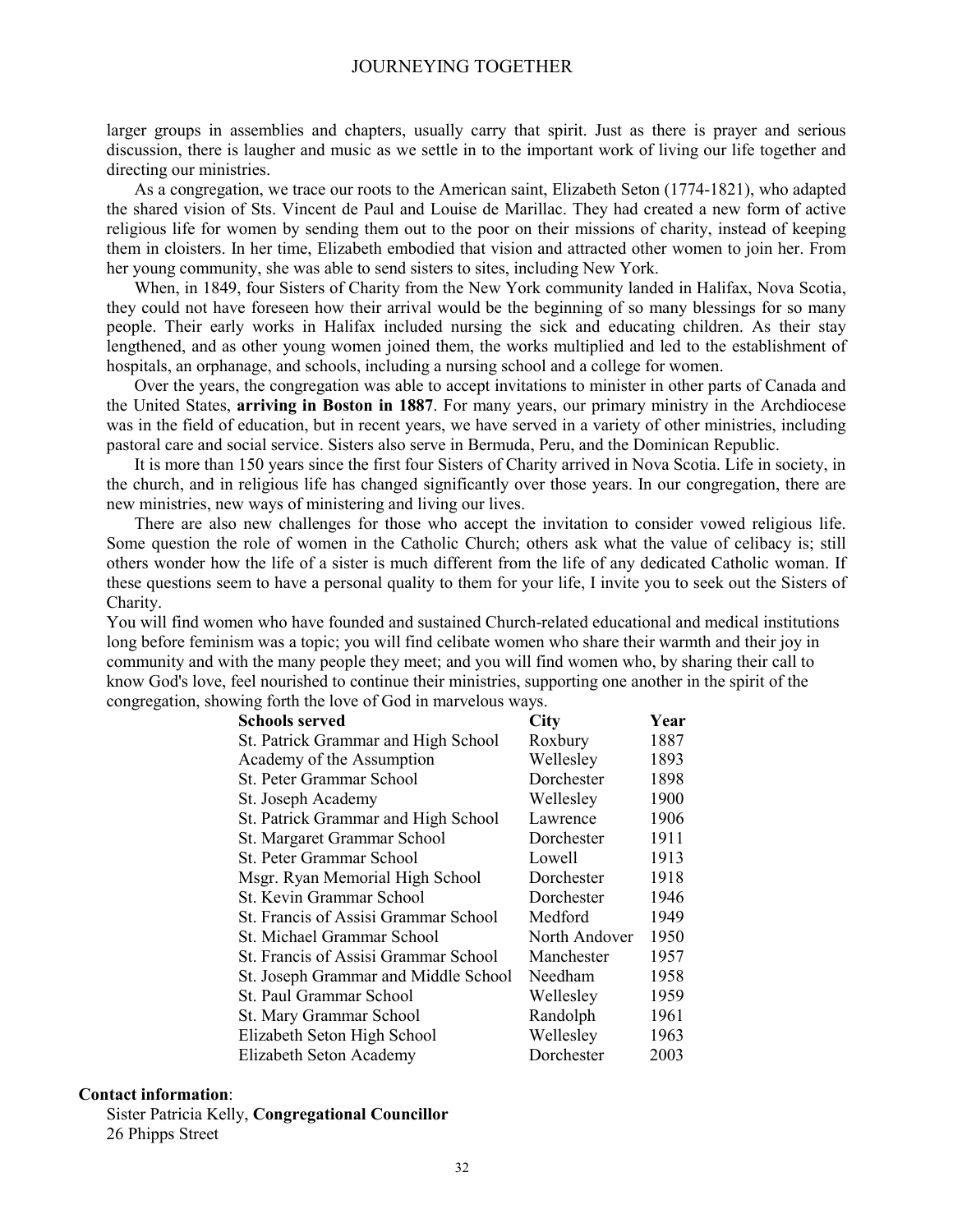larger groups in assemblies and chapters, usually carry that spirit. Just as there is prayer and serious discussion, there is laugher and music as we settle in to the important work of living our life together and directing our ministries.

As a congregation, we trace our roots to the American saint, Elizabeth Seton (1774-1821), who adapted the shared vision of Sts. Vincent de Paul and Louise de Marillac. They had created a new form of active religious life for women by sending them out to the poor on their missions of charity, instead of keeping them in cloisters. In her time, Elizabeth embodied that vision and attracted other women to join her. From her young community, she was able to send sisters to sites, including New York.

When, in 1849, four Sisters of Charity from the New York community landed in Halifax, Nova Scotia, they could not have foreseen how their arrival would be the beginning of so many blessings for so many people. Their early works in Halifax included nursing the sick and educating children. As their stay lengthened, and as other young women joined them, the works multiplied and led to the establishment of hospitals, an orphanage, and schools, including a nursing school and a college for women.

Over the years, the congregation was able to accept invitations to minister in other parts of Canada and the United States, **arriving in Boston in 1887**. For many years, our primary ministry in the Archdiocese was in the field of education, but in recent years, we have served in a variety of other ministries, including pastoral care and social service. Sisters also serve in Bermuda, Peru, and the Dominican Republic.

It is more than 150 years since the first four Sisters of Charity arrived in Nova Scotia. Life in society, in the church, and in religious life has changed significantly over those years. In our congregation, there are new ministries, new ways of ministering and living our lives.

There are also new challenges for those who accept the invitation to consider vowed religious life. Some question the role of women in the Catholic Church; others ask what the value of celibacy is; still others wonder how the life of a sister is much different from the life of any dedicated Catholic woman. If these questions seem to have a personal quality to them for your life, I invite you to seek out the Sisters of Charity.

You will find women who have founded and sustained Church-related educational and medical institutions long before feminism was a topic; you will find celibate women who share their warmth and their joy in community and with the many people they meet; and you will find women who, by sharing their call to know God's love, feel nourished to continue their ministries, supporting one another in the spirit of the congregation, showing forth the love of God in marvelous ways.

| <b>Schools served</b>                | City          | Year |
|--------------------------------------|---------------|------|
| St. Patrick Grammar and High School  | Roxbury       | 1887 |
|                                      |               |      |
| Academy of the Assumption            | Wellesley     | 1893 |
| St. Peter Grammar School             | Dorchester    | 1898 |
| St. Joseph Academy                   | Wellesley     | 1900 |
| St. Patrick Grammar and High School  | Lawrence      | 1906 |
| St. Margaret Grammar School          | Dorchester    | 1911 |
| St. Peter Grammar School             | Lowell        | 1913 |
| Msgr. Ryan Memorial High School      | Dorchester    | 1918 |
| St. Kevin Grammar School             | Dorchester    | 1946 |
| St. Francis of Assisi Grammar School | Medford       | 1949 |
| St. Michael Grammar School           | North Andover | 1950 |
| St. Francis of Assisi Grammar School | Manchester    | 1957 |
| St. Joseph Grammar and Middle School | Needham       | 1958 |
| St. Paul Grammar School              | Wellesley     | 1959 |
| St. Mary Grammar School              | Randolph      | 1961 |
| Elizabeth Seton High School          | Wellesley     | 1963 |
| Elizabeth Seton Academy              | Dorchester    | 2003 |

# **Contact information**:

Sister Patricia Kelly, **Congregational Councillor** 26 Phipps Street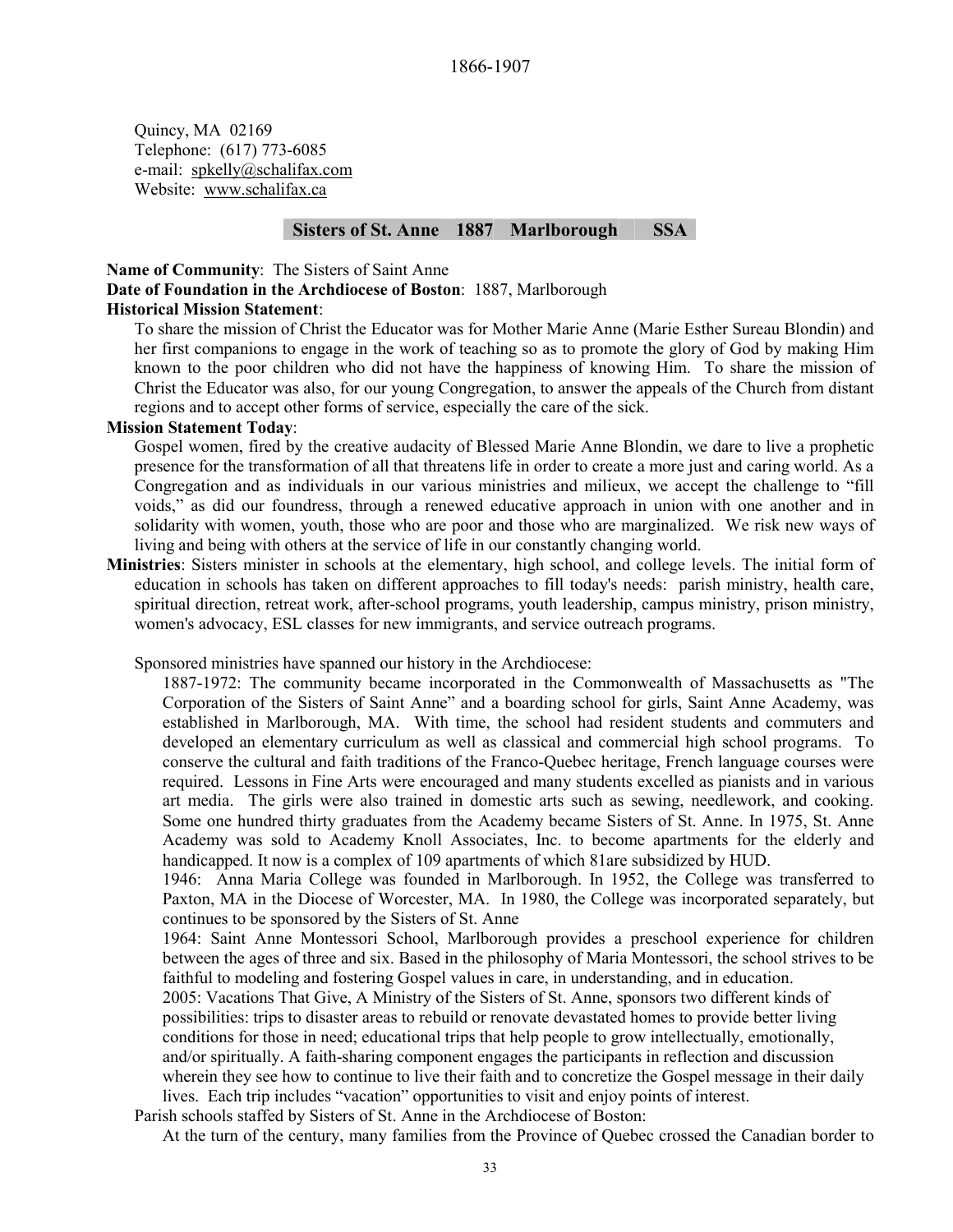Quincy, MA 02169 Telephone: (617) 773-6085 e-mail: spkelly@schalifax.com Website: www.schalifax.ca

# **Sisters of St. Anne 1887 Marlborough SSA**

**Name of Community**: The Sisters of Saint Anne **Date of Foundation in the Archdiocese of Boston**: 1887, Marlborough **Historical Mission Statement**:

To share the mission of Christ the Educator was for Mother Marie Anne (Marie Esther Sureau Blondin) and her first companions to engage in the work of teaching so as to promote the glory of God by making Him known to the poor children who did not have the happiness of knowing Him. To share the mission of Christ the Educator was also, for our young Congregation, to answer the appeals of the Church from distant regions and to accept other forms of service, especially the care of the sick.

# **Mission Statement Today**:

Gospel women, fired by the creative audacity of Blessed Marie Anne Blondin, we dare to live a prophetic presence for the transformation of all that threatens life in order to create a more just and caring world. As a Congregation and as individuals in our various ministries and milieux, we accept the challenge to "fill voids," as did our foundress, through a renewed educative approach in union with one another and in solidarity with women, youth, those who are poor and those who are marginalized. We risk new ways of living and being with others at the service of life in our constantly changing world.

**Ministries**: Sisters minister in schools at the elementary, high school, and college levels. The initial form of education in schools has taken on different approaches to fill today's needs: parish ministry, health care, spiritual direction, retreat work, after-school programs, youth leadership, campus ministry, prison ministry, women's advocacy, ESL classes for new immigrants, and service outreach programs.

Sponsored ministries have spanned our history in the Archdiocese:

1887-1972: The community became incorporated in the Commonwealth of Massachusetts as "The Corporation of the Sisters of Saint Anne" and a boarding school for girls, Saint Anne Academy, was established in Marlborough, MA. With time, the school had resident students and commuters and developed an elementary curriculum as well as classical and commercial high school programs. To conserve the cultural and faith traditions of the Franco-Quebec heritage, French language courses were required. Lessons in Fine Arts were encouraged and many students excelled as pianists and in various art media. The girls were also trained in domestic arts such as sewing, needlework, and cooking. Some one hundred thirty graduates from the Academy became Sisters of St. Anne. In 1975, St. Anne Academy was sold to Academy Knoll Associates, Inc. to become apartments for the elderly and handicapped. It now is a complex of 109 apartments of which 81are subsidized by HUD.

1946: Anna Maria College was founded in Marlborough. In 1952, the College was transferred to Paxton, MA in the Diocese of Worcester, MA. In 1980, the College was incorporated separately, but continues to be sponsored by the Sisters of St. Anne

1964: Saint Anne Montessori School, Marlborough provides a preschool experience for children between the ages of three and six. Based in the philosophy of Maria Montessori, the school strives to be faithful to modeling and fostering Gospel values in care, in understanding, and in education.

2005: Vacations That Give, A Ministry of the Sisters of St. Anne, sponsors two different kinds of possibilities: trips to disaster areas to rebuild or renovate devastated homes to provide better living conditions for those in need; educational trips that help people to grow intellectually, emotionally, and/or spiritually. A faith-sharing component engages the participants in reflection and discussion wherein they see how to continue to live their faith and to concretize the Gospel message in their daily lives. Each trip includes "vacation" opportunities to visit and enjoy points of interest.

Parish schools staffed by Sisters of St. Anne in the Archdiocese of Boston:

At the turn of the century, many families from the Province of Quebec crossed the Canadian border to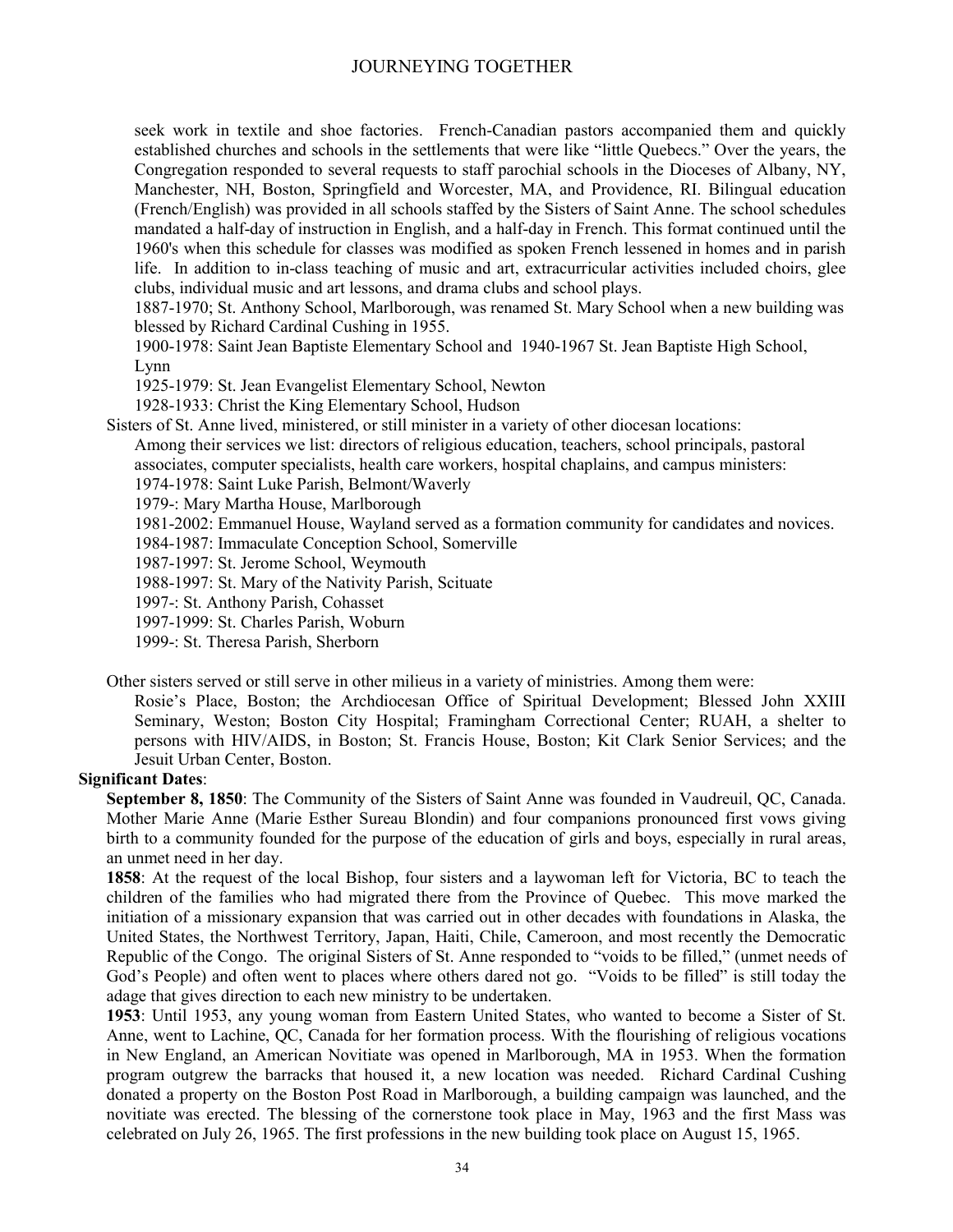seek work in textile and shoe factories. French-Canadian pastors accompanied them and quickly established churches and schools in the settlements that were like "little Quebecs." Over the years, the Congregation responded to several requests to staff parochial schools in the Dioceses of Albany, NY, Manchester, NH, Boston, Springfield and Worcester, MA, and Providence, RI. Bilingual education (French/English) was provided in all schools staffed by the Sisters of Saint Anne. The school schedules mandated a half-day of instruction in English, and a half-day in French. This format continued until the 1960's when this schedule for classes was modified as spoken French lessened in homes and in parish life. In addition to in-class teaching of music and art, extracurricular activities included choirs, glee clubs, individual music and art lessons, and drama clubs and school plays.

1887-1970; St. Anthony School, Marlborough, was renamed St. Mary School when a new building was blessed by Richard Cardinal Cushing in 1955.

1900-1978: Saint Jean Baptiste Elementary School and 1940-1967 St. Jean Baptiste High School, Lynn

1925-1979: St. Jean Evangelist Elementary School, Newton

1928-1933: Christ the King Elementary School, Hudson

Sisters of St. Anne lived, ministered, or still minister in a variety of other diocesan locations:

Among their services we list: directors of religious education, teachers, school principals, pastoral associates, computer specialists, health care workers, hospital chaplains, and campus ministers:

1974-1978: Saint Luke Parish, Belmont/Waverly

1979-: Mary Martha House, Marlborough

1981-2002: Emmanuel House, Wayland served as a formation community for candidates and novices.

1984-1987: Immaculate Conception School, Somerville

1987-1997: St. Jerome School, Weymouth

1988-1997: St. Mary of the Nativity Parish, Scituate

1997-: St. Anthony Parish, Cohasset

1997-1999: St. Charles Parish, Woburn

1999-: St. Theresa Parish, Sherborn

Other sisters served or still serve in other milieus in a variety of ministries. Among them were:

Rosie's Place, Boston; the Archdiocesan Office of Spiritual Development; Blessed John XXIII Seminary, Weston; Boston City Hospital; Framingham Correctional Center; RUAH, a shelter to persons with HIV/AIDS, in Boston; St. Francis House, Boston; Kit Clark Senior Services; and the Jesuit Urban Center, Boston.

#### **Significant Dates**:

**September 8, 1850**: The Community of the Sisters of Saint Anne was founded in Vaudreuil, QC, Canada. Mother Marie Anne (Marie Esther Sureau Blondin) and four companions pronounced first vows giving birth to a community founded for the purpose of the education of girls and boys, especially in rural areas, an unmet need in her day.

**1858**: At the request of the local Bishop, four sisters and a laywoman left for Victoria, BC to teach the children of the families who had migrated there from the Province of Quebec. This move marked the initiation of a missionary expansion that was carried out in other decades with foundations in Alaska, the United States, the Northwest Territory, Japan, Haiti, Chile, Cameroon, and most recently the Democratic Republic of the Congo. The original Sisters of St. Anne responded to "voids to be filled," (unmet needs of God's People) and often went to places where others dared not go. "Voids to be filled" is still today the adage that gives direction to each new ministry to be undertaken.

**1953**: Until 1953, any young woman from Eastern United States, who wanted to become a Sister of St. Anne, went to Lachine, QC, Canada for her formation process. With the flourishing of religious vocations in New England, an American Novitiate was opened in Marlborough, MA in 1953. When the formation program outgrew the barracks that housed it, a new location was needed. Richard Cardinal Cushing donated a property on the Boston Post Road in Marlborough, a building campaign was launched, and the novitiate was erected. The blessing of the cornerstone took place in May, 1963 and the first Mass was celebrated on July 26, 1965. The first professions in the new building took place on August 15, 1965.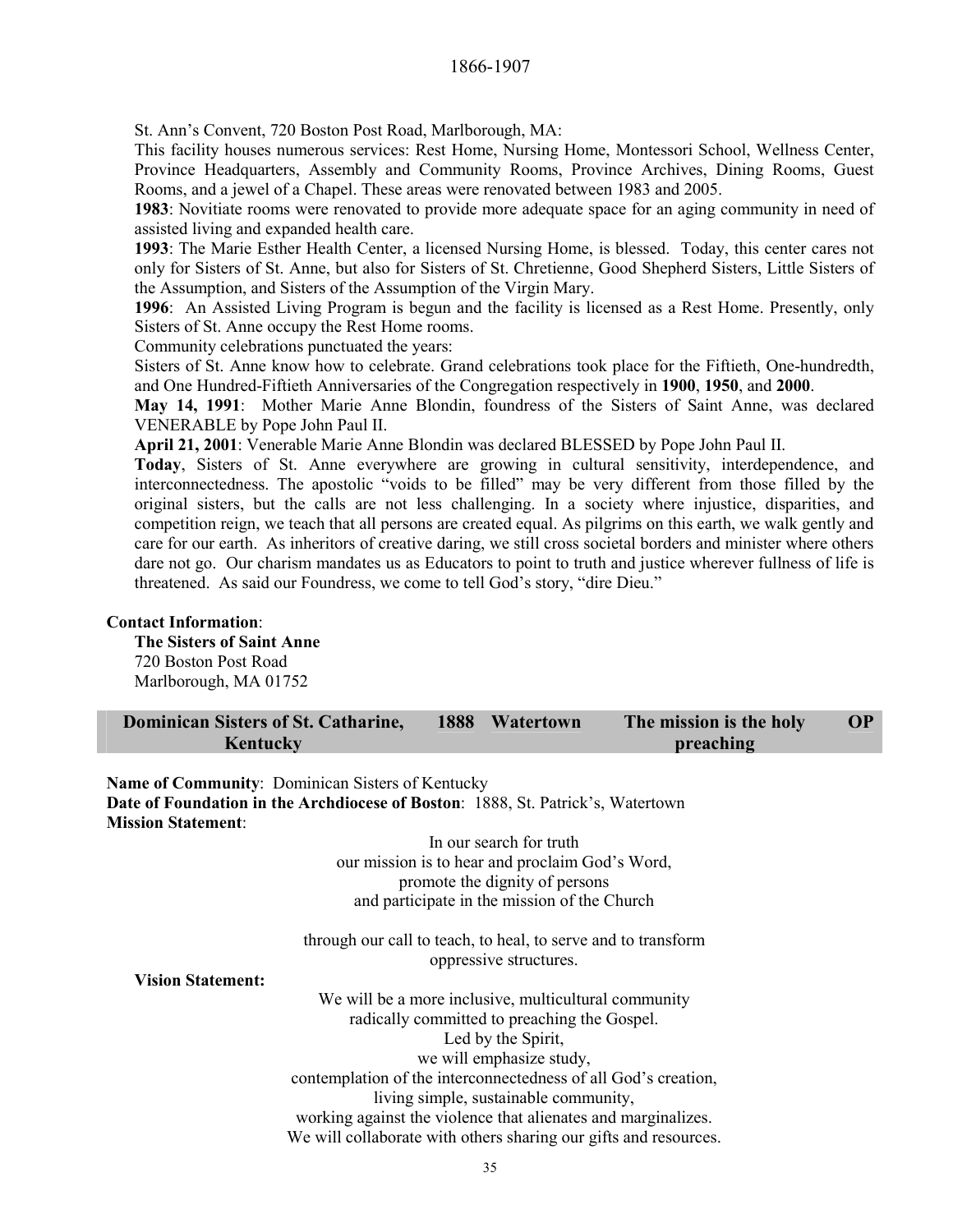St. Ann's Convent, 720 Boston Post Road, Marlborough, MA:

This facility houses numerous services: Rest Home, Nursing Home, Montessori School, Wellness Center, Province Headquarters, Assembly and Community Rooms, Province Archives, Dining Rooms, Guest Rooms, and a jewel of a Chapel. These areas were renovated between 1983 and 2005.

**1983**: Novitiate rooms were renovated to provide more adequate space for an aging community in need of assisted living and expanded health care.

**1993**: The Marie Esther Health Center, a licensed Nursing Home, is blessed. Today, this center cares not only for Sisters of St. Anne, but also for Sisters of St. Chretienne, Good Shepherd Sisters, Little Sisters of the Assumption, and Sisters of the Assumption of the Virgin Mary.

**1996**: An Assisted Living Program is begun and the facility is licensed as a Rest Home. Presently, only Sisters of St. Anne occupy the Rest Home rooms.

Community celebrations punctuated the years:

Sisters of St. Anne know how to celebrate. Grand celebrations took place for the Fiftieth, One-hundredth, and One Hundred-Fiftieth Anniversaries of the Congregation respectively in **1900**, **1950**, and **2000**.

**May 14, 1991**: Mother Marie Anne Blondin, foundress of the Sisters of Saint Anne, was declared VENERABLE by Pope John Paul II.

**April 21, 2001**: Venerable Marie Anne Blondin was declared BLESSED by Pope John Paul II.

**Today**, Sisters of St. Anne everywhere are growing in cultural sensitivity, interdependence, and interconnectedness. The apostolic "voids to be filled" may be very different from those filled by the original sisters, but the calls are not less challenging. In a society where injustice, disparities, and competition reign, we teach that all persons are created equal. As pilgrims on this earth, we walk gently and care for our earth. As inheritors of creative daring, we still cross societal borders and minister where others dare not go. Our charism mandates us as Educators to point to truth and justice wherever fullness of life is threatened. As said our Foundress, we come to tell God's story, "dire Dieu."

#### **Contact Information**:

**The Sisters of Saint Anne**  720 Boston Post Road Marlborough, MA 01752

| <b>Dominican Sisters of St. Catharine,</b><br>Kentucky                                 | 1888                                                             | Watertown                                       | The mission is the holy<br>preaching | <b>OP</b> |
|----------------------------------------------------------------------------------------|------------------------------------------------------------------|-------------------------------------------------|--------------------------------------|-----------|
|                                                                                        |                                                                  |                                                 |                                      |           |
| Name of Community: Dominican Sisters of Kentucky                                       |                                                                  |                                                 |                                      |           |
| <b>Date of Foundation in the Archdiocese of Boston: 1888, St. Patrick's, Watertown</b> |                                                                  |                                                 |                                      |           |
| <b>Mission Statement:</b>                                                              |                                                                  |                                                 |                                      |           |
|                                                                                        |                                                                  | In our search for truth                         |                                      |           |
|                                                                                        |                                                                  | our mission is to hear and proclaim God's Word, |                                      |           |
|                                                                                        |                                                                  | promote the dignity of persons                  |                                      |           |
|                                                                                        |                                                                  | and participate in the mission of the Church    |                                      |           |
|                                                                                        | through our call to teach, to heal, to serve and to transform    | oppressive structures.                          |                                      |           |
| <b>Vision Statement:</b>                                                               |                                                                  |                                                 |                                      |           |
|                                                                                        | We will be a more inclusive, multicultural community             |                                                 |                                      |           |
|                                                                                        |                                                                  | radically committed to preaching the Gospel.    |                                      |           |
|                                                                                        |                                                                  | Led by the Spirit,                              |                                      |           |
|                                                                                        |                                                                  | we will emphasize study,                        |                                      |           |
|                                                                                        | contemplation of the interconnectedness of all God's creation,   |                                                 |                                      |           |
|                                                                                        |                                                                  |                                                 |                                      |           |
|                                                                                        |                                                                  | living simple, sustainable community,           |                                      |           |
|                                                                                        | working against the violence that alienates and marginalizes.    |                                                 |                                      |           |
|                                                                                        | We will collaborate with others sharing our gifts and resources. |                                                 |                                      |           |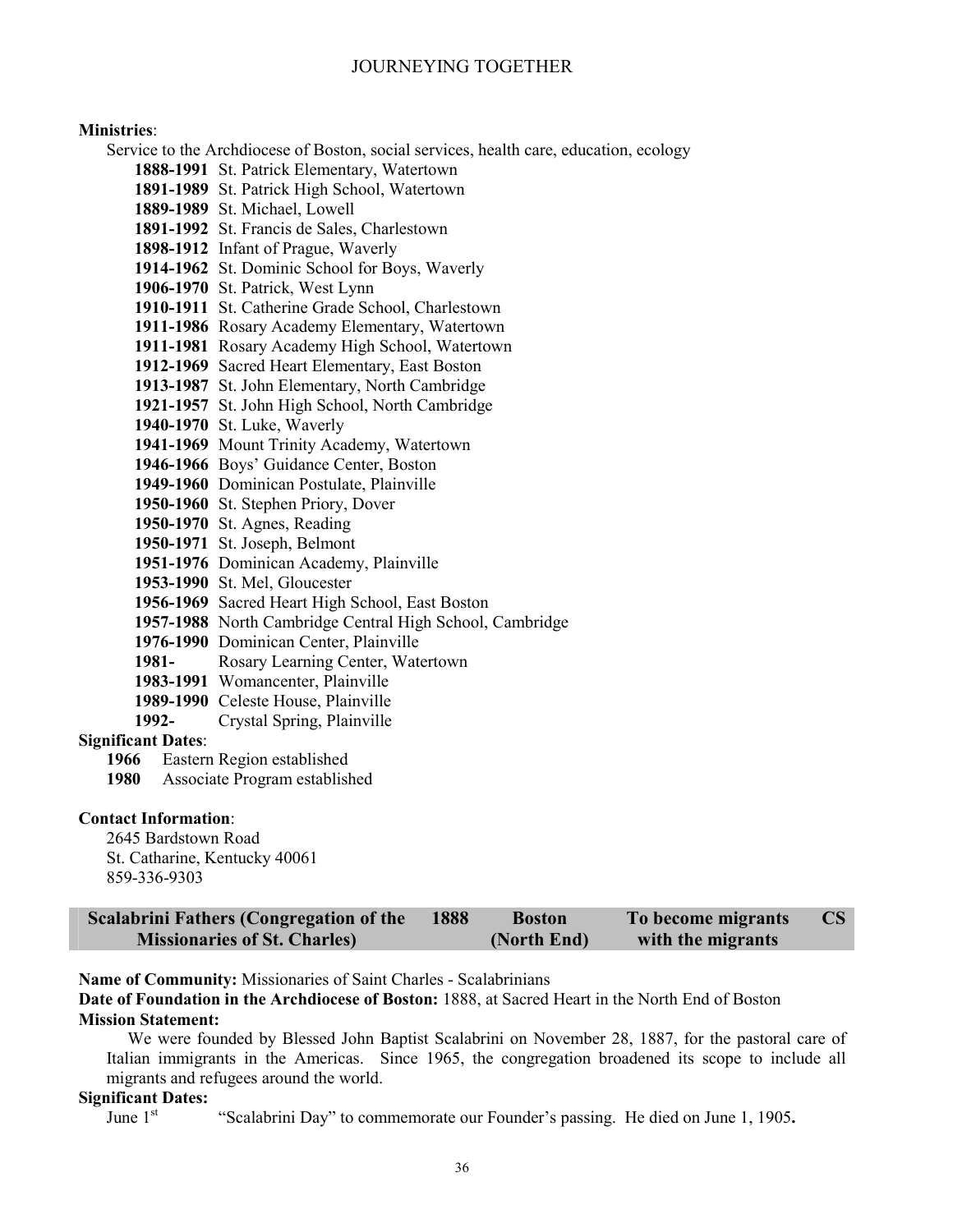#### **Ministries**:

Service to the Archdiocese of Boston, social services, health care, education, ecology

- **1888-1991** St. Patrick Elementary, Watertown
- **1891-1989** St. Patrick High School, Watertown
- **1889-1989** St. Michael, Lowell
- **1891-1992** St. Francis de Sales, Charlestown
- **1898-1912** Infant of Prague, Waverly
- **1914-1962** St. Dominic School for Boys, Waverly
- **1906-1970** St. Patrick, West Lynn
- **1910-1911** St. Catherine Grade School, Charlestown
- **1911-1986** Rosary Academy Elementary, Watertown
- **1911-1981** Rosary Academy High School, Watertown
- **1912-1969** Sacred Heart Elementary, East Boston
- **1913-1987** St. John Elementary, North Cambridge
- **1921-1957** St. John High School, North Cambridge
- **1940-1970** St. Luke, Waverly
- **1941-1969** Mount Trinity Academy, Watertown
- **1946-1966** Boys' Guidance Center, Boston
- **1949-1960** Dominican Postulate, Plainville
- **1950-1960** St. Stephen Priory, Dover
- **1950-1970** St. Agnes, Reading
- **1950-1971** St. Joseph, Belmont
- **1951-1976** Dominican Academy, Plainville
- **1953-1990** St. Mel, Gloucester
- **1956-1969** Sacred Heart High School, East Boston
- **1957-1988** North Cambridge Central High School, Cambridge
- **1976-1990** Dominican Center, Plainville
- **1981-** Rosary Learning Center, Watertown
- **1983-1991** Womancenter, Plainville
- **1989-1990** Celeste House, Plainville
- **1992-** Crystal Spring, Plainville

# **Significant Dates**:

- **1966** Eastern Region established
- **1980** Associate Program established

#### **Contact Information**:

2645 Bardstown Road St. Catharine, Kentucky 40061 859-336-9303

| <b>Scalabrini Fathers (Congregation of the</b> | 1888 | <b>Boston</b> | To become migrants | CS |
|------------------------------------------------|------|---------------|--------------------|----|
| <b>Missionaries of St. Charles)</b>            |      | (North End)   | with the migrants  |    |

**Name of Community:** Missionaries of Saint Charles - Scalabrinians

**Date of Foundation in the Archdiocese of Boston:** 1888, at Sacred Heart in the North End of Boston **Mission Statement:** 

We were founded by Blessed John Baptist Scalabrini on November 28, 1887, for the pastoral care of Italian immigrants in the Americas. Since 1965, the congregation broadened its scope to include all migrants and refugees around the world.

# **Significant Dates:**<br>June 1<sup>st</sup>

"Scalabrini Day" to commemorate our Founder's passing. He died on June 1, 1905.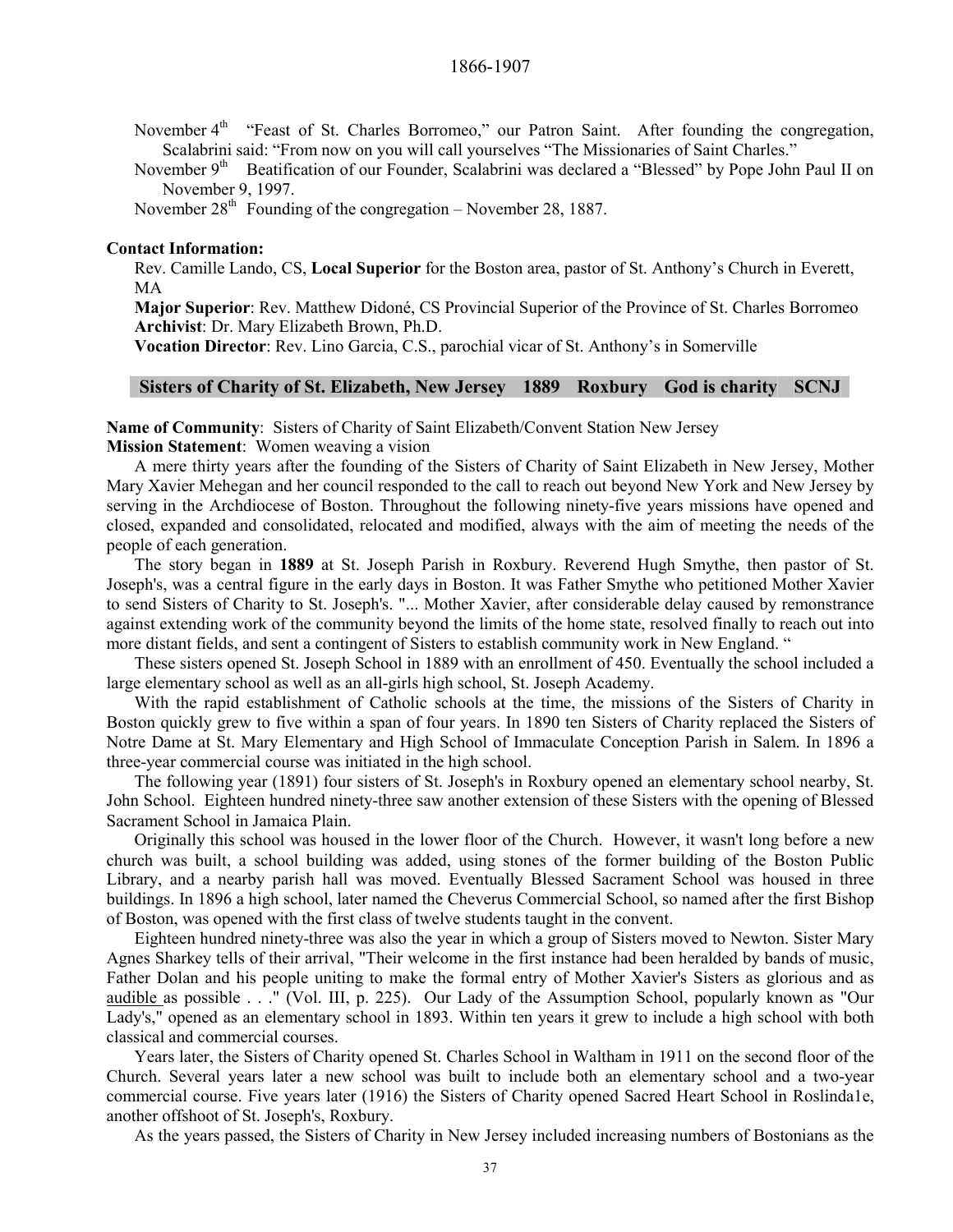November 4<sup>th</sup> "Feast of St. Charles Borromeo," our Patron Saint. After founding the congregation, Scalabrini said: "From now on you will call yourselves "The Missionaries of Saint Charles."

November 9<sup>th</sup> Beatification of our Founder, Scalabrini was declared a "Blessed" by Pope John Paul II on November 9, 1997.

November  $28<sup>th</sup>$  Founding of the congregation – November 28, 1887.

#### **Contact Information:**

Rev. Camille Lando, CS, **Local Superior** for the Boston area, pastor of St. Anthony's Church in Everett, MA

**Major Superior**: Rev. Matthew Didoné, CS Provincial Superior of the Province of St. Charles Borromeo **Archivist**: Dr. Mary Elizabeth Brown, Ph.D.

**Vocation Director**: Rev. Lino Garcia, C.S., parochial vicar of St. Anthony's in Somerville

# **Sisters of Charity of St. Elizabeth, New Jersey 1889 Roxbury God is charity SCNJ**

**Name of Community**: Sisters of Charity of Saint Elizabeth/Convent Station New Jersey

**Mission Statement**: Women weaving a vision

A mere thirty years after the founding of the Sisters of Charity of Saint Elizabeth in New Jersey, Mother Mary Xavier Mehegan and her council responded to the call to reach out beyond New York and New Jersey by serving in the Archdiocese of Boston. Throughout the following ninety-five years missions have opened and closed, expanded and consolidated, relocated and modified, always with the aim of meeting the needs of the people of each generation.

The story began in **1889** at St. Joseph Parish in Roxbury. Reverend Hugh Smythe, then pastor of St. Joseph's, was a central figure in the early days in Boston. It was Father Smythe who petitioned Mother Xavier to send Sisters of Charity to St. Joseph's. "... Mother Xavier, after considerable delay caused by remonstrance against extending work of the community beyond the limits of the home state, resolved finally to reach out into more distant fields, and sent a contingent of Sisters to establish community work in New England. "

These sisters opened St. Joseph School in 1889 with an enrollment of 450. Eventually the school included a large elementary school as well as an all-girls high school, St. Joseph Academy.

With the rapid establishment of Catholic schools at the time, the missions of the Sisters of Charity in Boston quickly grew to five within a span of four years. In 1890 ten Sisters of Charity replaced the Sisters of Notre Dame at St. Mary Elementary and High School of Immaculate Conception Parish in Salem. In 1896 a three-year commercial course was initiated in the high school.

The following year (1891) four sisters of St. Joseph's in Roxbury opened an elementary school nearby, St. John School. Eighteen hundred ninety-three saw another extension of these Sisters with the opening of Blessed Sacrament School in Jamaica Plain.

Originally this school was housed in the lower floor of the Church. However, it wasn't long before a new church was built, a school building was added, using stones of the former building of the Boston Public Library, and a nearby parish hall was moved. Eventually Blessed Sacrament School was housed in three buildings. In 1896 a high school, later named the Cheverus Commercial School, so named after the first Bishop of Boston, was opened with the first class of twelve students taught in the convent.

Eighteen hundred ninety-three was also the year in which a group of Sisters moved to Newton. Sister Mary Agnes Sharkey tells of their arrival, "Their welcome in the first instance had been heralded by bands of music, Father Dolan and his people uniting to make the formal entry of Mother Xavier's Sisters as glorious and as audible as possible . . ." (Vol. III, p. 225). Our Lady of the Assumption School, popularly known as "Our Lady's," opened as an elementary school in 1893. Within ten years it grew to include a high school with both classical and commercial courses.

Years later, the Sisters of Charity opened St. Charles School in Waltham in 1911 on the second floor of the Church. Several years later a new school was built to include both an elementary school and a two-year commercial course. Five years later (1916) the Sisters of Charity opened Sacred Heart School in Roslinda1e, another offshoot of St. Joseph's, Roxbury.

As the years passed, the Sisters of Charity in New Jersey included increasing numbers of Bostonians as the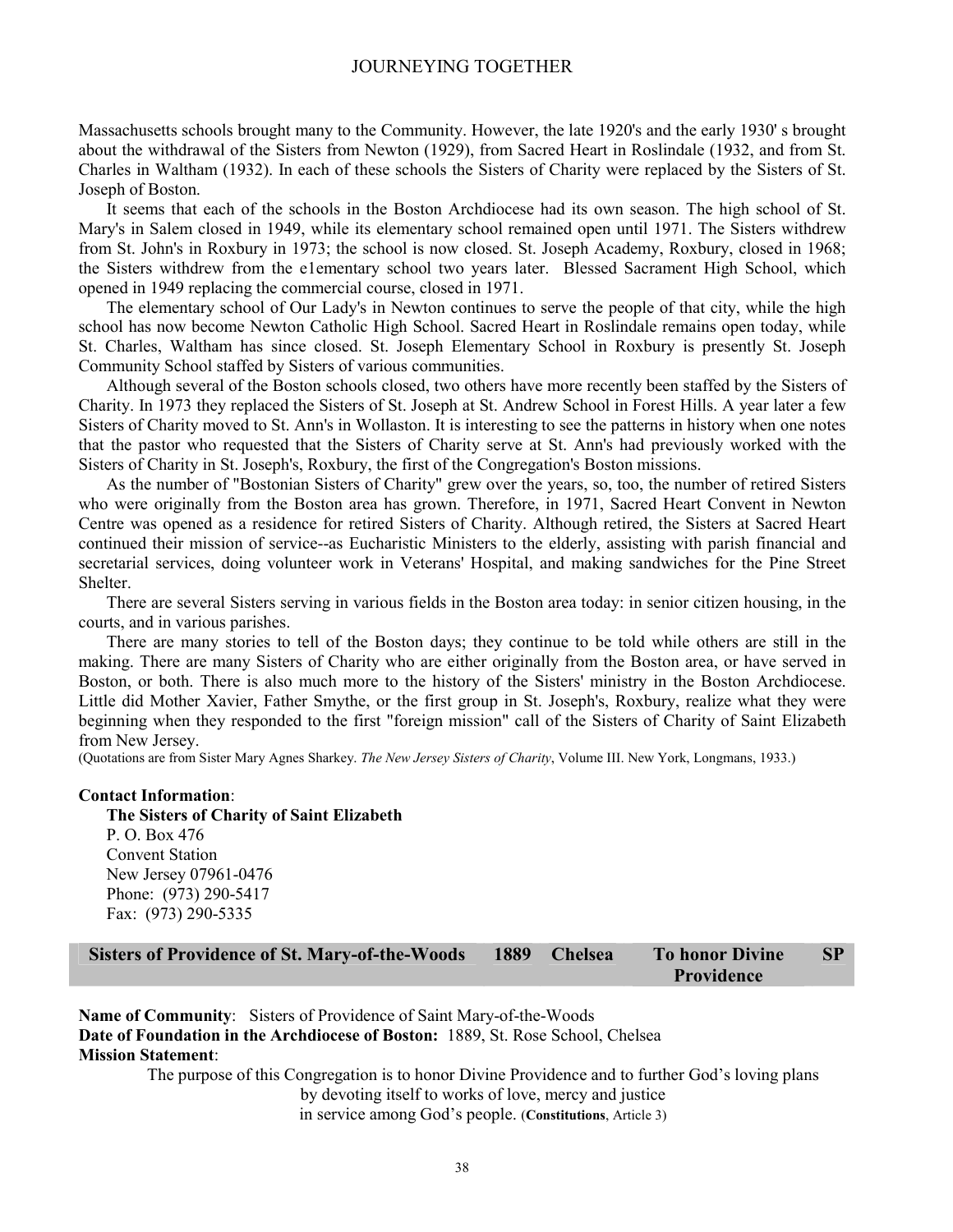Massachusetts schools brought many to the Community. However, the late 1920's and the early 1930' s brought about the withdrawal of the Sisters from Newton (1929), from Sacred Heart in Roslindale (1932, and from St. Charles in Waltham (1932). In each of these schools the Sisters of Charity were replaced by the Sisters of St. Joseph of Boston.

It seems that each of the schools in the Boston Archdiocese had its own season. The high school of St. Mary's in Salem closed in 1949, while its elementary school remained open until 1971. The Sisters withdrew from St. John's in Roxbury in 1973; the school is now closed. St. Joseph Academy, Roxbury, closed in 1968; the Sisters withdrew from the e1ementary school two years later. Blessed Sacrament High School, which opened in 1949 replacing the commercial course, closed in 1971.

The elementary school of Our Lady's in Newton continues to serve the people of that city, while the high school has now become Newton Catholic High School. Sacred Heart in Roslindale remains open today, while St. Charles, Waltham has since closed. St. Joseph Elementary School in Roxbury is presently St. Joseph Community School staffed by Sisters of various communities.

Although several of the Boston schools closed, two others have more recently been staffed by the Sisters of Charity. In 1973 they replaced the Sisters of St. Joseph at St. Andrew School in Forest Hills. A year later a few Sisters of Charity moved to St. Ann's in Wollaston. It is interesting to see the patterns in history when one notes that the pastor who requested that the Sisters of Charity serve at St. Ann's had previously worked with the Sisters of Charity in St. Joseph's, Roxbury, the first of the Congregation's Boston missions.

As the number of "Bostonian Sisters of Charity" grew over the years, so, too, the number of retired Sisters who were originally from the Boston area has grown. Therefore, in 1971, Sacred Heart Convent in Newton Centre was opened as a residence for retired Sisters of Charity. Although retired, the Sisters at Sacred Heart continued their mission of service--as Eucharistic Ministers to the elderly, assisting with parish financial and secretarial services, doing volunteer work in Veterans' Hospital, and making sandwiches for the Pine Street Shelter.

There are several Sisters serving in various fields in the Boston area today: in senior citizen housing, in the courts, and in various parishes.

There are many stories to tell of the Boston days; they continue to be told while others are still in the making. There are many Sisters of Charity who are either originally from the Boston area, or have served in Boston, or both. There is also much more to the history of the Sisters' ministry in the Boston Archdiocese. Little did Mother Xavier, Father Smythe, or the first group in St. Joseph's, Roxbury, realize what they were beginning when they responded to the first "foreign mission" call of the Sisters of Charity of Saint Elizabeth from New Jersey.

(Quotations are from Sister Mary Agnes Sharkey. *The New Jersey Sisters of Charity*, Volume III. New York, Longmans, 1933.)

#### **Contact Information**:

**The Sisters of Charity of Saint Elizabeth**  P. O. Box 476 Convent Station New Jersey 07961-0476 Phone: (973) 290-5417 Fax: (973) 290-5335

| Sisters of Providence of St. Mary-of-the-Woods 1889 Chelsea |  | To honor Divine | $\mathbf{SP}$ |
|-------------------------------------------------------------|--|-----------------|---------------|
|                                                             |  | Providence      |               |

**Name of Community**: Sisters of Providence of Saint Mary-of-the-Woods **Date of Foundation in the Archdiocese of Boston:** 1889, St. Rose School, Chelsea **Mission Statement**:

> The purpose of this Congregation is to honor Divine Providence and to further God's loving plans by devoting itself to works of love, mercy and justice in service among God's people. (**Constitutions**, Article 3)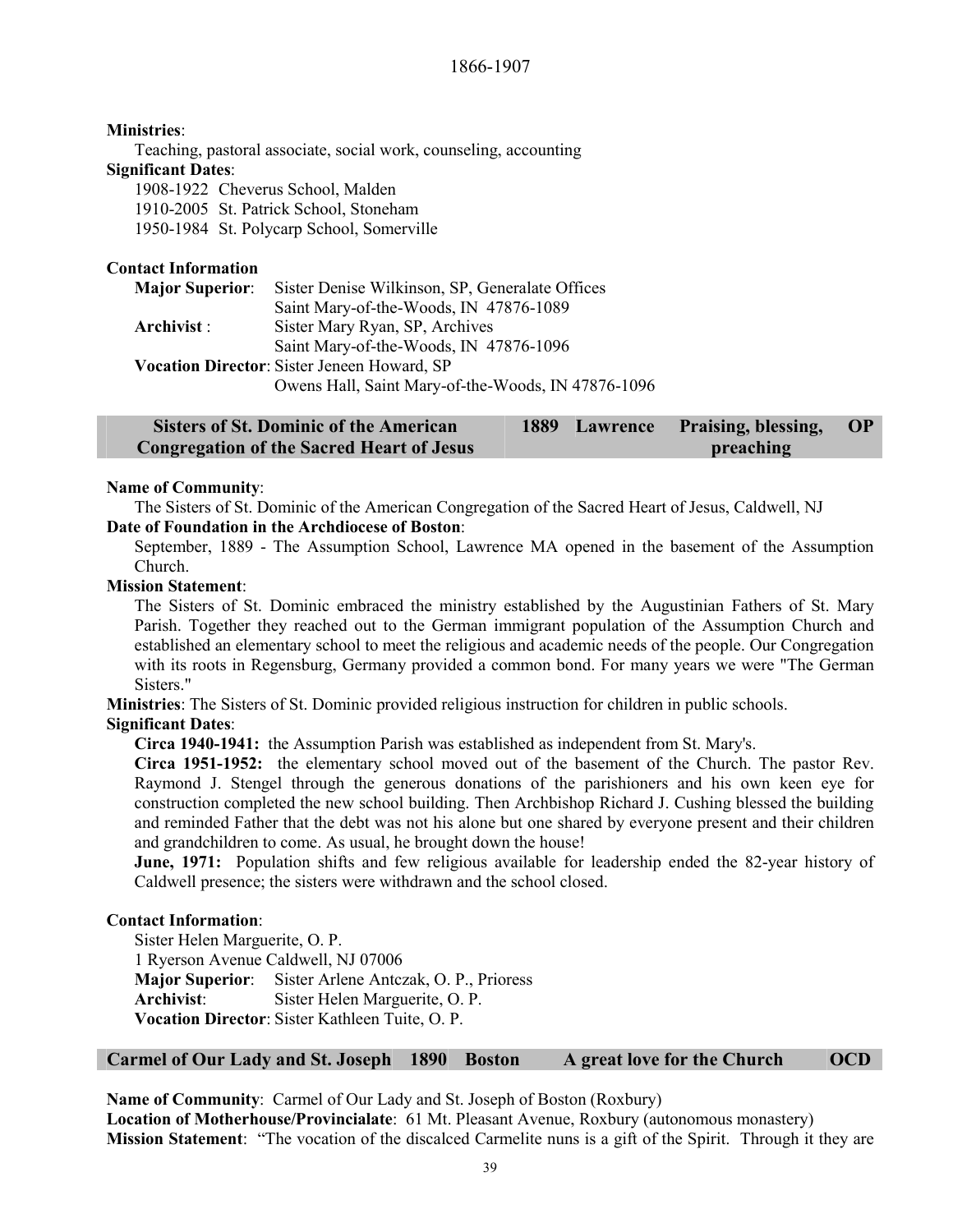# **Ministries**:

Teaching, pastoral associate, social work, counseling, accounting **Significant Dates**:

1908-1922 Cheverus School, Malden

1910-2005 St. Patrick School, Stoneham

1950-1984 St. Polycarp School, Somerville

# **Contact Information**

| <b>Major Superior:</b> | Sister Denise Wilkinson, SP, Generalate Offices    |
|------------------------|----------------------------------------------------|
|                        | Saint Mary-of-the-Woods, IN 47876-1089             |
| Archivist :            | Sister Mary Ryan, SP, Archives                     |
|                        | Saint Mary-of-the-Woods, IN 47876-1096             |
|                        | <b>Vocation Director:</b> Sister Jeneen Howard, SP |
|                        | Owens Hall, Saint Mary-of-the-Woods, IN 47876-1096 |

| <b>Sisters of St. Dominic of the American</b>    |  | 1889 Lawrence Praising, blessing, OP |  |
|--------------------------------------------------|--|--------------------------------------|--|
| <b>Congregation of the Sacred Heart of Jesus</b> |  | preaching                            |  |

#### **Name of Community**:

The Sisters of St. Dominic of the American Congregation of the Sacred Heart of Jesus, Caldwell, NJ **Date of Foundation in the Archdiocese of Boston**:

September, 1889 - The Assumption School, Lawrence MA opened in the basement of the Assumption Church.

#### **Mission Statement**:

The Sisters of St. Dominic embraced the ministry established by the Augustinian Fathers of St. Mary Parish. Together they reached out to the German immigrant population of the Assumption Church and established an elementary school to meet the religious and academic needs of the people. Our Congregation with its roots in Regensburg, Germany provided a common bond. For many years we were "The German Sisters."

**Ministries**: The Sisters of St. Dominic provided religious instruction for children in public schools. **Significant Dates**:

**Circa 1940-1941:** the Assumption Parish was established as independent from St. Mary's.

**Circa 1951-1952:** the elementary school moved out of the basement of the Church. The pastor Rev. Raymond J. Stengel through the generous donations of the parishioners and his own keen eye for construction completed the new school building. Then Archbishop Richard J. Cushing blessed the building and reminded Father that the debt was not his alone but one shared by everyone present and their children and grandchildren to come. As usual, he brought down the house!

**June, 1971:** Population shifts and few religious available for leadership ended the 82-year history of Caldwell presence; the sisters were withdrawn and the school closed.

# **Contact Information**:

Sister Helen Marguerite, O. P. 1 Ryerson Avenue Caldwell, NJ 07006 **Major Superior**: Sister Arlene Antczak, O. P., Prioress **Archivist**: Sister Helen Marguerite, O. P. **Vocation Director**: Sister Kathleen Tuite, O. P.

# **Carmel of Our Lady and St. Joseph 1890 Boston A great love for the Church OCD**

**Name of Community**: Carmel of Our Lady and St. Joseph of Boston (Roxbury) **Location of Motherhouse/Provincialate**: 61 Mt. Pleasant Avenue, Roxbury (autonomous monastery) **Mission Statement**: "The vocation of the discalced Carmelite nuns is a gift of the Spirit. Through it they are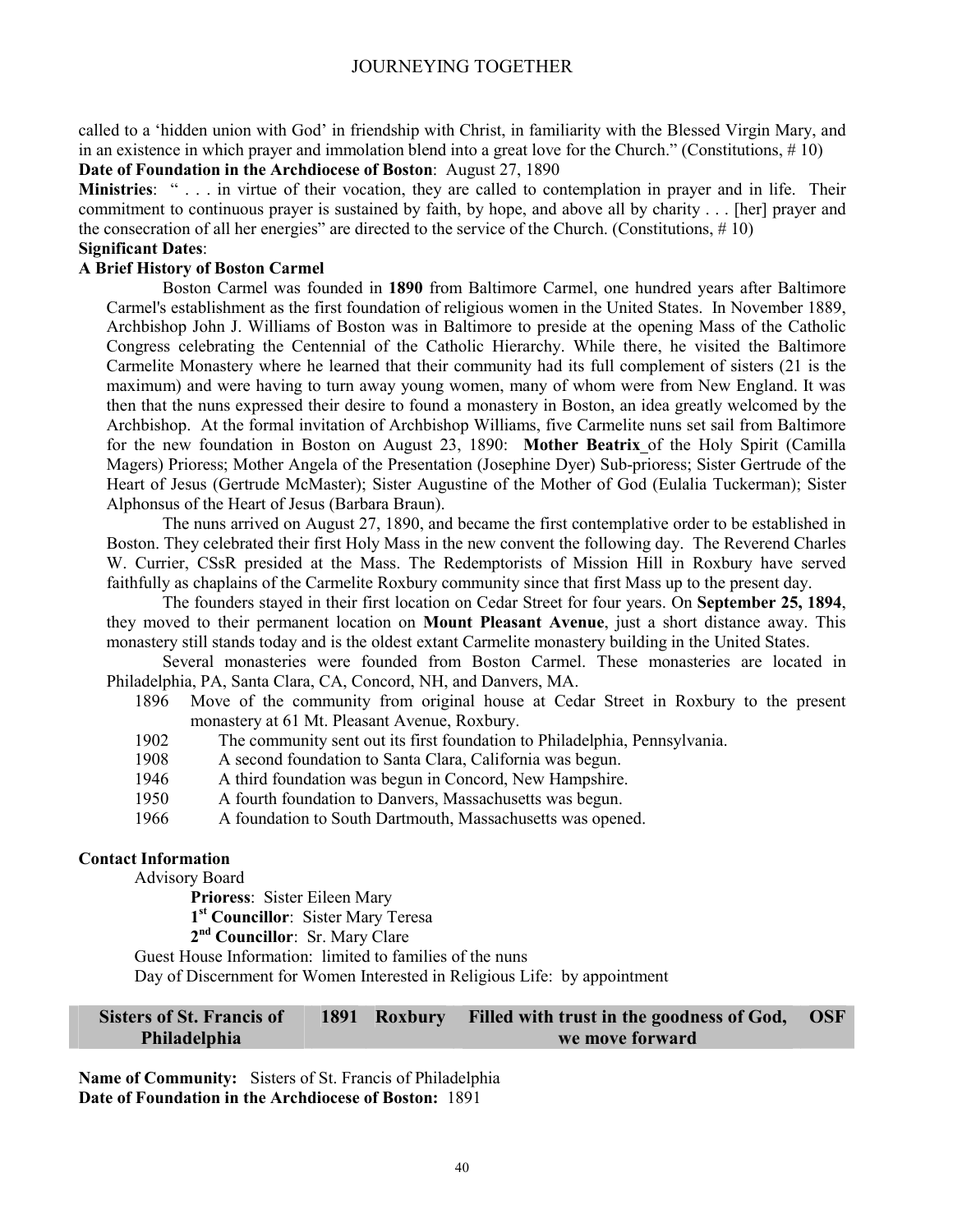called to a 'hidden union with God' in friendship with Christ, in familiarity with the Blessed Virgin Mary, and in an existence in which prayer and immolation blend into a great love for the Church." (Constitutions, # 10) **Date of Foundation in the Archdiocese of Boston**: August 27, 1890

**Ministries**: " . . . in virtue of their vocation, they are called to contemplation in prayer and in life. Their commitment to continuous prayer is sustained by faith, by hope, and above all by charity . . . [her] prayer and the consecration of all her energies" are directed to the service of the Church. (Constitutions,  $\# 10$ )

# **Significant Dates**:

# **A Brief History of Boston Carmel**

Boston Carmel was founded in **1890** from Baltimore Carmel, one hundred years after Baltimore Carmel's establishment as the first foundation of religious women in the United States. In November 1889, Archbishop John J. Williams of Boston was in Baltimore to preside at the opening Mass of the Catholic Congress celebrating the Centennial of the Catholic Hierarchy. While there, he visited the Baltimore Carmelite Monastery where he learned that their community had its full complement of sisters (21 is the maximum) and were having to turn away young women, many of whom were from New England. It was then that the nuns expressed their desire to found a monastery in Boston, an idea greatly welcomed by the Archbishop. At the formal invitation of Archbishop Williams, five Carmelite nuns set sail from Baltimore for the new foundation in Boston on August 23, 1890: **Mother Beatrix** of the Holy Spirit (Camilla Magers) Prioress; Mother Angela of the Presentation (Josephine Dyer) Sub-prioress; Sister Gertrude of the Heart of Jesus (Gertrude McMaster); Sister Augustine of the Mother of God (Eulalia Tuckerman); Sister Alphonsus of the Heart of Jesus (Barbara Braun).

The nuns arrived on August 27, 1890, and became the first contemplative order to be established in Boston. They celebrated their first Holy Mass in the new convent the following day. The Reverend Charles W. Currier, CSsR presided at the Mass. The Redemptorists of Mission Hill in Roxbury have served faithfully as chaplains of the Carmelite Roxbury community since that first Mass up to the present day.

The founders stayed in their first location on Cedar Street for four years. On **September 25, 1894**, they moved to their permanent location on **Mount Pleasant Avenue**, just a short distance away. This monastery still stands today and is the oldest extant Carmelite monastery building in the United States.

Several monasteries were founded from Boston Carmel. These monasteries are located in Philadelphia, PA, Santa Clara, CA, Concord, NH, and Danvers, MA.

- 1896 Move of the community from original house at Cedar Street in Roxbury to the present monastery at 61 Mt. Pleasant Avenue, Roxbury.
- 1902 The community sent out its first foundation to Philadelphia, Pennsylvania.
- 1908 A second foundation to Santa Clara, California was begun.
- 1946 A third foundation was begun in Concord, New Hampshire.
- 1950 A fourth foundation to Danvers, Massachusetts was begun.
- 1966 A foundation to South Dartmouth, Massachusetts was opened.

### **Contact Information**

Advisory Board

**Prioress**: Sister Eileen Mary

**1st Councillor**: Sister Mary Teresa

**2nd Councillor**: Sr. Mary Clare

Guest House Information: limited to families of the nuns

Day of Discernment for Women Interested in Religious Life: by appointment

#### **Sisters of St. Francis of Philadelphia 1891 Roxbury Filled with trust in the goodness of God, we move forward OSF**

**Name of Community:** Sisters of St. Francis of Philadelphia **Date of Foundation in the Archdiocese of Boston:** 1891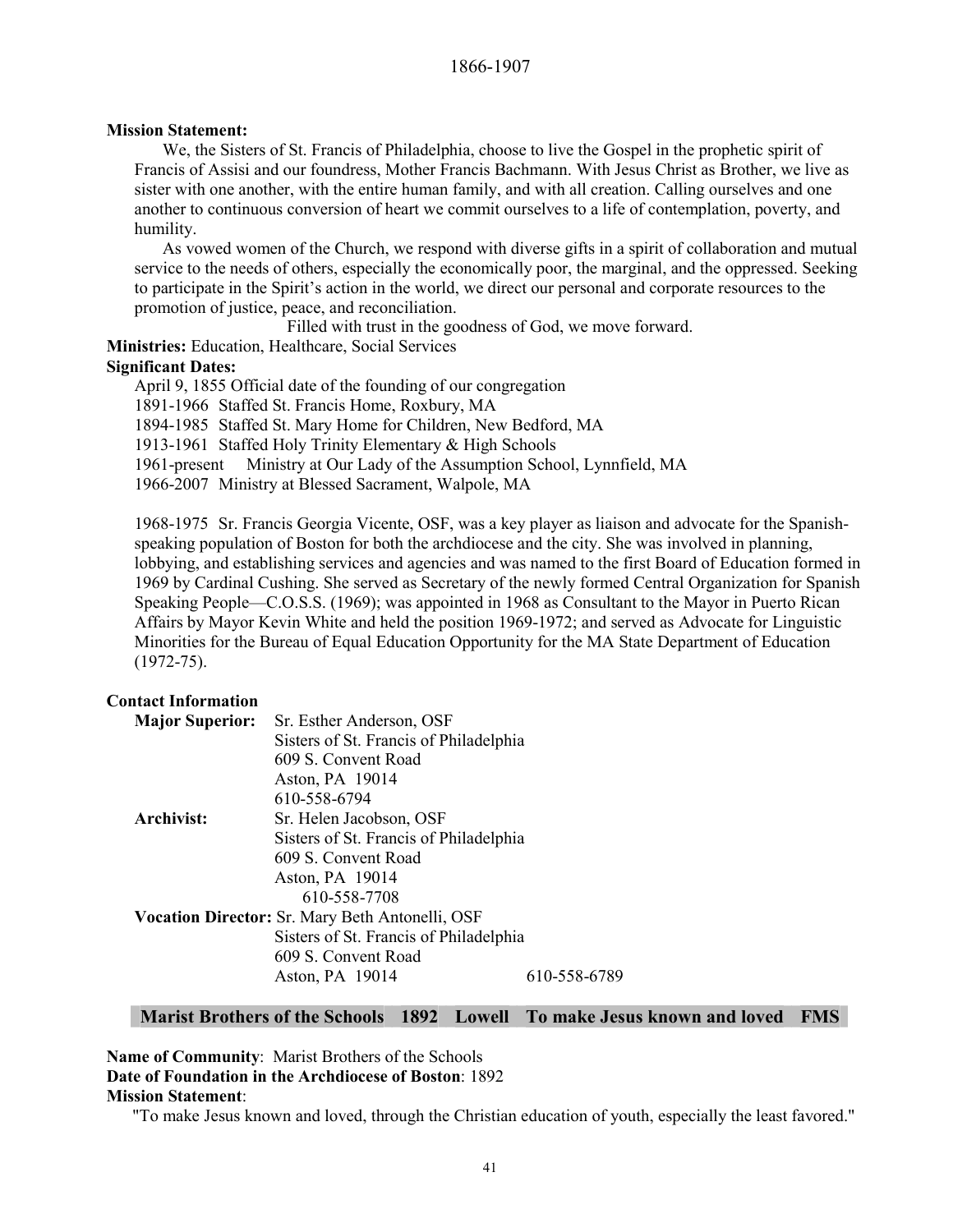#### **Mission Statement:**

We, the Sisters of St. Francis of Philadelphia, choose to live the Gospel in the prophetic spirit of Francis of Assisi and our foundress, Mother Francis Bachmann. With Jesus Christ as Brother, we live as sister with one another, with the entire human family, and with all creation. Calling ourselves and one another to continuous conversion of heart we commit ourselves to a life of contemplation, poverty, and humility.

As vowed women of the Church, we respond with diverse gifts in a spirit of collaboration and mutual service to the needs of others, especially the economically poor, the marginal, and the oppressed. Seeking to participate in the Spirit's action in the world, we direct our personal and corporate resources to the promotion of justice, peace, and reconciliation.

Filled with trust in the goodness of God, we move forward.

**Ministries:** Education, Healthcare, Social Services

# **Significant Dates:**

April 9, 1855 Official date of the founding of our congregation 1891-1966 Staffed St. Francis Home, Roxbury, MA 1894-1985 Staffed St. Mary Home for Children, New Bedford, MA 1913-1961 Staffed Holy Trinity Elementary & High Schools 1961-present Ministry at Our Lady of the Assumption School, Lynnfield, MA 1966-2007 Ministry at Blessed Sacrament, Walpole, MA

1968-1975 Sr. Francis Georgia Vicente, OSF, was a key player as liaison and advocate for the Spanishspeaking population of Boston for both the archdiocese and the city. She was involved in planning, lobbying, and establishing services and agencies and was named to the first Board of Education formed in 1969 by Cardinal Cushing. She served as Secretary of the newly formed Central Organization for Spanish Speaking People—C.O.S.S. (1969); was appointed in 1968 as Consultant to the Mayor in Puerto Rican Affairs by Mayor Kevin White and held the position 1969-1972; and served as Advocate for Linguistic Minorities for the Bureau of Equal Education Opportunity for the MA State Department of Education (1972-75).

# **Contact Information**

| <b>Major Superior:</b> | Sr. Esther Anderson, OSF                               |              |  |  |  |  |
|------------------------|--------------------------------------------------------|--------------|--|--|--|--|
|                        | Sisters of St. Francis of Philadelphia                 |              |  |  |  |  |
|                        | 609 S. Convent Road                                    |              |  |  |  |  |
|                        | Aston, PA 19014                                        |              |  |  |  |  |
|                        | 610-558-6794                                           |              |  |  |  |  |
| Archivist:             | Sr. Helen Jacobson, OSF                                |              |  |  |  |  |
|                        | Sisters of St. Francis of Philadelphia                 |              |  |  |  |  |
|                        | 609 S. Convent Road                                    |              |  |  |  |  |
|                        | Aston, PA 19014                                        |              |  |  |  |  |
|                        | 610-558-7708                                           |              |  |  |  |  |
|                        | <b>Vocation Director:</b> Sr. Mary Beth Antonelli, OSF |              |  |  |  |  |
|                        | Sisters of St. Francis of Philadelphia                 |              |  |  |  |  |
|                        | 609 S. Convent Road                                    |              |  |  |  |  |
|                        | Aston, PA 19014                                        | 610-558-6789 |  |  |  |  |

# **Marist Brothers of the Schools 1892 Lowell To make Jesus known and loved FMS**

# **Name of Community**: Marist Brothers of the Schools **Date of Foundation in the Archdiocese of Boston**: 1892 **Mission Statement**:

"To make Jesus known and loved, through the Christian education of youth, especially the least favored."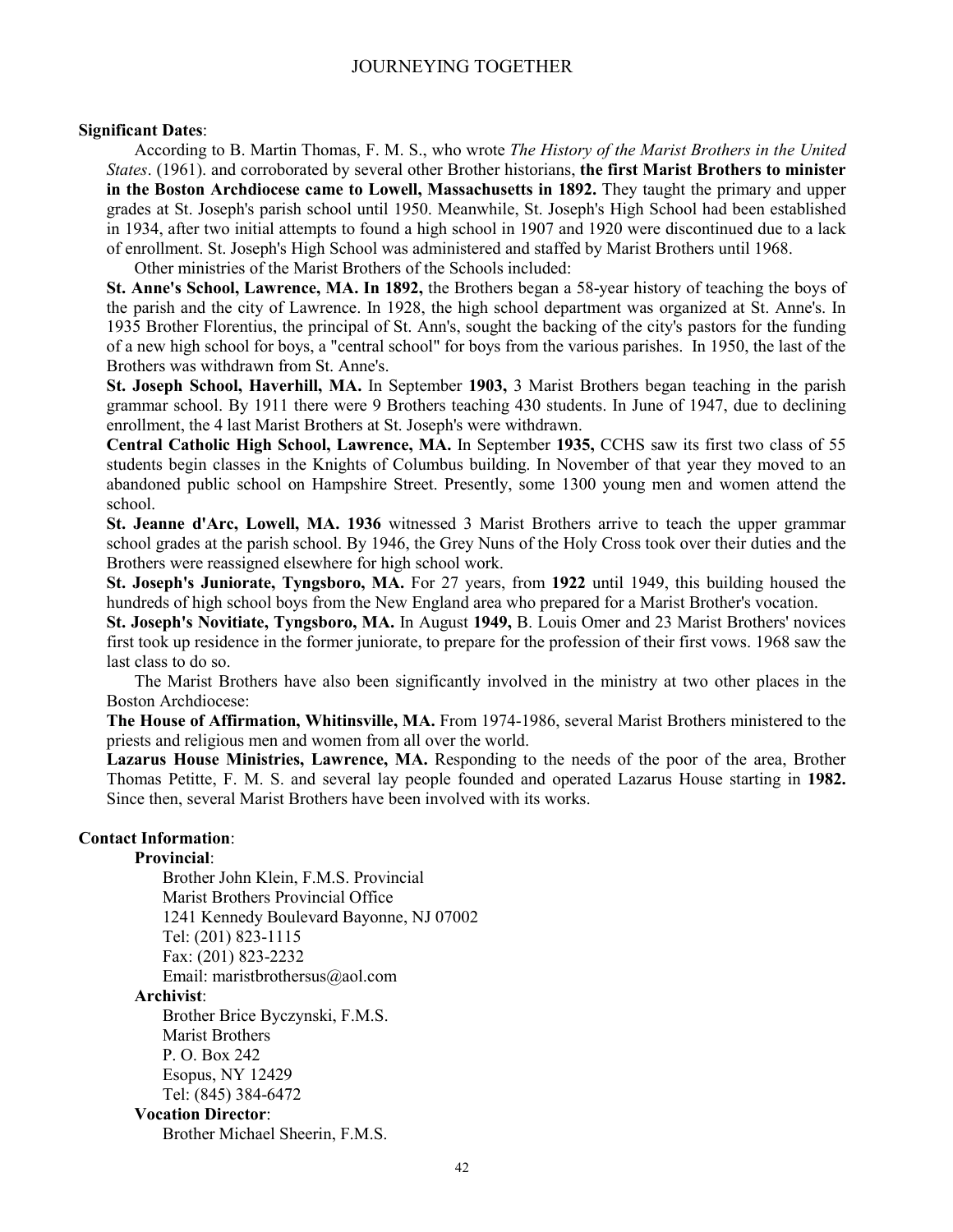#### **Significant Dates**:

According to B. Martin Thomas, F. M. S., who wrote *The History of the Marist Brothers in the United States*. (1961). and corroborated by several other Brother historians, **the first Marist Brothers to minister in the Boston Archdiocese came to Lowell, Massachusetts in 1892.** They taught the primary and upper grades at St. Joseph's parish school until 1950. Meanwhile, St. Joseph's High School had been established in 1934, after two initial attempts to found a high school in 1907 and 1920 were discontinued due to a lack of enrollment. St. Joseph's High School was administered and staffed by Marist Brothers until 1968.

Other ministries of the Marist Brothers of the Schools included:

**St. Anne's School, Lawrence, MA. In 1892,** the Brothers began a 58-year history of teaching the boys of the parish and the city of Lawrence. In 1928, the high school department was organized at St. Anne's. In 1935 Brother Florentius, the principal of St. Ann's, sought the backing of the city's pastors for the funding of a new high school for boys, a "central school" for boys from the various parishes. In 1950, the last of the Brothers was withdrawn from St. Anne's.

**St. Joseph School, Haverhill, MA.** In September **1903,** 3 Marist Brothers began teaching in the parish grammar school. By 1911 there were 9 Brothers teaching 430 students. In June of 1947, due to declining enrollment, the 4 last Marist Brothers at St. Joseph's were withdrawn.

**Central Catholic High School, Lawrence, MA.** In September **1935,** CCHS saw its first two class of 55 students begin classes in the Knights of Columbus building. In November of that year they moved to an abandoned public school on Hampshire Street. Presently, some 1300 young men and women attend the school.

**St. Jeanne d'Arc, Lowell, MA. 1936** witnessed 3 Marist Brothers arrive to teach the upper grammar school grades at the parish school. By 1946, the Grey Nuns of the Holy Cross took over their duties and the Brothers were reassigned elsewhere for high school work.

**St. Joseph's Juniorate, Tyngsboro, MA.** For 27 years, from **1922** until 1949, this building housed the hundreds of high school boys from the New England area who prepared for a Marist Brother's vocation.

**St. Joseph's Novitiate, Tyngsboro, MA.** In August **1949,** B. Louis Omer and 23 Marist Brothers' novices first took up residence in the former juniorate, to prepare for the profession of their first vows. 1968 saw the last class to do so.

The Marist Brothers have also been significantly involved in the ministry at two other places in the Boston Archdiocese:

**The House of Affirmation, Whitinsville, MA.** From 1974-1986, several Marist Brothers ministered to the priests and religious men and women from all over the world.

**Lazarus House Ministries, Lawrence, MA.** Responding to the needs of the poor of the area, Brother Thomas Petitte, F. M. S. and several lay people founded and operated Lazarus House starting in **1982.**  Since then, several Marist Brothers have been involved with its works.

# **Contact Information**:

**Provincial**:

Brother John Klein, F.M.S. Provincial Marist Brothers Provincial Office 1241 Kennedy Boulevard Bayonne, NJ 07002 Tel: (201) 823-1115 Fax: (201) 823-2232 Email: maristbrothersus@aol.com

#### **Archivist**:

Brother Brice Byczynski, F.M.S. Marist Brothers P. O. Box 242 Esopus, NY 12429 Tel: (845) 384-6472

#### **Vocation Director**:

Brother Michael Sheerin, F.M.S.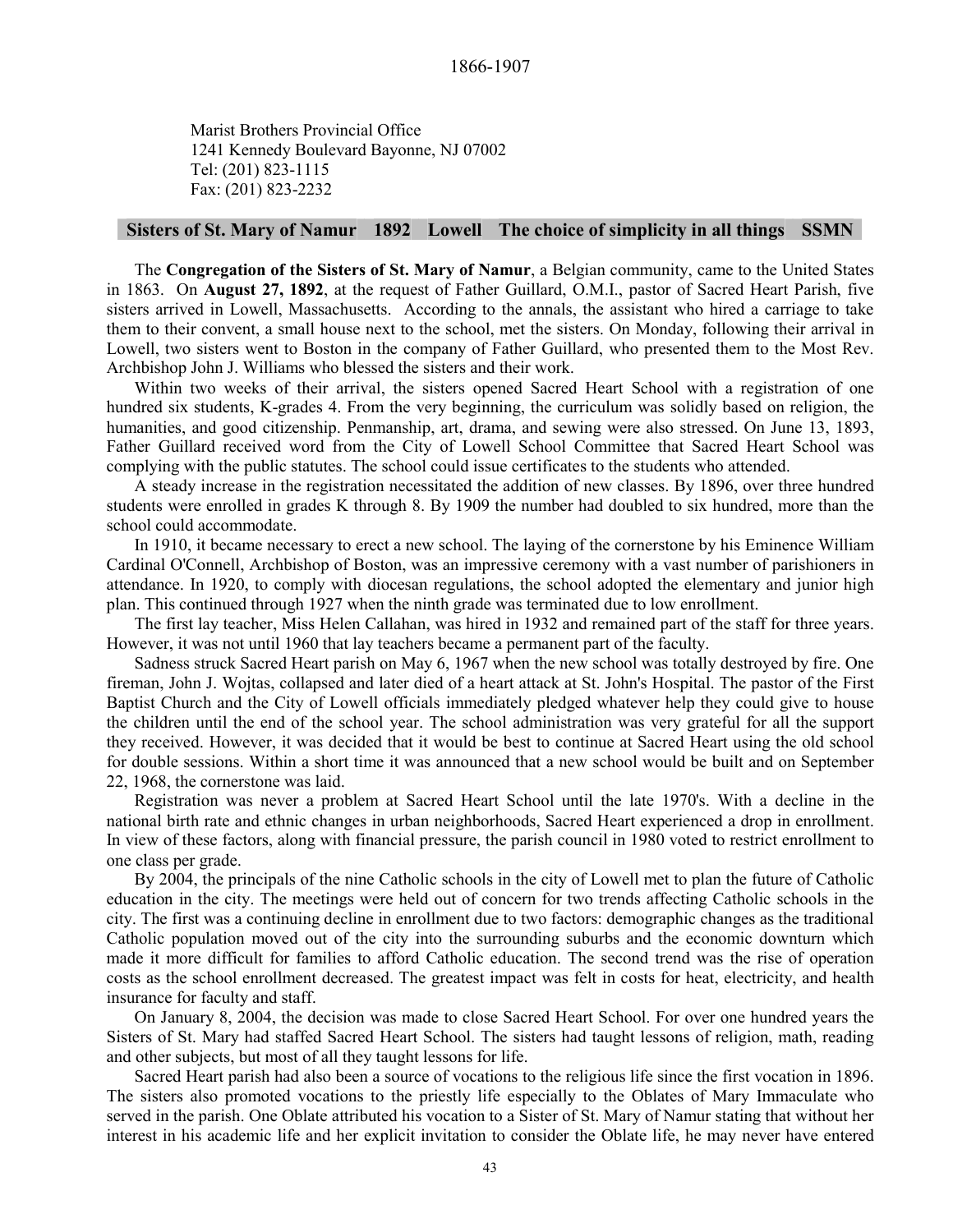Marist Brothers Provincial Office 1241 Kennedy Boulevard Bayonne, NJ 07002 Tel: (201) 823-1115 Fax: (201) 823-2232

# **Sisters of St. Mary of Namur 1892 Lowell The choice of simplicity in all things SSMN**

The **Congregation of the Sisters of St. Mary of Namur**, a Belgian community, came to the United States in 1863. On **August 27, 1892**, at the request of Father Guillard, O.M.I., pastor of Sacred Heart Parish, five sisters arrived in Lowell, Massachusetts. According to the annals, the assistant who hired a carriage to take them to their convent, a small house next to the school, met the sisters. On Monday, following their arrival in Lowell, two sisters went to Boston in the company of Father Guillard, who presented them to the Most Rev. Archbishop John J. Williams who blessed the sisters and their work.

Within two weeks of their arrival, the sisters opened Sacred Heart School with a registration of one hundred six students, K-grades 4. From the very beginning, the curriculum was solidly based on religion, the humanities, and good citizenship. Penmanship, art, drama, and sewing were also stressed. On June 13, 1893, Father Guillard received word from the City of Lowell School Committee that Sacred Heart School was complying with the public statutes. The school could issue certificates to the students who attended.

A steady increase in the registration necessitated the addition of new classes. By 1896, over three hundred students were enrolled in grades K through 8. By 1909 the number had doubled to six hundred, more than the school could accommodate.

In 1910, it became necessary to erect a new school. The laying of the cornerstone by his Eminence William Cardinal O'Connell, Archbishop of Boston, was an impressive ceremony with a vast number of parishioners in attendance. In 1920, to comply with diocesan regulations, the school adopted the elementary and junior high plan. This continued through 1927 when the ninth grade was terminated due to low enrollment.

The first lay teacher, Miss Helen Callahan, was hired in 1932 and remained part of the staff for three years. However, it was not until 1960 that lay teachers became a permanent part of the faculty.

Sadness struck Sacred Heart parish on May 6, 1967 when the new school was totally destroyed by fire. One fireman, John J. Wojtas, collapsed and later died of a heart attack at St. John's Hospital. The pastor of the First Baptist Church and the City of Lowell officials immediately pledged whatever help they could give to house the children until the end of the school year. The school administration was very grateful for all the support they received. However, it was decided that it would be best to continue at Sacred Heart using the old school for double sessions. Within a short time it was announced that a new school would be built and on September 22, 1968, the cornerstone was laid.

Registration was never a problem at Sacred Heart School until the late 1970's. With a decline in the national birth rate and ethnic changes in urban neighborhoods, Sacred Heart experienced a drop in enrollment. In view of these factors, along with financial pressure, the parish council in 1980 voted to restrict enrollment to one class per grade.

By 2004, the principals of the nine Catholic schools in the city of Lowell met to plan the future of Catholic education in the city. The meetings were held out of concern for two trends affecting Catholic schools in the city. The first was a continuing decline in enrollment due to two factors: demographic changes as the traditional Catholic population moved out of the city into the surrounding suburbs and the economic downturn which made it more difficult for families to afford Catholic education. The second trend was the rise of operation costs as the school enrollment decreased. The greatest impact was felt in costs for heat, electricity, and health insurance for faculty and staff.

On January 8, 2004, the decision was made to close Sacred Heart School. For over one hundred years the Sisters of St. Mary had staffed Sacred Heart School. The sisters had taught lessons of religion, math, reading and other subjects, but most of all they taught lessons for life.

Sacred Heart parish had also been a source of vocations to the religious life since the first vocation in 1896. The sisters also promoted vocations to the priestly life especially to the Oblates of Mary Immaculate who served in the parish. One Oblate attributed his vocation to a Sister of St. Mary of Namur stating that without her interest in his academic life and her explicit invitation to consider the Oblate life, he may never have entered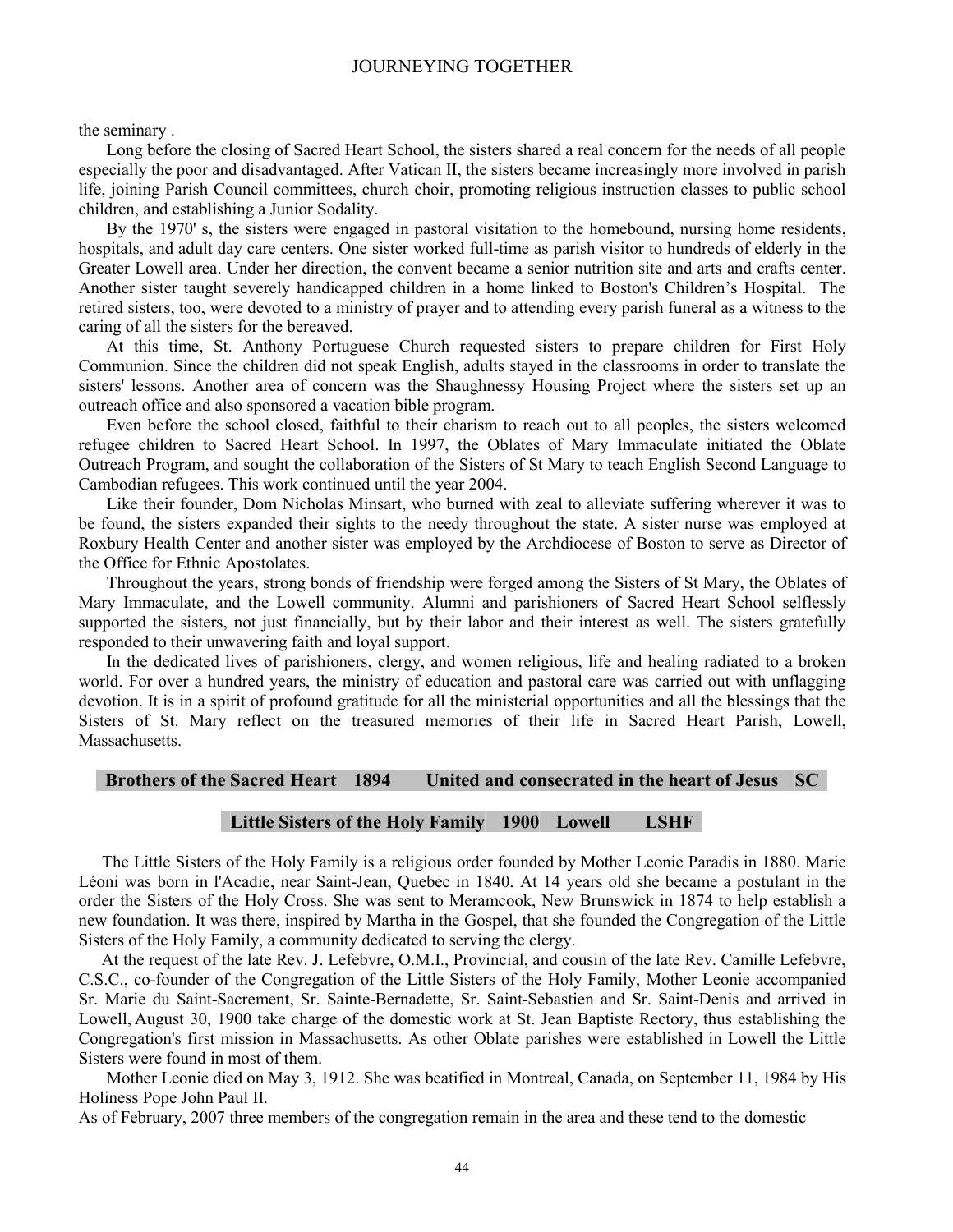the seminary .

Long before the closing of Sacred Heart School, the sisters shared a real concern for the needs of all people especially the poor and disadvantaged. After Vatican II, the sisters became increasingly more involved in parish life, joining Parish Council committees, church choir, promoting religious instruction classes to public school children, and establishing a Junior Sodality.

By the 1970' s, the sisters were engaged in pastoral visitation to the homebound, nursing home residents, hospitals, and adult day care centers. One sister worked full-time as parish visitor to hundreds of elderly in the Greater Lowell area. Under her direction, the convent became a senior nutrition site and arts and crafts center. Another sister taught severely handicapped children in a home linked to Boston's Children's Hospital. The retired sisters, too, were devoted to a ministry of prayer and to attending every parish funeral as a witness to the caring of all the sisters for the bereaved.

At this time, St. Anthony Portuguese Church requested sisters to prepare children for First Holy Communion. Since the children did not speak English, adults stayed in the classrooms in order to translate the sisters' lessons. Another area of concern was the Shaughnessy Housing Project where the sisters set up an outreach office and also sponsored a vacation bible program.

Even before the school closed, faithful to their charism to reach out to all peoples, the sisters welcomed refugee children to Sacred Heart School. In 1997, the Oblates of Mary Immaculate initiated the Oblate Outreach Program, and sought the collaboration of the Sisters of St Mary to teach English Second Language to Cambodian refugees. This work continued until the year 2004.

Like their founder, Dom Nicholas Minsart, who burned with zeal to alleviate suffering wherever it was to be found, the sisters expanded their sights to the needy throughout the state. A sister nurse was employed at Roxbury Health Center and another sister was employed by the Archdiocese of Boston to serve as Director of the Office for Ethnic Apostolates.

Throughout the years, strong bonds of friendship were forged among the Sisters of St Mary, the Oblates of Mary Immaculate, and the Lowell community. Alumni and parishioners of Sacred Heart School selflessly supported the sisters, not just financially, but by their labor and their interest as well. The sisters gratefully responded to their unwavering faith and loyal support.

In the dedicated lives of parishioners, clergy, and women religious, life and healing radiated to a broken world. For over a hundred years, the ministry of education and pastoral care was carried out with unflagging devotion. It is in a spirit of profound gratitude for all the ministerial opportunities and all the blessings that the Sisters of St. Mary reflect on the treasured memories of their life in Sacred Heart Parish, Lowell, **Massachusetts** 

#### **Brothers of the Sacred Heart 1894 United and consecrated in the heart of Jesus SC**

# **Little Sisters of the Holy Family 1900 Lowell LSHF**

The Little Sisters of the Holy Family is a religious order founded by Mother Leonie Paradis in 1880. Marie Léoni was born in l'Acadie, near Saint-Jean, Quebec in 1840. At 14 years old she became a postulant in the order the Sisters of the Holy Cross. She was sent to Meramcook, New Brunswick in 1874 to help establish a new foundation. It was there, inspired by Martha in the Gospel, that she founded the Congregation of the Little Sisters of the Holy Family, a community dedicated to serving the clergy.

At the request of the late Rev. J. Lefebvre, O.M.I., Provincial, and cousin of the late Rev. Camille Lefebvre, C.S.C., co-founder of the Congregation of the Little Sisters of the Holy Family, Mother Leonie accompanied Sr. Marie du Saint-Sacrement, Sr. Sainte-Bernadette, Sr. Saint-Sebastien and Sr. Saint-Denis and arrived in Lowell, August 30, 1900 take charge of the domestic work at St. Jean Baptiste Rectory, thus establishing the Congregation's first mission in Massachusetts. As other Oblate parishes were established in Lowell the Little Sisters were found in most of them.

Mother Leonie died on May 3, 1912. She was beatified in Montreal, Canada, on September 11, 1984 by His Holiness Pope John Paul II.

As of February, 2007 three members of the congregation remain in the area and these tend to the domestic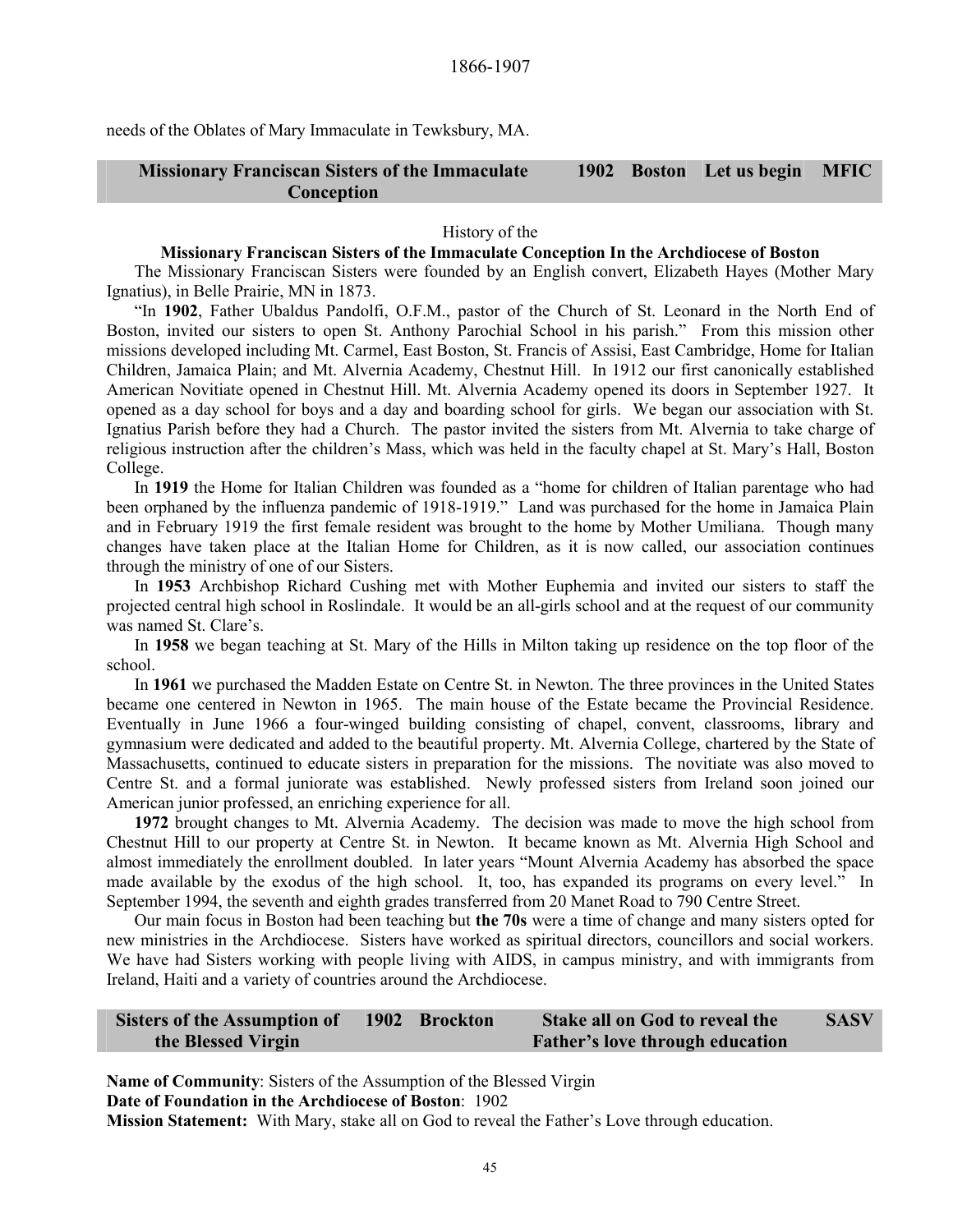needs of the Oblates of Mary Immaculate in Tewksbury, MA.

#### **Missionary Franciscan Sisters of the Immaculate Conception 1902 Boston Let us begin MFIC**

#### History of the

#### **Missionary Franciscan Sisters of the Immaculate Conception In the Archdiocese of Boston**

The Missionary Franciscan Sisters were founded by an English convert, Elizabeth Hayes (Mother Mary Ignatius), in Belle Prairie, MN in 1873.

"In **1902**, Father Ubaldus Pandolfi, O.F.M., pastor of the Church of St. Leonard in the North End of Boston, invited our sisters to open St. Anthony Parochial School in his parish." From this mission other missions developed including Mt. Carmel, East Boston, St. Francis of Assisi, East Cambridge, Home for Italian Children, Jamaica Plain; and Mt. Alvernia Academy, Chestnut Hill. In 1912 our first canonically established American Novitiate opened in Chestnut Hill. Mt. Alvernia Academy opened its doors in September 1927. It opened as a day school for boys and a day and boarding school for girls. We began our association with St. Ignatius Parish before they had a Church. The pastor invited the sisters from Mt. Alvernia to take charge of religious instruction after the children's Mass, which was held in the faculty chapel at St. Mary's Hall, Boston College.

In **1919** the Home for Italian Children was founded as a "home for children of Italian parentage who had been orphaned by the influenza pandemic of 1918-1919." Land was purchased for the home in Jamaica Plain and in February 1919 the first female resident was brought to the home by Mother Umiliana. Though many changes have taken place at the Italian Home for Children, as it is now called, our association continues through the ministry of one of our Sisters.

In **1953** Archbishop Richard Cushing met with Mother Euphemia and invited our sisters to staff the projected central high school in Roslindale. It would be an all-girls school and at the request of our community was named St. Clare's.

In **1958** we began teaching at St. Mary of the Hills in Milton taking up residence on the top floor of the school.

In **1961** we purchased the Madden Estate on Centre St. in Newton. The three provinces in the United States became one centered in Newton in 1965. The main house of the Estate became the Provincial Residence. Eventually in June 1966 a four-winged building consisting of chapel, convent, classrooms, library and gymnasium were dedicated and added to the beautiful property. Mt. Alvernia College, chartered by the State of Massachusetts, continued to educate sisters in preparation for the missions. The novitiate was also moved to Centre St. and a formal juniorate was established. Newly professed sisters from Ireland soon joined our American junior professed, an enriching experience for all.

**1972** brought changes to Mt. Alvernia Academy. The decision was made to move the high school from Chestnut Hill to our property at Centre St. in Newton. It became known as Mt. Alvernia High School and almost immediately the enrollment doubled. In later years "Mount Alvernia Academy has absorbed the space made available by the exodus of the high school. It, too, has expanded its programs on every level." In September 1994, the seventh and eighth grades transferred from 20 Manet Road to 790 Centre Street.

Our main focus in Boston had been teaching but **the 70s** were a time of change and many sisters opted for new ministries in the Archdiocese. Sisters have worked as spiritual directors, councillors and social workers. We have had Sisters working with people living with AIDS, in campus ministry, and with immigrants from Ireland, Haiti and a variety of countries around the Archdiocese.

| <b>Sisters of the Assumption of</b> | 1902 Brockton | <b>Stake all on God to reveal the</b>  | <b>SASV</b> |
|-------------------------------------|---------------|----------------------------------------|-------------|
| the Blessed Virgin                  |               | <b>Father's love through education</b> |             |

**Name of Community**: Sisters of the Assumption of the Blessed Virgin **Date of Foundation in the Archdiocese of Boston**: 1902

**Mission Statement:** With Mary, stake all on God to reveal the Father's Love through education.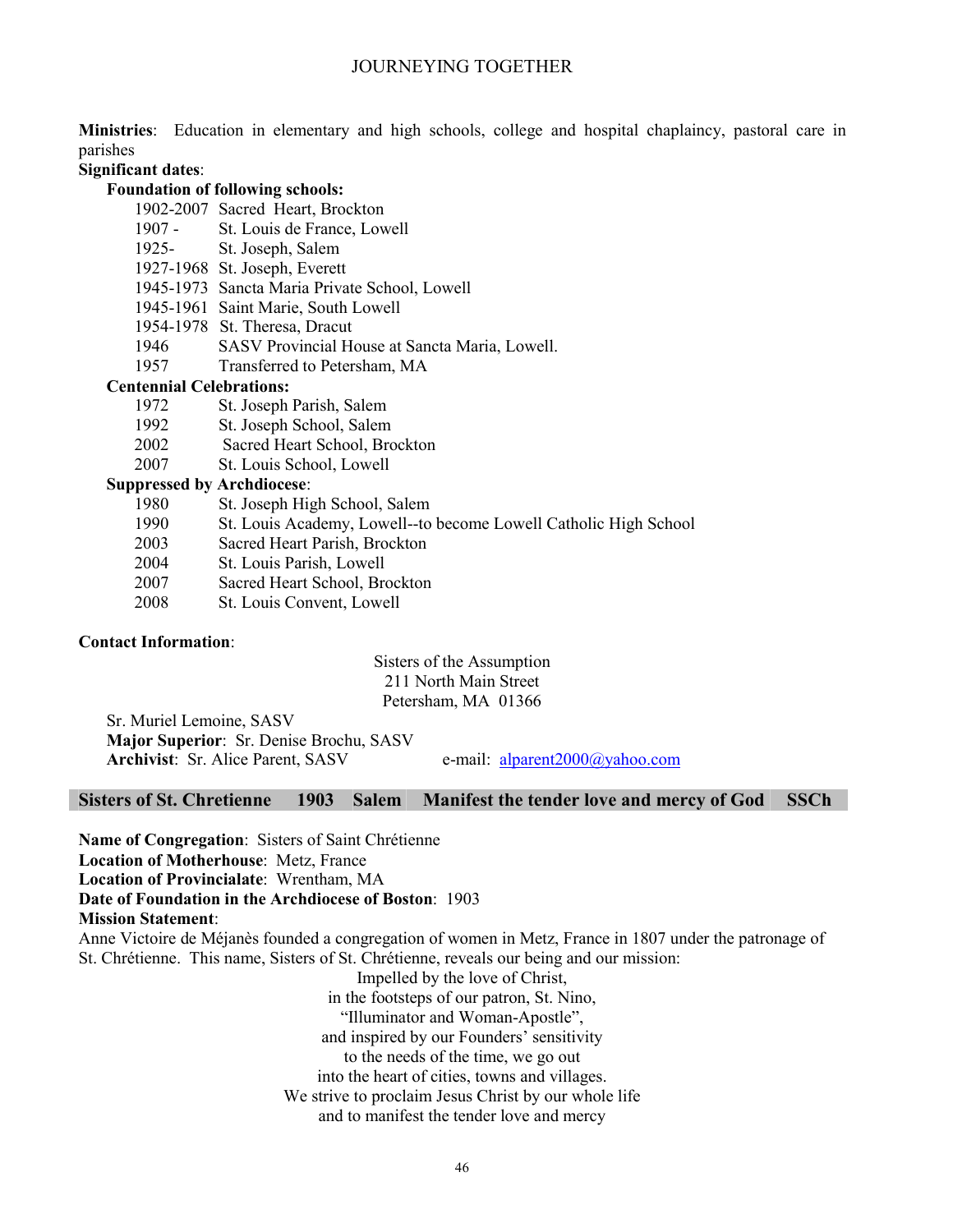**Ministries**: Education in elementary and high schools, college and hospital chaplaincy, pastoral care in parishes

# **Significant dates**:

# **Foundation of following schools:**

- 1902-2007 Sacred Heart, Brockton
- 1907 St. Louis de France, Lowell
- 1925- St. Joseph, Salem
- 1927-1968 St. Joseph, Everett
- 1945-1973 Sancta Maria Private School, Lowell
- 1945-1961 Saint Marie, South Lowell
- 1954-1978 St. Theresa, Dracut
- 1946 SASV Provincial House at Sancta Maria, Lowell.
- 1957 Transferred to Petersham, MA

# **Centennial Celebrations:**

- 1972St. Joseph Parish, Salem
- 1992 St. Joseph School, Salem
- 2002 Sacred Heart School, Brockton
- 2007 St. Louis School, Lowell

# **Suppressed by Archdiocese**:

- 1980 St. Joseph High School, Salem
- 1990 St. Louis Academy, Lowell--to become Lowell Catholic High School
- 2003 Sacred Heart Parish, Brockton
- 2004 St. Louis Parish, Lowell
- 2007 Sacred Heart School, Brockton
- 2008 St. Louis Convent, Lowell

# **Contact Information**:

# Sisters of the Assumption 211 North Main Street Petersham, MA 01366

Sr. Muriel Lemoine, SASV **Major Superior**: Sr. Denise Brochu, SASV **Archivist**: Sr. Alice Parent, SASV e-mail: alparent2000@yahoo.com

#### **Sisters of St. Chretienne 1903 Salem Manifest the tender love and mercy of God SSCh**

**Name of Congregation**: Sisters of Saint Chrétienne

**Location of Motherhouse**: Metz, France

**Location of Provincialate**: Wrentham, MA

# **Date of Foundation in the Archdiocese of Boston**: 1903

**Mission Statement**:

Anne Victoire de Méjanès founded a congregation of women in Metz, France in 1807 under the patronage of St. Chrétienne. This name, Sisters of St. Chrétienne, reveals our being and our mission:

Impelled by the love of Christ,

in the footsteps of our patron, St. Nino,

"Illuminator and Woman-Apostle",

and inspired by our Founders' sensitivity

- to the needs of the time, we go out
- into the heart of cities, towns and villages.
- We strive to proclaim Jesus Christ by our whole life

and to manifest the tender love and mercy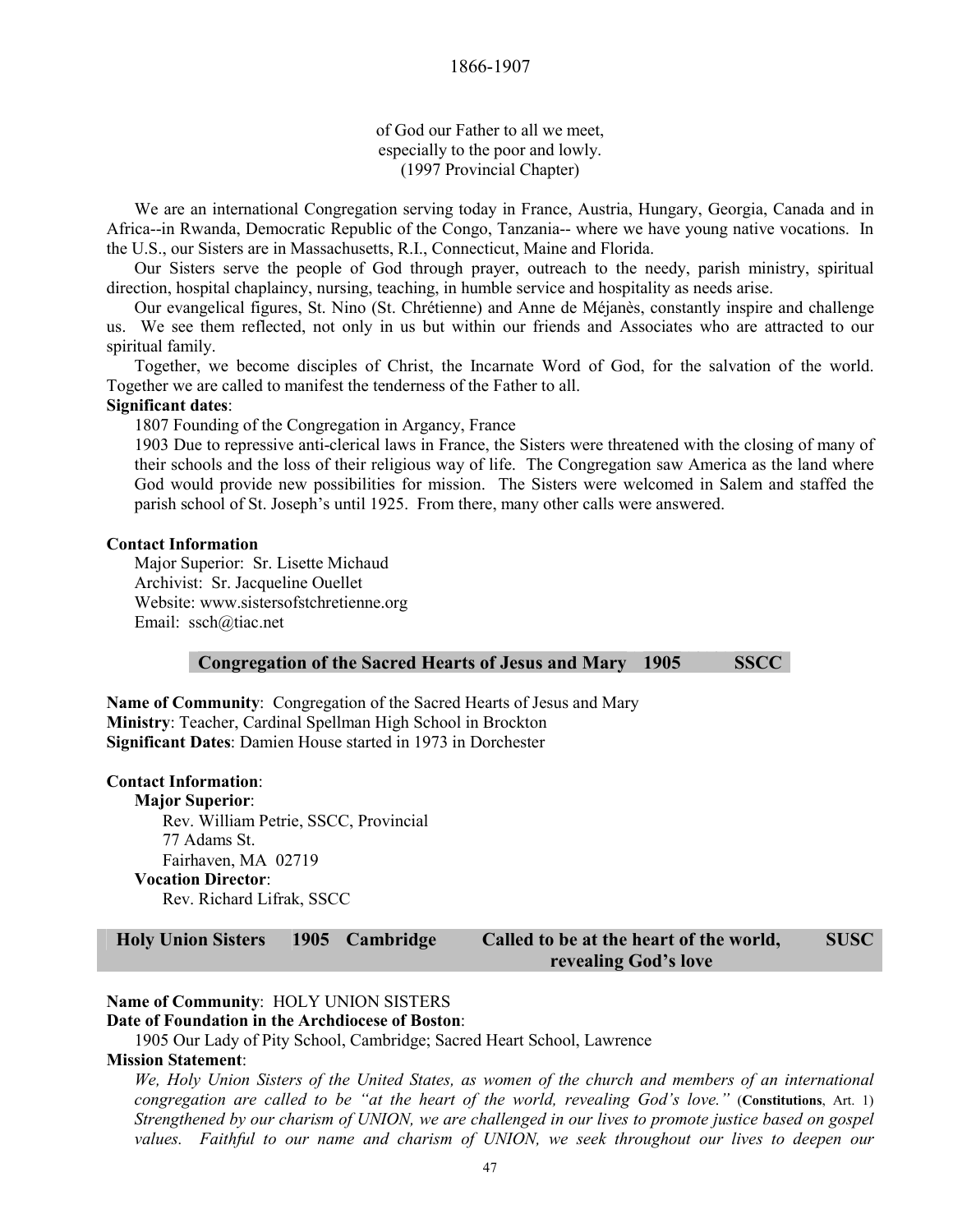of God our Father to all we meet, especially to the poor and lowly. (1997 Provincial Chapter)

We are an international Congregation serving today in France, Austria, Hungary, Georgia, Canada and in Africa--in Rwanda, Democratic Republic of the Congo, Tanzania-- where we have young native vocations. In the U.S., our Sisters are in Massachusetts, R.I., Connecticut, Maine and Florida.

Our Sisters serve the people of God through prayer, outreach to the needy, parish ministry, spiritual direction, hospital chaplaincy, nursing, teaching, in humble service and hospitality as needs arise.

Our evangelical figures, St. Nino (St. Chrétienne) and Anne de Méjanès, constantly inspire and challenge us. We see them reflected, not only in us but within our friends and Associates who are attracted to our spiritual family.

Together, we become disciples of Christ, the Incarnate Word of God, for the salvation of the world. Together we are called to manifest the tenderness of the Father to all.

#### **Significant dates**:

1807 Founding of the Congregation in Argancy, France

1903 Due to repressive anti-clerical laws in France, the Sisters were threatened with the closing of many of their schools and the loss of their religious way of life. The Congregation saw America as the land where God would provide new possibilities for mission. The Sisters were welcomed in Salem and staffed the parish school of St. Joseph's until 1925. From there, many other calls were answered.

#### **Contact Information**

 Major Superior: Sr. Lisette Michaud Archivist: Sr. Jacqueline Ouellet Website: www.sistersofstchretienne.org Email: ssch@tiac.net

**Congregation of the Sacred Hearts of Jesus and Mary 1905 SSCC** 

**Name of Community**: Congregation of the Sacred Hearts of Jesus and Mary **Ministry**: Teacher, Cardinal Spellman High School in Brockton **Significant Dates**: Damien House started in 1973 in Dorchester

#### **Contact Information**:

**Major Superior**: Rev. William Petrie, SSCC, Provincial 77 Adams St. Fairhaven, MA 02719 **Vocation Director**: Rev. Richard Lifrak, SSCC

**Holy Union Sisters 1905 Cambridge Called to be at the heart of the world, revealing God's love SUSC** 

# **Name of Community**: HOLY UNION SISTERS

**Date of Foundation in the Archdiocese of Boston**:

1905 Our Lady of Pity School, Cambridge; Sacred Heart School, Lawrence

# **Mission Statement**:

*We, Holy Union Sisters of the United States, as women of the church and members of an international congregation are called to be "at the heart of the world, revealing God's love."* (**Constitutions**, Art. 1) *Strengthened by our charism of UNION, we are challenged in our lives to promote justice based on gospel values. Faithful to our name and charism of UNION, we seek throughout our lives to deepen our*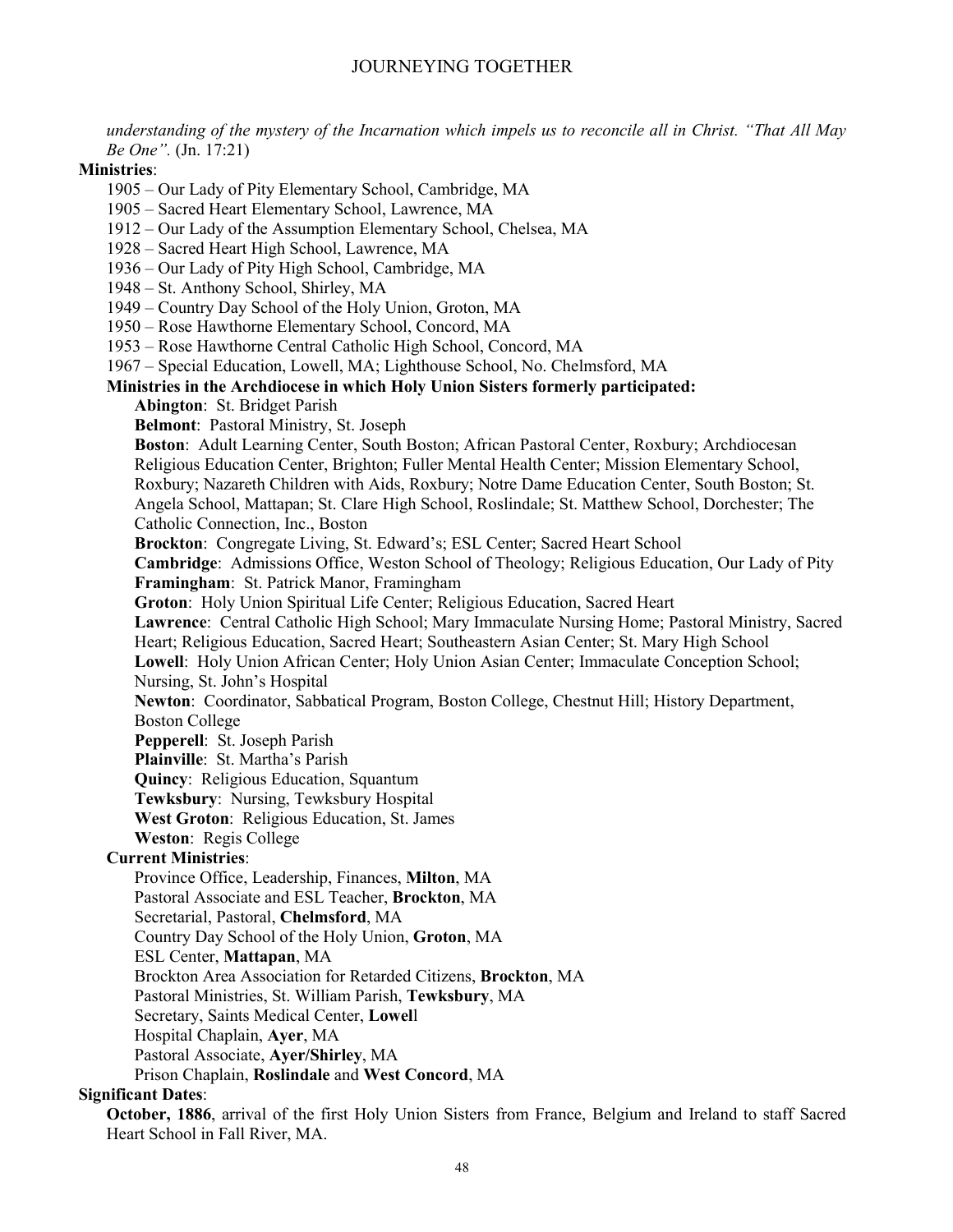*understanding of the mystery of the Incarnation which impels us to reconcile all in Christ. "That All May Be One".* (Jn. 17:21)

#### **Ministries**:

1905 – Our Lady of Pity Elementary School, Cambridge, MA

1905 – Sacred Heart Elementary School, Lawrence, MA

- 1912 Our Lady of the Assumption Elementary School, Chelsea, MA
- 1928 Sacred Heart High School, Lawrence, MA

1936 – Our Lady of Pity High School, Cambridge, MA

1948 – St. Anthony School, Shirley, MA

1949 – Country Day School of the Holy Union, Groton, MA

1950 – Rose Hawthorne Elementary School, Concord, MA

1953 – Rose Hawthorne Central Catholic High School, Concord, MA

1967 – Special Education, Lowell, MA; Lighthouse School, No. Chelmsford, MA

#### **Ministries in the Archdiocese in which Holy Union Sisters formerly participated:**

**Abington**: St. Bridget Parish

**Belmont**: Pastoral Ministry, St. Joseph

**Boston**: Adult Learning Center, South Boston; African Pastoral Center, Roxbury; Archdiocesan Religious Education Center, Brighton; Fuller Mental Health Center; Mission Elementary School, Roxbury; Nazareth Children with Aids, Roxbury; Notre Dame Education Center, South Boston; St. Angela School, Mattapan; St. Clare High School, Roslindale; St. Matthew School, Dorchester; The Catholic Connection, Inc., Boston **Brockton**: Congregate Living, St. Edward's; ESL Center; Sacred Heart School **Cambridge**: Admissions Office, Weston School of Theology; Religious Education, Our Lady of Pity **Framingham**: St. Patrick Manor, Framingham **Groton**: Holy Union Spiritual Life Center; Religious Education, Sacred Heart **Lawrence**: Central Catholic High School; Mary Immaculate Nursing Home; Pastoral Ministry, Sacred Heart; Religious Education, Sacred Heart; Southeastern Asian Center; St. Mary High School **Lowell**: Holy Union African Center; Holy Union Asian Center; Immaculate Conception School; Nursing, St. John's Hospital **Newton**: Coordinator, Sabbatical Program, Boston College, Chestnut Hill; History Department, Boston College **Pepperell**: St. Joseph Parish **Plainville**: St. Martha's Parish **Quincy**: Religious Education, Squantum **Tewksbury**: Nursing, Tewksbury Hospital **West Groton**: Religious Education, St. James **Weston**: Regis College **Current Ministries**: Province Office, Leadership, Finances, **Milton**, MA Pastoral Associate and ESL Teacher, **Brockton**, MA Secretarial, Pastoral, **Chelmsford**, MA Country Day School of the Holy Union, **Groton**, MA ESL Center, **Mattapan**, MA

Brockton Area Association for Retarded Citizens, **Brockton**, MA

Pastoral Ministries, St. William Parish, **Tewksbury**, MA

Secretary, Saints Medical Center, **Lowel**l

Hospital Chaplain, **Ayer**, MA

Pastoral Associate, **Ayer/Shirley**, MA

Prison Chaplain, **Roslindale** and **West Concord**, MA

# **Significant Dates**:

**October, 1886**, arrival of the first Holy Union Sisters from France, Belgium and Ireland to staff Sacred Heart School in Fall River, MA.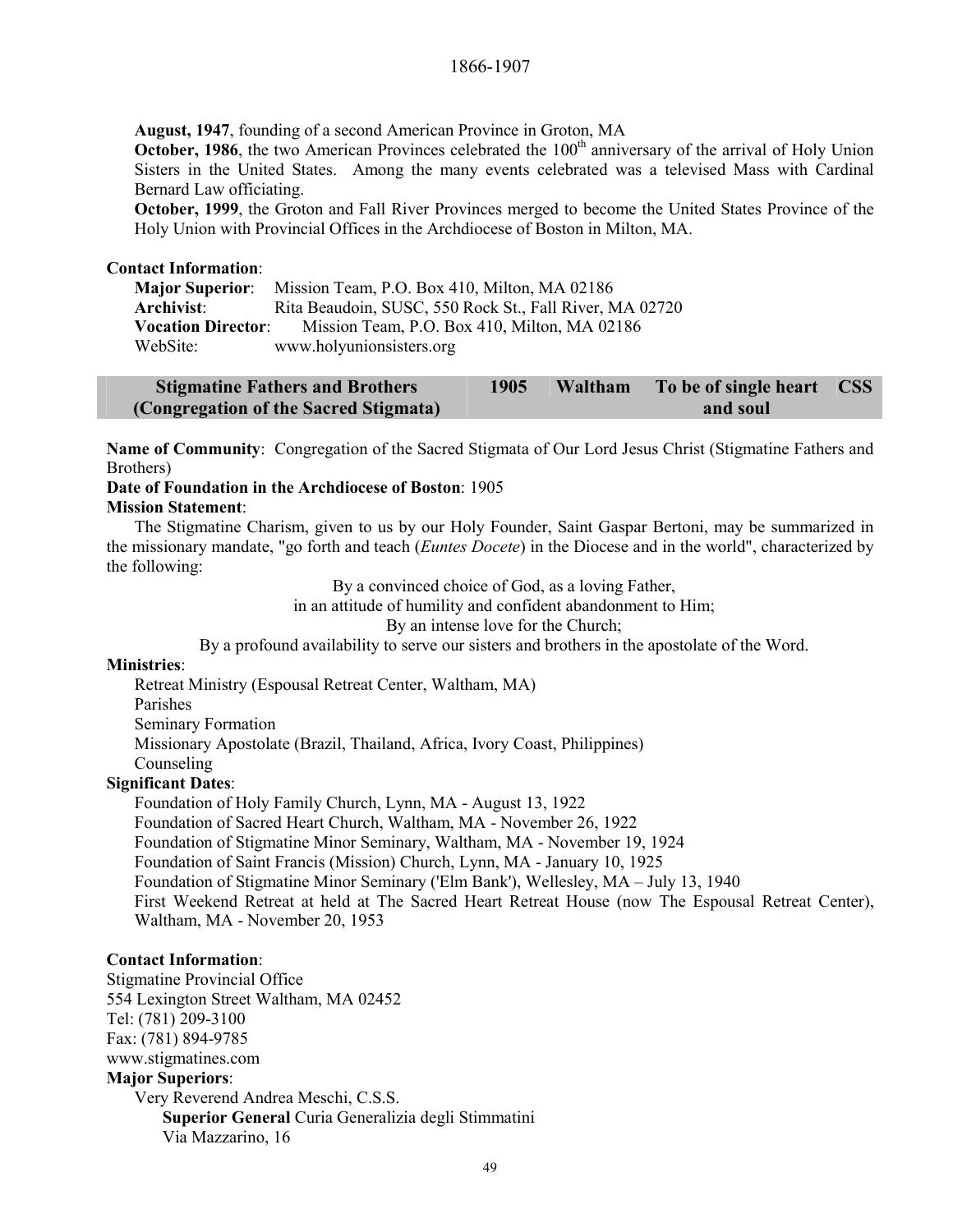**August, 1947**, founding of a second American Province in Groton, MA

**October, 1986**, the two American Provinces celebrated the 100<sup>th</sup> anniversary of the arrival of Holy Union Sisters in the United States. Among the many events celebrated was a televised Mass with Cardinal Bernard Law officiating.

**October, 1999**, the Groton and Fall River Provinces merged to become the United States Province of the Holy Union with Provincial Offices in the Archdiocese of Boston in Milton, MA.

#### **Contact Information**:

**Major Superior**: Mission Team, P.O. Box 410, Milton, MA 02186 **Archivist**: Rita Beaudoin, SUSC, 550 Rock St., Fall River, MA 02720 **Vocation Director**: Mission Team, P.O. Box 410, Milton, MA 02186 WebSite: www.holyunionsisters.org

| <b>Stigmatine Fathers and Brothers</b> | 1905 | Waltham To be of single heart | CSS <sub>1</sub> |
|----------------------------------------|------|-------------------------------|------------------|
| (Congregation of the Sacred Stigmata)  |      | and soul                      |                  |

**Name of Community**: Congregation of the Sacred Stigmata of Our Lord Jesus Christ (Stigmatine Fathers and Brothers)

#### **Date of Foundation in the Archdiocese of Boston**: 1905 **Mission Statement**:

The Stigmatine Charism, given to us by our Holy Founder, Saint Gaspar Bertoni, may be summarized in the missionary mandate, "go forth and teach (*Euntes Docete*) in the Diocese and in the world", characterized by the following:

By a convinced choice of God, as a loving Father,

in an attitude of humility and confident abandonment to Him;

By an intense love for the Church;

By a profound availability to serve our sisters and brothers in the apostolate of the Word.

#### **Ministries**:

Retreat Ministry (Espousal Retreat Center, Waltham, MA) Parishes

Seminary Formation

Missionary Apostolate (Brazil, Thailand, Africa, Ivory Coast, Philippines)

Counseling

# **Significant Dates**:

Foundation of Holy Family Church, Lynn, MA - August 13, 1922

Foundation of Sacred Heart Church, Waltham, MA - November 26, 1922

Foundation of Stigmatine Minor Seminary, Waltham, MA - November 19, 1924

Foundation of Saint Francis (Mission) Church, Lynn, MA - January 10, 1925

Foundation of Stigmatine Minor Seminary ('Elm Bank'), Wellesley, MA – July 13, 1940

First Weekend Retreat at held at The Sacred Heart Retreat House (now The Espousal Retreat Center), Waltham, MA - November 20, 1953

# **Contact Information**:

Stigmatine Provincial Office 554 Lexington Street Waltham, MA 02452 Tel: (781) 209-3100 Fax: (781) 894-9785 www.stigmatines.com **Major Superiors**: Very Reverend Andrea Meschi, C.S.S. **Superior General** Curia Generalizia degli Stimmatini Via Mazzarino, 16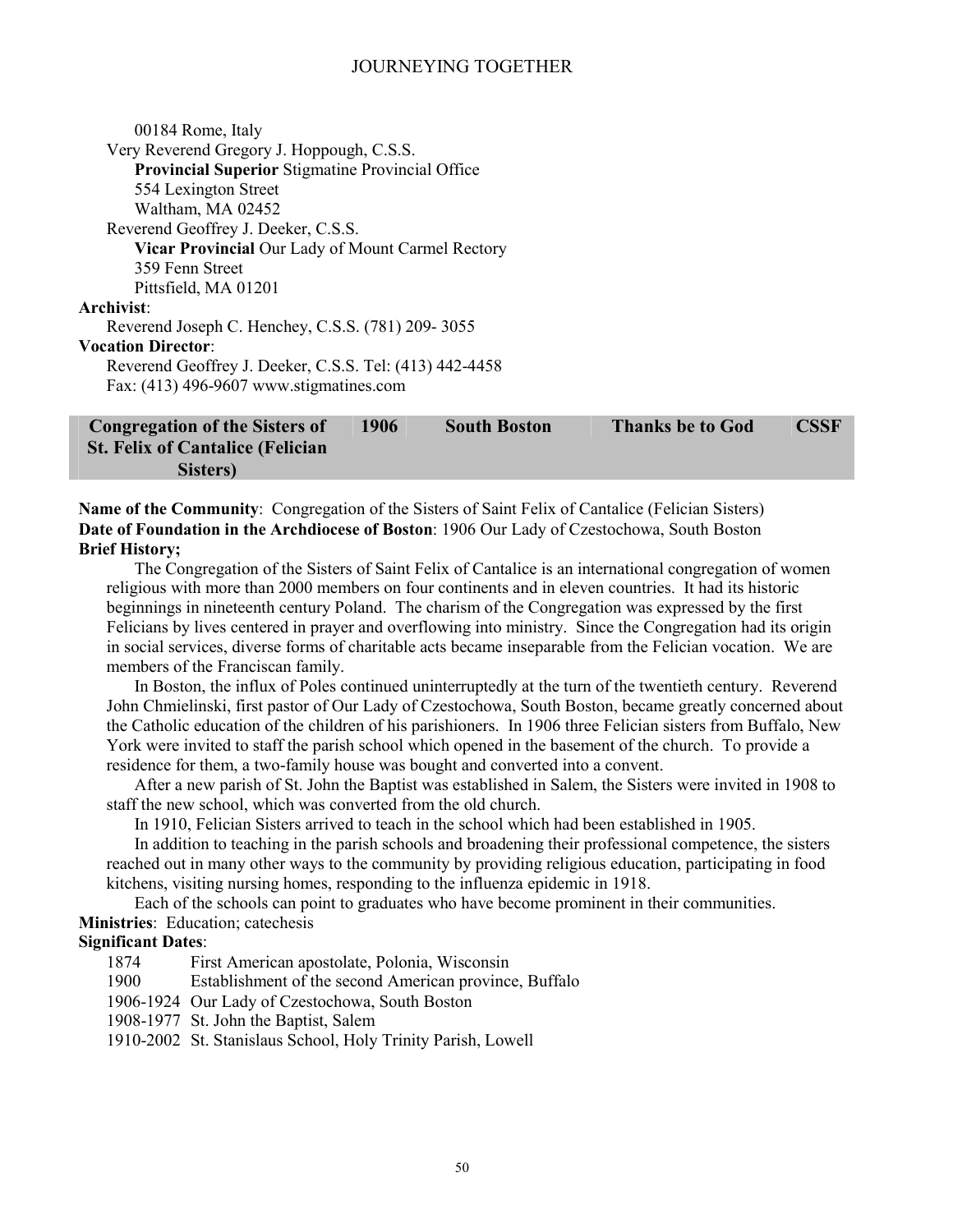| <b>Congregation of the Sisters of</b>                    | 1906 | <b>South Boston</b> | <b>Thanks be to God</b> | CSSF |
|----------------------------------------------------------|------|---------------------|-------------------------|------|
|                                                          |      |                     |                         |      |
| Fax: (413) 496-9607 www.stigmatines.com                  |      |                     |                         |      |
| Reverend Geoffrey J. Deeker, C.S.S. Tel: (413) 442-4458  |      |                     |                         |      |
| <b>Vocation Director:</b>                                |      |                     |                         |      |
| Reverend Joseph C. Henchey, C.S.S. (781) 209-3055        |      |                     |                         |      |
| Archivist:                                               |      |                     |                         |      |
| Pittsfield, MA 01201                                     |      |                     |                         |      |
| 359 Fenn Street                                          |      |                     |                         |      |
| <b>Vicar Provincial Our Lady of Mount Carmel Rectory</b> |      |                     |                         |      |
| Reverend Geoffrey J. Deeker, C.S.S.                      |      |                     |                         |      |
|                                                          |      |                     |                         |      |
| Waltham, MA 02452                                        |      |                     |                         |      |
| 554 Lexington Street                                     |      |                     |                         |      |
| <b>Provincial Superior Stigmatine Provincial Office</b>  |      |                     |                         |      |
| Very Reverend Gregory J. Hoppough, C.S.S.                |      |                     |                         |      |
| 00184 Rome, Italy                                        |      |                     |                         |      |
|                                                          |      |                     |                         |      |

**St. Felix of Cantalice (Felician Sisters)** 

**Name of the Community**: Congregation of the Sisters of Saint Felix of Cantalice (Felician Sisters) **Date of Foundation in the Archdiocese of Boston**: 1906 Our Lady of Czestochowa, South Boston **Brief History;** 

The Congregation of the Sisters of Saint Felix of Cantalice is an international congregation of women religious with more than 2000 members on four continents and in eleven countries. It had its historic beginnings in nineteenth century Poland. The charism of the Congregation was expressed by the first Felicians by lives centered in prayer and overflowing into ministry. Since the Congregation had its origin in social services, diverse forms of charitable acts became inseparable from the Felician vocation. We are members of the Franciscan family.

In Boston, the influx of Poles continued uninterruptedly at the turn of the twentieth century. Reverend John Chmielinski, first pastor of Our Lady of Czestochowa, South Boston, became greatly concerned about the Catholic education of the children of his parishioners. In 1906 three Felician sisters from Buffalo, New York were invited to staff the parish school which opened in the basement of the church. To provide a residence for them, a two-family house was bought and converted into a convent.

After a new parish of St. John the Baptist was established in Salem, the Sisters were invited in 1908 to staff the new school, which was converted from the old church.

In 1910, Felician Sisters arrived to teach in the school which had been established in 1905.

In addition to teaching in the parish schools and broadening their professional competence, the sisters reached out in many other ways to the community by providing religious education, participating in food kitchens, visiting nursing homes, responding to the influenza epidemic in 1918.

Each of the schools can point to graduates who have become prominent in their communities. **Ministries**: Education; catechesis

# **Significant Dates**:

1874 First American apostolate, Polonia, Wisconsin

1900 Establishment of the second American province, Buffalo

1906-1924 Our Lady of Czestochowa, South Boston

1908-1977 St. John the Baptist, Salem

1910-2002 St. Stanislaus School, Holy Trinity Parish, Lowell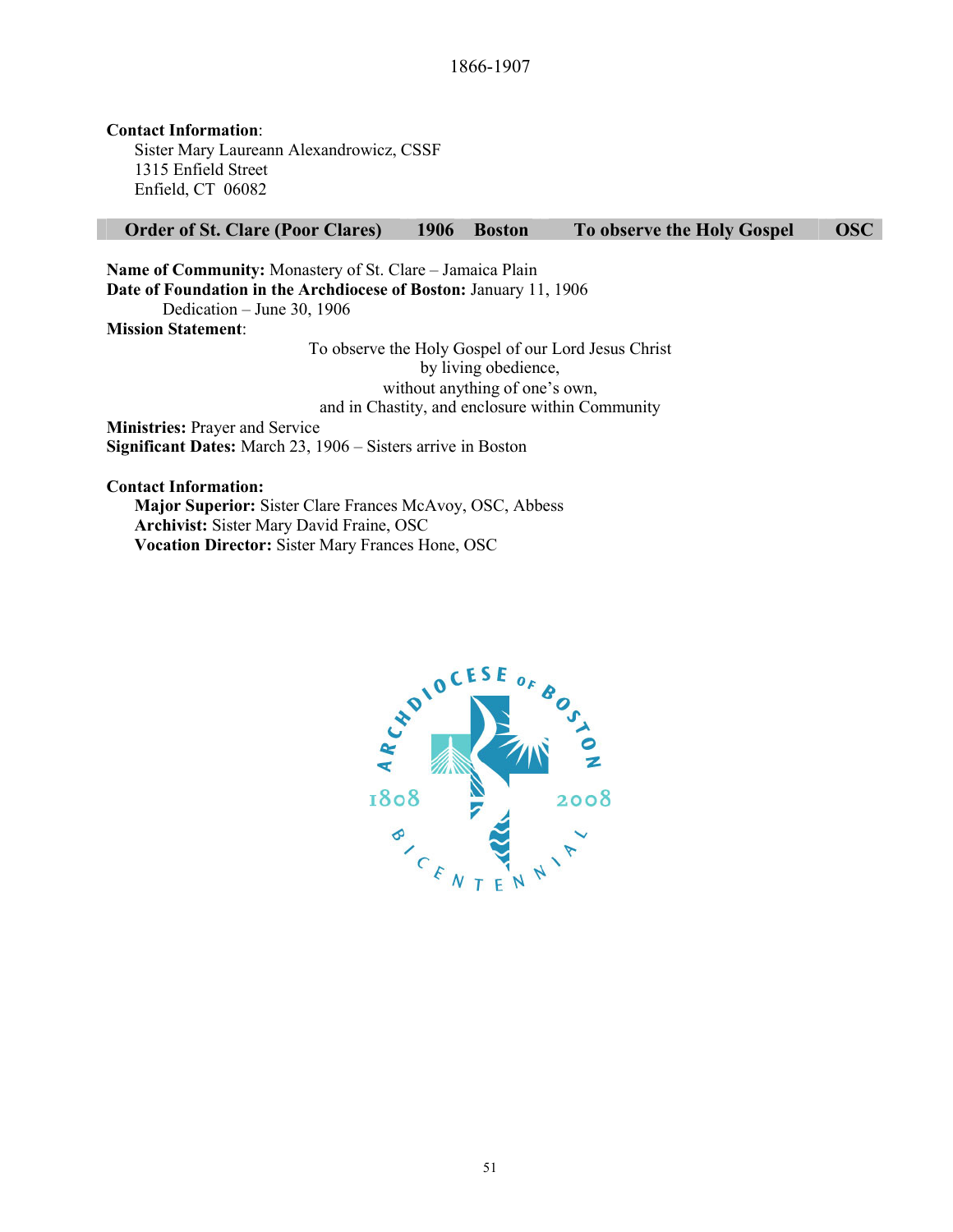**Contact Information**: Sister Mary Laureann Alexandrowicz, CSSF 1315 Enfield Street Enfield, CT 06082

#### **Order of St. Clare (Poor Clares) 1906 Boston To observe the Holy Gospel OSC**

**Name of Community:** Monastery of St. Clare – Jamaica Plain **Date of Foundation in the Archdiocese of Boston:** January 11, 1906 Dedication – June 30, 1906 **Mission Statement**:

> To observe the Holy Gospel of our Lord Jesus Christ by living obedience, without anything of one's own, and in Chastity, and enclosure within Community

**Ministries:** Prayer and Service **Significant Dates:** March 23, 1906 – Sisters arrive in Boston

**Contact Information:** 

**Major Superior:** Sister Clare Frances McAvoy, OSC, Abbess **Archivist:** Sister Mary David Fraine, OSC **Vocation Director:** Sister Mary Frances Hone, OSC

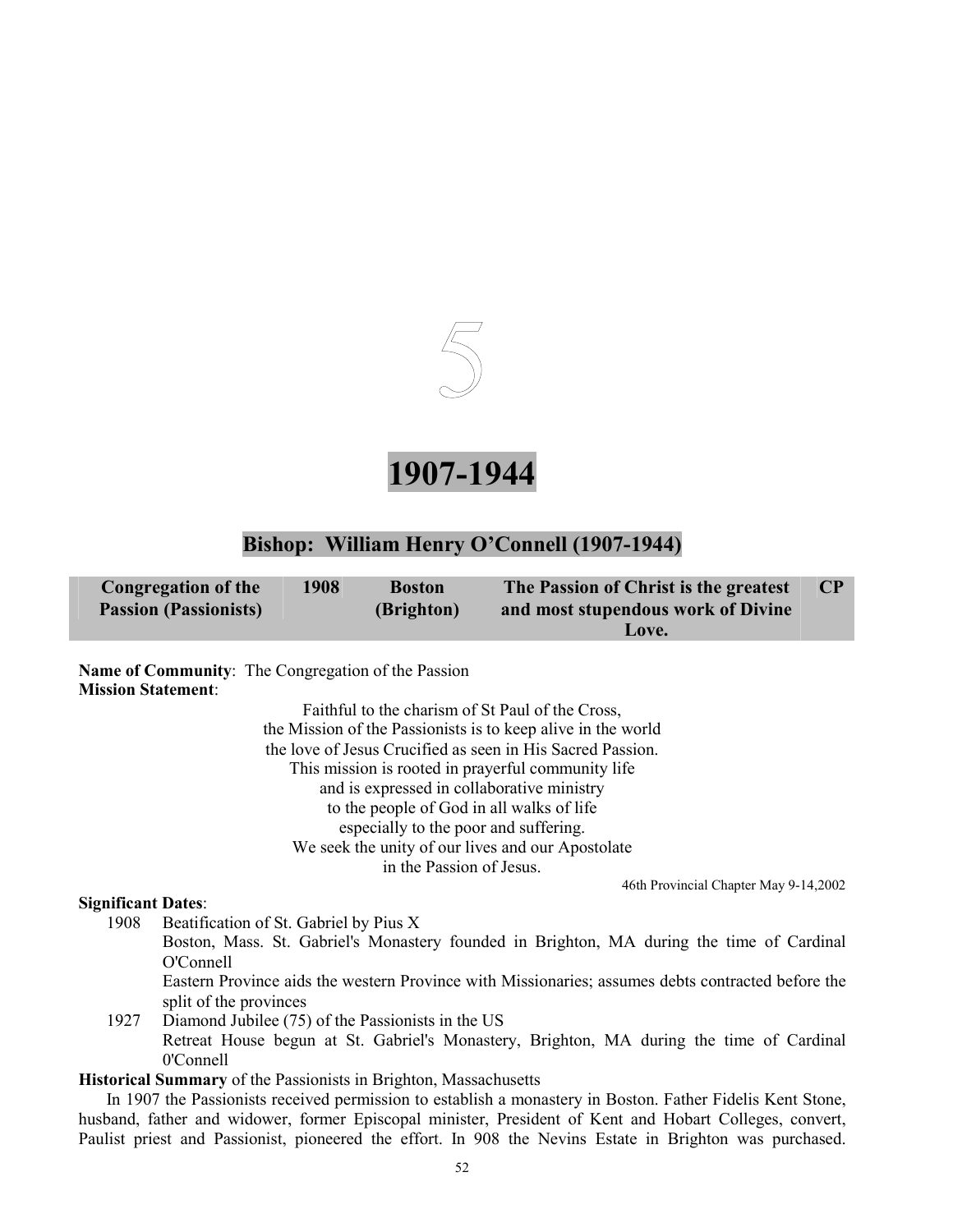

**1907-1944** 

# **Bishop: William Henry O'Connell (1907-1944)**

| Congregation of the          | 1908 | <b>Boston</b> | The Passion of Christ is the greatest |  |
|------------------------------|------|---------------|---------------------------------------|--|
| <b>Passion (Passionists)</b> |      | (Brighton)    | and most stupendous work of Divine    |  |
|                              |      |               | Love.                                 |  |

**Name of Community**: The Congregation of the Passion **Mission Statement**:

> Faithful to the charism of St Paul of the Cross, the Mission of the Passionists is to keep alive in the world the love of Jesus Crucified as seen in His Sacred Passion. This mission is rooted in prayerful community life and is expressed in collaborative ministry to the people of God in all walks of life especially to the poor and suffering. We seek the unity of our lives and our Apostolate in the Passion of Jesus.

> > 46th Provincial Chapter May 9-14,2002

# **Significant Dates**:

1908 Beatification of St. Gabriel by Pius X

Boston, Mass. St. Gabriel's Monastery founded in Brighton, MA during the time of Cardinal O'Connell

Eastern Province aids the western Province with Missionaries; assumes debts contracted before the split of the provinces

1927 Diamond Jubilee (75) of the Passionists in the US Retreat House begun at St. Gabriel's Monastery, Brighton, MA during the time of Cardinal 0'Connell

**Historical Summary** of the Passionists in Brighton, Massachusetts

In 1907 the Passionists received permission to establish a monastery in Boston. Father Fidelis Kent Stone, husband, father and widower, former Episcopal minister, President of Kent and Hobart Colleges, convert, Paulist priest and Passionist, pioneered the effort. In 908 the Nevins Estate in Brighton was purchased.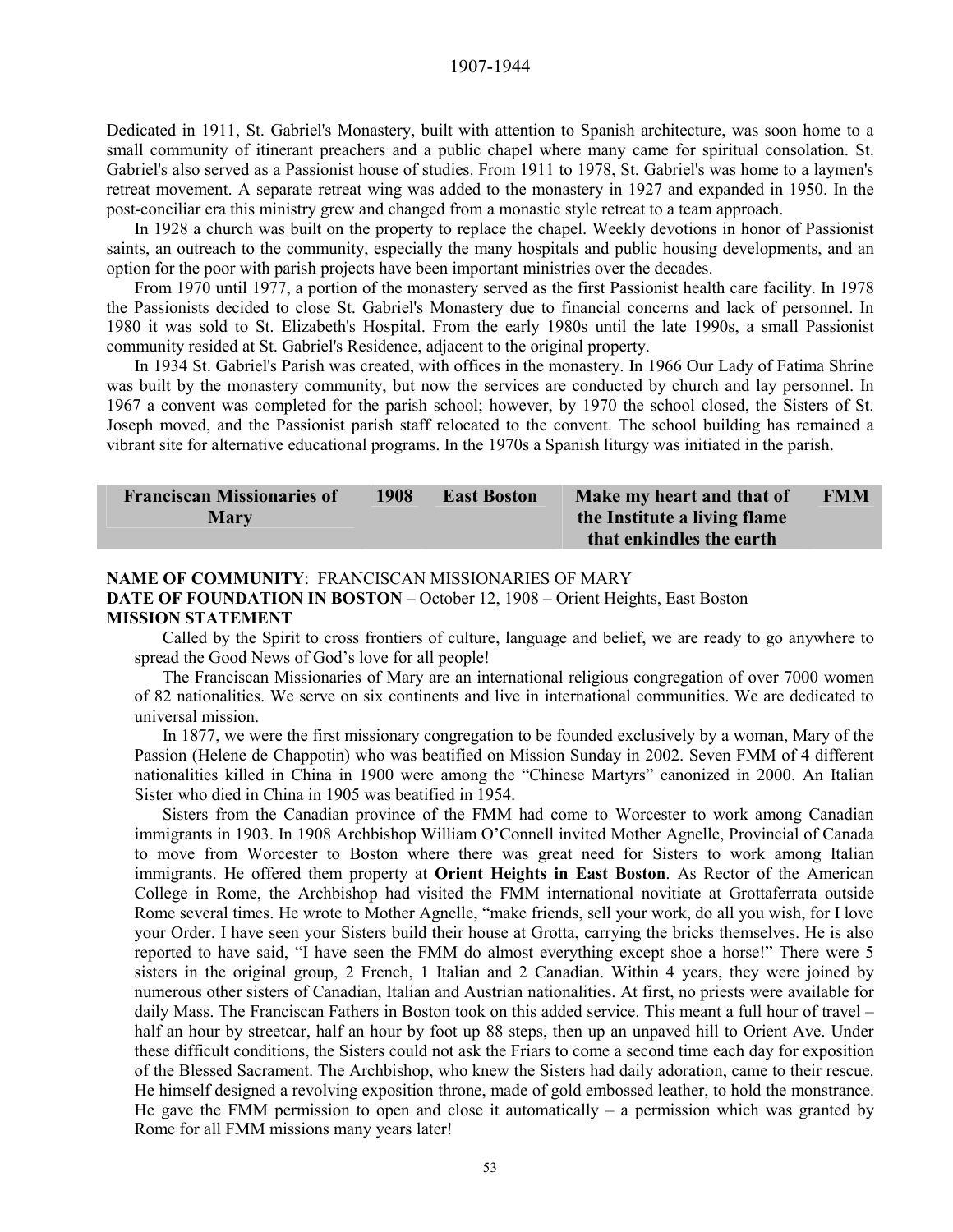Dedicated in 1911, St. Gabriel's Monastery, built with attention to Spanish architecture, was soon home to a small community of itinerant preachers and a public chapel where many came for spiritual consolation. St. Gabriel's also served as a Passionist house of studies. From 1911 to 1978, St. Gabriel's was home to a laymen's retreat movement. A separate retreat wing was added to the monastery in 1927 and expanded in 1950. In the post-conciliar era this ministry grew and changed from a monastic style retreat to a team approach.

In 1928 a church was built on the property to replace the chapel. Weekly devotions in honor of Passionist saints, an outreach to the community, especially the many hospitals and public housing developments, and an option for the poor with parish projects have been important ministries over the decades.

From 1970 until 1977, a portion of the monastery served as the first Passionist health care facility. In 1978 the Passionists decided to close St. Gabriel's Monastery due to financial concerns and lack of personnel. In 1980 it was sold to St. Elizabeth's Hospital. From the early 1980s until the late 1990s, a small Passionist community resided at St. Gabriel's Residence, adjacent to the original property.

In 1934 St. Gabriel's Parish was created, with offices in the monastery. In 1966 Our Lady of Fatima Shrine was built by the monastery community, but now the services are conducted by church and lay personnel. In 1967 a convent was completed for the parish school; however, by 1970 the school closed, the Sisters of St. Joseph moved, and the Passionist parish staff relocated to the convent. The school building has remained a vibrant site for alternative educational programs. In the 1970s a Spanish liturgy was initiated in the parish.

| <b>Franciscan Missionaries of</b> | 1908 | <b>East Boston</b> | Make my heart and that of    | <b>FMM</b> |
|-----------------------------------|------|--------------------|------------------------------|------------|
| <b>Mary</b>                       |      |                    | the Institute a living flame |            |
|                                   |      |                    | that enkindles the earth     |            |

# **NAME OF COMMUNITY**: FRANCISCAN MISSIONARIES OF MARY **DATE OF FOUNDATION IN BOSTON** – October 12, 1908 – Orient Heights, East Boston **MISSION STATEMENT**

Called by the Spirit to cross frontiers of culture, language and belief, we are ready to go anywhere to spread the Good News of God's love for all people!

The Franciscan Missionaries of Mary are an international religious congregation of over 7000 women of 82 nationalities. We serve on six continents and live in international communities. We are dedicated to universal mission.

 In 1877, we were the first missionary congregation to be founded exclusively by a woman, Mary of the Passion (Helene de Chappotin) who was beatified on Mission Sunday in 2002. Seven FMM of 4 different nationalities killed in China in 1900 were among the "Chinese Martyrs" canonized in 2000. An Italian Sister who died in China in 1905 was beatified in 1954.

 Sisters from the Canadian province of the FMM had come to Worcester to work among Canadian immigrants in 1903. In 1908 Archbishop William O'Connell invited Mother Agnelle, Provincial of Canada to move from Worcester to Boston where there was great need for Sisters to work among Italian immigrants. He offered them property at **Orient Heights in East Boston**. As Rector of the American College in Rome, the Archbishop had visited the FMM international novitiate at Grottaferrata outside Rome several times. He wrote to Mother Agnelle, "make friends, sell your work, do all you wish, for I love your Order. I have seen your Sisters build their house at Grotta, carrying the bricks themselves. He is also reported to have said, "I have seen the FMM do almost everything except shoe a horse!" There were 5 sisters in the original group, 2 French, 1 Italian and 2 Canadian. Within 4 years, they were joined by numerous other sisters of Canadian, Italian and Austrian nationalities. At first, no priests were available for daily Mass. The Franciscan Fathers in Boston took on this added service. This meant a full hour of travel – half an hour by streetcar, half an hour by foot up 88 steps, then up an unpaved hill to Orient Ave. Under these difficult conditions, the Sisters could not ask the Friars to come a second time each day for exposition of the Blessed Sacrament. The Archbishop, who knew the Sisters had daily adoration, came to their rescue. He himself designed a revolving exposition throne, made of gold embossed leather, to hold the monstrance. He gave the FMM permission to open and close it automatically  $-$  a permission which was granted by Rome for all FMM missions many years later!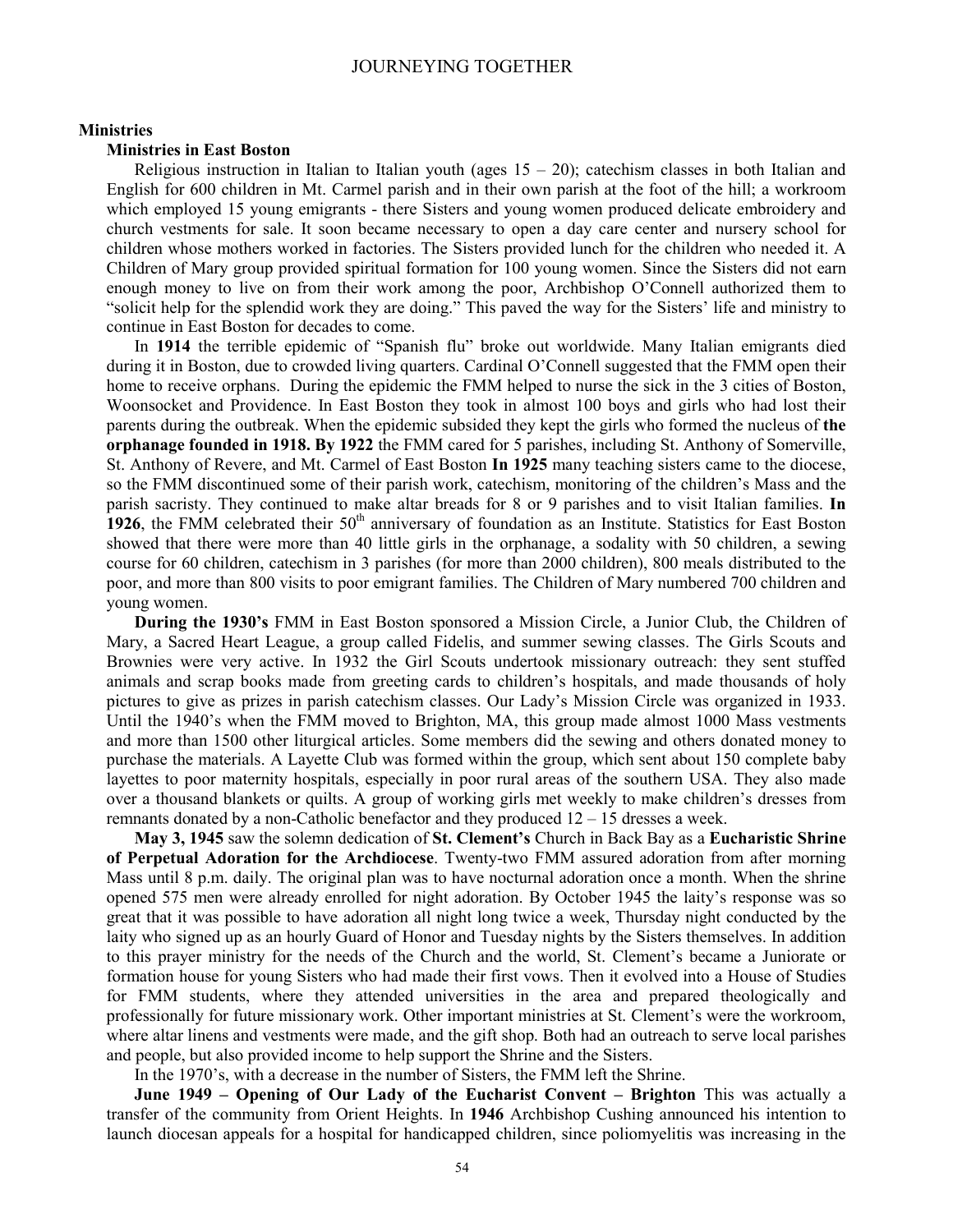#### **Ministries**

#### **Ministries in East Boston**

Religious instruction in Italian to Italian youth (ages  $15 - 20$ ); catechism classes in both Italian and English for 600 children in Mt. Carmel parish and in their own parish at the foot of the hill; a workroom which employed 15 young emigrants - there Sisters and young women produced delicate embroidery and church vestments for sale. It soon became necessary to open a day care center and nursery school for children whose mothers worked in factories. The Sisters provided lunch for the children who needed it. A Children of Mary group provided spiritual formation for 100 young women. Since the Sisters did not earn enough money to live on from their work among the poor, Archbishop O'Connell authorized them to "solicit help for the splendid work they are doing." This paved the way for the Sisters' life and ministry to continue in East Boston for decades to come.

In **1914** the terrible epidemic of "Spanish flu" broke out worldwide. Many Italian emigrants died during it in Boston, due to crowded living quarters. Cardinal O'Connell suggested that the FMM open their home to receive orphans. During the epidemic the FMM helped to nurse the sick in the 3 cities of Boston, Woonsocket and Providence. In East Boston they took in almost 100 boys and girls who had lost their parents during the outbreak. When the epidemic subsided they kept the girls who formed the nucleus of **the orphanage founded in 1918. By 1922** the FMM cared for 5 parishes, including St. Anthony of Somerville, St. Anthony of Revere, and Mt. Carmel of East Boston **In 1925** many teaching sisters came to the diocese, so the FMM discontinued some of their parish work, catechism, monitoring of the children's Mass and the parish sacristy. They continued to make altar breads for 8 or 9 parishes and to visit Italian families. **In**  1926, the FMM celebrated their 50<sup>th</sup> anniversary of foundation as an Institute. Statistics for East Boston showed that there were more than 40 little girls in the orphanage, a sodality with 50 children, a sewing course for 60 children, catechism in 3 parishes (for more than 2000 children), 800 meals distributed to the poor, and more than 800 visits to poor emigrant families. The Children of Mary numbered 700 children and young women.

**During the 1930's** FMM in East Boston sponsored a Mission Circle, a Junior Club, the Children of Mary, a Sacred Heart League, a group called Fidelis, and summer sewing classes. The Girls Scouts and Brownies were very active. In 1932 the Girl Scouts undertook missionary outreach: they sent stuffed animals and scrap books made from greeting cards to children's hospitals, and made thousands of holy pictures to give as prizes in parish catechism classes. Our Lady's Mission Circle was organized in 1933. Until the 1940's when the FMM moved to Brighton, MA, this group made almost 1000 Mass vestments and more than 1500 other liturgical articles. Some members did the sewing and others donated money to purchase the materials. A Layette Club was formed within the group, which sent about 150 complete baby layettes to poor maternity hospitals, especially in poor rural areas of the southern USA. They also made over a thousand blankets or quilts. A group of working girls met weekly to make children's dresses from remnants donated by a non-Catholic benefactor and they produced 12 – 15 dresses a week.

**May 3, 1945** saw the solemn dedication of **St. Clement's** Church in Back Bay as a **Eucharistic Shrine of Perpetual Adoration for the Archdiocese**. Twenty-two FMM assured adoration from after morning Mass until 8 p.m. daily. The original plan was to have nocturnal adoration once a month. When the shrine opened 575 men were already enrolled for night adoration. By October 1945 the laity's response was so great that it was possible to have adoration all night long twice a week, Thursday night conducted by the laity who signed up as an hourly Guard of Honor and Tuesday nights by the Sisters themselves. In addition to this prayer ministry for the needs of the Church and the world, St. Clement's became a Juniorate or formation house for young Sisters who had made their first vows. Then it evolved into a House of Studies for FMM students, where they attended universities in the area and prepared theologically and professionally for future missionary work. Other important ministries at St. Clement's were the workroom, where altar linens and vestments were made, and the gift shop. Both had an outreach to serve local parishes and people, but also provided income to help support the Shrine and the Sisters.

In the 1970's, with a decrease in the number of Sisters, the FMM left the Shrine.

**June 1949 – Opening of Our Lady of the Eucharist Convent – Brighton** This was actually a transfer of the community from Orient Heights. In **1946** Archbishop Cushing announced his intention to launch diocesan appeals for a hospital for handicapped children, since poliomyelitis was increasing in the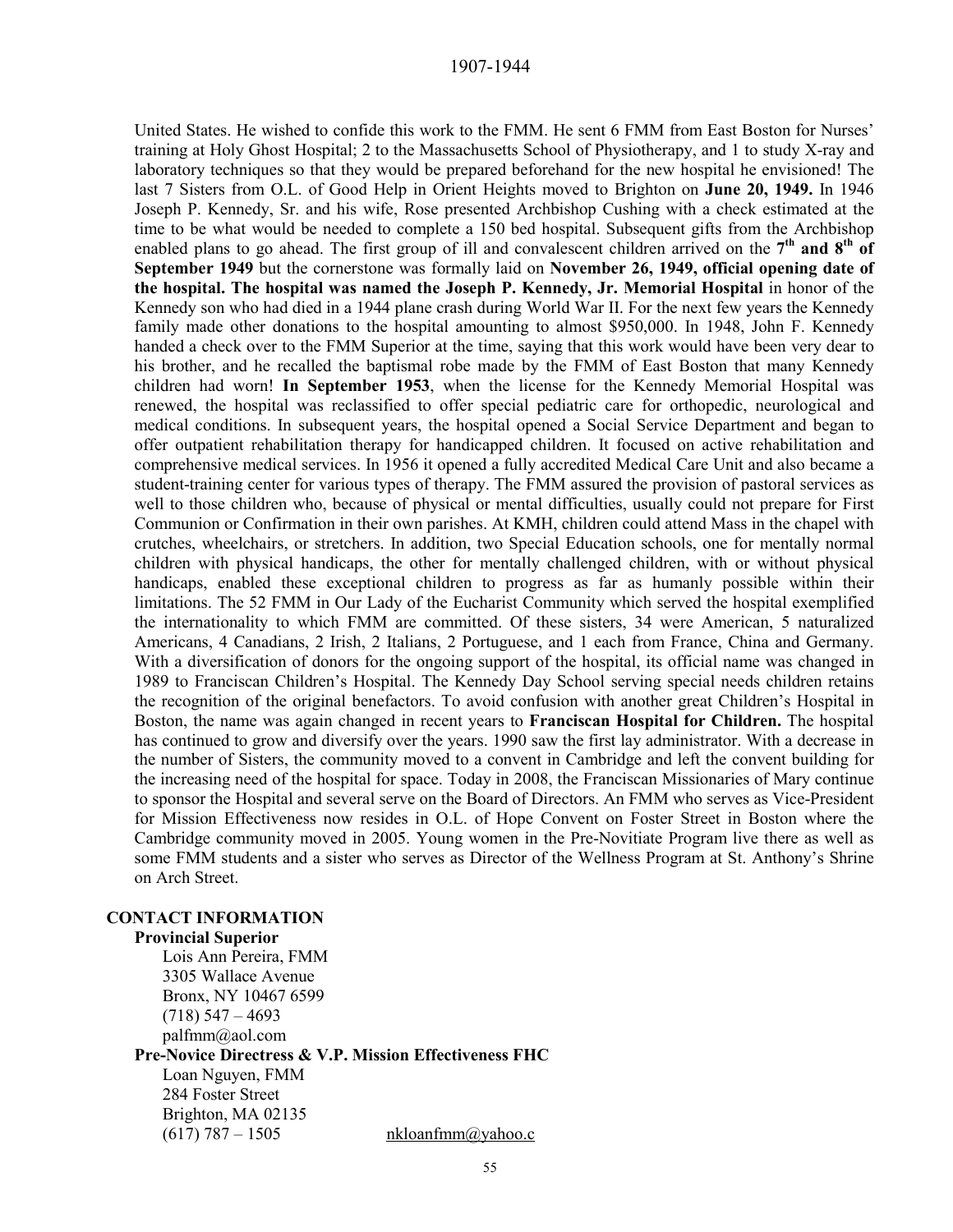United States. He wished to confide this work to the FMM. He sent 6 FMM from East Boston for Nurses' training at Holy Ghost Hospital; 2 to the Massachusetts School of Physiotherapy, and 1 to study X-ray and laboratory techniques so that they would be prepared beforehand for the new hospital he envisioned! The last 7 Sisters from O.L. of Good Help in Orient Heights moved to Brighton on **June 20, 1949.** In 1946 Joseph P. Kennedy, Sr. and his wife, Rose presented Archbishop Cushing with a check estimated at the time to be what would be needed to complete a 150 bed hospital. Subsequent gifts from the Archbishop enabled plans to go ahead. The first group of ill and convalescent children arrived on the 7<sup>th</sup> and 8<sup>th</sup> of **September 1949** but the cornerstone was formally laid on **November 26, 1949, official opening date of the hospital. The hospital was named the Joseph P. Kennedy, Jr. Memorial Hospital** in honor of the Kennedy son who had died in a 1944 plane crash during World War II. For the next few years the Kennedy family made other donations to the hospital amounting to almost \$950,000. In 1948, John F. Kennedy handed a check over to the FMM Superior at the time, saying that this work would have been very dear to his brother, and he recalled the baptismal robe made by the FMM of East Boston that many Kennedy children had worn! **In September 1953**, when the license for the Kennedy Memorial Hospital was renewed, the hospital was reclassified to offer special pediatric care for orthopedic, neurological and medical conditions. In subsequent years, the hospital opened a Social Service Department and began to offer outpatient rehabilitation therapy for handicapped children. It focused on active rehabilitation and comprehensive medical services. In 1956 it opened a fully accredited Medical Care Unit and also became a student-training center for various types of therapy. The FMM assured the provision of pastoral services as well to those children who, because of physical or mental difficulties, usually could not prepare for First Communion or Confirmation in their own parishes. At KMH, children could attend Mass in the chapel with crutches, wheelchairs, or stretchers. In addition, two Special Education schools, one for mentally normal children with physical handicaps, the other for mentally challenged children, with or without physical handicaps, enabled these exceptional children to progress as far as humanly possible within their limitations. The 52 FMM in Our Lady of the Eucharist Community which served the hospital exemplified the internationality to which FMM are committed. Of these sisters, 34 were American, 5 naturalized Americans, 4 Canadians, 2 Irish, 2 Italians, 2 Portuguese, and 1 each from France, China and Germany. With a diversification of donors for the ongoing support of the hospital, its official name was changed in 1989 to Franciscan Children's Hospital. The Kennedy Day School serving special needs children retains the recognition of the original benefactors. To avoid confusion with another great Children's Hospital in Boston, the name was again changed in recent years to **Franciscan Hospital for Children.** The hospital has continued to grow and diversify over the years. 1990 saw the first lay administrator. With a decrease in the number of Sisters, the community moved to a convent in Cambridge and left the convent building for the increasing need of the hospital for space. Today in 2008, the Franciscan Missionaries of Mary continue to sponsor the Hospital and several serve on the Board of Directors. An FMM who serves as Vice-President for Mission Effectiveness now resides in O.L. of Hope Convent on Foster Street in Boston where the Cambridge community moved in 2005. Young women in the Pre-Novitiate Program live there as well as some FMM students and a sister who serves as Director of the Wellness Program at St. Anthony's Shrine on Arch Street.

### **CONTACT INFORMATION**

#### **Provincial Superior**

Lois Ann Pereira, FMM 3305 Wallace Avenue Bronx, NY 10467 6599  $(718)$  547 – 4693 palfmm@aol.com **Pre-Novice Directress & V.P. Mission Effectiveness FHC**  Loan Nguyen, FMM 284 Foster Street Brighton, MA 02135 (617) 787 – 1505 hkloanfmm $\omega$ yahoo.c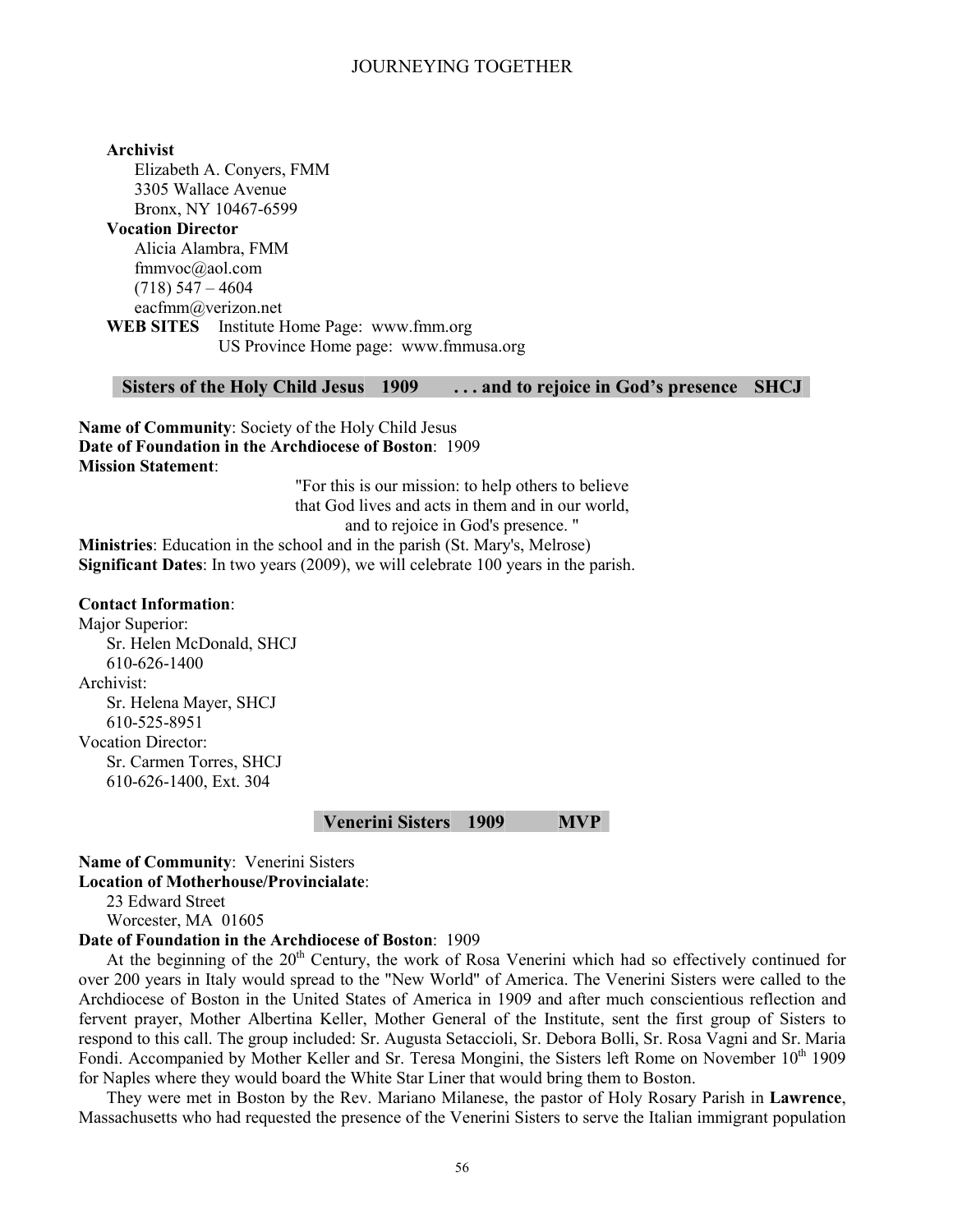# **Archivist**

Elizabeth A. Conyers, FMM 3305 Wallace Avenue Bronx, NY 10467-6599

**Vocation Director** Alicia Alambra, FMM fmmvoc@aol.com  $(718)$  547 – 4604 eacfmm@verizon.net **WEB SITES** Institute Home Page: www.fmm.org

US Province Home page: www.fmmusa.org

#### **Sisters of the Holy Child Jesus 1909 . . . and to rejoice in God's presence SHCJ**

**Name of Community**: Society of the Holy Child Jesus **Date of Foundation in the Archdiocese of Boston**: 1909 **Mission Statement**:

> "For this is our mission: to help others to believe that God lives and acts in them and in our world, and to rejoice in God's presence. "

**Ministries**: Education in the school and in the parish (St. Mary's, Melrose) **Significant Dates**: In two years (2009), we will celebrate 100 years in the parish.

#### **Contact Information**:

Major Superior: Sr. Helen McDonald, SHCJ 610-626-1400 Archivist: Sr. Helena Mayer, SHCJ 610-525-8951 Vocation Director: Sr. Carmen Torres, SHCJ 610-626-1400, Ext. 304

#### **Venerini Sisters 1909 MVP**

# **Name of Community**: Venerini Sisters **Location of Motherhouse/Provincialate**:

23 Edward Street

Worcester, MA 01605

# **Date of Foundation in the Archdiocese of Boston**: 1909

At the beginning of the 20<sup>th</sup> Century, the work of Rosa Venerini which had so effectively continued for over 200 years in Italy would spread to the "New World" of America. The Venerini Sisters were called to the Archdiocese of Boston in the United States of America in 1909 and after much conscientious reflection and fervent prayer, Mother Albertina Keller, Mother General of the Institute, sent the first group of Sisters to respond to this call. The group included: Sr. Augusta Setaccioli, Sr. Debora Bolli, Sr. Rosa Vagni and Sr. Maria Fondi. Accompanied by Mother Keller and Sr. Teresa Mongini, the Sisters left Rome on November 10<sup>th</sup> 1909 for Naples where they would board the White Star Liner that would bring them to Boston.

They were met in Boston by the Rev. Mariano Milanese, the pastor of Holy Rosary Parish in **Lawrence**, Massachusetts who had requested the presence of the Venerini Sisters to serve the Italian immigrant population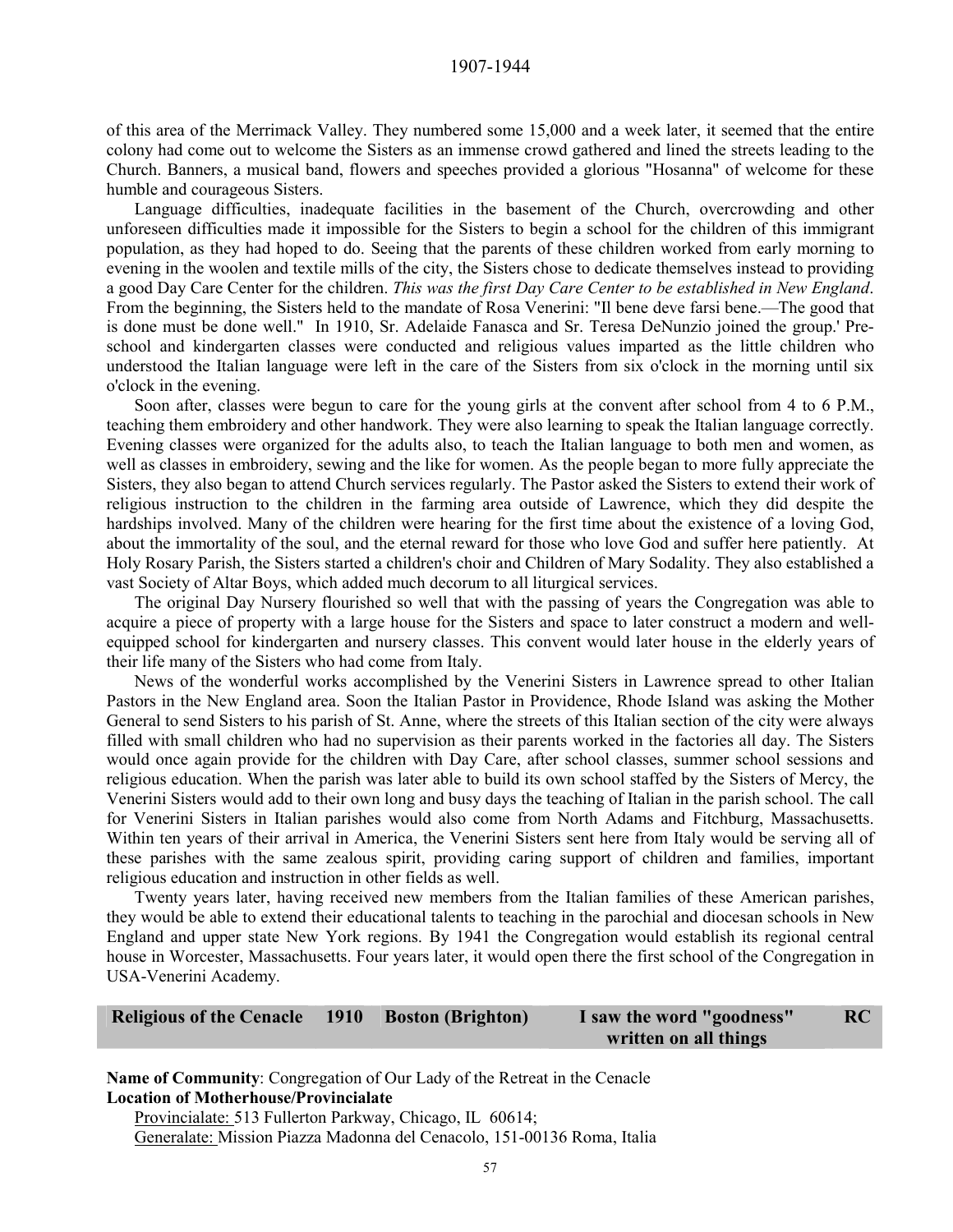of this area of the Merrimack Valley. They numbered some 15,000 and a week later, it seemed that the entire colony had come out to welcome the Sisters as an immense crowd gathered and lined the streets leading to the Church. Banners, a musical band, flowers and speeches provided a glorious "Hosanna" of welcome for these humble and courageous Sisters.

Language difficulties, inadequate facilities in the basement of the Church, overcrowding and other unforeseen difficulties made it impossible for the Sisters to begin a school for the children of this immigrant population, as they had hoped to do. Seeing that the parents of these children worked from early morning to evening in the woolen and textile mills of the city, the Sisters chose to dedicate themselves instead to providing a good Day Care Center for the children. *This was the first Day Care Center to be established in New England*. From the beginning, the Sisters held to the mandate of Rosa Venerini: "Il bene deve farsi bene.—The good that is done must be done well." In 1910, Sr. Adelaide Fanasca and Sr. Teresa DeNunzio joined the group.' Preschool and kindergarten classes were conducted and religious values imparted as the little children who understood the Italian language were left in the care of the Sisters from six o'clock in the morning until six o'clock in the evening.

Soon after, classes were begun to care for the young girls at the convent after school from 4 to 6 P.M., teaching them embroidery and other handwork. They were also learning to speak the Italian language correctly. Evening classes were organized for the adults also, to teach the Italian language to both men and women, as well as classes in embroidery, sewing and the like for women. As the people began to more fully appreciate the Sisters, they also began to attend Church services regularly. The Pastor asked the Sisters to extend their work of religious instruction to the children in the farming area outside of Lawrence, which they did despite the hardships involved. Many of the children were hearing for the first time about the existence of a loving God, about the immortality of the soul, and the eternal reward for those who love God and suffer here patiently. At Holy Rosary Parish, the Sisters started a children's choir and Children of Mary Sodality. They also established a vast Society of Altar Boys, which added much decorum to all liturgical services.

The original Day Nursery flourished so well that with the passing of years the Congregation was able to acquire a piece of property with a large house for the Sisters and space to later construct a modern and wellequipped school for kindergarten and nursery classes. This convent would later house in the elderly years of their life many of the Sisters who had come from Italy.

News of the wonderful works accomplished by the Venerini Sisters in Lawrence spread to other Italian Pastors in the New England area. Soon the Italian Pastor in Providence, Rhode Island was asking the Mother General to send Sisters to his parish of St. Anne, where the streets of this Italian section of the city were always filled with small children who had no supervision as their parents worked in the factories all day. The Sisters would once again provide for the children with Day Care, after school classes, summer school sessions and religious education. When the parish was later able to build its own school staffed by the Sisters of Mercy, the Venerini Sisters would add to their own long and busy days the teaching of Italian in the parish school. The call for Venerini Sisters in Italian parishes would also come from North Adams and Fitchburg, Massachusetts. Within ten years of their arrival in America, the Venerini Sisters sent here from Italy would be serving all of these parishes with the same zealous spirit, providing caring support of children and families, important religious education and instruction in other fields as well.

Twenty years later, having received new members from the Italian families of these American parishes, they would be able to extend their educational talents to teaching in the parochial and diocesan schools in New England and upper state New York regions. By 1941 the Congregation would establish its regional central house in Worcester, Massachusetts. Four years later, it would open there the first school of the Congregation in USA-Venerini Academy.

| Religious of the Cenacle 1910 Boston (Brighton) |  | I saw the word "goodness" | RC |
|-------------------------------------------------|--|---------------------------|----|
|                                                 |  | written on all things     |    |

**Name of Community**: Congregation of Our Lady of the Retreat in the Cenacle **Location of Motherhouse/Provincialate**  Provincialate: 513 Fullerton Parkway, Chicago, IL 60614;

Generalate: Mission Piazza Madonna del Cenacolo, 151-00136 Roma, Italia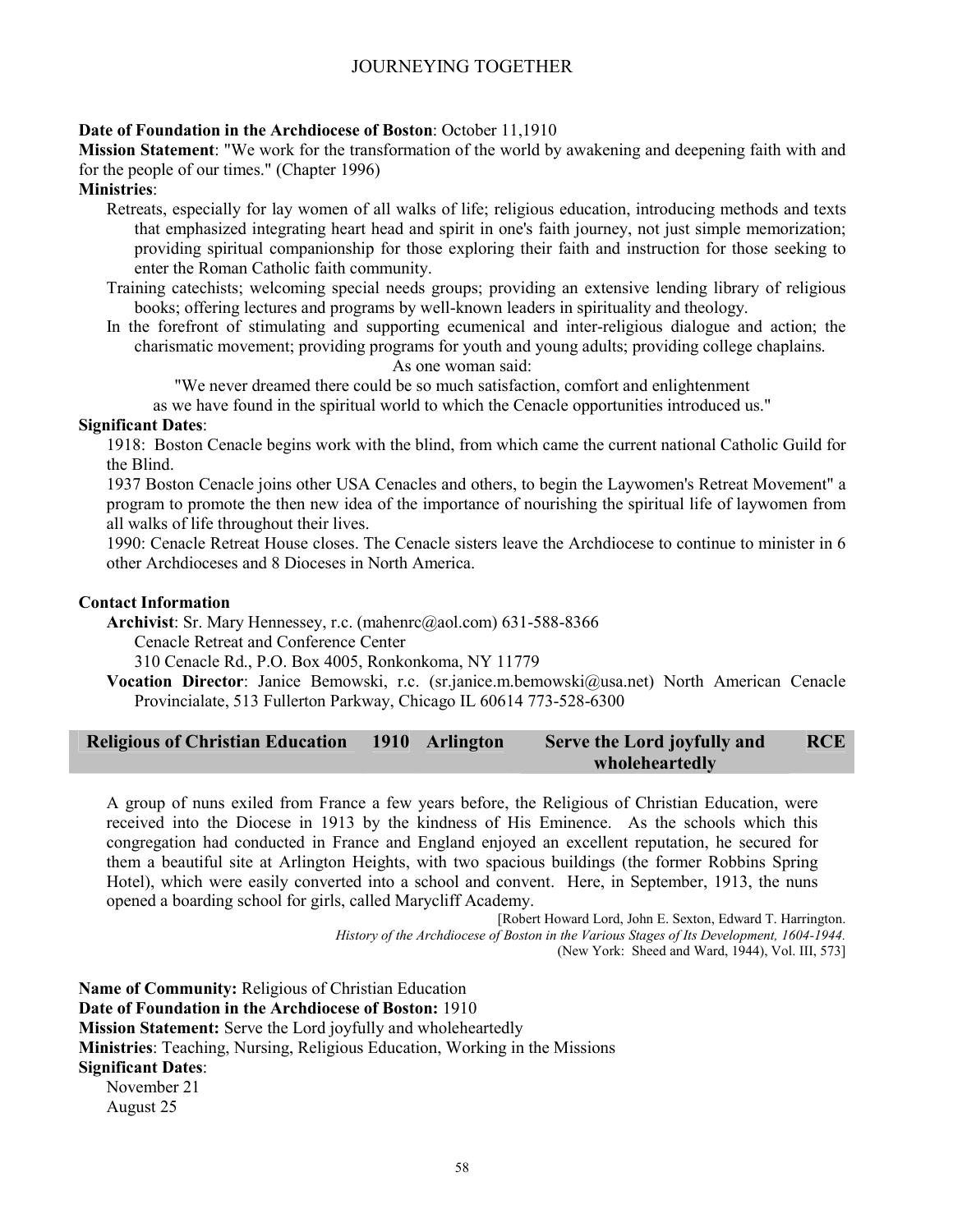# **Date of Foundation in the Archdiocese of Boston**: October 11,1910

**Mission Statement**: "We work for the transformation of the world by awakening and deepening faith with and for the people of our times." (Chapter 1996)

# **Ministries**:

- Retreats, especially for lay women of all walks of life; religious education, introducing methods and texts that emphasized integrating heart head and spirit in one's faith journey, not just simple memorization; providing spiritual companionship for those exploring their faith and instruction for those seeking to enter the Roman Catholic faith community.
- Training catechists; welcoming special needs groups; providing an extensive lending library of religious books; offering lectures and programs by well-known leaders in spirituality and theology.
- In the forefront of stimulating and supporting ecumenical and inter-religious dialogue and action; the charismatic movement; providing programs for youth and young adults; providing college chaplains. As one woman said:

"We never dreamed there could be so much satisfaction, comfort and enlightenment

as we have found in the spiritual world to which the Cenacle opportunities introduced us."

#### **Significant Dates**:

1918: Boston Cenacle begins work with the blind, from which came the current national Catholic Guild for the Blind.

1937 Boston Cenacle joins other USA Cenacles and others, to begin the Laywomen's Retreat Movement" a program to promote the then new idea of the importance of nourishing the spiritual life of laywomen from all walks of life throughout their lives.

1990: Cenacle Retreat House closes. The Cenacle sisters leave the Archdiocese to continue to minister in 6 other Archdioceses and 8 Dioceses in North America.

#### **Contact Information**

**Archivist**: Sr. Mary Hennessey, r.c. (mahenrc@aol.com) 631-588-8366

Cenacle Retreat and Conference Center

310 Cenacle Rd., P.O. Box 4005, Ronkonkoma, NY 11779

**Vocation Director**: Janice Bemowski, r.c. (sr.janice.m.bemowski@usa.net) North American Cenacle Provincialate, 513 Fullerton Parkway, Chicago IL 60614 773-528-6300

#### **Religious of Christian Education 1910 Arlington Serve the Lord joyfully and wholeheartedly RCE**

A group of nuns exiled from France a few years before, the Religious of Christian Education, were received into the Diocese in 1913 by the kindness of His Eminence. As the schools which this congregation had conducted in France and England enjoyed an excellent reputation, he secured for them a beautiful site at Arlington Heights, with two spacious buildings (the former Robbins Spring Hotel), which were easily converted into a school and convent. Here, in September, 1913, the nuns opened a boarding school for girls, called Marycliff Academy.

> [Robert Howard Lord, John E. Sexton, Edward T. Harrington. *History of the Archdiocese of Boston in the Various Stages of Its Development, 1604-1944.*  (New York: Sheed and Ward, 1944), Vol. III, 573]

**Name of Community:** Religious of Christian Education **Date of Foundation in the Archdiocese of Boston:** 1910 **Mission Statement:** Serve the Lord joyfully and wholeheartedly **Ministries**: Teaching, Nursing, Religious Education, Working in the Missions **Significant Dates**: November 21

August 25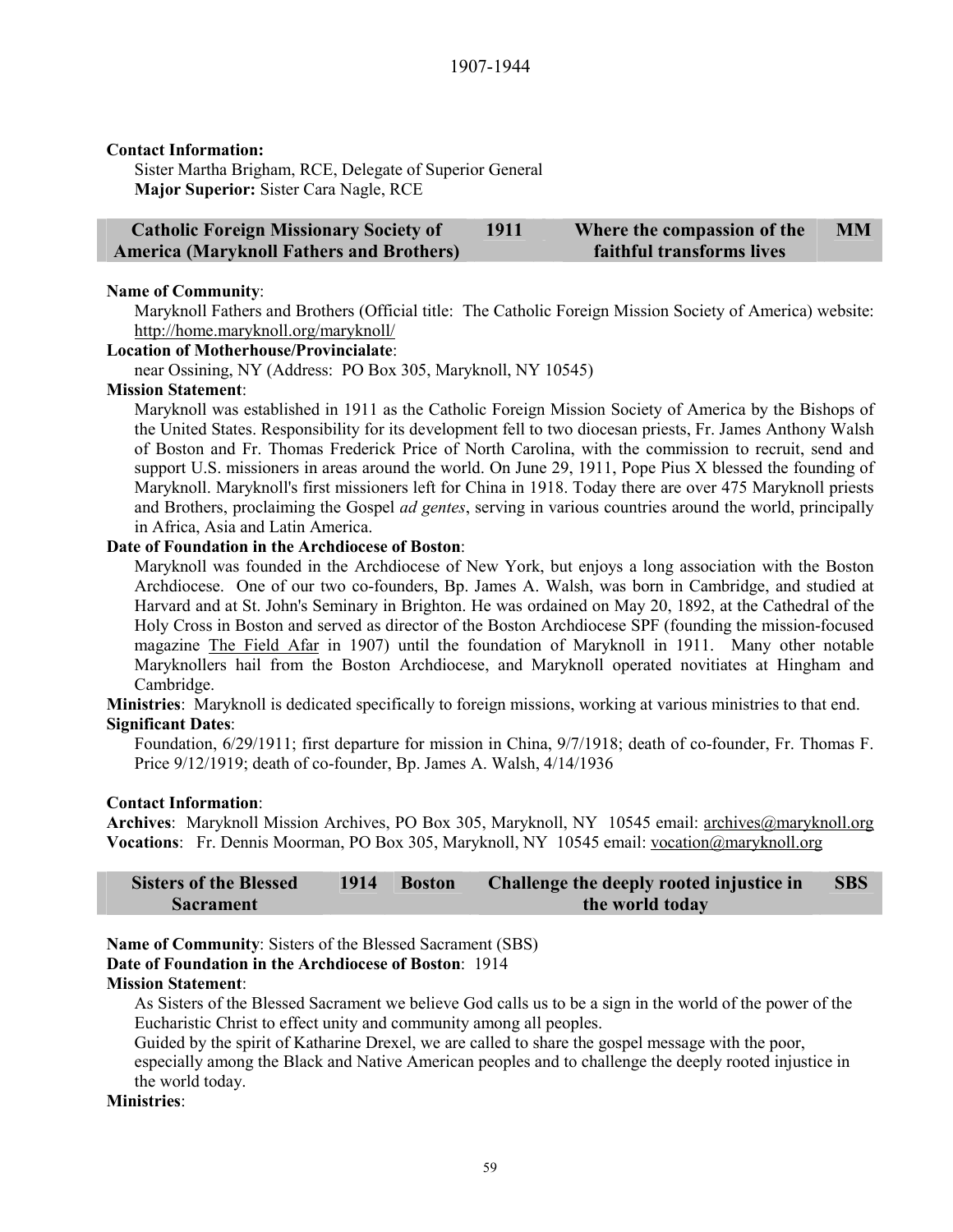#### **Contact Information:**

Sister Martha Brigham, RCE, Delegate of Superior General **Major Superior:** Sister Cara Nagle, RCE

| <b>Catholic Foreign Missionary Society of</b>   | 1911 | Where the compassion of the      | <b>MM</b> |
|-------------------------------------------------|------|----------------------------------|-----------|
| <b>America (Maryknoll Fathers and Brothers)</b> |      | <b>faithful transforms lives</b> |           |

#### **Name of Community**:

Maryknoll Fathers and Brothers (Official title: The Catholic Foreign Mission Society of America) website: http://home.maryknoll.org/maryknoll/

#### **Location of Motherhouse/Provincialate**:

near Ossining, NY (Address: PO Box 305, Maryknoll, NY 10545)

#### **Mission Statement**:

Maryknoll was established in 1911 as the Catholic Foreign Mission Society of America by the Bishops of the United States. Responsibility for its development fell to two diocesan priests, Fr. James Anthony Walsh of Boston and Fr. Thomas Frederick Price of North Carolina, with the commission to recruit, send and support U.S. missioners in areas around the world. On June 29, 1911, Pope Pius X blessed the founding of Maryknoll. Maryknoll's first missioners left for China in 1918. Today there are over 475 Maryknoll priests and Brothers, proclaiming the Gospel *ad gentes*, serving in various countries around the world, principally in Africa, Asia and Latin America.

# **Date of Foundation in the Archdiocese of Boston**:

Maryknoll was founded in the Archdiocese of New York, but enjoys a long association with the Boston Archdiocese. One of our two co-founders, Bp. James A. Walsh, was born in Cambridge, and studied at Harvard and at St. John's Seminary in Brighton. He was ordained on May 20, 1892, at the Cathedral of the Holy Cross in Boston and served as director of the Boston Archdiocese SPF (founding the mission-focused magazine The Field Afar in 1907) until the foundation of Maryknoll in 1911. Many other notable Maryknollers hail from the Boston Archdiocese, and Maryknoll operated novitiates at Hingham and Cambridge.

**Ministries**: Maryknoll is dedicated specifically to foreign missions, working at various ministries to that end. **Significant Dates**:

Foundation, 6/29/1911; first departure for mission in China, 9/7/1918; death of co-founder, Fr. Thomas F. Price 9/12/1919; death of co-founder, Bp. James A. Walsh, 4/14/1936

#### **Contact Information**:

**Archives**: Maryknoll Mission Archives, PO Box 305, Maryknoll, NY 10545 email: archives@maryknoll.org **Vocations**: Fr. Dennis Moorman, PO Box 305, Maryknoll, NY 10545 email: vocation@maryknoll.org

| <b>Sisters of the Blessed</b> | 1914 | <b>Boston</b> | Challenge the deeply rooted injustice in | <b>SBS</b> |
|-------------------------------|------|---------------|------------------------------------------|------------|
| <b>Sacrament</b>              |      |               | the world today                          |            |

**Name of Community**: Sisters of the Blessed Sacrament (SBS)

# **Date of Foundation in the Archdiocese of Boston**: 1914

# **Mission Statement**:

As Sisters of the Blessed Sacrament we believe God calls us to be a sign in the world of the power of the Eucharistic Christ to effect unity and community among all peoples.

Guided by the spirit of Katharine Drexel, we are called to share the gospel message with the poor,

especially among the Black and Native American peoples and to challenge the deeply rooted injustice in the world today.

#### **Ministries**: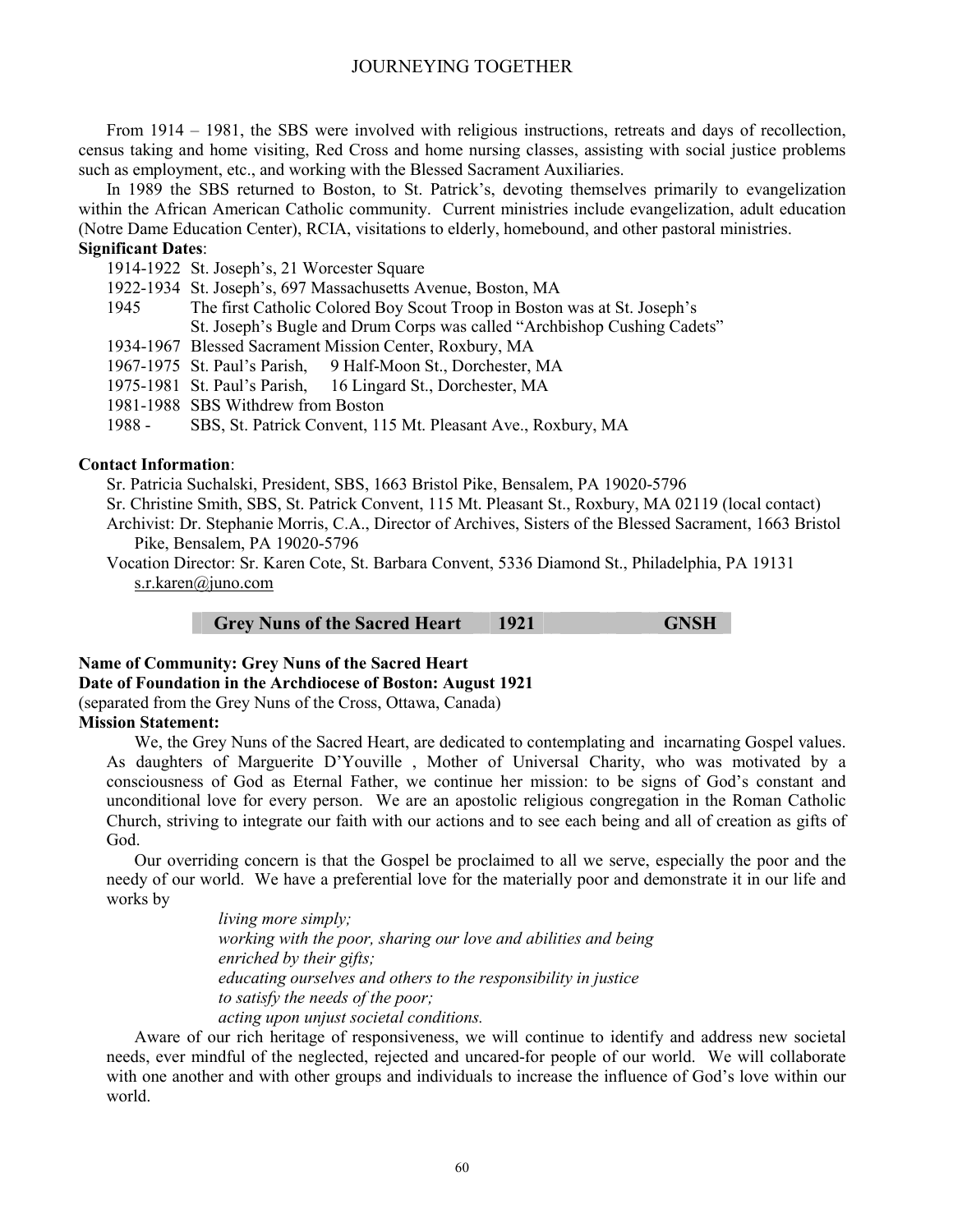From 1914 – 1981, the SBS were involved with religious instructions, retreats and days of recollection, census taking and home visiting, Red Cross and home nursing classes, assisting with social justice problems such as employment, etc., and working with the Blessed Sacrament Auxiliaries.

In 1989 the SBS returned to Boston, to St. Patrick's, devoting themselves primarily to evangelization within the African American Catholic community. Current ministries include evangelization, adult education (Notre Dame Education Center), RCIA, visitations to elderly, homebound, and other pastoral ministries. **Significant Dates**:

1914-1922 St. Joseph's, 21 Worcester Square

1922-1934 St. Joseph's, 697 Massachusetts Avenue, Boston, MA

- 1945 The first Catholic Colored Boy Scout Troop in Boston was at St. Joseph's St. Joseph's Bugle and Drum Corps was called "Archbishop Cushing Cadets"
- 1934-1967 Blessed Sacrament Mission Center, Roxbury, MA

1967-1975 St. Paul's Parish, 9 Half-Moon St., Dorchester, MA

1975-1981 St. Paul's Parish, 16 Lingard St., Dorchester, MA

1981-1988 SBS Withdrew from Boston

1988 - SBS, St. Patrick Convent, 115 Mt. Pleasant Ave., Roxbury, MA

#### **Contact Information**:

- Sr. Patricia Suchalski, President, SBS, 1663 Bristol Pike, Bensalem, PA 19020-5796
- Sr. Christine Smith, SBS, St. Patrick Convent, 115 Mt. Pleasant St., Roxbury, MA 02119 (local contact)
- Archivist: Dr. Stephanie Morris, C.A., Director of Archives, Sisters of the Blessed Sacrament, 1663 Bristol Pike, Bensalem, PA 19020-5796
- Vocation Director: Sr. Karen Cote, St. Barbara Convent, 5336 Diamond St., Philadelphia, PA 19131 s.r.karen@juno.com

#### Grey Nuns of the Sacred Heart 1921 **GNSH**

#### **Name of Community: Grey Nuns of the Sacred Heart Date of Foundation in the Archdiocese of Boston: August 1921**

(separated from the Grey Nuns of the Cross, Ottawa, Canada)

#### **Mission Statement:**

We, the Grey Nuns of the Sacred Heart, are dedicated to contemplating and incarnating Gospel values. As daughters of Marguerite D'Youville , Mother of Universal Charity, who was motivated by a consciousness of God as Eternal Father, we continue her mission: to be signs of God's constant and unconditional love for every person. We are an apostolic religious congregation in the Roman Catholic Church, striving to integrate our faith with our actions and to see each being and all of creation as gifts of God.

Our overriding concern is that the Gospel be proclaimed to all we serve, especially the poor and the needy of our world. We have a preferential love for the materially poor and demonstrate it in our life and works by

> *living more simply; working with the poor, sharing our love and abilities and being enriched by their gifts; educating ourselves and others to the responsibility in justice to satisfy the needs of the poor; acting upon unjust societal conditions.*

Aware of our rich heritage of responsiveness, we will continue to identify and address new societal needs, ever mindful of the neglected, rejected and uncared-for people of our world. We will collaborate with one another and with other groups and individuals to increase the influence of God's love within our world.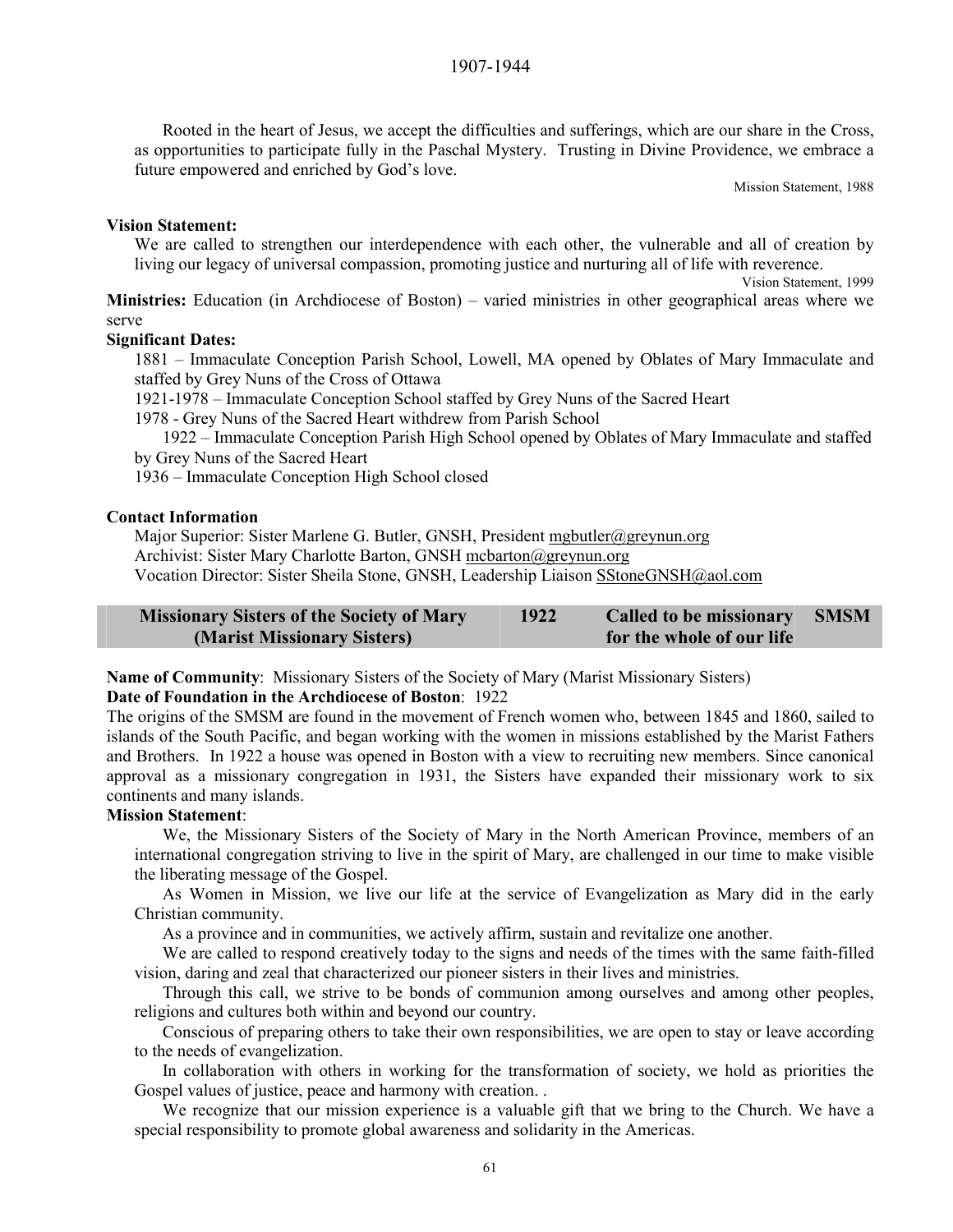Rooted in the heart of Jesus, we accept the difficulties and sufferings, which are our share in the Cross, as opportunities to participate fully in the Paschal Mystery. Trusting in Divine Providence, we embrace a future empowered and enriched by God's love.

Mission Statement, 1988

#### **Vision Statement:**

We are called to strengthen our interdependence with each other, the vulnerable and all of creation by living our legacy of universal compassion, promoting justice and nurturing all of life with reverence.

Vision Statement, 1999

**Ministries:** Education (in Archdiocese of Boston) – varied ministries in other geographical areas where we serve

# **Significant Dates:**

1881 – Immaculate Conception Parish School, Lowell, MA opened by Oblates of Mary Immaculate and staffed by Grey Nuns of the Cross of Ottawa

1921-1978 – Immaculate Conception School staffed by Grey Nuns of the Sacred Heart

1978 - Grey Nuns of the Sacred Heart withdrew from Parish School

1922 – Immaculate Conception Parish High School opened by Oblates of Mary Immaculate and staffed by Grey Nuns of the Sacred Heart

1936 – Immaculate Conception High School closed

#### **Contact Information**

Major Superior: Sister Marlene G. Butler, GNSH, President mgbutler@greynun.org

Archivist: Sister Mary Charlotte Barton, GNSH mcbarton@greynun.org

Vocation Director: Sister Sheila Stone, GNSH, Leadership Liaison SStoneGNSH@aol.com

| <b>Missionary Sisters of the Society of Mary</b> | 1922 | <b>Called to be missionary</b> | <b>SMSM</b> |
|--------------------------------------------------|------|--------------------------------|-------------|
| (Marist Missionary Sisters)                      |      | for the whole of our life      |             |

**Name of Community**: Missionary Sisters of the Society of Mary (Marist Missionary Sisters)

#### **Date of Foundation in the Archdiocese of Boston**: 1922

The origins of the SMSM are found in the movement of French women who, between 1845 and 1860, sailed to islands of the South Pacific, and began working with the women in missions established by the Marist Fathers and Brothers. In 1922 a house was opened in Boston with a view to recruiting new members. Since canonical approval as a missionary congregation in 1931, the Sisters have expanded their missionary work to six continents and many islands.

#### **Mission Statement**:

We, the Missionary Sisters of the Society of Mary in the North American Province, members of an international congregation striving to live in the spirit of Mary, are challenged in our time to make visible the liberating message of the Gospel.

As Women in Mission, we live our life at the service of Evangelization as Mary did in the early Christian community.

As a province and in communities, we actively affirm, sustain and revitalize one another.

We are called to respond creatively today to the signs and needs of the times with the same faith-filled vision, daring and zeal that characterized our pioneer sisters in their lives and ministries.

Through this call, we strive to be bonds of communion among ourselves and among other peoples, religions and cultures both within and beyond our country.

Conscious of preparing others to take their own responsibilities, we are open to stay or leave according to the needs of evangelization.

In collaboration with others in working for the transformation of society, we hold as priorities the Gospel values of justice, peace and harmony with creation. .

We recognize that our mission experience is a valuable gift that we bring to the Church. We have a special responsibility to promote global awareness and solidarity in the Americas.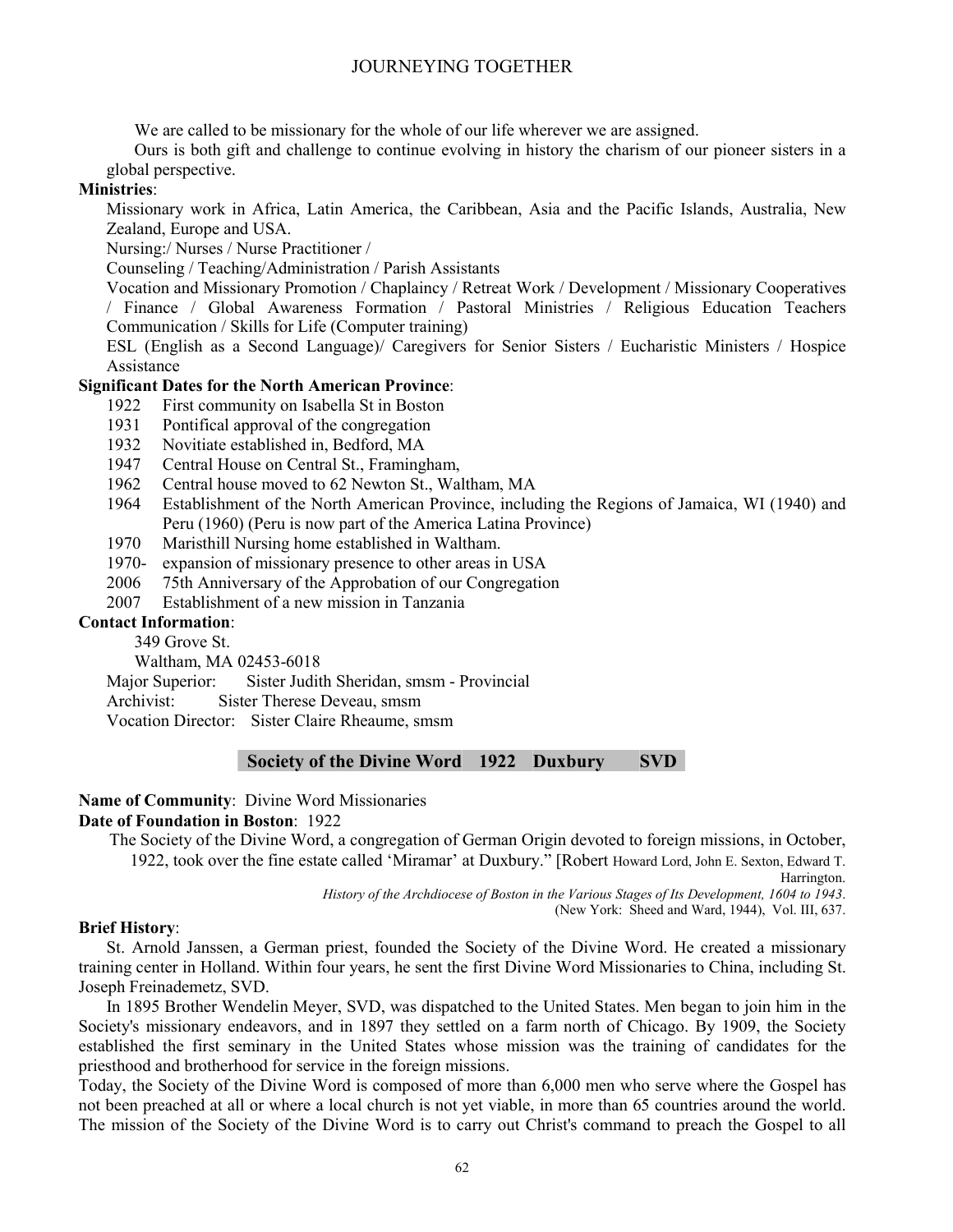We are called to be missionary for the whole of our life wherever we are assigned.

Ours is both gift and challenge to continue evolving in history the charism of our pioneer sisters in a global perspective.

# **Ministries**:

Missionary work in Africa, Latin America, the Caribbean, Asia and the Pacific Islands, Australia, New Zealand, Europe and USA.

Nursing:/ Nurses / Nurse Practitioner /

Counseling / Teaching/Administration / Parish Assistants

Vocation and Missionary Promotion / Chaplaincy / Retreat Work / Development / Missionary Cooperatives / Finance / Global Awareness Formation / Pastoral Ministries / Religious Education Teachers Communication / Skills for Life (Computer training)

ESL (English as a Second Language)/ Caregivers for Senior Sisters / Eucharistic Ministers / Hospice Assistance

# **Significant Dates for the North American Province**:

- 1922 First community on Isabella St in Boston
- 1931 Pontifical approval of the congregation
- 1932 Novitiate established in, Bedford, MA
- 1947 Central House on Central St., Framingham,
- 1962 Central house moved to 62 Newton St., Waltham, MA
- 1964 Establishment of the North American Province, including the Regions of Jamaica, WI (1940) and Peru (1960) (Peru is now part of the America Latina Province)
- 1970 Maristhill Nursing home established in Waltham.
- 1970- expansion of missionary presence to other areas in USA
- 2006 75th Anniversary of the Approbation of our Congregation
- 2007 Establishment of a new mission in Tanzania

# **Contact Information**:

349 Grove St. Waltham, MA 02453-6018

Major Superior: Sister Judith Sheridan, smsm - Provincial

Archivist: Sister Therese Deveau, smsm

Vocation Director: Sister Claire Rheaume, smsm

# **Society of the Divine Word 1922 Duxbury SVD**

#### **Name of Community**: Divine Word Missionaries

# **Date of Foundation in Boston**: 1922

The Society of the Divine Word, a congregation of German Origin devoted to foreign missions, in October, 1922, took over the fine estate called 'Miramar' at Duxbury." [Robert Howard Lord, John E. Sexton, Edward T.

Harrington.

*History of the Archdiocese of Boston in the Various Stages of Its Development, 1604 to 1943*.

(New York: Sheed and Ward, 1944), Vol. III, 637.

#### **Brief History**:

St. Arnold Janssen, a German priest, founded the Society of the Divine Word. He created a missionary training center in Holland. Within four years, he sent the first Divine Word Missionaries to China, including St. Joseph Freinademetz, SVD.

In 1895 Brother Wendelin Meyer, SVD, was dispatched to the United States. Men began to join him in the Society's missionary endeavors, and in 1897 they settled on a farm north of Chicago. By 1909, the Society established the first seminary in the United States whose mission was the training of candidates for the priesthood and brotherhood for service in the foreign missions.

Today, the Society of the Divine Word is composed of more than 6,000 men who serve where the Gospel has not been preached at all or where a local church is not yet viable, in more than 65 countries around the world. The mission of the Society of the Divine Word is to carry out Christ's command to preach the Gospel to all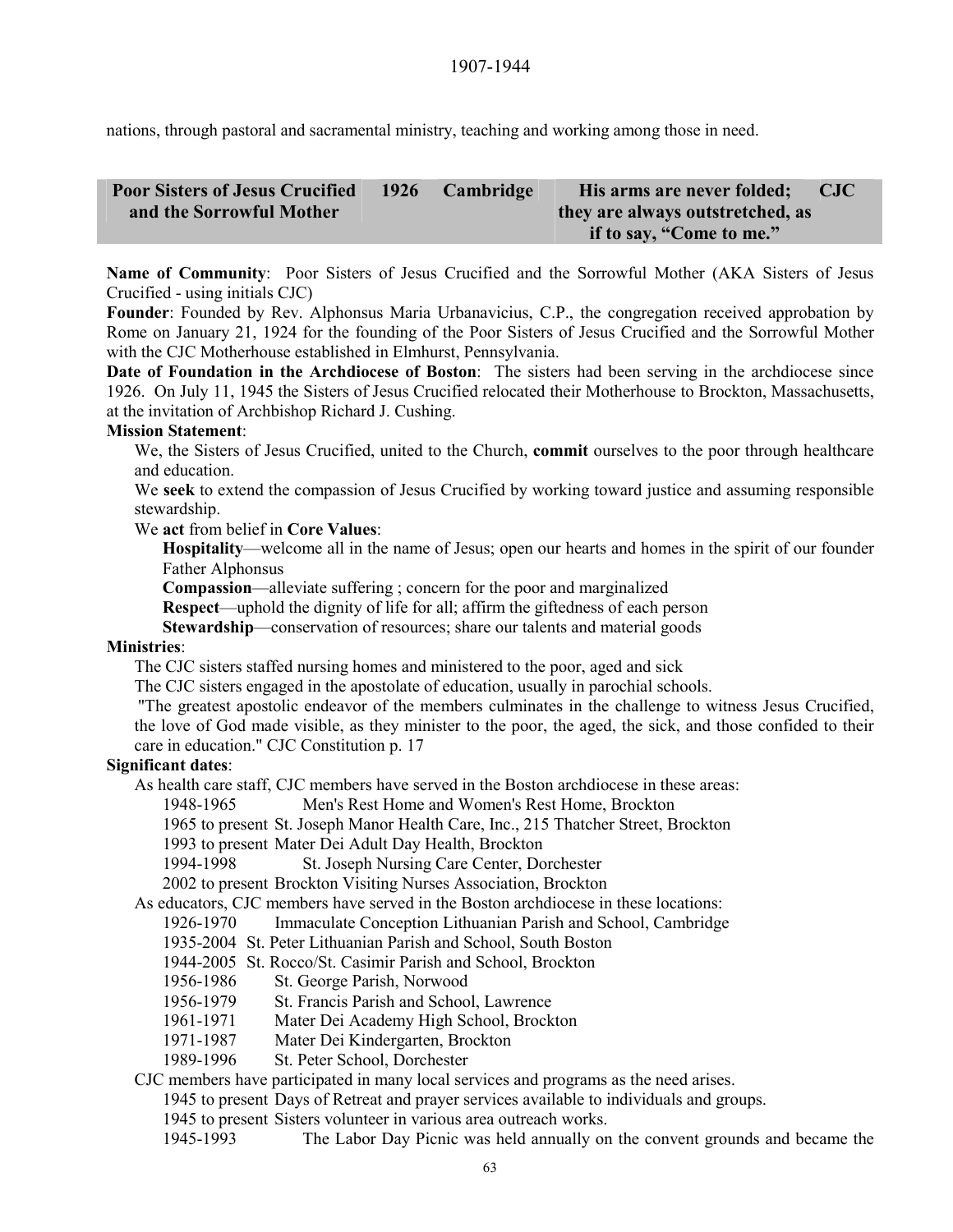nations, through pastoral and sacramental ministry, teaching and working among those in need.

| <b>Poor Sisters of Jesus Crucified</b> | 1926 | Cambridge | His arms are never folded;       | <b>CJC</b> |
|----------------------------------------|------|-----------|----------------------------------|------------|
| and the Sorrowful Mother               |      |           | they are always outstretched, as |            |
|                                        |      |           | if to say, "Come to me."         |            |

**Name of Community**: Poor Sisters of Jesus Crucified and the Sorrowful Mother (AKA Sisters of Jesus Crucified - using initials CJC)

**Founder**: Founded by Rev. Alphonsus Maria Urbanavicius, C.P., the congregation received approbation by Rome on January 21, 1924 for the founding of the Poor Sisters of Jesus Crucified and the Sorrowful Mother with the CJC Motherhouse established in Elmhurst, Pennsylvania.

**Date of Foundation in the Archdiocese of Boston**: The sisters had been serving in the archdiocese since 1926. On July 11, 1945 the Sisters of Jesus Crucified relocated their Motherhouse to Brockton, Massachusetts, at the invitation of Archbishop Richard J. Cushing.

# **Mission Statement**:

We, the Sisters of Jesus Crucified, united to the Church, **commit** ourselves to the poor through healthcare and education.

We **seek** to extend the compassion of Jesus Crucified by working toward justice and assuming responsible stewardship.

We **act** from belief in **Core Values**:

**Hospitality**—welcome all in the name of Jesus; open our hearts and homes in the spirit of our founder Father Alphonsus

**Compassion**—alleviate suffering ; concern for the poor and marginalized

**Respect**—uphold the dignity of life for all; affirm the giftedness of each person

**Stewardship—conservation of resources; share our talents and material goods** 

#### **Ministries**:

The CJC sisters staffed nursing homes and ministered to the poor, aged and sick

The CJC sisters engaged in the apostolate of education, usually in parochial schools.

"The greatest apostolic endeavor of the members culminates in the challenge to witness Jesus Crucified,

the love of God made visible, as they minister to the poor, the aged, the sick, and those confided to their care in education." CJC Constitution p. 17

# **Significant dates**:

As health care staff, CJC members have served in the Boston archdiocese in these areas:

1948-1965 Men's Rest Home and Women's Rest Home, Brockton

1965 to present St. Joseph Manor Health Care, Inc., 215 Thatcher Street, Brockton

1993 to present Mater Dei Adult Day Health, Brockton

1994-1998 St. Joseph Nursing Care Center, Dorchester

2002 to present Brockton Visiting Nurses Association, Brockton

As educators, CJC members have served in the Boston archdiocese in these locations:

1926-1970 Immaculate Conception Lithuanian Parish and School, Cambridge

1935-2004 St. Peter Lithuanian Parish and School, South Boston

1944-2005 St. Rocco/St. Casimir Parish and School, Brockton

1956-1986 St. George Parish, Norwood

1956-1979 St. Francis Parish and School, Lawrence

1961-1971 Mater Dei Academy High School, Brockton

1971-1987 Mater Dei Kindergarten, Brockton

1989-1996 St. Peter School, Dorchester

CJC members have participated in many local services and programs as the need arises.

1945 to present Days of Retreat and prayer services available to individuals and groups.

1945 to present Sisters volunteer in various area outreach works.

1945-1993 The Labor Day Picnic was held annually on the convent grounds and became the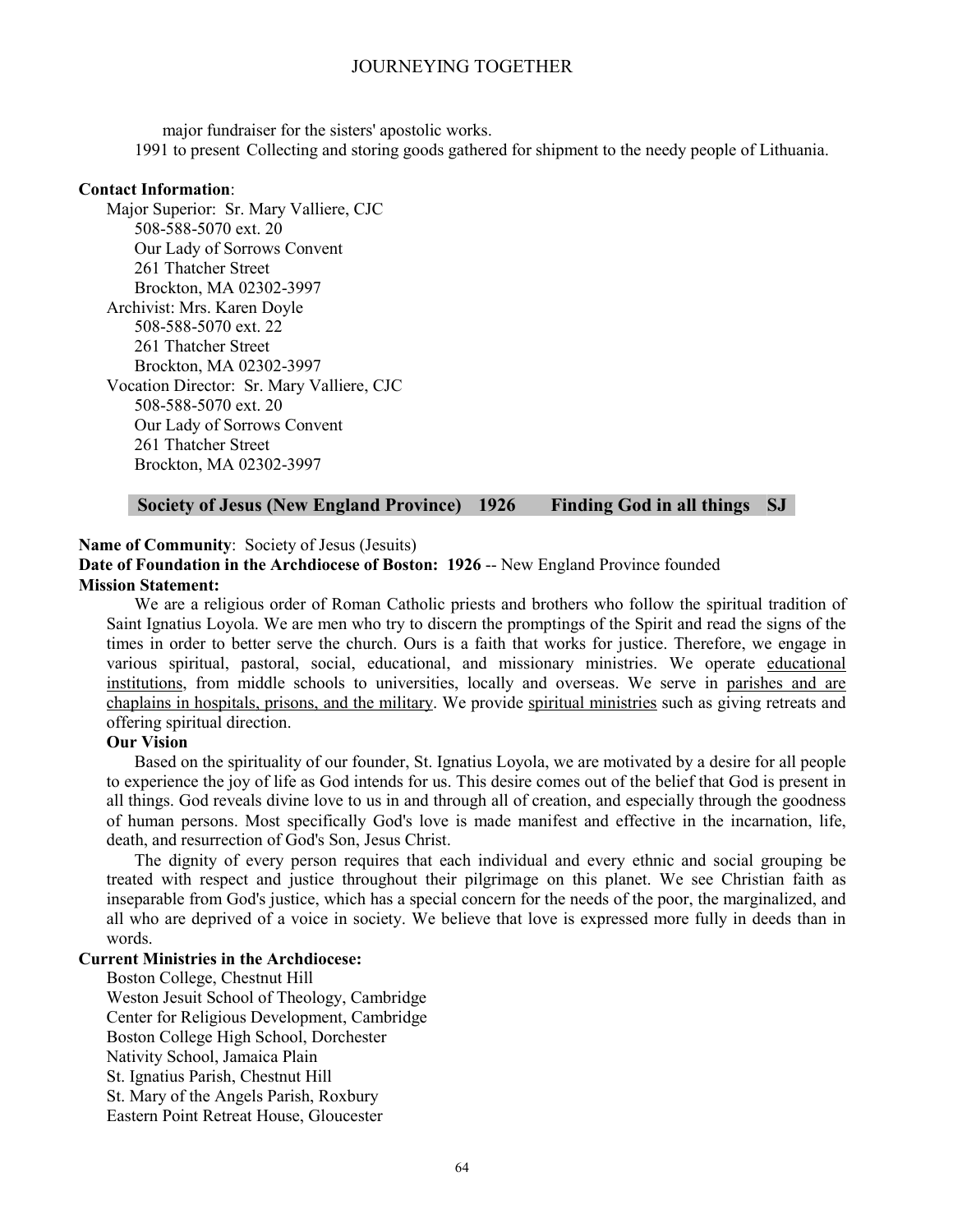major fundraiser for the sisters' apostolic works. 1991 to present Collecting and storing goods gathered for shipment to the needy people of Lithuania.

#### **Contact Information**:

Major Superior: Sr. Mary Valliere, CJC 508-588-5070 ext. 20 Our Lady of Sorrows Convent 261 Thatcher Street Brockton, MA 02302-3997 Archivist: Mrs. Karen Doyle 508-588-5070 ext. 22 261 Thatcher Street Brockton, MA 02302-3997 Vocation Director: Sr. Mary Valliere, CJC 508-588-5070 ext. 20 Our Lady of Sorrows Convent 261 Thatcher Street Brockton, MA 02302-3997

# **Society of Jesus (New England Province) 1926 Finding God in all things SJ**

#### **Name of Community**: Society of Jesus (Jesuits)

Date of Foundation in the Archdiocese of Boston: 1926 -- New England Province founded **Mission Statement:**

We are a religious order of Roman Catholic priests and brothers who follow the spiritual tradition of Saint Ignatius Loyola. We are men who try to discern the promptings of the Spirit and read the signs of the times in order to better serve the church. Ours is a faith that works for justice. Therefore, we engage in various spiritual, pastoral, social, educational, and missionary ministries. We operate educational institutions, from middle schools to universities, locally and overseas. We serve in parishes and are chaplains in hospitals, prisons, and the military. We provide spiritual ministries such as giving retreats and offering spiritual direction.

#### **Our Vision**

Based on the spirituality of our founder, St. Ignatius Loyola, we are motivated by a desire for all people to experience the joy of life as God intends for us. This desire comes out of the belief that God is present in all things. God reveals divine love to us in and through all of creation, and especially through the goodness of human persons. Most specifically God's love is made manifest and effective in the incarnation, life, death, and resurrection of God's Son, Jesus Christ.

The dignity of every person requires that each individual and every ethnic and social grouping be treated with respect and justice throughout their pilgrimage on this planet. We see Christian faith as inseparable from God's justice, which has a special concern for the needs of the poor, the marginalized, and all who are deprived of a voice in society. We believe that love is expressed more fully in deeds than in words.

# **Current Ministries in the Archdiocese:**

Boston College, Chestnut Hill Weston Jesuit School of Theology, Cambridge Center for Religious Development, Cambridge Boston College High School, Dorchester Nativity School, Jamaica Plain St. Ignatius Parish, Chestnut Hill St. Mary of the Angels Parish, Roxbury Eastern Point Retreat House, Gloucester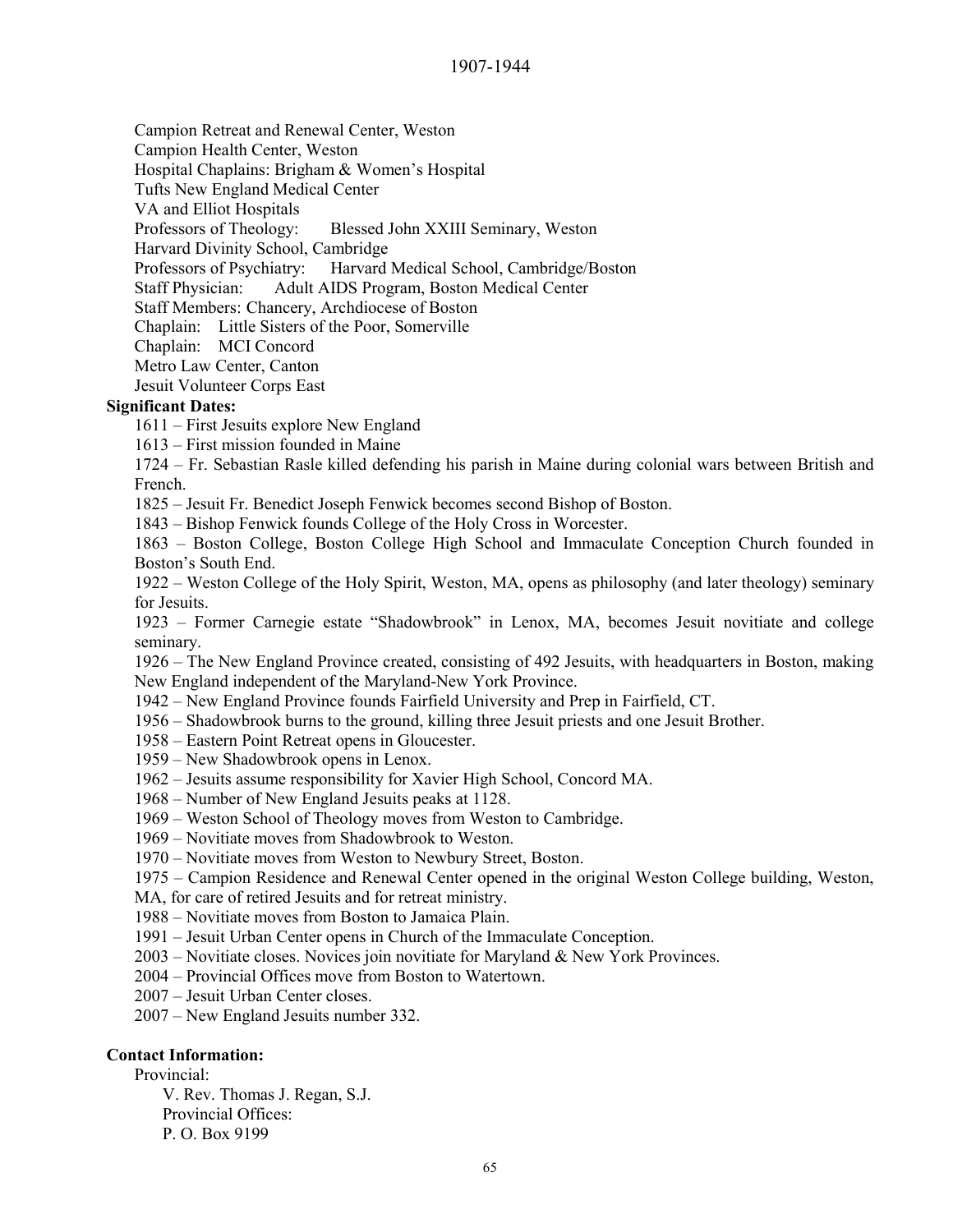Campion Retreat and Renewal Center, Weston

Campion Health Center, Weston

Hospital Chaplains: Brigham & Women's Hospital

Tufts New England Medical Center

VA and Elliot Hospitals

Professors of Theology: Blessed John XXIII Seminary, Weston

Harvard Divinity School, Cambridge

Professors of Psychiatry: Harvard Medical School, Cambridge/Boston

Staff Physician: Adult AIDS Program, Boston Medical Center

Staff Members: Chancery, Archdiocese of Boston

Chaplain: Little Sisters of the Poor, Somerville

Chaplain: MCI Concord

Metro Law Center, Canton

Jesuit Volunteer Corps East

# **Significant Dates:**

1611 – First Jesuits explore New England

1613 – First mission founded in Maine

1724 – Fr. Sebastian Rasle killed defending his parish in Maine during colonial wars between British and French.

1825 – Jesuit Fr. Benedict Joseph Fenwick becomes second Bishop of Boston.

1843 – Bishop Fenwick founds College of the Holy Cross in Worcester.

1863 – Boston College, Boston College High School and Immaculate Conception Church founded in Boston's South End.

1922 – Weston College of the Holy Spirit, Weston, MA, opens as philosophy (and later theology) seminary for Jesuits.

1923 – Former Carnegie estate "Shadowbrook" in Lenox, MA, becomes Jesuit novitiate and college seminary.

1926 – The New England Province created, consisting of 492 Jesuits, with headquarters in Boston, making New England independent of the Maryland-New York Province.

1942 – New England Province founds Fairfield University and Prep in Fairfield, CT.

1956 – Shadowbrook burns to the ground, killing three Jesuit priests and one Jesuit Brother.

# 1958 – Eastern Point Retreat opens in Gloucester.

- 1959 New Shadowbrook opens in Lenox.
- 1962 Jesuits assume responsibility for Xavier High School, Concord MA.
- 1968 Number of New England Jesuits peaks at 1128.
- 1969 Weston School of Theology moves from Weston to Cambridge.
- 1969 Novitiate moves from Shadowbrook to Weston.

1970 – Novitiate moves from Weston to Newbury Street, Boston.

1975 – Campion Residence and Renewal Center opened in the original Weston College building, Weston,

MA, for care of retired Jesuits and for retreat ministry.

1988 – Novitiate moves from Boston to Jamaica Plain.

1991 – Jesuit Urban Center opens in Church of the Immaculate Conception.

2003 – Novitiate closes. Novices join novitiate for Maryland & New York Provinces.

2004 – Provincial Offices move from Boston to Watertown.

2007 – Jesuit Urban Center closes.

2007 – New England Jesuits number 332.

# **Contact Information:**

Provincial:

V. Rev. Thomas J. Regan, S.J. Provincial Offices: P. O. Box 9199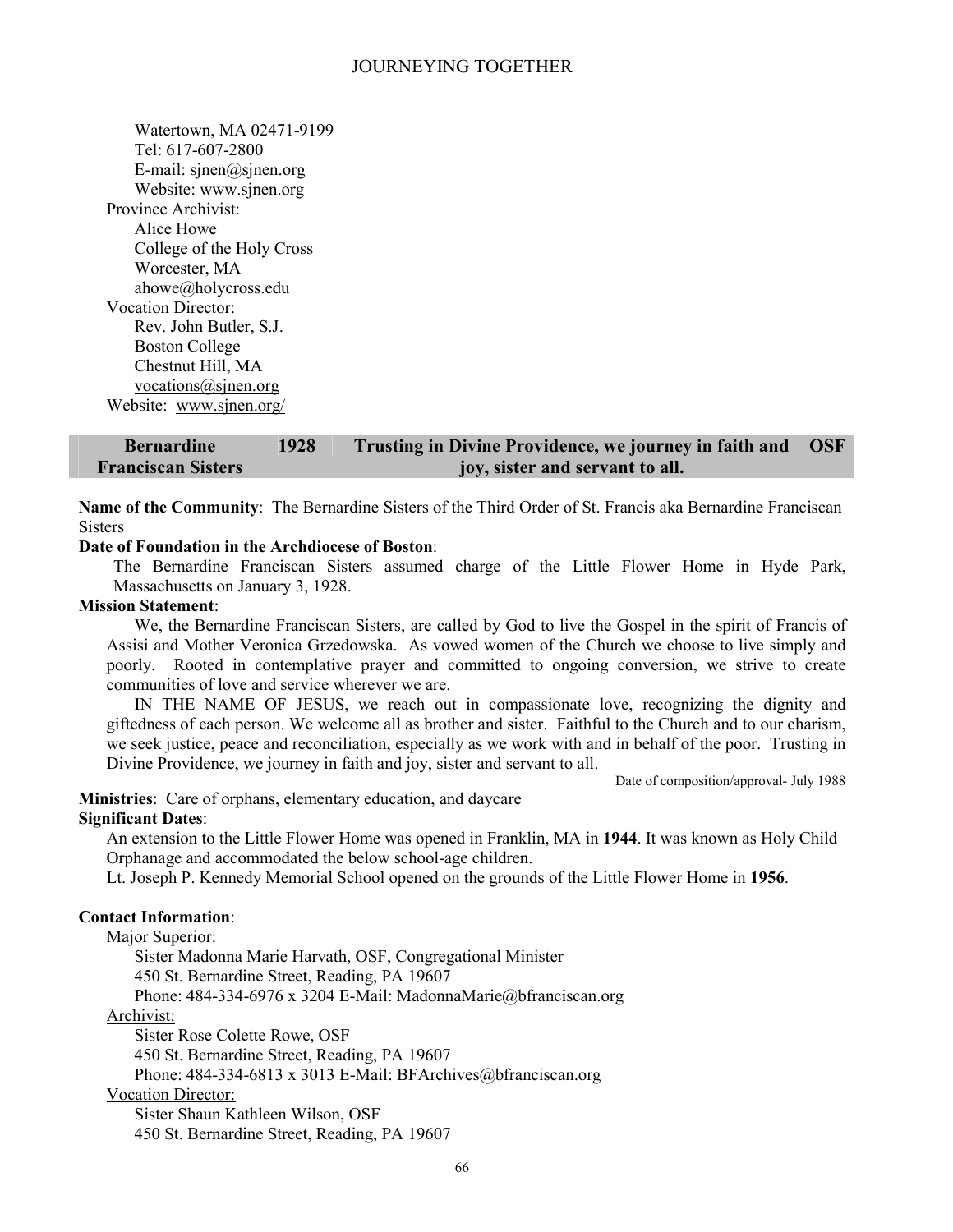Watertown, MA 02471-9199 Tel: 617-607-2800 E-mail: sjnen@sjnen.org Website: www.sjnen.org Province Archivist: Alice Howe College of the Holy Cross Worcester, MA ahowe@holycross.edu Vocation Director: Rev. John Butler, S.J. Boston College Chestnut Hill, MA vocations@sjnen.org Website: www.sjnen.org/

**Bernardine Franciscan Sisters 1928 Trusting in Divine Providence, we journey in faith and joy, sister and servant to all. OSF** 

**Name of the Community**: The Bernardine Sisters of the Third Order of St. Francis aka Bernardine Franciscan **Sisters** 

#### **Date of Foundation in the Archdiocese of Boston**:

The Bernardine Franciscan Sisters assumed charge of the Little Flower Home in Hyde Park, Massachusetts on January 3, 1928.

#### **Mission Statement**:

We, the Bernardine Franciscan Sisters, are called by God to live the Gospel in the spirit of Francis of Assisi and Mother Veronica Grzedowska. As vowed women of the Church we choose to live simply and poorly. Rooted in contemplative prayer and committed to ongoing conversion, we strive to create communities of love and service wherever we are.

IN THE NAME OF JESUS, we reach out in compassionate love, recognizing the dignity and giftedness of each person. We welcome all as brother and sister. Faithful to the Church and to our charism, we seek justice, peace and reconciliation, especially as we work with and in behalf of the poor. Trusting in Divine Providence, we journey in faith and joy, sister and servant to all.

Date of composition/approval- July 1988

**Ministries**: Care of orphans, elementary education, and daycare **Significant Dates**:

An extension to the Little Flower Home was opened in Franklin, MA in **1944**. It was known as Holy Child Orphanage and accommodated the below school-age children.

Lt. Joseph P. Kennedy Memorial School opened on the grounds of the Little Flower Home in **1956**.

# **Contact Information**:

Major Superior:

Sister Madonna Marie Harvath, OSF, Congregational Minister

450 St. Bernardine Street, Reading, PA 19607

Phone: 484-334-6976 x 3204 E-Mail: MadonnaMarie@bfranciscan.org

Archivist:

Sister Rose Colette Rowe, OSF

450 St. Bernardine Street, Reading, PA 19607

Phone: 484-334-6813 x 3013 E-Mail: BFArchives@bfranciscan.org

# Vocation Director:

Sister Shaun Kathleen Wilson, OSF 450 St. Bernardine Street, Reading, PA 19607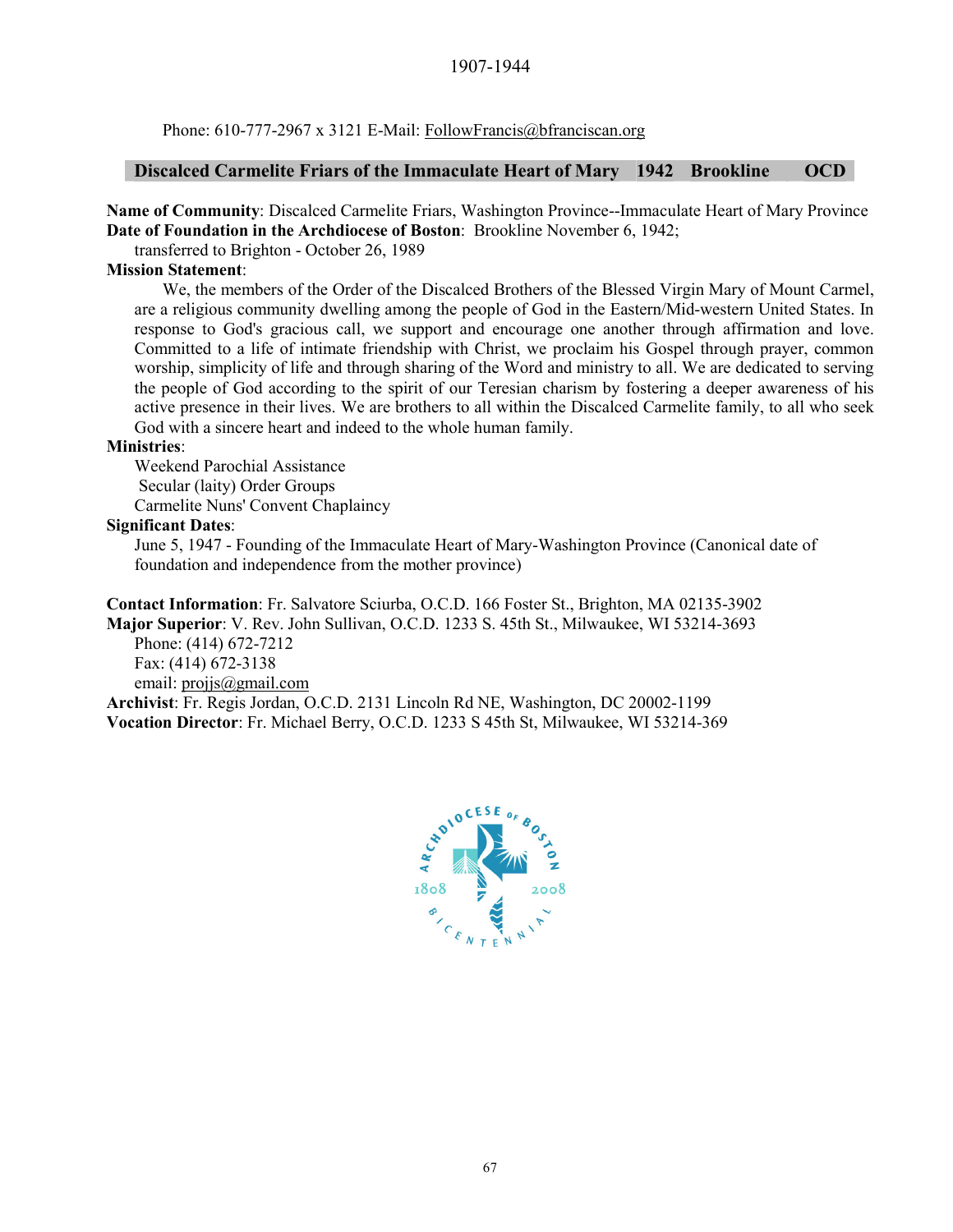#### 1907-1944

Phone: 610-777-2967 x 3121 E-Mail: FollowFrancis@bfranciscan.org

#### **Discalced Carmelite Friars of the Immaculate Heart of Mary 1942 Brookline OCD**

**Name of Community**: Discalced Carmelite Friars, Washington Province--Immaculate Heart of Mary Province **Date of Foundation in the Archdiocese of Boston**: Brookline November 6, 1942;

transferred to Brighton - October 26, 1989

#### **Mission Statement**:

We, the members of the Order of the Discalced Brothers of the Blessed Virgin Mary of Mount Carmel, are a religious community dwelling among the people of God in the Eastern/Mid-western United States. In response to God's gracious call, we support and encourage one another through affirmation and love. Committed to a life of intimate friendship with Christ, we proclaim his Gospel through prayer, common worship, simplicity of life and through sharing of the Word and ministry to all. We are dedicated to serving the people of God according to the spirit of our Teresian charism by fostering a deeper awareness of his active presence in their lives. We are brothers to all within the Discalced Carmelite family, to all who seek God with a sincere heart and indeed to the whole human family.

#### **Ministries**:

Weekend Parochial Assistance Secular (laity) Order Groups Carmelite Nuns' Convent Chaplaincy

#### **Significant Dates**:

June 5, 1947 - Founding of the Immaculate Heart of Mary-Washington Province (Canonical date of foundation and independence from the mother province)

**Contact Information**: Fr. Salvatore Sciurba, O.C.D. 166 Foster St., Brighton, MA 02135-3902 **Major Superior**: V. Rev. John Sullivan, O.C.D. 1233 S. 45th St., Milwaukee, WI 53214-3693

Phone: (414) 672-7212 Fax: (414) 672-3138 email: projjs@gmail.com

**Archivist**: Fr. Regis Jordan, O.C.D. 2131 Lincoln Rd NE, Washington, DC 20002-1199 **Vocation Director**: Fr. Michael Berry, O.C.D. 1233 S 45th St, Milwaukee, WI 53214-369

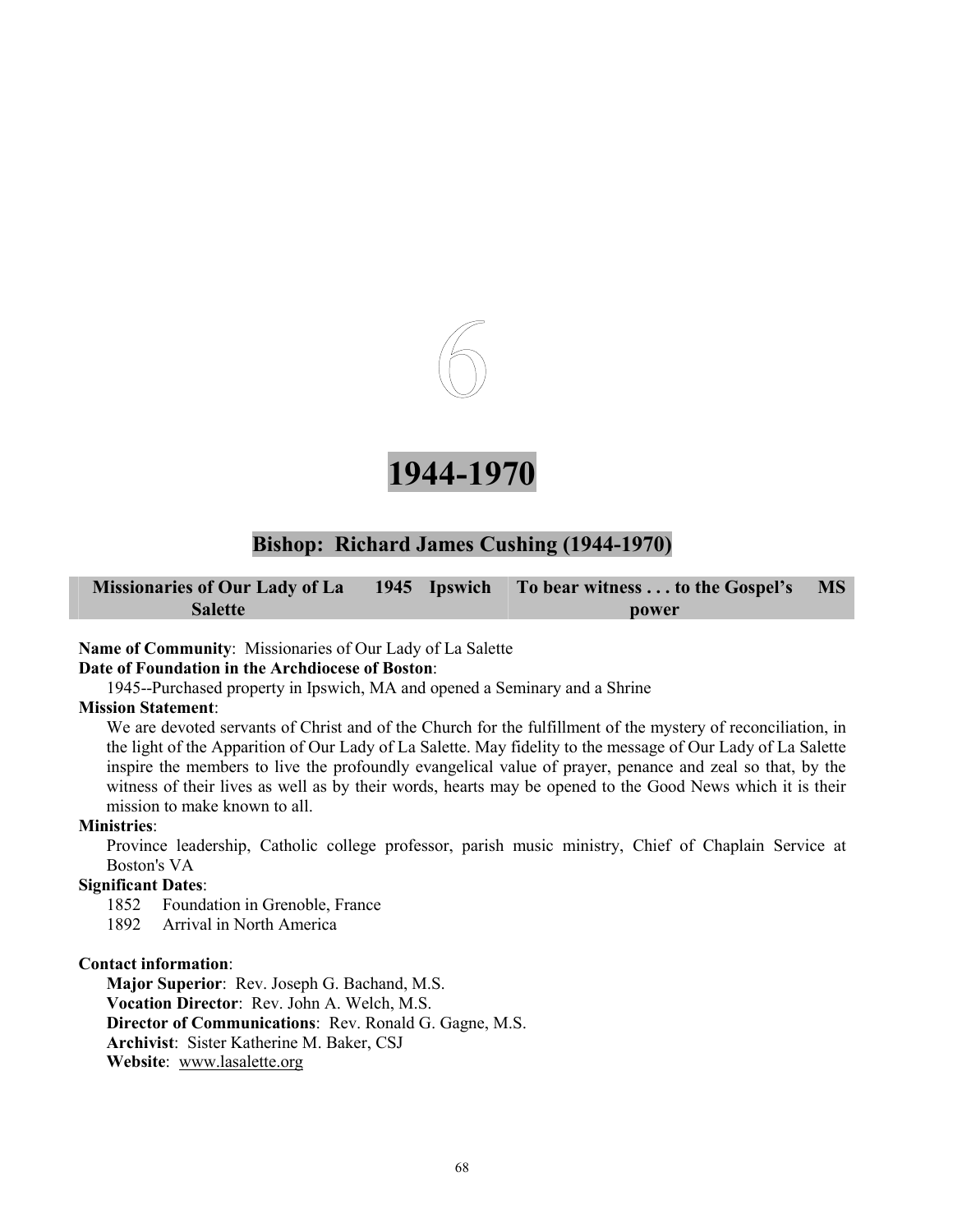



# **Bishop: Richard James Cushing (1944-1970)**

|                |  | Missionaries of Our Lady of La 1945 Ipswich To bear witness to the Gospel's MS |  |
|----------------|--|--------------------------------------------------------------------------------|--|
| <b>Salette</b> |  | power                                                                          |  |

### **Name of Community**: Missionaries of Our Lady of La Salette

### **Date of Foundation in the Archdiocese of Boston**:

1945--Purchased property in Ipswich, MA and opened a Seminary and a Shrine

#### **Mission Statement**:

We are devoted servants of Christ and of the Church for the fulfillment of the mystery of reconciliation, in the light of the Apparition of Our Lady of La Salette. May fidelity to the message of Our Lady of La Salette inspire the members to live the profoundly evangelical value of prayer, penance and zeal so that, by the witness of their lives as well as by their words, hearts may be opened to the Good News which it is their mission to make known to all.

#### **Ministries**:

Province leadership, Catholic college professor, parish music ministry, Chief of Chaplain Service at Boston's VA

## **Significant Dates**:

1852 Foundation in Grenoble, France

1892 Arrival in North America

#### **Contact information**:

**Major Superior**: Rev. Joseph G. Bachand, M.S. **Vocation Director**: Rev. John A. Welch, M.S. **Director of Communications**: Rev. Ronald G. Gagne, M.S. **Archivist**: Sister Katherine M. Baker, CSJ **Website**: www.lasalette.org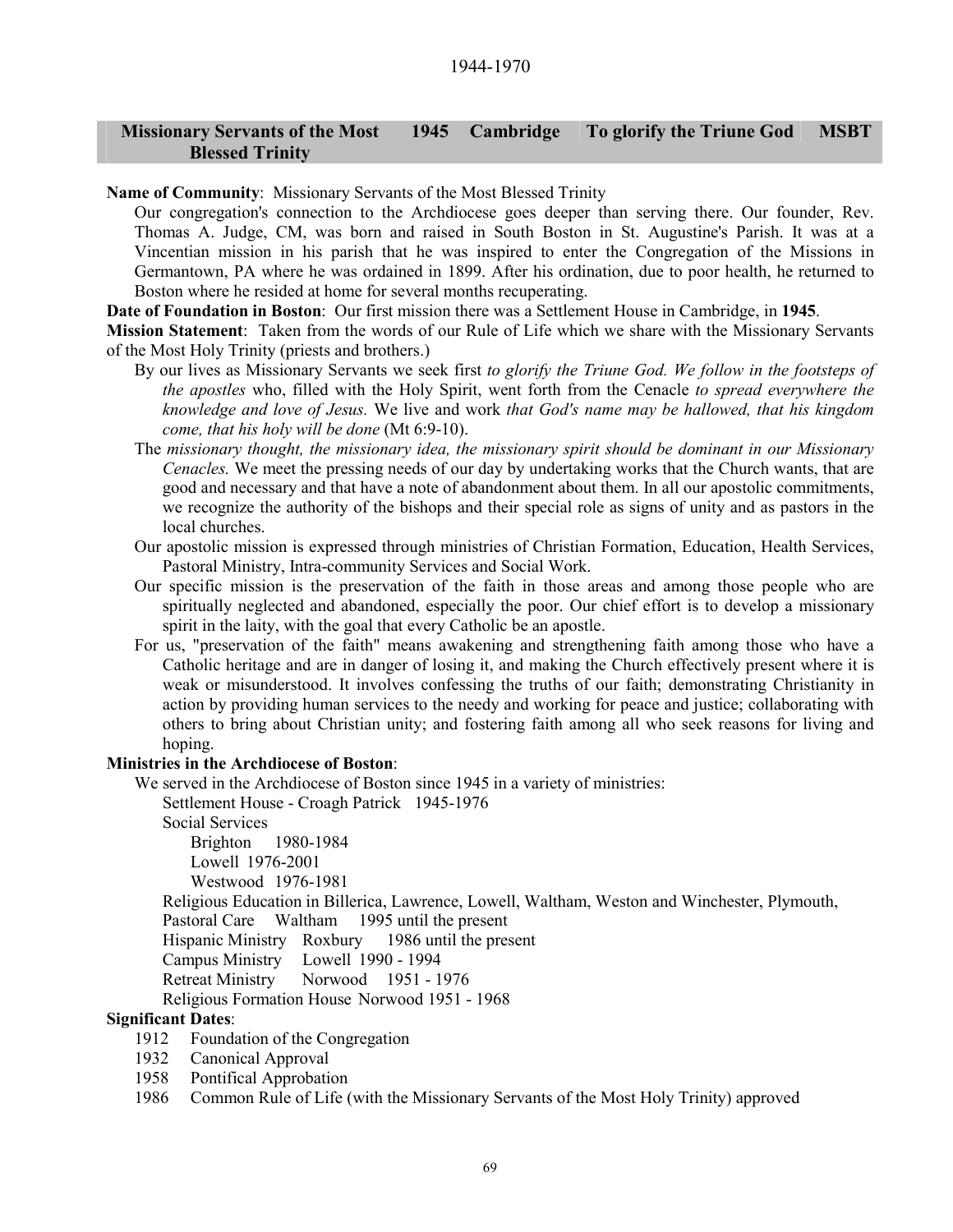#### **Missionary Servants of the Most Blessed Trinity 1945 Cambridge To glorify the Triune God MSBT**

**Name of Community**: Missionary Servants of the Most Blessed Trinity

Our congregation's connection to the Archdiocese goes deeper than serving there. Our founder, Rev. Thomas A. Judge, CM, was born and raised in South Boston in St. Augustine's Parish. It was at a Vincentian mission in his parish that he was inspired to enter the Congregation of the Missions in Germantown, PA where he was ordained in 1899. After his ordination, due to poor health, he returned to Boston where he resided at home for several months recuperating.

**Date of Foundation in Boston**: Our first mission there was a Settlement House in Cambridge, in **1945**.

**Mission Statement**: Taken from the words of our Rule of Life which we share with the Missionary Servants of the Most Holy Trinity (priests and brothers.)

- By our lives as Missionary Servants we seek first *to glorify the Triune God. We follow in the footsteps of the apostles* who, filled with the Holy Spirit, went forth from the Cenacle *to spread everywhere the knowledge and love of Jesus.* We live and work *that God's name may be hallowed, that his kingdom come, that his holy will be done* (Mt 6:9-10).
- The *missionary thought, the missionary idea, the missionary spirit should be dominant in our Missionary Cenacles.* We meet the pressing needs of our day by undertaking works that the Church wants, that are good and necessary and that have a note of abandonment about them. In all our apostolic commitments, we recognize the authority of the bishops and their special role as signs of unity and as pastors in the local churches.
- Our apostolic mission is expressed through ministries of Christian Formation, Education, Health Services, Pastoral Ministry, Intra-community Services and Social Work.
- Our specific mission is the preservation of the faith in those areas and among those people who are spiritually neglected and abandoned, especially the poor. Our chief effort is to develop a missionary spirit in the laity, with the goal that every Catholic be an apostle.
- For us, "preservation of the faith" means awakening and strengthening faith among those who have a Catholic heritage and are in danger of losing it, and making the Church effectively present where it is weak or misunderstood. It involves confessing the truths of our faith; demonstrating Christianity in action by providing human services to the needy and working for peace and justice; collaborating with others to bring about Christian unity; and fostering faith among all who seek reasons for living and hoping.

#### **Ministries in the Archdiocese of Boston**:

We served in the Archdiocese of Boston since 1945 in a variety of ministries:

Settlement House - Croagh Patrick 1945-1976

Social Services

Brighton 1980-1984 Lowell 1976-2001 Westwood 1976-1981

Religious Education in Billerica, Lawrence, Lowell, Waltham, Weston and Winchester, Plymouth, Pastoral Care Waltham 1995 until the present

Hispanic Ministry Roxbury 1986 until the present

Campus Ministry Lowell 1990 - 1994

Retreat Ministry Norwood 1951 - 1976

Religious Formation House Norwood 1951 - 1968

#### **Significant Dates**:

- 1912 Foundation of the Congregation
- 1932 Canonical Approval
- 1958 Pontifical Approbation
- 1986 Common Rule of Life (with the Missionary Servants of the Most Holy Trinity) approved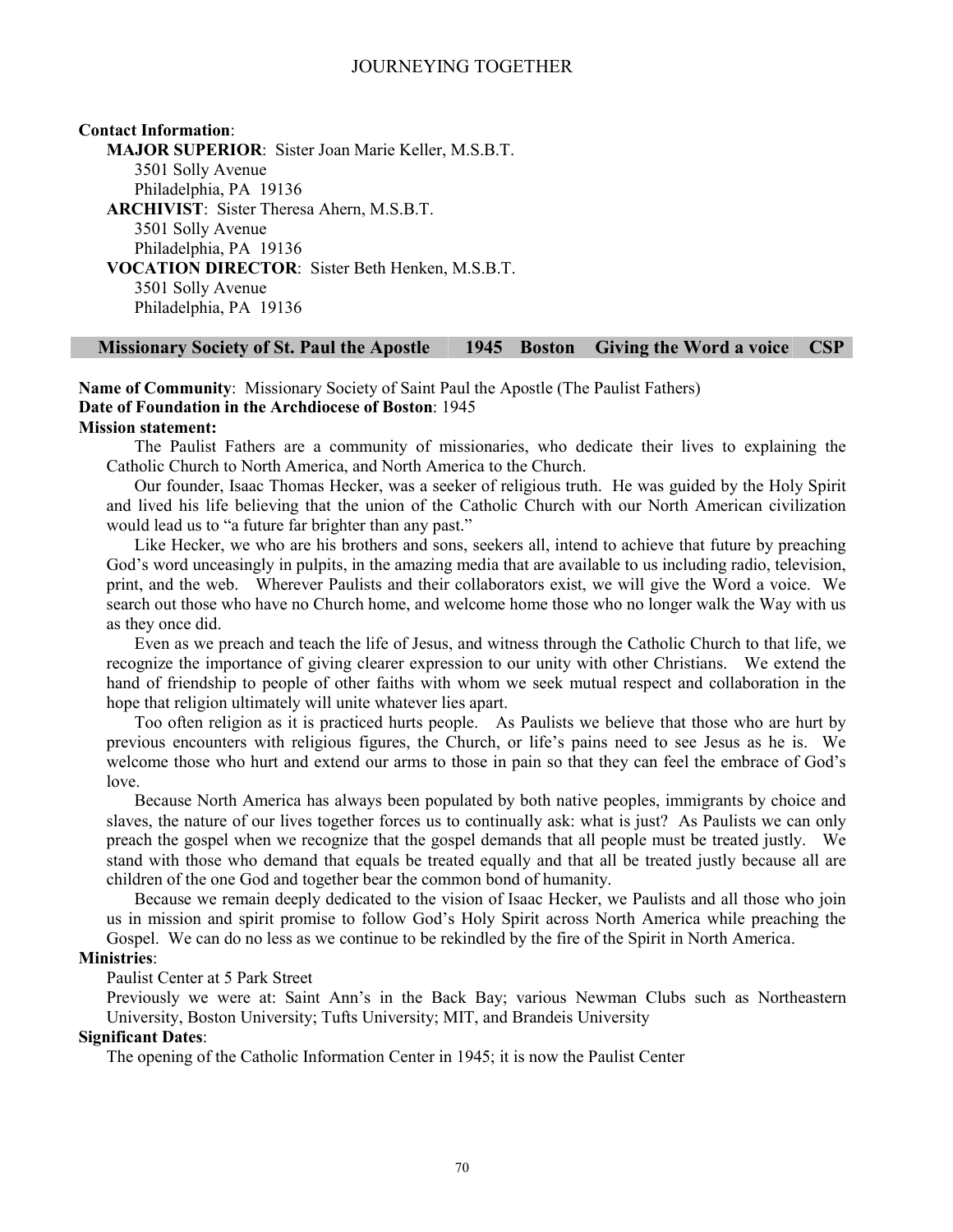### **Contact Information**: **MAJOR SUPERIOR**: Sister Joan Marie Keller, M.S.B.T. 3501 Solly Avenue Philadelphia, PA 19136 **ARCHIVIST**: Sister Theresa Ahern, M.S.B.T. 3501 Solly Avenue Philadelphia, PA 19136 **VOCATION DIRECTOR**: Sister Beth Henken, M.S.B.T. 3501 Solly Avenue Philadelphia, PA 19136

#### **Missionary Society of St. Paul the Apostle 1945 Boston Giving the Word a voice CSP**

**Name of Community**: Missionary Society of Saint Paul the Apostle (The Paulist Fathers) **Date of Foundation in the Archdiocese of Boston**: 1945 **Mission statement:**

The Paulist Fathers are a community of missionaries, who dedicate their lives to explaining the Catholic Church to North America, and North America to the Church.

Our founder, Isaac Thomas Hecker, was a seeker of religious truth. He was guided by the Holy Spirit and lived his life believing that the union of the Catholic Church with our North American civilization would lead us to "a future far brighter than any past."

Like Hecker, we who are his brothers and sons, seekers all, intend to achieve that future by preaching God's word unceasingly in pulpits, in the amazing media that are available to us including radio, television, print, and the web. Wherever Paulists and their collaborators exist, we will give the Word a voice. We search out those who have no Church home, and welcome home those who no longer walk the Way with us as they once did.

Even as we preach and teach the life of Jesus, and witness through the Catholic Church to that life, we recognize the importance of giving clearer expression to our unity with other Christians. We extend the hand of friendship to people of other faiths with whom we seek mutual respect and collaboration in the hope that religion ultimately will unite whatever lies apart.

Too often religion as it is practiced hurts people. As Paulists we believe that those who are hurt by previous encounters with religious figures, the Church, or life's pains need to see Jesus as he is. We welcome those who hurt and extend our arms to those in pain so that they can feel the embrace of God's love.

Because North America has always been populated by both native peoples, immigrants by choice and slaves, the nature of our lives together forces us to continually ask: what is just? As Paulists we can only preach the gospel when we recognize that the gospel demands that all people must be treated justly. We stand with those who demand that equals be treated equally and that all be treated justly because all are children of the one God and together bear the common bond of humanity.

Because we remain deeply dedicated to the vision of Isaac Hecker, we Paulists and all those who join us in mission and spirit promise to follow God's Holy Spirit across North America while preaching the Gospel. We can do no less as we continue to be rekindled by the fire of the Spirit in North America.

## **Ministries**:

#### Paulist Center at 5 Park Street

Previously we were at: Saint Ann's in the Back Bay; various Newman Clubs such as Northeastern University, Boston University; Tufts University; MIT, and Brandeis University

## **Significant Dates**:

The opening of the Catholic Information Center in 1945; it is now the Paulist Center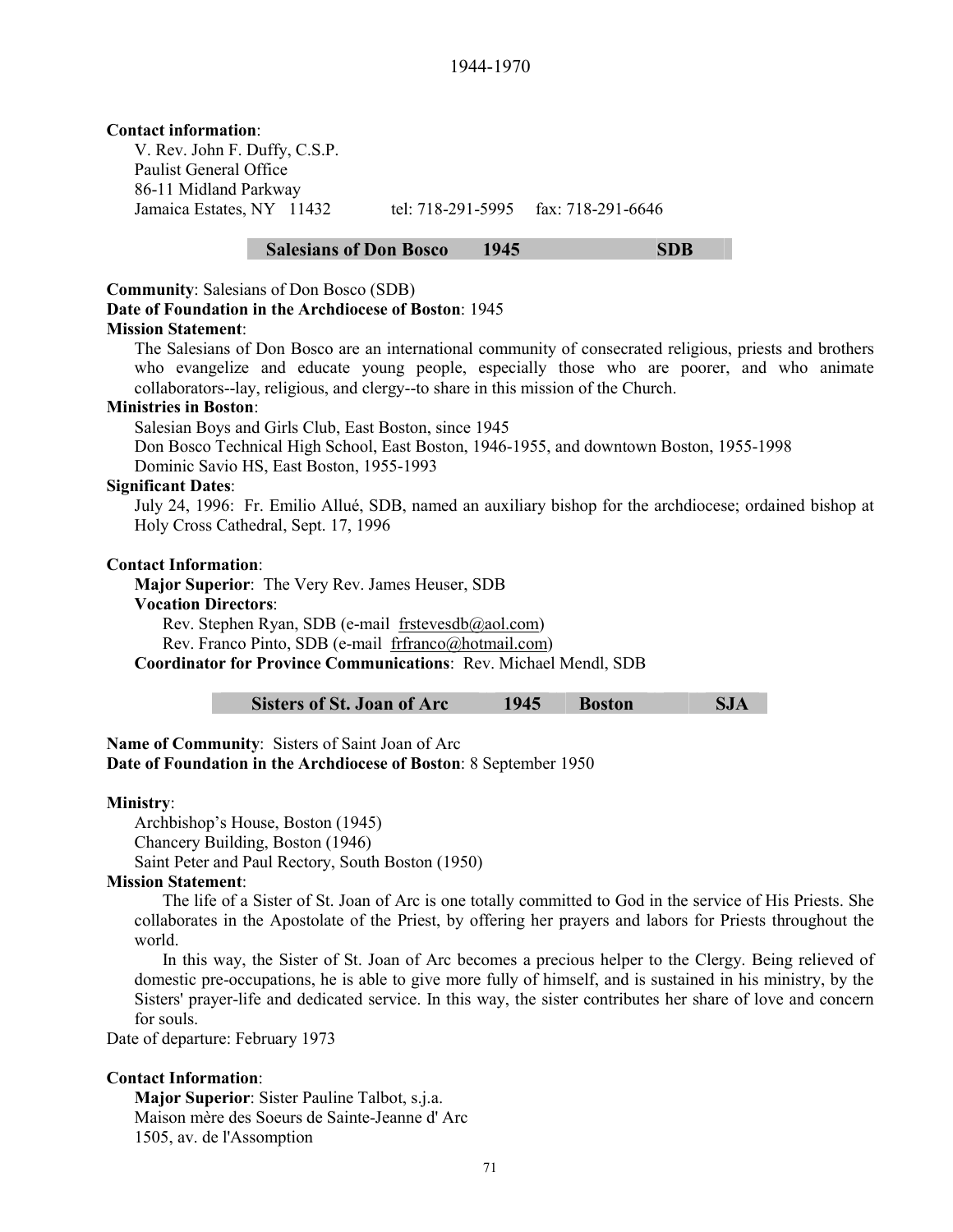#### **Contact information**:

V. Rev. John F. Duffy, C.S.P. Paulist General Office 86-11 Midland Parkway Jamaica Estates, NY 11432 tel: 718-291-5995 fax: 718-291-6646

## **Salesians of Don Bosco 1945 SDB**

#### **Community**: Salesians of Don Bosco (SDB)

# **Date of Foundation in the Archdiocese of Boston**: 1945

#### **Mission Statement**:

The Salesians of Don Bosco are an international community of consecrated religious, priests and brothers who evangelize and educate young people, especially those who are poorer, and who animate collaborators--lay, religious, and clergy--to share in this mission of the Church.

#### **Ministries in Boston**:

Salesian Boys and Girls Club, East Boston, since 1945

Don Bosco Technical High School, East Boston, 1946-1955, and downtown Boston, 1955-1998 Dominic Savio HS, East Boston, 1955-1993

#### **Significant Dates**:

July 24, 1996: Fr. Emilio Allué, SDB, named an auxiliary bishop for the archdiocese; ordained bishop at Holy Cross Cathedral, Sept. 17, 1996

#### **Contact Information**:

**Major Superior**: The Very Rev. James Heuser, SDB

#### **Vocation Directors**:

Rev. Stephen Ryan, SDB (e-mail frstevesdb@aol.com)

Rev. Franco Pinto, SDB (e-mail frfranco@hotmail.com)

**Coordinator for Province Communications**: Rev. Michael Mendl, SDB

**Sisters of St. Joan of Arc 1945 Boston SJA** 

**Name of Community**: Sisters of Saint Joan of Arc

**Date of Foundation in the Archdiocese of Boston**: 8 September 1950

#### **Ministry**:

Archbishop's House, Boston (1945) Chancery Building, Boston (1946) Saint Peter and Paul Rectory, South Boston (1950)

#### **Mission Statement**:

The life of a Sister of St. Joan of Arc is one totally committed to God in the service of His Priests. She collaborates in the Apostolate of the Priest, by offering her prayers and labors for Priests throughout the world.

In this way, the Sister of St. Joan of Arc becomes a precious helper to the Clergy. Being relieved of domestic pre-occupations, he is able to give more fully of himself, and is sustained in his ministry, by the Sisters' prayer-life and dedicated service. In this way, the sister contributes her share of love and concern for souls.

Date of departure: February 1973

#### **Contact Information**:

**Major Superior**: Sister Pauline Talbot, s.j.a. Maison mère des Soeurs de Sainte-Jeanne d' Arc 1505, av. de l'Assomption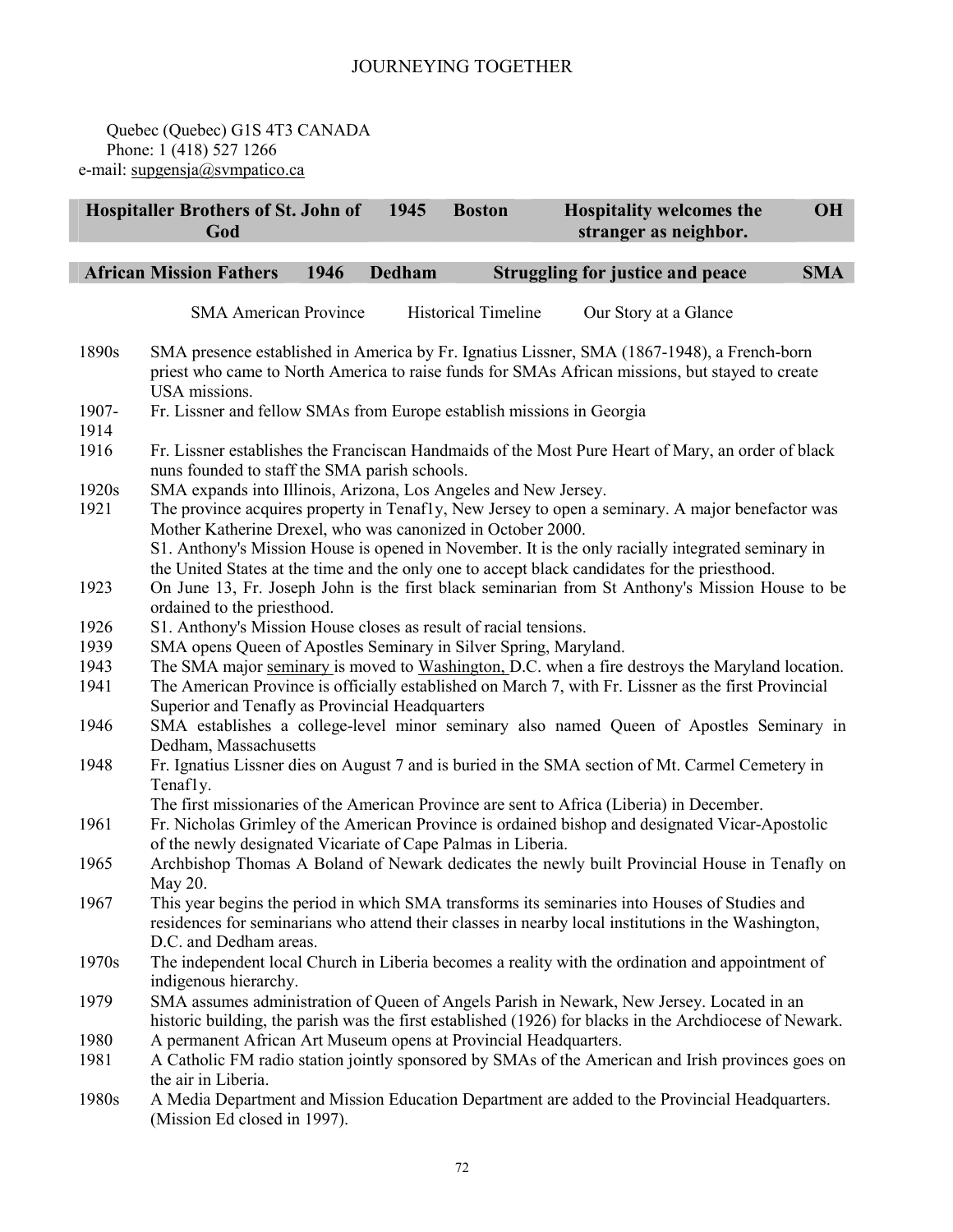Quebec (Quebec) G1S 4T3 CANADA Phone: 1 (418) 527 1266 e-mail: supgensja@svmpatico.ca

|               | <b>Hospitaller Brothers of St. John of</b><br>God                                               |      | 1945   | <b>Boston</b>              | <b>Hospitality welcomes the</b><br>stranger as neighbor.                                                                                                                                             | <b>OH</b>  |  |
|---------------|-------------------------------------------------------------------------------------------------|------|--------|----------------------------|------------------------------------------------------------------------------------------------------------------------------------------------------------------------------------------------------|------------|--|
|               | <b>African Mission Fathers</b>                                                                  | 1946 | Dedham |                            | <b>Struggling for justice and peace</b>                                                                                                                                                              | <b>SMA</b> |  |
|               |                                                                                                 |      |        |                            |                                                                                                                                                                                                      |            |  |
|               | <b>SMA American Province</b>                                                                    |      |        | <b>Historical Timeline</b> | Our Story at a Glance                                                                                                                                                                                |            |  |
| 1890s         | USA missions.                                                                                   |      |        |                            | SMA presence established in America by Fr. Ignatius Lissner, SMA (1867-1948), a French-born<br>priest who came to North America to raise funds for SMAs African missions, but stayed to create       |            |  |
| 1907-<br>1914 | Fr. Lissner and fellow SMAs from Europe establish missions in Georgia                           |      |        |                            |                                                                                                                                                                                                      |            |  |
| 1916          | nuns founded to staff the SMA parish schools.                                                   |      |        |                            | Fr. Lissner establishes the Franciscan Handmaids of the Most Pure Heart of Mary, an order of black                                                                                                   |            |  |
| 1920s         | SMA expands into Illinois, Arizona, Los Angeles and New Jersey.                                 |      |        |                            |                                                                                                                                                                                                      |            |  |
| 1921          |                                                                                                 |      |        |                            | The province acquires property in Tenafly, New Jersey to open a seminary. A major benefactor was                                                                                                     |            |  |
|               | Mother Katherine Drexel, who was canonized in October 2000.                                     |      |        |                            | S1. Anthony's Mission House is opened in November. It is the only racially integrated seminary in<br>the United States at the time and the only one to accept black candidates for the priesthood.   |            |  |
| 1923          | ordained to the priesthood.                                                                     |      |        |                            | On June 13, Fr. Joseph John is the first black seminarian from St Anthony's Mission House to be                                                                                                      |            |  |
| 1926          | S1. Anthony's Mission House closes as result of racial tensions.                                |      |        |                            |                                                                                                                                                                                                      |            |  |
| 1939          | SMA opens Queen of Apostles Seminary in Silver Spring, Maryland.                                |      |        |                            |                                                                                                                                                                                                      |            |  |
| 1943          | The SMA major seminary is moved to Washington, D.C. when a fire destroys the Maryland location. |      |        |                            |                                                                                                                                                                                                      |            |  |
| 1941          | Superior and Tenafly as Provincial Headquarters                                                 |      |        |                            | The American Province is officially established on March 7, with Fr. Lissner as the first Provincial                                                                                                 |            |  |
| 1946          | Dedham, Massachusetts                                                                           |      |        |                            | SMA establishes a college-level minor seminary also named Queen of Apostles Seminary in                                                                                                              |            |  |
| 1948          | Tenafly.                                                                                        |      |        |                            | Fr. Ignatius Lissner dies on August 7 and is buried in the SMA section of Mt. Carmel Cemetery in                                                                                                     |            |  |
|               |                                                                                                 |      |        |                            | The first missionaries of the American Province are sent to Africa (Liberia) in December.                                                                                                            |            |  |
| 1961          | of the newly designated Vicariate of Cape Palmas in Liberia.                                    |      |        |                            | Fr. Nicholas Grimley of the American Province is ordained bishop and designated Vicar-Apostolic                                                                                                      |            |  |
| 1965          | May 20.                                                                                         |      |        |                            | Archbishop Thomas A Boland of Newark dedicates the newly built Provincial House in Tenafly on                                                                                                        |            |  |
| 1967          | D.C. and Dedham areas.                                                                          |      |        |                            | This year begins the period in which SMA transforms its seminaries into Houses of Studies and<br>residences for seminarians who attend their classes in nearby local institutions in the Washington, |            |  |
| 1970s         | indigenous hierarchy.                                                                           |      |        |                            | The independent local Church in Liberia becomes a reality with the ordination and appointment of                                                                                                     |            |  |
| 1979          |                                                                                                 |      |        |                            | SMA assumes administration of Queen of Angels Parish in Newark, New Jersey. Located in an<br>historic building, the parish was the first established (1926) for blacks in the Archdiocese of Newark. |            |  |
| 1980          | A permanent African Art Museum opens at Provincial Headquarters.                                |      |        |                            |                                                                                                                                                                                                      |            |  |
| 1981          |                                                                                                 |      |        |                            | A Catholic FM radio station jointly sponsored by SMAs of the American and Irish provinces goes on                                                                                                    |            |  |
|               | the air in Liberia.                                                                             |      |        |                            |                                                                                                                                                                                                      |            |  |
| 1980s         | (Mission Ed closed in 1997).                                                                    |      |        |                            | A Media Department and Mission Education Department are added to the Provincial Headquarters.                                                                                                        |            |  |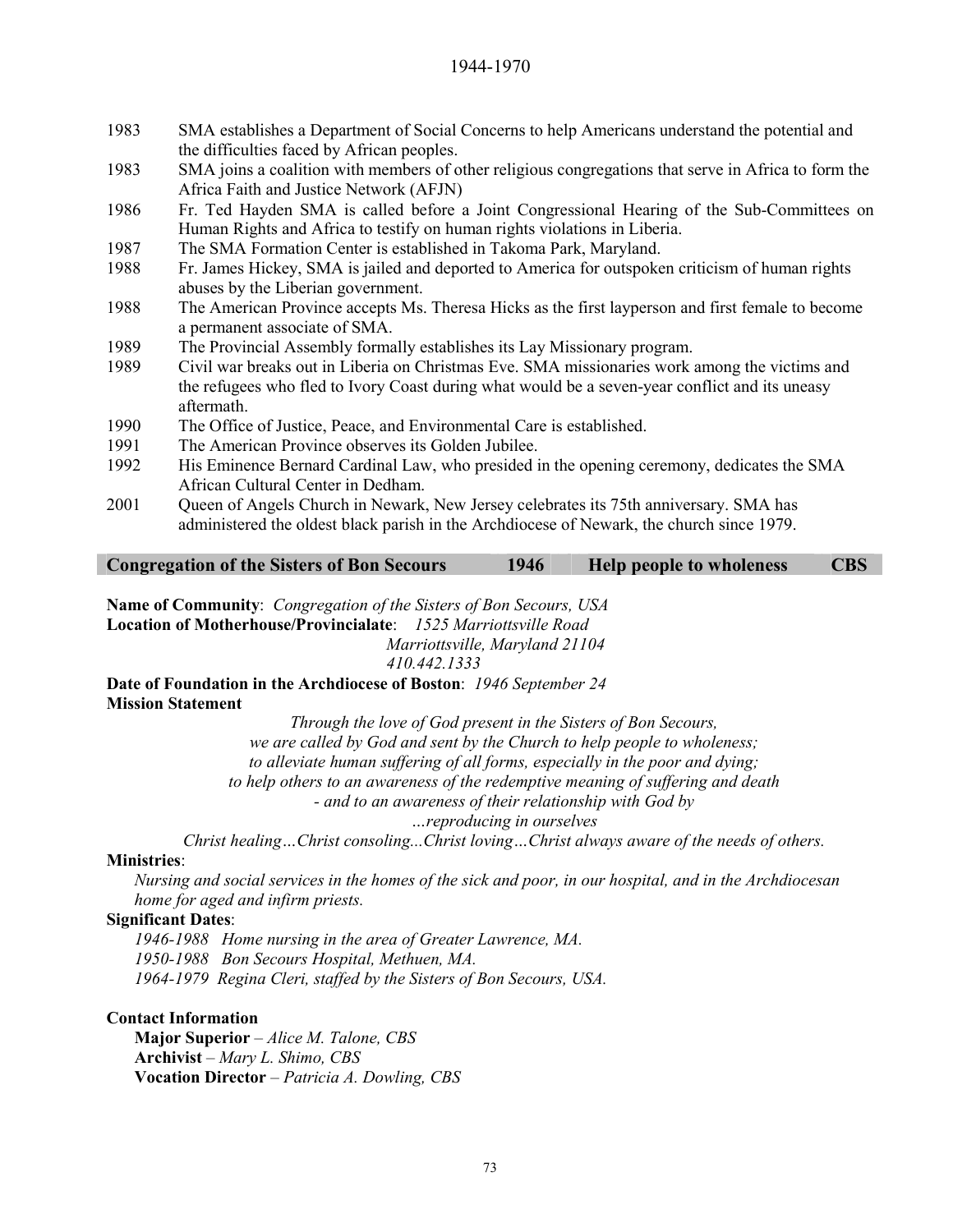#### 1944-1970

- 1983 SMA establishes a Department of Social Concerns to help Americans understand the potential and the difficulties faced by African peoples.
- 1983 SMA joins a coalition with members of other religious congregations that serve in Africa to form the Africa Faith and Justice Network (AFJN)
- 1986 Fr. Ted Hayden SMA is called before a Joint Congressional Hearing of the Sub-Committees on Human Rights and Africa to testify on human rights violations in Liberia.
- 1987 The SMA Formation Center is established in Takoma Park, Maryland.
- 1988 Fr. James Hickey, SMA is jailed and deported to America for outspoken criticism of human rights abuses by the Liberian government.
- 1988 The American Province accepts Ms. Theresa Hicks as the first layperson and first female to become a permanent associate of SMA.
- 1989 The Provincial Assembly formally establishes its Lay Missionary program.
- 1989 Civil war breaks out in Liberia on Christmas Eve. SMA missionaries work among the victims and the refugees who fled to Ivory Coast during what would be a seven-year conflict and its uneasy aftermath.
- 1990 The Office of Justice, Peace, and Environmental Care is established.
- 1991 The American Province observes its Golden Jubilee.
- 1992 His Eminence Bernard Cardinal Law, who presided in the opening ceremony, dedicates the SMA African Cultural Center in Dedham.
- 2001 Oueen of Angels Church in Newark, New Jersey celebrates its 75th anniversary. SMA has administered the oldest black parish in the Archdiocese of Newark, the church since 1979.

| <b>Congregation of the Sisters of Bon Secours</b> | 1946 | Help people to wholeness | <b>CBS</b> |
|---------------------------------------------------|------|--------------------------|------------|

**Name of Community**: *Congregation of the Sisters of Bon Secours, USA* **Location of Motherhouse/Provincialate**: *1525 Marriottsville Road Marriottsville, Maryland 21104 410.442.1333*

**Date of Foundation in the Archdiocese of Boston**: *1946 September 24* **Mission Statement**

*Through the love of God present in the Sisters of Bon Secours, we are called by God and sent by the Church to help people to wholeness; to alleviate human suffering of all forms, especially in the poor and dying; to help others to an awareness of the redemptive meaning of suffering and death - and to an awareness of their relationship with God by* 

*…reproducing in ourselves* 

*Christ healing…Christ consoling...Christ loving…Christ always aware of the needs of others.*

#### **Ministries**:

*Nursing and social services in the homes of the sick and poor, in our hospital, and in the Archdiocesan home for aged and infirm priests.*

## **Significant Dates**:

*1946-1988 Home nursing in the area of Greater Lawrence, MA. 1950-1988 Bon Secours Hospital, Methuen, MA. 1964-1979 Regina Cleri, staffed by the Sisters of Bon Secours, USA.* 

#### **Contact Information**

**Major Superior** – *Alice M. Talone, CBS* **Archivist** – *Mary L. Shimo, CBS* **Vocation Director** – *Patricia A. Dowling, CBS*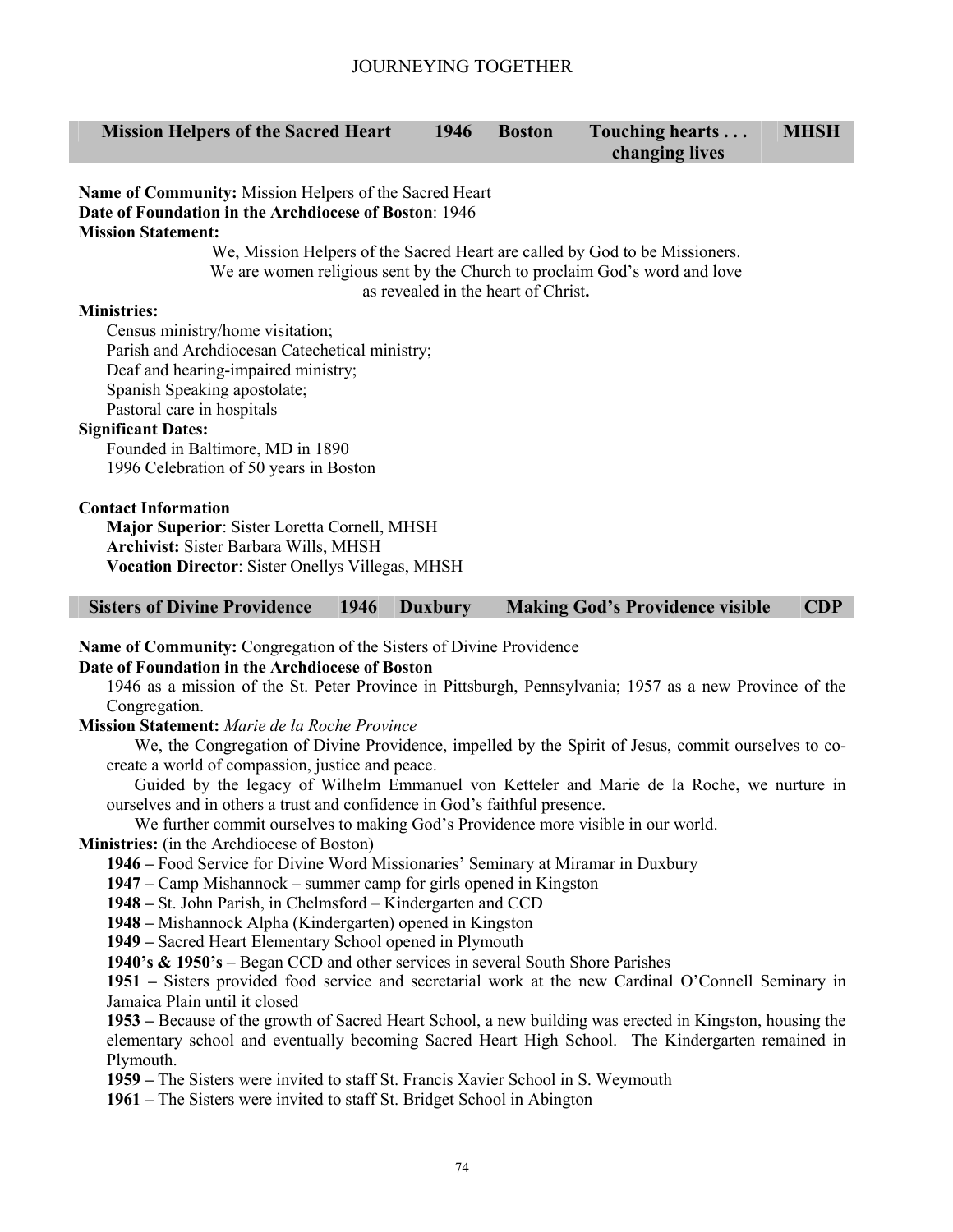#### **Mission Helpers of the Sacred Heart 1946 Boston Touching hearts . . . changing lives MHSH**

**Name of Community:** Mission Helpers of the Sacred Heart **Date of Foundation in the Archdiocese of Boston**: 1946 **Mission Statement:** 

We, Mission Helpers of the Sacred Heart are called by God to be Missioners. We are women religious sent by the Church to proclaim God's word and love as revealed in the heart of Christ**.** 

## **Ministries:**

Census ministry/home visitation; Parish and Archdiocesan Catechetical ministry; Deaf and hearing-impaired ministry; Spanish Speaking apostolate; Pastoral care in hospitals

#### **Significant Dates:**

Founded in Baltimore, MD in 1890 1996 Celebration of 50 years in Boston

## **Contact Information**

**Major Superior**: Sister Loretta Cornell, MHSH **Archivist:** Sister Barbara Wills, MHSH **Vocation Director**: Sister Onellys Villegas, MHSH

## **Sisters of Divine Providence 1946 Duxbury Making God's Providence visible CDP**

**Name of Community:** Congregation of the Sisters of Divine Providence

**Date of Foundation in the Archdiocese of Boston** 

1946 as a mission of the St. Peter Province in Pittsburgh, Pennsylvania; 1957 as a new Province of the Congregation.

**Mission Statement:** *Marie de la Roche Province* 

We, the Congregation of Divine Providence, impelled by the Spirit of Jesus, commit ourselves to cocreate a world of compassion, justice and peace.

Guided by the legacy of Wilhelm Emmanuel von Ketteler and Marie de la Roche, we nurture in ourselves and in others a trust and confidence in God's faithful presence.

We further commit ourselves to making God's Providence more visible in our world.

**Ministries:** (in the Archdiocese of Boston)

**1946 –** Food Service for Divine Word Missionaries' Seminary at Miramar in Duxbury

**1947 –** Camp Mishannock – summer camp for girls opened in Kingston

**1948 –** St. John Parish, in Chelmsford – Kindergarten and CCD

**1948 –** Mishannock Alpha (Kindergarten) opened in Kingston

**1949 –** Sacred Heart Elementary School opened in Plymouth

**1940's & 1950's** – Began CCD and other services in several South Shore Parishes

**1951 –** Sisters provided food service and secretarial work at the new Cardinal O'Connell Seminary in Jamaica Plain until it closed

**1953 –** Because of the growth of Sacred Heart School, a new building was erected in Kingston, housing the elementary school and eventually becoming Sacred Heart High School. The Kindergarten remained in Plymouth.

**1959 –** The Sisters were invited to staff St. Francis Xavier School in S. Weymouth

**1961 –** The Sisters were invited to staff St. Bridget School in Abington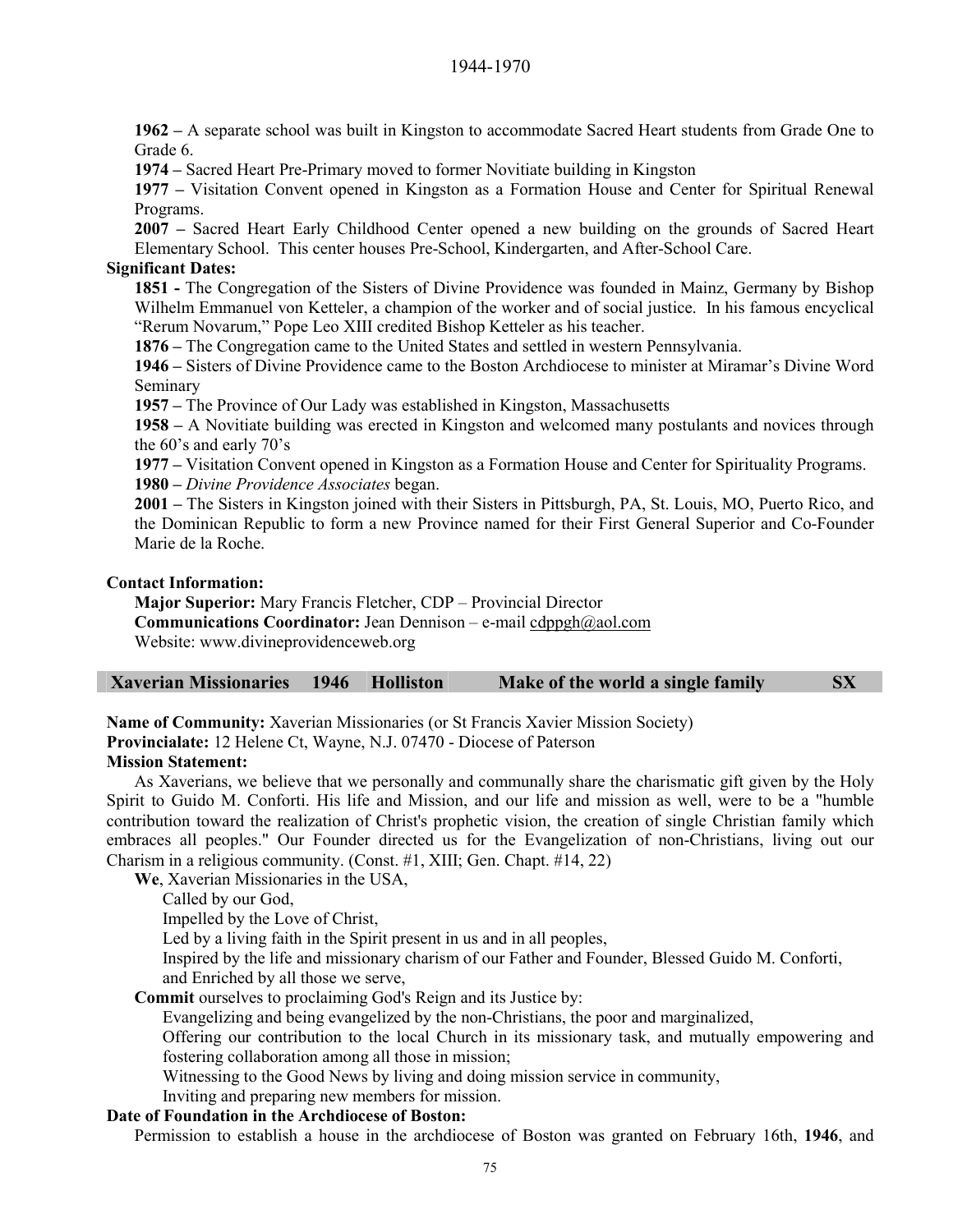**1962 –** A separate school was built in Kingston to accommodate Sacred Heart students from Grade One to Grade 6.

**1974 –** Sacred Heart Pre-Primary moved to former Novitiate building in Kingston

**1977 –** Visitation Convent opened in Kingston as a Formation House and Center for Spiritual Renewal Programs.

**2007 –** Sacred Heart Early Childhood Center opened a new building on the grounds of Sacred Heart Elementary School. This center houses Pre-School, Kindergarten, and After-School Care.

## **Significant Dates:**

**1851 -** The Congregation of the Sisters of Divine Providence was founded in Mainz, Germany by Bishop Wilhelm Emmanuel von Ketteler, a champion of the worker and of social justice. In his famous encyclical "Rerum Novarum," Pope Leo XIII credited Bishop Ketteler as his teacher.

**1876 –** The Congregation came to the United States and settled in western Pennsylvania.

**1946 –** Sisters of Divine Providence came to the Boston Archdiocese to minister at Miramar's Divine Word Seminary

**1957 –** The Province of Our Lady was established in Kingston, Massachusetts

**1958 –** A Novitiate building was erected in Kingston and welcomed many postulants and novices through the 60's and early 70's

**1977 –** Visitation Convent opened in Kingston as a Formation House and Center for Spirituality Programs. **1980 –** *Divine Providence Associates* began.

**2001 –** The Sisters in Kingston joined with their Sisters in Pittsburgh, PA, St. Louis, MO, Puerto Rico, and the Dominican Republic to form a new Province named for their First General Superior and Co-Founder Marie de la Roche.

#### **Contact Information:**

**Major Superior:** Mary Francis Fletcher, CDP – Provincial Director

**Communications Coordinator:** Jean Dennison – e-mail cdppgh@aol.com

Website: www.divineprovidenceweb.org

**Name of Community:** Xaverian Missionaries (or St Francis Xavier Mission Society)

**Provincialate:** 12 Helene Ct, Wayne, N.J. 07470 - Diocese of Paterson

#### **Mission Statement:**

As Xaverians, we believe that we personally and communally share the charismatic gift given by the Holy Spirit to Guido M. Conforti. His life and Mission, and our life and mission as well, were to be a "humble contribution toward the realization of Christ's prophetic vision, the creation of single Christian family which embraces all peoples." Our Founder directed us for the Evangelization of non-Christians, living out our Charism in a religious community. (Const. #1, XIII; Gen. Chapt. #14, 22)

**We**, Xaverian Missionaries in the USA,

Called by our God,

Impelled by the Love of Christ,

Led by a living faith in the Spirit present in us and in all peoples,

Inspired by the life and missionary charism of our Father and Founder, Blessed Guido M. Conforti, and Enriched by all those we serve,

**Commit** ourselves to proclaiming God's Reign and its Justice by:

Evangelizing and being evangelized by the non-Christians, the poor and marginalized,

Offering our contribution to the local Church in its missionary task, and mutually empowering and fostering collaboration among all those in mission;

Witnessing to the Good News by living and doing mission service in community,

Inviting and preparing new members for mission.

#### **Date of Foundation in the Archdiocese of Boston:**

Permission to establish a house in the archdiocese of Boston was granted on February 16th, **1946**, and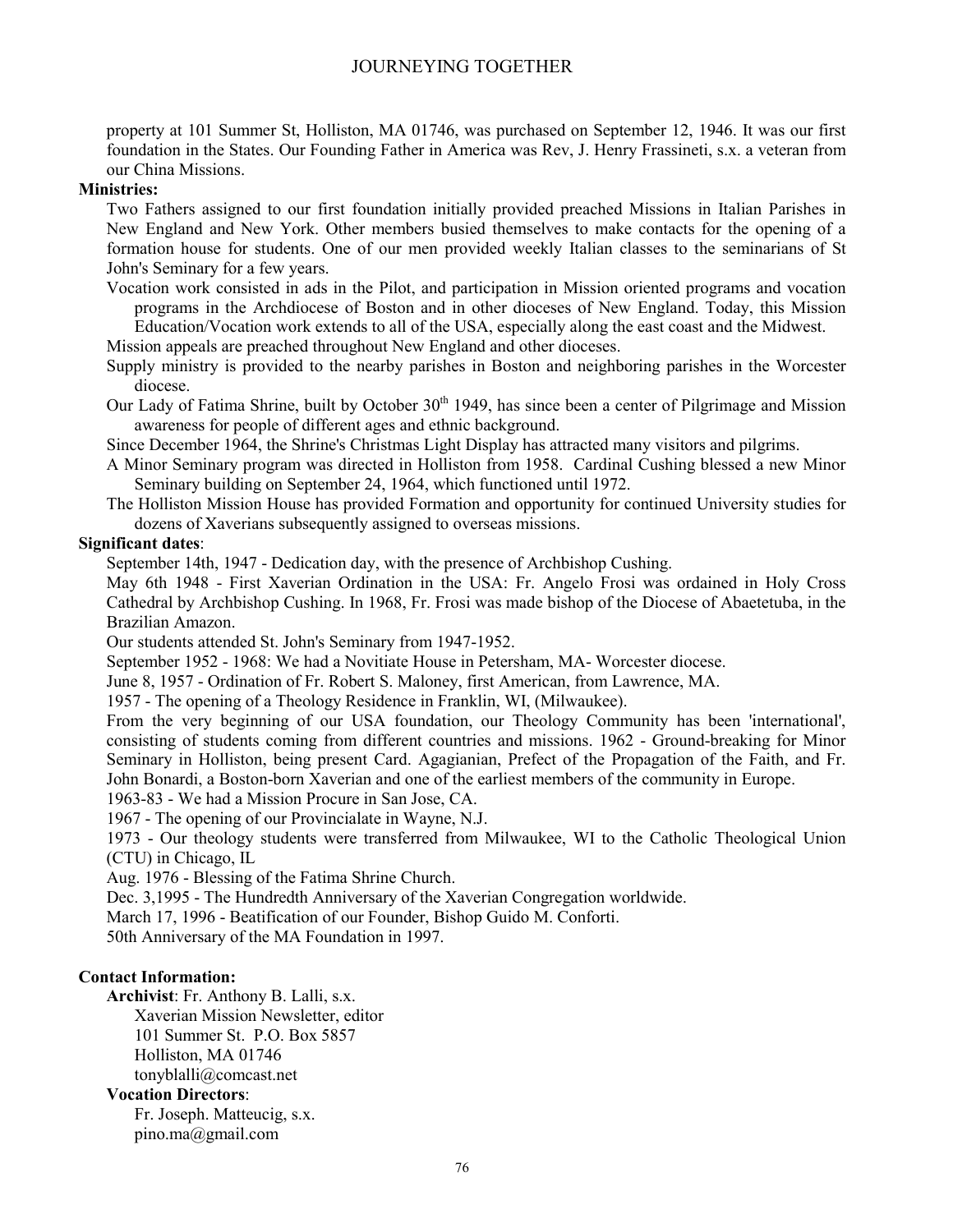property at 101 Summer St, Holliston, MA 01746, was purchased on September 12, 1946. It was our first foundation in the States. Our Founding Father in America was Rev, J. Henry Frassineti, s.x. a veteran from our China Missions.

#### **Ministries:**

Two Fathers assigned to our first foundation initially provided preached Missions in Italian Parishes in New England and New York. Other members busied themselves to make contacts for the opening of a formation house for students. One of our men provided weekly Italian classes to the seminarians of St John's Seminary for a few years.

Vocation work consisted in ads in the Pilot, and participation in Mission oriented programs and vocation programs in the Archdiocese of Boston and in other dioceses of New England. Today, this Mission Education/Vocation work extends to all of the USA, especially along the east coast and the Midwest.

Mission appeals are preached throughout New England and other dioceses.

Supply ministry is provided to the nearby parishes in Boston and neighboring parishes in the Worcester diocese.

Our Lady of Fatima Shrine, built by October 30<sup>th</sup> 1949, has since been a center of Pilgrimage and Mission awareness for people of different ages and ethnic background.

Since December 1964, the Shrine's Christmas Light Display has attracted many visitors and pilgrims.

A Minor Seminary program was directed in Holliston from 1958. Cardinal Cushing blessed a new Minor Seminary building on September 24, 1964, which functioned until 1972.

The Holliston Mission House has provided Formation and opportunity for continued University studies for dozens of Xaverians subsequently assigned to overseas missions.

#### **Significant dates**:

September 14th, 1947 - Dedication day, with the presence of Archbishop Cushing.

May 6th 1948 - First Xaverian Ordination in the USA: Fr. Angelo Frosi was ordained in Holy Cross Cathedral by Archbishop Cushing. In 1968, Fr. Frosi was made bishop of the Diocese of Abaetetuba, in the Brazilian Amazon.

Our students attended St. John's Seminary from 1947-1952.

September 1952 - 1968: We had a Novitiate House in Petersham, MA- Worcester diocese.

June 8, 1957 - Ordination of Fr. Robert S. Maloney, first American, from Lawrence, MA.

1957 - The opening of a Theology Residence in Franklin, WI, (Milwaukee).

From the very beginning of our USA foundation, our Theology Community has been 'international', consisting of students coming from different countries and missions. 1962 - Ground-breaking for Minor Seminary in Holliston, being present Card. Agagianian, Prefect of the Propagation of the Faith, and Fr. John Bonardi, a Boston-born Xaverian and one of the earliest members of the community in Europe.

1963-83 - We had a Mission Procure in San Jose, CA.

1967 - The opening of our Provincialate in Wayne, N.J.

1973 - Our theology students were transferred from Milwaukee, WI to the Catholic Theological Union (CTU) in Chicago, IL

Aug. 1976 - Blessing of the Fatima Shrine Church.

Dec. 3,1995 - The Hundredth Anniversary of the Xaverian Congregation worldwide.

March 17, 1996 - Beatification of our Founder, Bishop Guido M. Conforti.

50th Anniversary of the MA Foundation in 1997.

### **Contact Information:**

**Archivist**: Fr. Anthony B. Lalli, s.x. Xaverian Mission Newsletter, editor 101 Summer St. P.O. Box 5857

Holliston, MA 01746

tonyblalli@comcast.net

#### **Vocation Directors**:

Fr. Joseph. Matteucig, s.x. pino.ma@gmail.com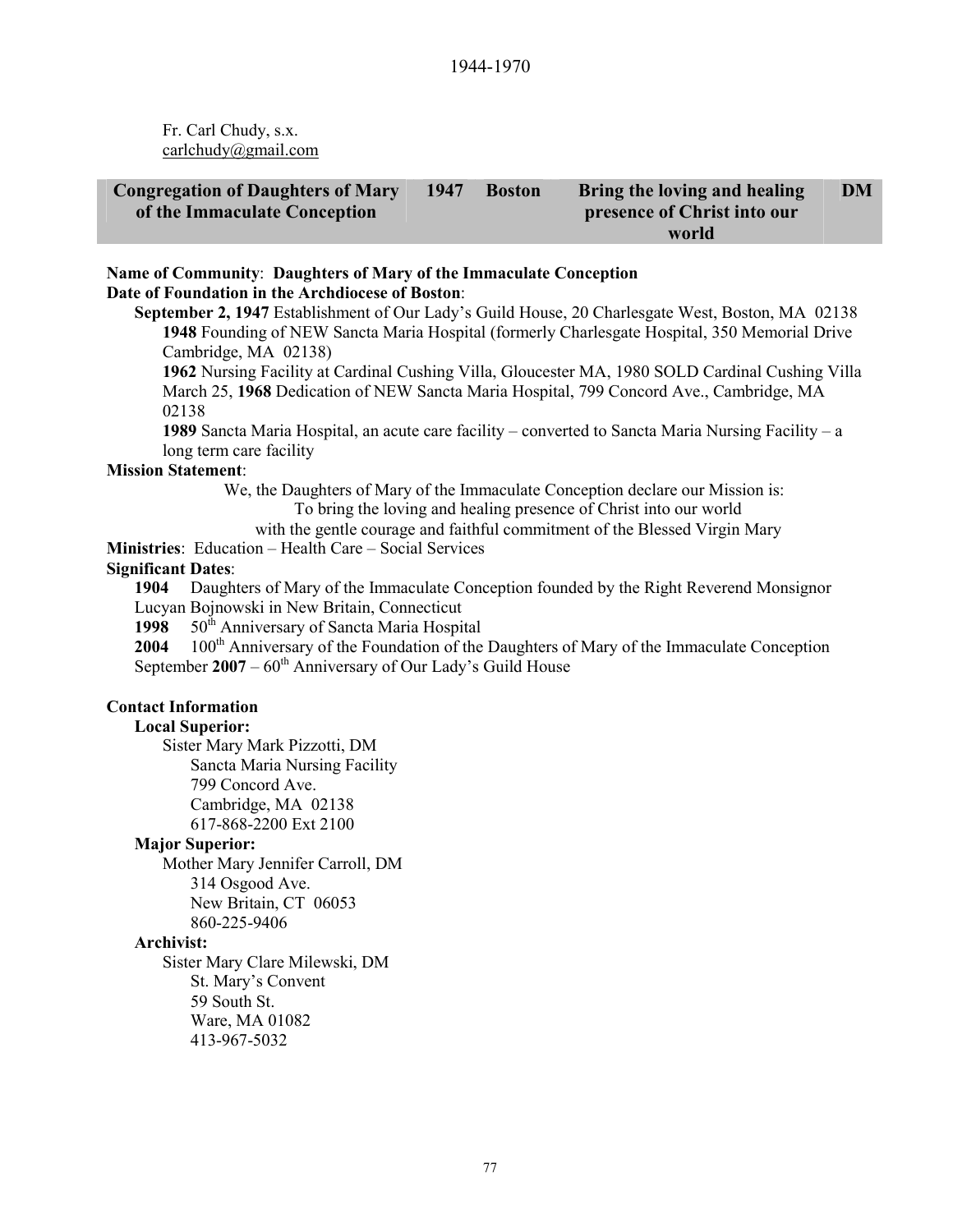Fr. Carl Chudy, s.x. carlchudy@gmail.com

| <b>Congregation of Daughters of Mary</b> | 1947 | <b>Boston</b> | Bring the loving and healing | <b>DM</b> |
|------------------------------------------|------|---------------|------------------------------|-----------|
| of the Immaculate Conception             |      |               | presence of Christ into our  |           |
|                                          |      |               | world                        |           |

#### **Name of Community**: **Daughters of Mary of the Immaculate Conception Date of Foundation in the Archdiocese of Boston**:

**September 2, 1947** Establishment of Our Lady's Guild House, 20 Charlesgate West, Boston, MA 02138 **1948** Founding of NEW Sancta Maria Hospital (formerly Charlesgate Hospital, 350 Memorial Drive Cambridge, MA 02138)

**1962** Nursing Facility at Cardinal Cushing Villa, Gloucester MA, 1980 SOLD Cardinal Cushing Villa March 25, **1968** Dedication of NEW Sancta Maria Hospital, 799 Concord Ave., Cambridge, MA 02138

**1989** Sancta Maria Hospital, an acute care facility – converted to Sancta Maria Nursing Facility – a long term care facility

#### **Mission Statement**:

We, the Daughters of Mary of the Immaculate Conception declare our Mission is: To bring the loving and healing presence of Christ into our world

with the gentle courage and faithful commitment of the Blessed Virgin Mary

**Ministries**: Education – Health Care – Social Services

#### **Significant Dates**:

**1904** Daughters of Mary of the Immaculate Conception founded by the Right Reverend Monsignor Lucyan Bojnowski in New Britain, Connecticut

1998 50<sup>th</sup> Anniversary of Sancta Maria Hospital

2004 100<sup>th</sup> Anniversary of the Foundation of the Daughters of Mary of the Immaculate Conception September 2007 – 60<sup>th</sup> Anniversary of Our Lady's Guild House

#### **Contact Information**

#### **Local Superior:**

Sister Mary Mark Pizzotti, DM Sancta Maria Nursing Facility 799 Concord Ave. Cambridge, MA 02138 617-868-2200 Ext 2100

#### **Major Superior:**

Mother Mary Jennifer Carroll, DM 314 Osgood Ave. New Britain, CT 06053

860-225-9406

#### **Archivist:**

Sister Mary Clare Milewski, DM St. Mary's Convent 59 South St. Ware, MA 01082 413-967-5032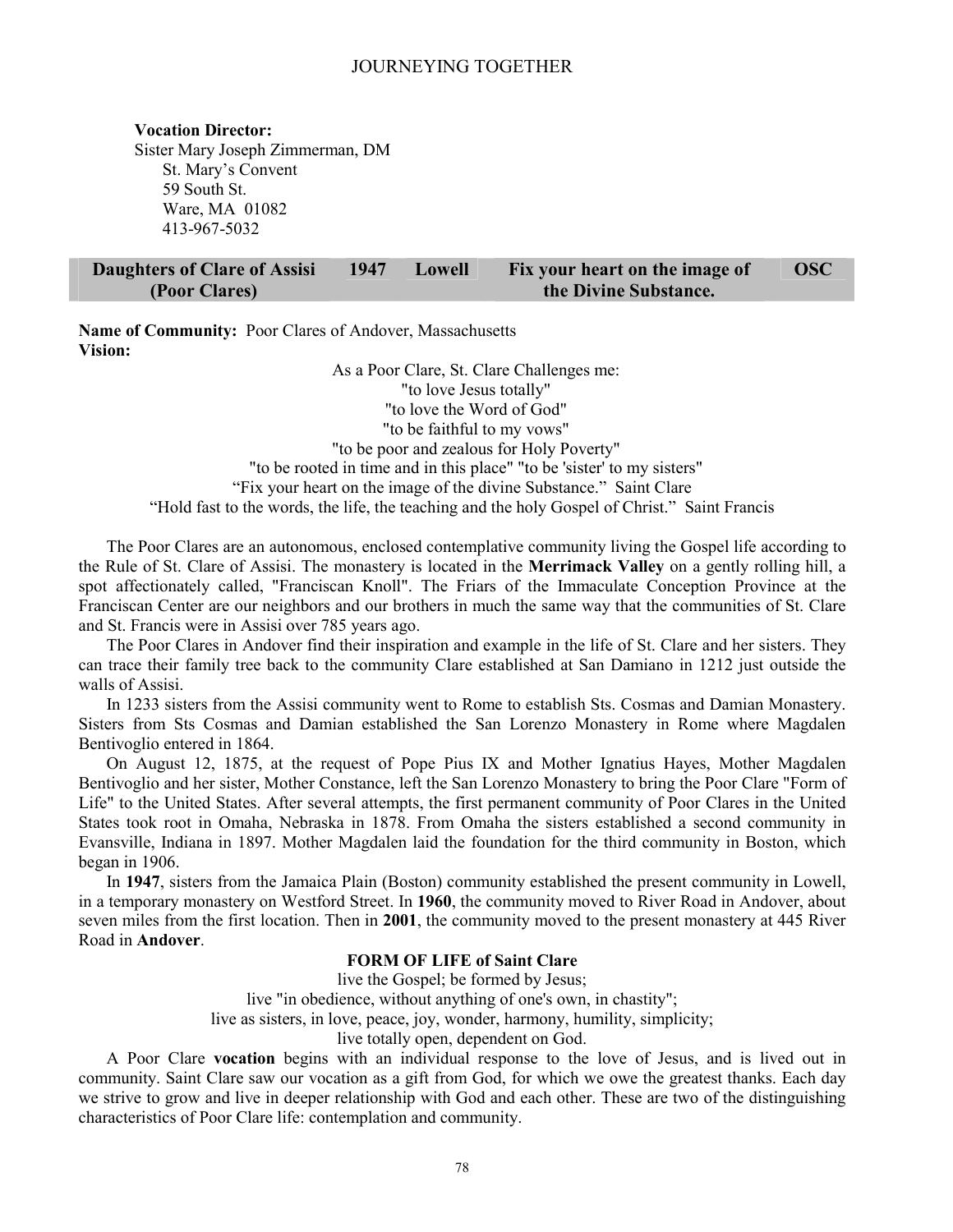#### **Vocation Director:**

Sister Mary Joseph Zimmerman, DM St. Mary's Convent 59 South St. Ware, MA 01082 413-967-5032

| Daughters of Clare of Assisi | 1947 | Lowell | Fix your heart on the image of | <b>OSC</b> |
|------------------------------|------|--------|--------------------------------|------------|
| (Poor Clares)                |      |        | the Divine Substance.          |            |

**Name of Community:** Poor Clares of Andover, Massachusetts **Vision:** 

> As a Poor Clare, St. Clare Challenges me: "to love Jesus totally" "to love the Word of God" "to be faithful to my vows" "to be poor and zealous for Holy Poverty" "to be rooted in time and in this place" "to be 'sister' to my sisters" "Fix your heart on the image of the divine Substance." Saint Clare "Hold fast to the words, the life, the teaching and the holy Gospel of Christ." Saint Francis

The Poor Clares are an autonomous, enclosed contemplative community living the Gospel life according to the Rule of St. Clare of Assisi. The monastery is located in the **Merrimack Valley** on a gently rolling hill, a spot affectionately called, "Franciscan Knoll". The Friars of the Immaculate Conception Province at the Franciscan Center are our neighbors and our brothers in much the same way that the communities of St. Clare and St. Francis were in Assisi over 785 years ago.

The Poor Clares in Andover find their inspiration and example in the life of St. Clare and her sisters. They can trace their family tree back to the community Clare established at San Damiano in 1212 just outside the walls of Assisi.

In 1233 sisters from the Assisi community went to Rome to establish Sts. Cosmas and Damian Monastery. Sisters from Sts Cosmas and Damian established the San Lorenzo Monastery in Rome where Magdalen Bentivoglio entered in 1864.

On August 12, 1875, at the request of Pope Pius IX and Mother Ignatius Hayes, Mother Magdalen Bentivoglio and her sister, Mother Constance, left the San Lorenzo Monastery to bring the Poor Clare "Form of Life" to the United States. After several attempts, the first permanent community of Poor Clares in the United States took root in Omaha, Nebraska in 1878. From Omaha the sisters established a second community in Evansville, Indiana in 1897. Mother Magdalen laid the foundation for the third community in Boston, which began in 1906.

In **1947**, sisters from the Jamaica Plain (Boston) community established the present community in Lowell, in a temporary monastery on Westford Street. In **1960**, the community moved to River Road in Andover, about seven miles from the first location. Then in **2001**, the community moved to the present monastery at 445 River Road in **Andover**.

#### **FORM OF LIFE of Saint Clare**

live the Gospel; be formed by Jesus;

live "in obedience, without anything of one's own, in chastity";

live as sisters, in love, peace, joy, wonder, harmony, humility, simplicity;

live totally open, dependent on God.

A Poor Clare **vocation** begins with an individual response to the love of Jesus, and is lived out in community. Saint Clare saw our vocation as a gift from God, for which we owe the greatest thanks. Each day we strive to grow and live in deeper relationship with God and each other. These are two of the distinguishing characteristics of Poor Clare life: contemplation and community.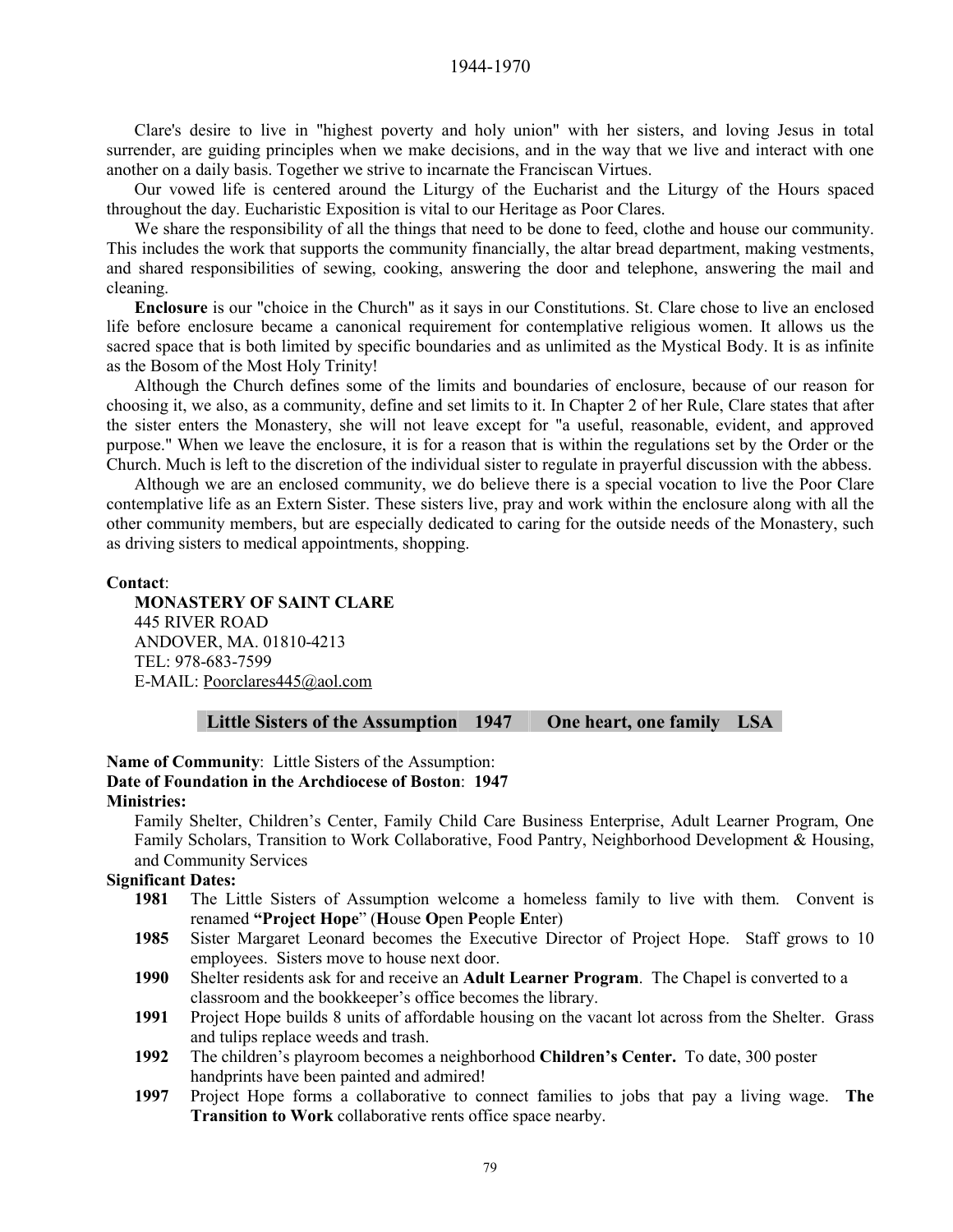1944-1970

Clare's desire to live in "highest poverty and holy union" with her sisters, and loving Jesus in total surrender, are guiding principles when we make decisions, and in the way that we live and interact with one another on a daily basis. Together we strive to incarnate the Franciscan Virtues.

Our vowed life is centered around the Liturgy of the Eucharist and the Liturgy of the Hours spaced throughout the day. Eucharistic Exposition is vital to our Heritage as Poor Clares.

We share the responsibility of all the things that need to be done to feed, clothe and house our community. This includes the work that supports the community financially, the altar bread department, making vestments, and shared responsibilities of sewing, cooking, answering the door and telephone, answering the mail and cleaning.

**Enclosure** is our "choice in the Church" as it says in our Constitutions. St. Clare chose to live an enclosed life before enclosure became a canonical requirement for contemplative religious women. It allows us the sacred space that is both limited by specific boundaries and as unlimited as the Mystical Body. It is as infinite as the Bosom of the Most Holy Trinity!

Although the Church defines some of the limits and boundaries of enclosure, because of our reason for choosing it, we also, as a community, define and set limits to it. In Chapter 2 of her Rule, Clare states that after the sister enters the Monastery, she will not leave except for "a useful, reasonable, evident, and approved purpose." When we leave the enclosure, it is for a reason that is within the regulations set by the Order or the Church. Much is left to the discretion of the individual sister to regulate in prayerful discussion with the abbess.

Although we are an enclosed community, we do believe there is a special vocation to live the Poor Clare contemplative life as an Extern Sister. These sisters live, pray and work within the enclosure along with all the other community members, but are especially dedicated to caring for the outside needs of the Monastery, such as driving sisters to medical appointments, shopping.

#### **Contact**:

**MONASTERY OF SAINT CLARE**  445 RIVER ROAD ANDOVER, MA. 01810-4213 TEL: 978-683-7599 E-MAIL: Poorclares445@aol.com

#### **Little Sisters of the Assumption 1947 One heart, one family LSA**

**Name of Community**: Little Sisters of the Assumption: **Date of Foundation in the Archdiocese of Boston**: **1947 Ministries:**

Family Shelter, Children's Center, Family Child Care Business Enterprise, Adult Learner Program, One Family Scholars, Transition to Work Collaborative, Food Pantry, Neighborhood Development & Housing, and Community Services

#### **Significant Dates:**

- **1981** The Little Sisters of Assumption welcome a homeless family to live with them. Convent is renamed **"Project Hope**" (**H**ouse **O**pen **P**eople **E**nter)
- **1985** Sister Margaret Leonard becomes the Executive Director of Project Hope. Staff grows to 10 employees. Sisters move to house next door.
- **1990** Shelter residents ask for and receive an **Adult Learner Program**. The Chapel is converted to a classroom and the bookkeeper's office becomes the library.
- **1991** Project Hope builds 8 units of affordable housing on the vacant lot across from the Shelter. Grass and tulips replace weeds and trash.
- **1992** The children's playroom becomes a neighborhood **Children's Center.** To date, 300 poster handprints have been painted and admired!
- **1997** Project Hope forms a collaborative to connect families to jobs that pay a living wage. **The Transition to Work** collaborative rents office space nearby.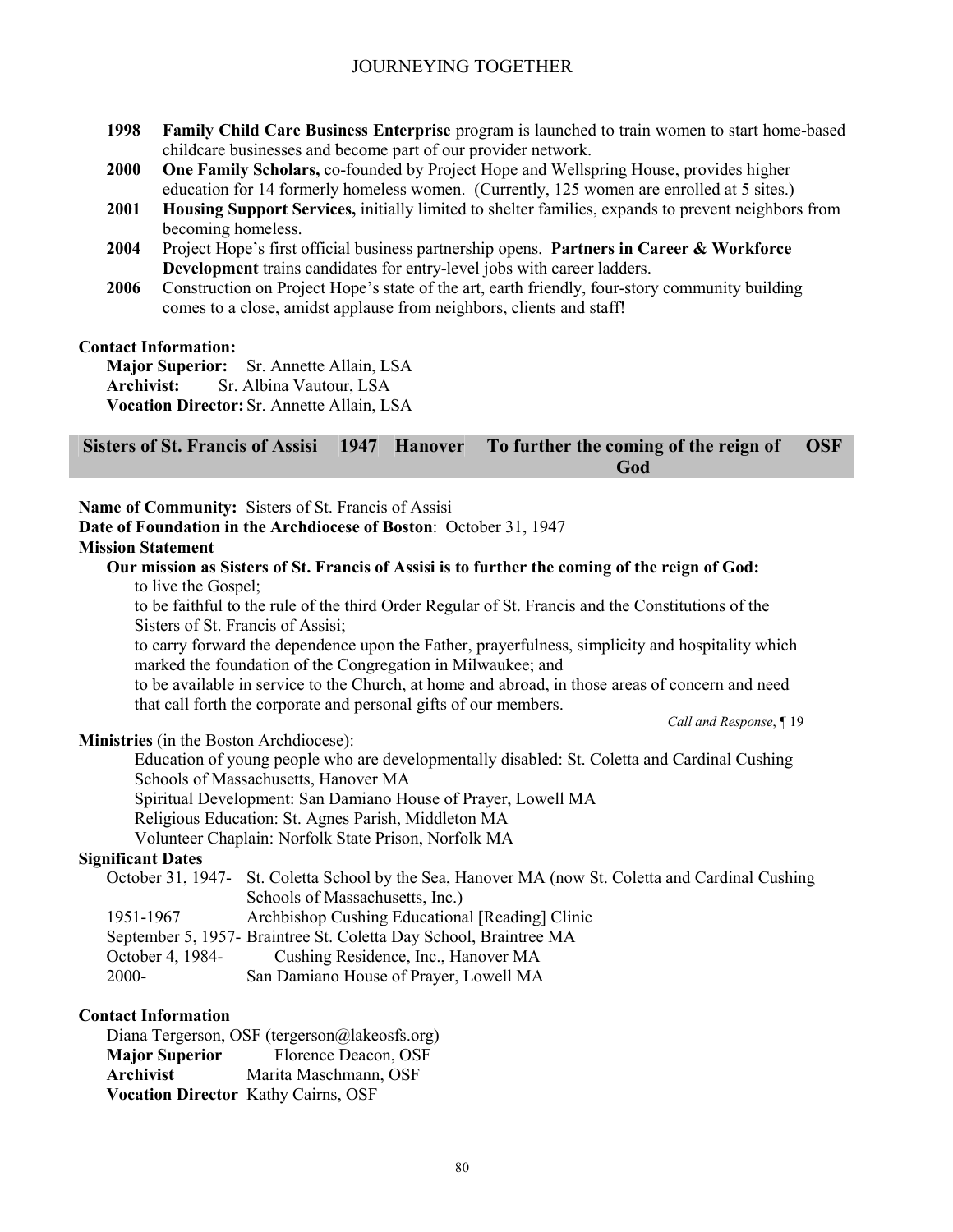- **1998 Family Child Care Business Enterprise** program is launched to train women to start home-based childcare businesses and become part of our provider network.
- **2000 One Family Scholars,** co-founded by Project Hope and Wellspring House, provides higher education for 14 formerly homeless women. (Currently, 125 women are enrolled at 5 sites.)
- **2001 Housing Support Services,** initially limited to shelter families, expands to prevent neighbors from becoming homeless.
- **2004** Project Hope's first official business partnership opens. **Partners in Career & Workforce Development** trains candidates for entry-level jobs with career ladders.
- **2006** Construction on Project Hope's state of the art, earth friendly, four-story community building comes to a close, amidst applause from neighbors, clients and staff!

#### **Contact Information:**

**Major Superior:** Sr. Annette Allain, LSA **Archivist:** Sr. Albina Vautour, LSA **Vocation Director:** Sr. Annette Allain, LSA

#### **Sisters of St. Francis of Assisi 1947 Hanover To further the coming of the reign of God OSF**

## **Name of Community:** Sisters of St. Francis of Assisi

**Date of Foundation in the Archdiocese of Boston**: October 31, 1947

#### **Mission Statement**

**Our mission as Sisters of St. Francis of Assisi is to further the coming of the reign of God:**  to live the Gospel;

to be faithful to the rule of the third Order Regular of St. Francis and the Constitutions of the Sisters of St. Francis of Assisi;

to carry forward the dependence upon the Father, prayerfulness, simplicity and hospitality which marked the foundation of the Congregation in Milwaukee; and

to be available in service to the Church, at home and abroad, in those areas of concern and need that call forth the corporate and personal gifts of our members. *Call and Response*, ¶ 19

#### **Ministries** (in the Boston Archdiocese):

Education of young people who are developmentally disabled: St. Coletta and Cardinal Cushing Schools of Massachusetts, Hanover MA Spiritual Development: San Damiano House of Prayer, Lowell MA

Religious Education: St. Agnes Parish, Middleton MA

Volunteer Chaplain: Norfolk State Prison, Norfolk MA

#### **Significant Dates**

|            | October 31, 1947 - St. Coletta School by the Sea, Hanover MA (now St. Coletta and Cardinal Cushing |
|------------|----------------------------------------------------------------------------------------------------|
|            | Schools of Massachusetts, Inc.)                                                                    |
| 1051, 1067 | Angletisher Curking Educational [Deading] Clinic                                                   |

1951-1967 Archbishop Cushing Educational [Reading] Clinic

- September 5, 1957- Braintree St. Coletta Day School, Braintree MA October 4, 1984- Cushing Residence, Inc., Hanover MA
	-
- 2000- San Damiano House of Prayer, Lowell MA

#### **Contact Information**

Diana Tergerson, OSF (tergerson@lakeosfs.org) **Major Superior** Florence Deacon, OSF **Archivist** Marita Maschmann, OSF **Vocation Director** Kathy Cairns, OSF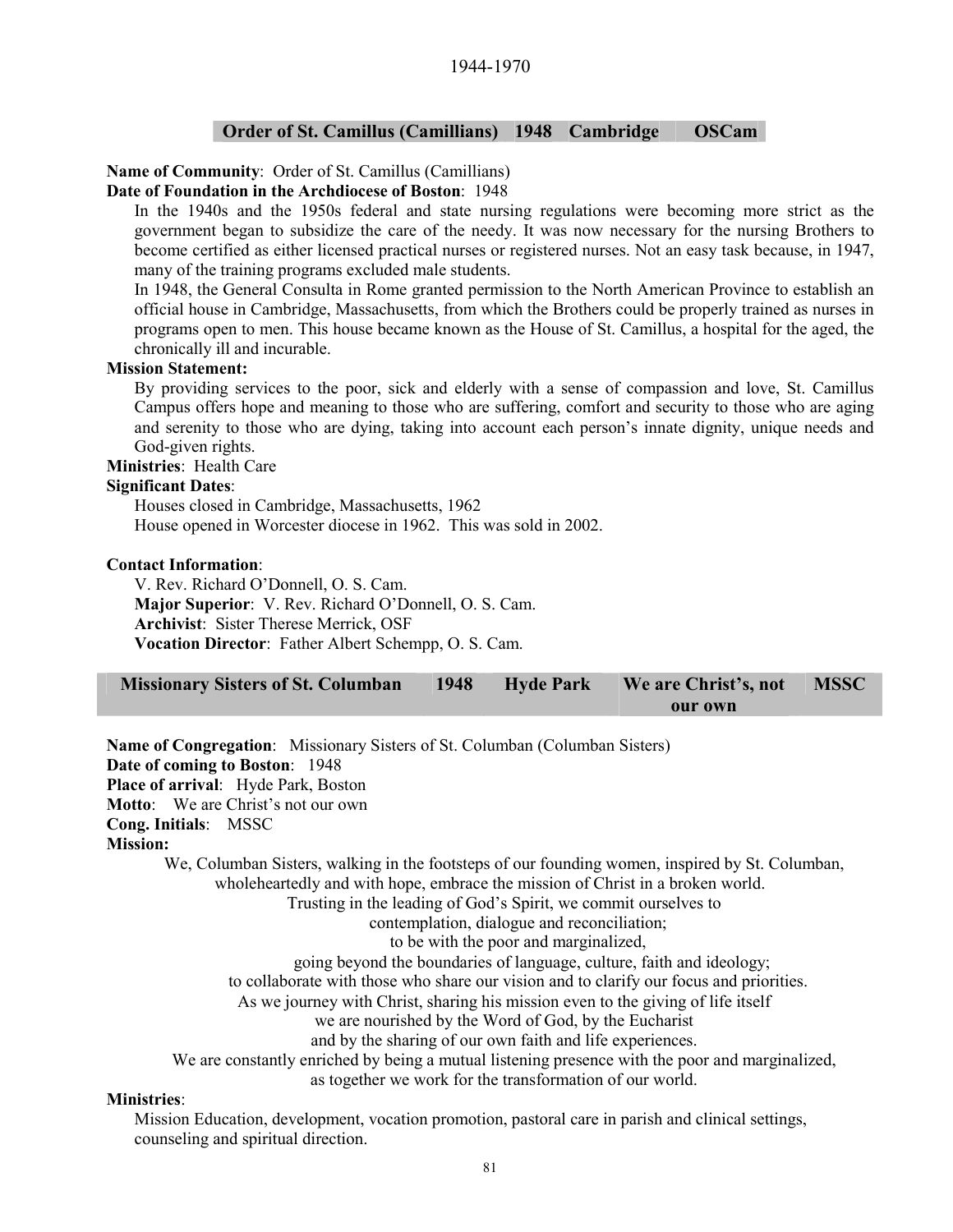## **Order of St. Camillus (Camillians) 1948 Cambridge OSCam**

## **Name of Community**: Order of St. Camillus (Camillians)

## **Date of Foundation in the Archdiocese of Boston**: 1948

In the 1940s and the 1950s federal and state nursing regulations were becoming more strict as the government began to subsidize the care of the needy. It was now necessary for the nursing Brothers to become certified as either licensed practical nurses or registered nurses. Not an easy task because, in 1947, many of the training programs excluded male students.

In 1948, the General Consulta in Rome granted permission to the North American Province to establish an official house in Cambridge, Massachusetts, from which the Brothers could be properly trained as nurses in programs open to men. This house became known as the House of St. Camillus, a hospital for the aged, the chronically ill and incurable.

#### **Mission Statement:**

By providing services to the poor, sick and elderly with a sense of compassion and love, St. Camillus Campus offers hope and meaning to those who are suffering, comfort and security to those who are aging and serenity to those who are dying, taking into account each person's innate dignity, unique needs and God-given rights.

**Ministries**: Health Care

#### **Significant Dates**:

Houses closed in Cambridge, Massachusetts, 1962 House opened in Worcester diocese in 1962. This was sold in 2002.

#### **Contact Information**:

V. Rev. Richard O'Donnell, O. S. Cam. **Major Superior**: V. Rev. Richard O'Donnell, O. S. Cam. **Archivist**: Sister Therese Merrick, OSF **Vocation Director**: Father Albert Schempp, O. S. Cam.

| Missionary Sisters of St. Columban 1948 Hyde Park We are Christ's, not MSSC |  |         |  |
|-----------------------------------------------------------------------------|--|---------|--|
|                                                                             |  | our own |  |

**Name of Congregation**: Missionary Sisters of St. Columban (Columban Sisters) **Date of coming to Boston**: 1948 **Place of arrival**: Hyde Park, Boston **Motto**: We are Christ's not our own **Cong. Initials**: MSSC **Mission:**  We, Columban Sisters, walking in the footsteps of our founding women, inspired by St. Columban, wholeheartedly and with hope, embrace the mission of Christ in a broken world. Trusting in the leading of God's Spirit, we commit ourselves to contemplation, dialogue and reconciliation; to be with the poor and marginalized, going beyond the boundaries of language, culture, faith and ideology; to collaborate with those who share our vision and to clarify our focus and priorities. As we journey with Christ, sharing his mission even to the giving of life itself we are nourished by the Word of God, by the Eucharist and by the sharing of our own faith and life experiences. We are constantly enriched by being a mutual listening presence with the poor and marginalized, as together we work for the transformation of our world.

#### **Ministries**:

Mission Education, development, vocation promotion, pastoral care in parish and clinical settings, counseling and spiritual direction.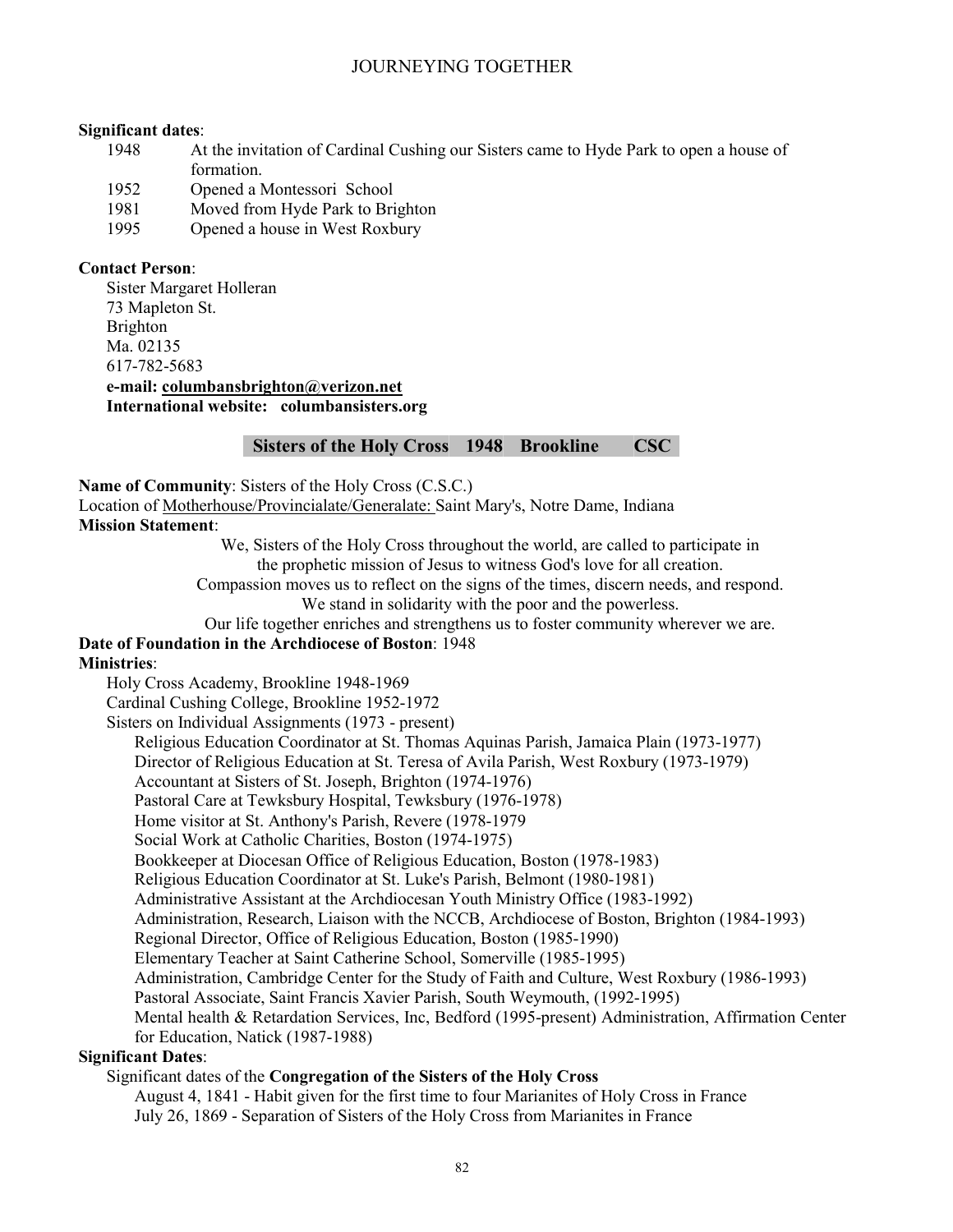#### **Significant dates**:

- 1948 At the invitation of Cardinal Cushing our Sisters came to Hyde Park to open a house of formation.
- 1952 Opened a Montessori School
- 1981 Moved from Hyde Park to Brighton
- 1995 Opened a house in West Roxbury

#### **Contact Person**:

Sister Margaret Holleran 73 Mapleton St. Brighton Ma. 02135 617-782-5683 **e-mail: columbansbrighton@verizon.net**

**International website: columbansisters.org**

#### **Sisters of the Holy Cross 1948 Brookline CSC**

**Name of Community**: Sisters of the Holy Cross (C.S.C.)

Location of Motherhouse/Provincialate/Generalate: Saint Mary's, Notre Dame, Indiana

#### **Mission Statement**:

We, Sisters of the Holy Cross throughout the world, are called to participate in the prophetic mission of Jesus to witness God's love for all creation.

Compassion moves us to reflect on the signs of the times, discern needs, and respond. We stand in solidarity with the poor and the powerless.

Our life together enriches and strengthens us to foster community wherever we are. **Date of Foundation in the Archdiocese of Boston**: 1948

#### **Ministries**:

Holy Cross Academy, Brookline 1948-1969

Cardinal Cushing College, Brookline 1952-1972

Sisters on Individual Assignments (1973 - present)

Religious Education Coordinator at St. Thomas Aquinas Parish, Jamaica Plain (1973-1977)

Director of Religious Education at St. Teresa of Avila Parish, West Roxbury (1973-1979)

Accountant at Sisters of St. Joseph, Brighton (1974-1976)

Pastoral Care at Tewksbury Hospital, Tewksbury (1976-1978)

Home visitor at St. Anthony's Parish, Revere (1978-1979

Social Work at Catholic Charities, Boston (1974-1975)

Bookkeeper at Diocesan Office of Religious Education, Boston (1978-1983)

Religious Education Coordinator at St. Luke's Parish, Belmont (1980-1981)

Administrative Assistant at the Archdiocesan Youth Ministry Office (1983-1992)

Administration, Research, Liaison with the NCCB, Archdiocese of Boston, Brighton (1984-1993)

Regional Director, Office of Religious Education, Boston (1985-1990)

Elementary Teacher at Saint Catherine School, Somerville (1985-1995)

Administration, Cambridge Center for the Study of Faith and Culture, West Roxbury (1986-1993)

Pastoral Associate, Saint Francis Xavier Parish, South Weymouth, (1992-1995)

Mental health & Retardation Services, Inc, Bedford (1995-present) Administration, Affirmation Center for Education, Natick (1987-1988)

## **Significant Dates**:

#### Significant dates of the **Congregation of the Sisters of the Holy Cross**

August 4, 1841 - Habit given for the first time to four Marianites of Holy Cross in France July 26, 1869 - Separation of Sisters of the Holy Cross from Marianites in France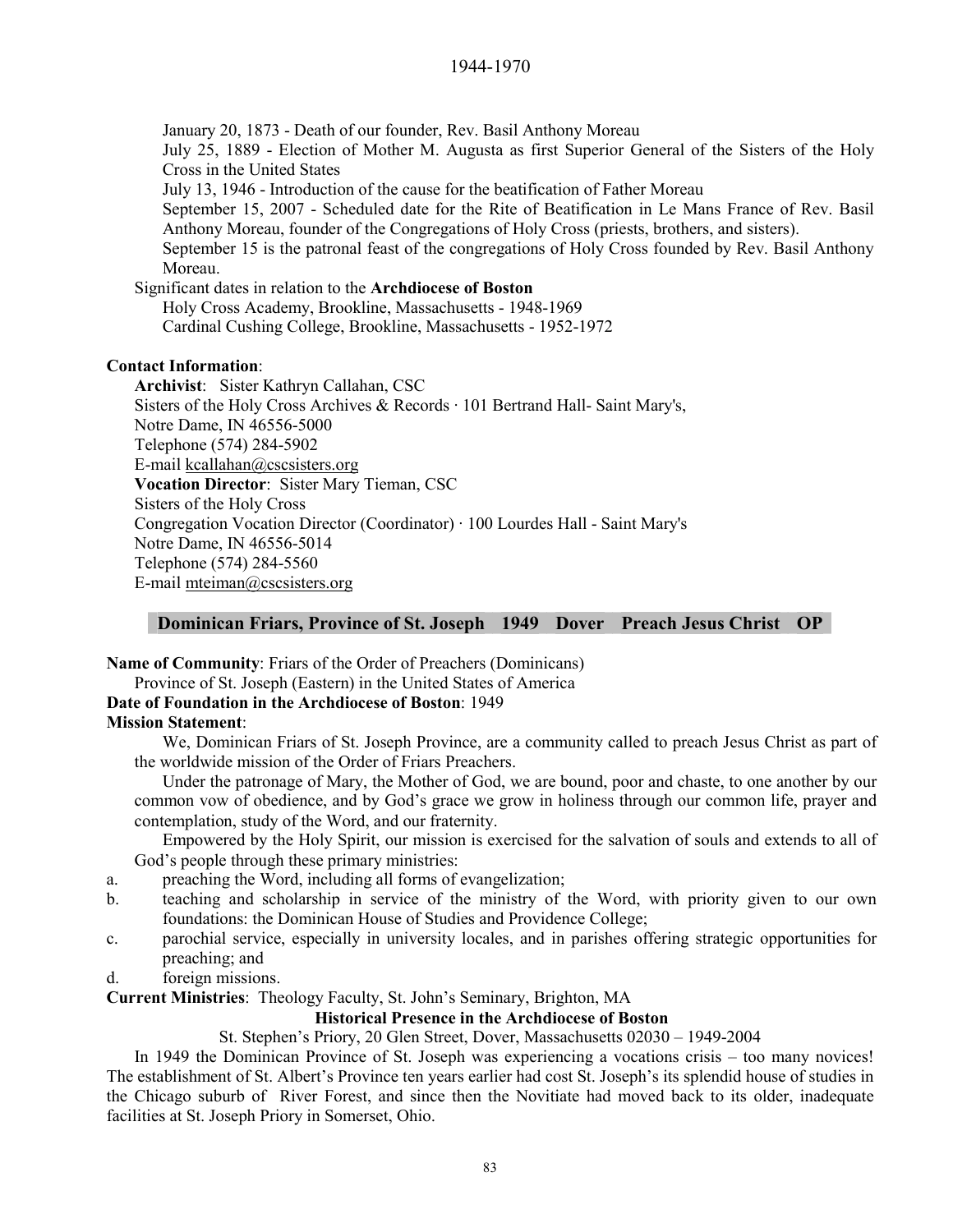January 20, 1873 - Death of our founder, Rev. Basil Anthony Moreau July 25, 1889 - Election of Mother M. Augusta as first Superior General of the Sisters of the Holy Cross in the United States July 13, 1946 - Introduction of the cause for the beatification of Father Moreau September 15, 2007 - Scheduled date for the Rite of Beatification in Le Mans France of Rev. Basil Anthony Moreau, founder of the Congregations of Holy Cross (priests, brothers, and sisters). September 15 is the patronal feast of the congregations of Holy Cross founded by Rev. Basil Anthony Moreau. Significant dates in relation to the **Archdiocese of Boston** Holy Cross Academy, Brookline, Massachusetts - 1948-1969 Cardinal Cushing College, Brookline, Massachusetts - 1952-1972 **Contact Information**: **Archivist**: Sister Kathryn Callahan, CSC

Sisters of the Holy Cross Archives & Records · 101 Bertrand Hall- Saint Mary's, Notre Dame, IN 46556-5000 Telephone (574) 284-5902 E-mail kcallahan@cscsisters.org **Vocation Director**: Sister Mary Tieman, CSC Sisters of the Holy Cross Congregation Vocation Director (Coordinator) · 100 Lourdes Hall - Saint Mary's Notre Dame, IN 46556-5014 Telephone (574) 284-5560 E-mail mteiman@cscsisters.org

#### **Dominican Friars, Province of St. Joseph 1949 Dover Preach Jesus Christ OP**

**Name of Community**: Friars of the Order of Preachers (Dominicans) Province of St. Joseph (Eastern) in the United States of America **Date of Foundation in the Archdiocese of Boston**: 1949

#### **Mission Statement**:

We, Dominican Friars of St. Joseph Province, are a community called to preach Jesus Christ as part of the worldwide mission of the Order of Friars Preachers.

Under the patronage of Mary, the Mother of God, we are bound, poor and chaste, to one another by our common vow of obedience, and by God's grace we grow in holiness through our common life, prayer and contemplation, study of the Word, and our fraternity.

Empowered by the Holy Spirit, our mission is exercised for the salvation of souls and extends to all of God's people through these primary ministries:

- a. preaching the Word, including all forms of evangelization;
- b. teaching and scholarship in service of the ministry of the Word, with priority given to our own foundations: the Dominican House of Studies and Providence College;
- c. parochial service, especially in university locales, and in parishes offering strategic opportunities for preaching; and
- d. foreign missions.

**Current Ministries**: Theology Faculty, St. John's Seminary, Brighton, MA

## **Historical Presence in the Archdiocese of Boston**

St. Stephen's Priory, 20 Glen Street, Dover, Massachusetts 02030 – 1949-2004

In 1949 the Dominican Province of St. Joseph was experiencing a vocations crisis – too many novices! The establishment of St. Albert's Province ten years earlier had cost St. Joseph's its splendid house of studies in the Chicago suburb of River Forest, and since then the Novitiate had moved back to its older, inadequate facilities at St. Joseph Priory in Somerset, Ohio.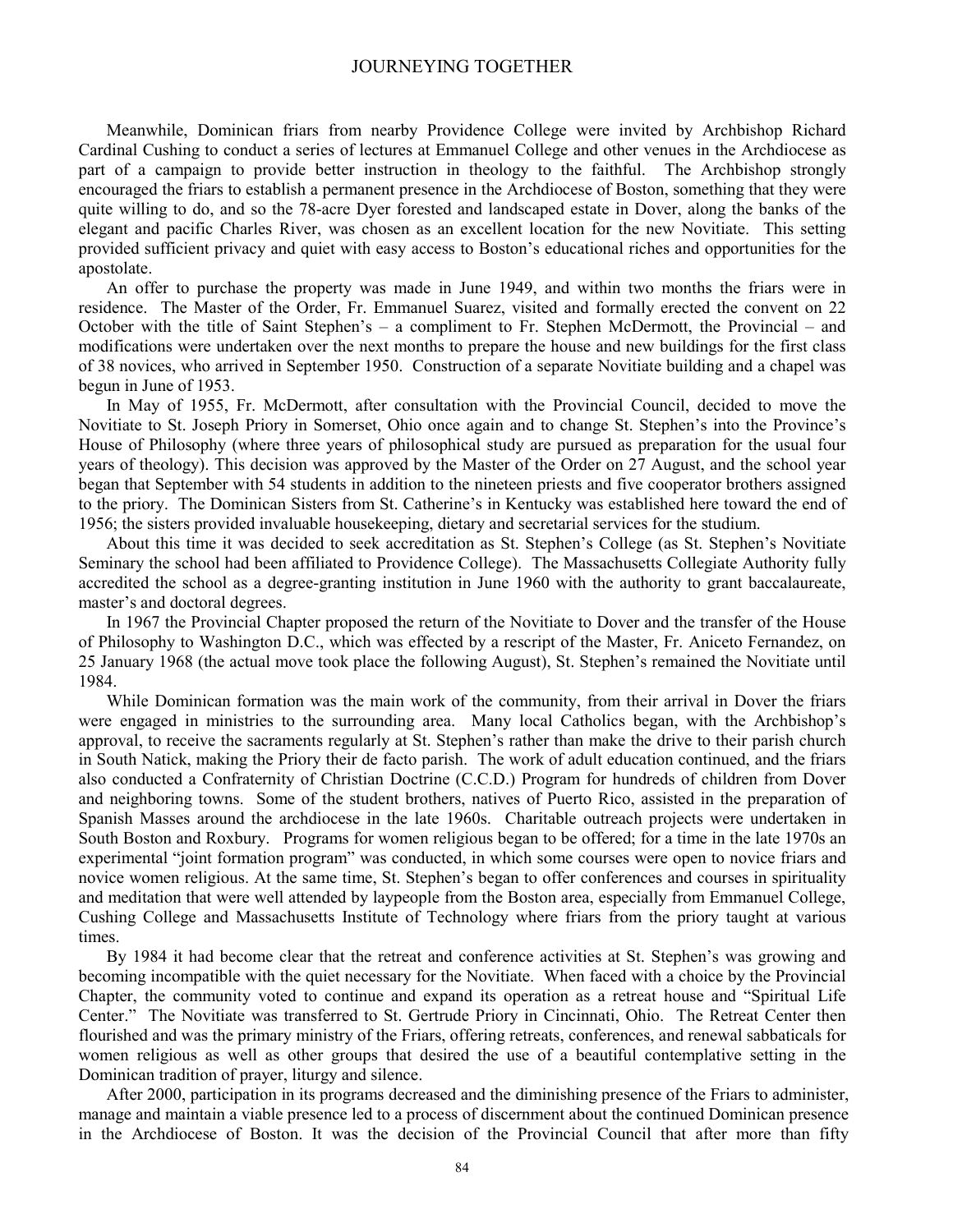Meanwhile, Dominican friars from nearby Providence College were invited by Archbishop Richard Cardinal Cushing to conduct a series of lectures at Emmanuel College and other venues in the Archdiocese as part of a campaign to provide better instruction in theology to the faithful. The Archbishop strongly encouraged the friars to establish a permanent presence in the Archdiocese of Boston, something that they were quite willing to do, and so the 78-acre Dyer forested and landscaped estate in Dover, along the banks of the elegant and pacific Charles River, was chosen as an excellent location for the new Novitiate. This setting provided sufficient privacy and quiet with easy access to Boston's educational riches and opportunities for the apostolate.

An offer to purchase the property was made in June 1949, and within two months the friars were in residence. The Master of the Order, Fr. Emmanuel Suarez, visited and formally erected the convent on 22 October with the title of Saint Stephen's – a compliment to Fr. Stephen McDermott, the Provincial – and modifications were undertaken over the next months to prepare the house and new buildings for the first class of 38 novices, who arrived in September 1950. Construction of a separate Novitiate building and a chapel was begun in June of 1953.

In May of 1955, Fr. McDermott, after consultation with the Provincial Council, decided to move the Novitiate to St. Joseph Priory in Somerset, Ohio once again and to change St. Stephen's into the Province's House of Philosophy (where three years of philosophical study are pursued as preparation for the usual four years of theology). This decision was approved by the Master of the Order on 27 August, and the school year began that September with 54 students in addition to the nineteen priests and five cooperator brothers assigned to the priory. The Dominican Sisters from St. Catherine's in Kentucky was established here toward the end of 1956; the sisters provided invaluable housekeeping, dietary and secretarial services for the studium.

About this time it was decided to seek accreditation as St. Stephen's College (as St. Stephen's Novitiate Seminary the school had been affiliated to Providence College). The Massachusetts Collegiate Authority fully accredited the school as a degree-granting institution in June 1960 with the authority to grant baccalaureate, master's and doctoral degrees.

In 1967 the Provincial Chapter proposed the return of the Novitiate to Dover and the transfer of the House of Philosophy to Washington D.C., which was effected by a rescript of the Master, Fr. Aniceto Fernandez, on 25 January 1968 (the actual move took place the following August), St. Stephen's remained the Novitiate until 1984.

While Dominican formation was the main work of the community, from their arrival in Dover the friars were engaged in ministries to the surrounding area. Many local Catholics began, with the Archbishop's approval, to receive the sacraments regularly at St. Stephen's rather than make the drive to their parish church in South Natick, making the Priory their de facto parish. The work of adult education continued, and the friars also conducted a Confraternity of Christian Doctrine (C.C.D.) Program for hundreds of children from Dover and neighboring towns. Some of the student brothers, natives of Puerto Rico, assisted in the preparation of Spanish Masses around the archdiocese in the late 1960s. Charitable outreach projects were undertaken in South Boston and Roxbury. Programs for women religious began to be offered; for a time in the late 1970s an experimental "joint formation program" was conducted, in which some courses were open to novice friars and novice women religious. At the same time, St. Stephen's began to offer conferences and courses in spirituality and meditation that were well attended by laypeople from the Boston area, especially from Emmanuel College, Cushing College and Massachusetts Institute of Technology where friars from the priory taught at various times.

By 1984 it had become clear that the retreat and conference activities at St. Stephen's was growing and becoming incompatible with the quiet necessary for the Novitiate. When faced with a choice by the Provincial Chapter, the community voted to continue and expand its operation as a retreat house and "Spiritual Life Center." The Novitiate was transferred to St. Gertrude Priory in Cincinnati, Ohio. The Retreat Center then flourished and was the primary ministry of the Friars, offering retreats, conferences, and renewal sabbaticals for women religious as well as other groups that desired the use of a beautiful contemplative setting in the Dominican tradition of prayer, liturgy and silence.

After 2000, participation in its programs decreased and the diminishing presence of the Friars to administer, manage and maintain a viable presence led to a process of discernment about the continued Dominican presence in the Archdiocese of Boston. It was the decision of the Provincial Council that after more than fifty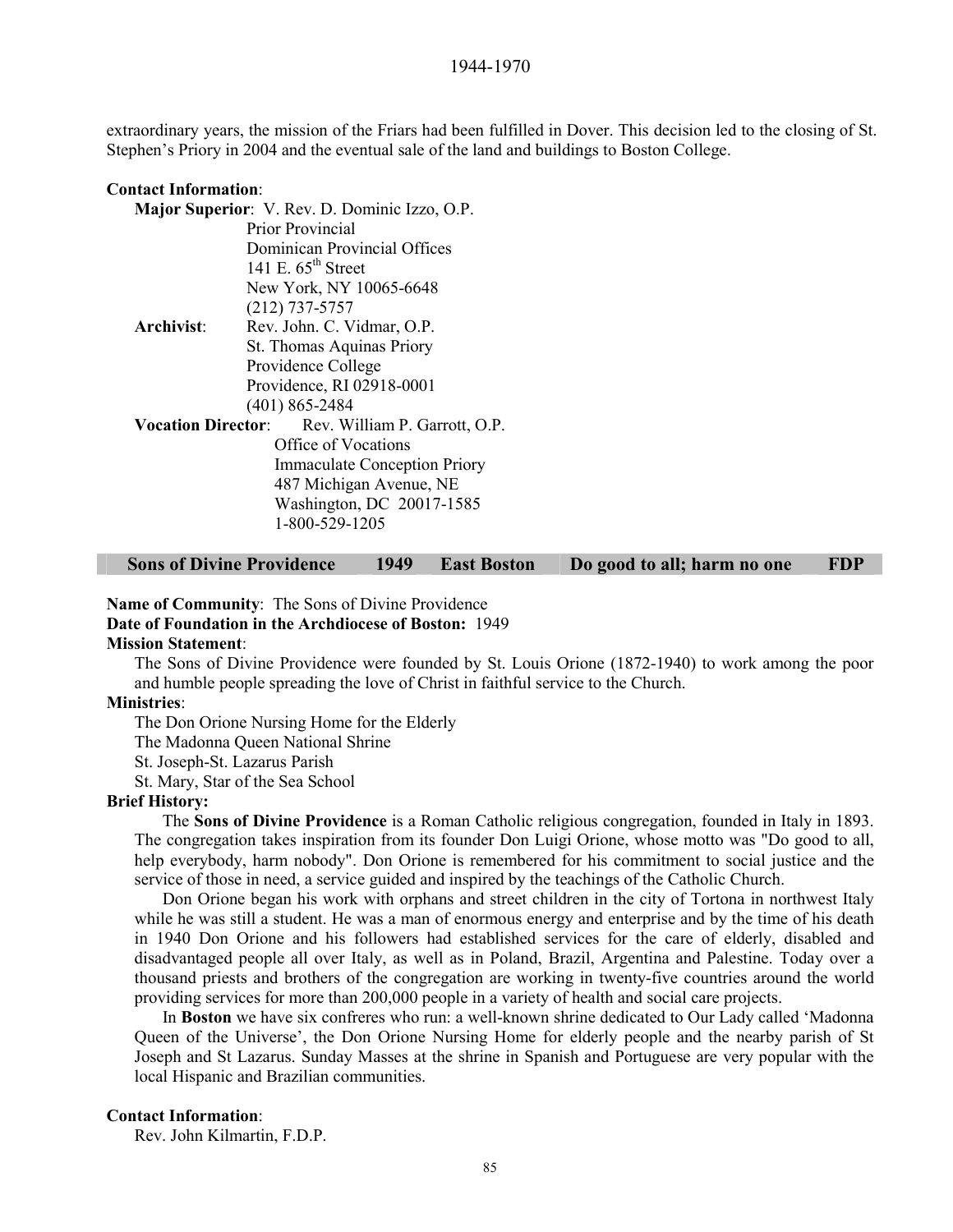extraordinary years, the mission of the Friars had been fulfilled in Dover. This decision led to the closing of St. Stephen's Priory in 2004 and the eventual sale of the land and buildings to Boston College.

| <b>Contact Information:</b> |                                                  |  |
|-----------------------------|--------------------------------------------------|--|
|                             | Major Superior: V. Rev. D. Dominic Izzo, O.P.    |  |
|                             | <b>Prior Provincial</b>                          |  |
|                             | Dominican Provincial Offices                     |  |
|                             | 141 E. $65^{\text{th}}$ Street                   |  |
|                             | New York, NY 10065-6648                          |  |
|                             | $(212)$ 737-5757                                 |  |
| Archivist:                  | Rev. John. C. Vidmar, O.P.                       |  |
|                             | St. Thomas Aquinas Priory                        |  |
|                             | Providence College                               |  |
|                             | Providence, RI 02918-0001                        |  |
|                             | $(401)$ 865-2484                                 |  |
|                             | Vocation Director: Rev. William P. Garrott, O.P. |  |
|                             | Office of Vocations                              |  |
|                             | <b>Immaculate Conception Priory</b>              |  |
|                             | 487 Michigan Avenue, NE                          |  |
|                             | Washington, DC 20017-1585                        |  |
|                             | 1-800-529-1205                                   |  |
|                             |                                                  |  |

| <b>Sons of Divine Providence</b> | 1949 East Boston | Do good to all; harm no one | <b>FDP</b> |
|----------------------------------|------------------|-----------------------------|------------|
|                                  |                  |                             |            |

**Name of Community**: The Sons of Divine Providence **Date of Foundation in the Archdiocese of Boston:** 1949 **Mission Statement**:

The Sons of Divine Providence were founded by St. Louis Orione (1872-1940) to work among the poor and humble people spreading the love of Christ in faithful service to the Church.

#### **Ministries**:

The Don Orione Nursing Home for the Elderly The Madonna Queen National Shrine

St. Joseph-St. Lazarus Parish

St. Mary, Star of the Sea School

#### **Brief History:**

The **Sons of Divine Providence** is a Roman Catholic religious congregation, founded in Italy in 1893. The congregation takes inspiration from its founder Don Luigi Orione, whose motto was "Do good to all, help everybody, harm nobody". Don Orione is remembered for his commitment to social justice and the service of those in need, a service guided and inspired by the teachings of the Catholic Church.

Don Orione began his work with orphans and street children in the city of Tortona in northwest Italy while he was still a student. He was a man of enormous energy and enterprise and by the time of his death in 1940 Don Orione and his followers had established services for the care of elderly, disabled and disadvantaged people all over Italy, as well as in Poland, Brazil, Argentina and Palestine. Today over a thousand priests and brothers of the congregation are working in twenty-five countries around the world providing services for more than 200,000 people in a variety of health and social care projects.

In **Boston** we have six confreres who run: a well-known shrine dedicated to Our Lady called 'Madonna Queen of the Universe', the Don Orione Nursing Home for elderly people and the nearby parish of St Joseph and St Lazarus. Sunday Masses at the shrine in Spanish and Portuguese are very popular with the local Hispanic and Brazilian communities.

#### **Contact Information**:

Rev. John Kilmartin, F.D.P.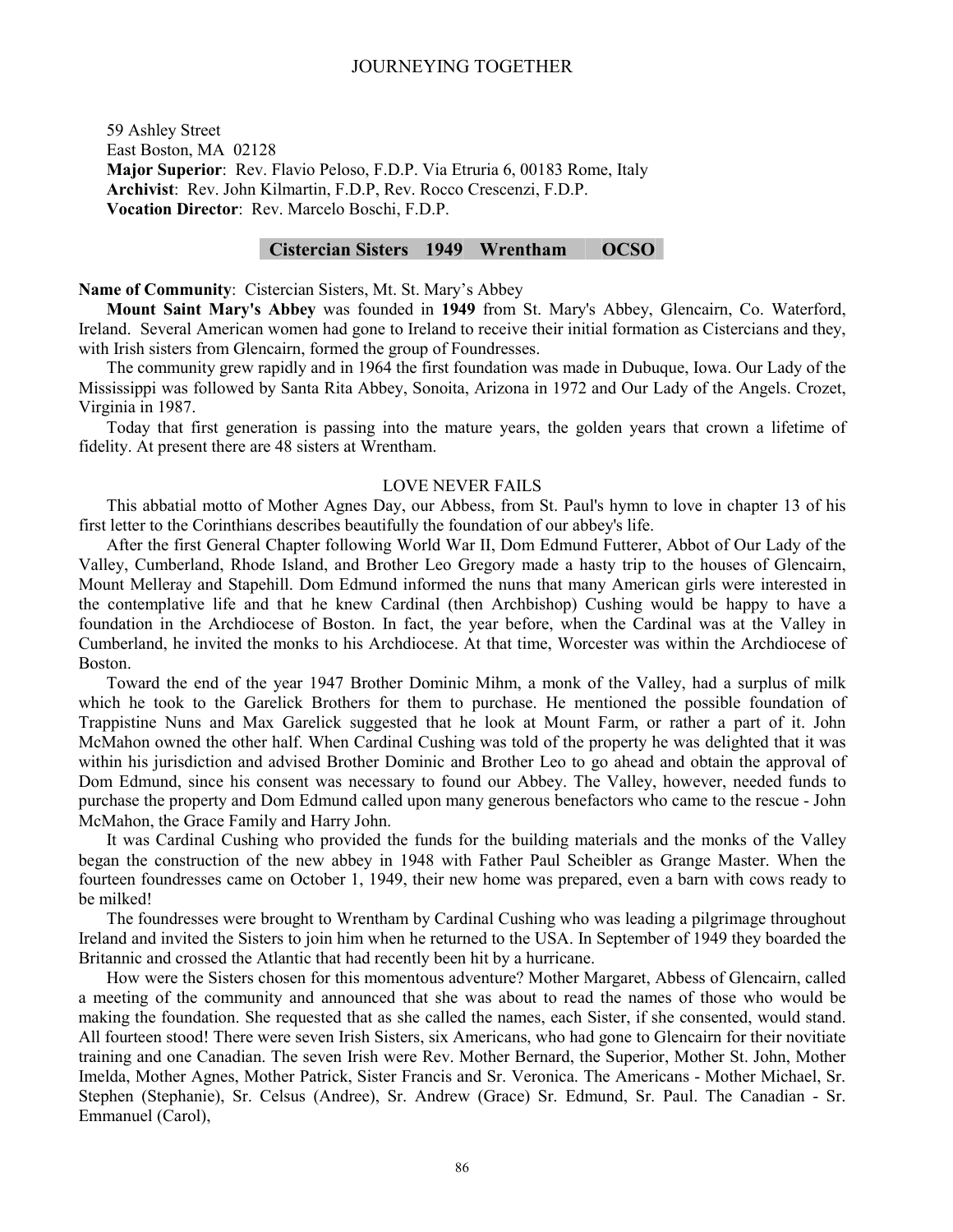59 Ashley Street East Boston, MA 02128 **Major Superior**: Rev. Flavio Peloso, F.D.P. Via Etruria 6, 00183 Rome, Italy **Archivist**: Rev. John Kilmartin, F.D.P, Rev. Rocco Crescenzi, F.D.P. **Vocation Director**: Rev. Marcelo Boschi, F.D.P.

## **Cistercian Sisters 1949 Wrentham OCSO**

#### **Name of Community**: Cistercian Sisters, Mt. St. Mary's Abbey

**Mount Saint Mary's Abbey** was founded in **1949** from St. Mary's Abbey, Glencairn, Co. Waterford, Ireland. Several American women had gone to Ireland to receive their initial formation as Cistercians and they, with Irish sisters from Glencairn, formed the group of Foundresses.

The community grew rapidly and in 1964 the first foundation was made in Dubuque, Iowa. Our Lady of the Mississippi was followed by Santa Rita Abbey, Sonoita, Arizona in 1972 and Our Lady of the Angels. Crozet, Virginia in 1987.

Today that first generation is passing into the mature years, the golden years that crown a lifetime of fidelity. At present there are 48 sisters at Wrentham.

#### LOVE NEVER FAILS

This abbatial motto of Mother Agnes Day, our Abbess, from St. Paul's hymn to love in chapter 13 of his first letter to the Corinthians describes beautifully the foundation of our abbey's life.

After the first General Chapter following World War II, Dom Edmund Futterer, Abbot of Our Lady of the Valley, Cumberland, Rhode Island, and Brother Leo Gregory made a hasty trip to the houses of Glencairn, Mount Melleray and Stapehill. Dom Edmund informed the nuns that many American girls were interested in the contemplative life and that he knew Cardinal (then Archbishop) Cushing would be happy to have a foundation in the Archdiocese of Boston. In fact, the year before, when the Cardinal was at the Valley in Cumberland, he invited the monks to his Archdiocese. At that time, Worcester was within the Archdiocese of Boston.

Toward the end of the year 1947 Brother Dominic Mihm, a monk of the Valley, had a surplus of milk which he took to the Garelick Brothers for them to purchase. He mentioned the possible foundation of Trappistine Nuns and Max Garelick suggested that he look at Mount Farm, or rather a part of it. John McMahon owned the other half. When Cardinal Cushing was told of the property he was delighted that it was within his jurisdiction and advised Brother Dominic and Brother Leo to go ahead and obtain the approval of Dom Edmund, since his consent was necessary to found our Abbey. The Valley, however, needed funds to purchase the property and Dom Edmund called upon many generous benefactors who came to the rescue - John McMahon, the Grace Family and Harry John.

It was Cardinal Cushing who provided the funds for the building materials and the monks of the Valley began the construction of the new abbey in 1948 with Father Paul Scheibler as Grange Master. When the fourteen foundresses came on October 1, 1949, their new home was prepared, even a barn with cows ready to be milked!

The foundresses were brought to Wrentham by Cardinal Cushing who was leading a pilgrimage throughout Ireland and invited the Sisters to join him when he returned to the USA. In September of 1949 they boarded the Britannic and crossed the Atlantic that had recently been hit by a hurricane.

How were the Sisters chosen for this momentous adventure? Mother Margaret, Abbess of Glencairn, called a meeting of the community and announced that she was about to read the names of those who would be making the foundation. She requested that as she called the names, each Sister, if she consented, would stand. All fourteen stood! There were seven Irish Sisters, six Americans, who had gone to Glencairn for their novitiate training and one Canadian. The seven Irish were Rev. Mother Bernard, the Superior, Mother St. John, Mother Imelda, Mother Agnes, Mother Patrick, Sister Francis and Sr. Veronica. The Americans - Mother Michael, Sr. Stephen (Stephanie), Sr. Celsus (Andree), Sr. Andrew (Grace) Sr. Edmund, Sr. Paul. The Canadian - Sr. Emmanuel (Carol),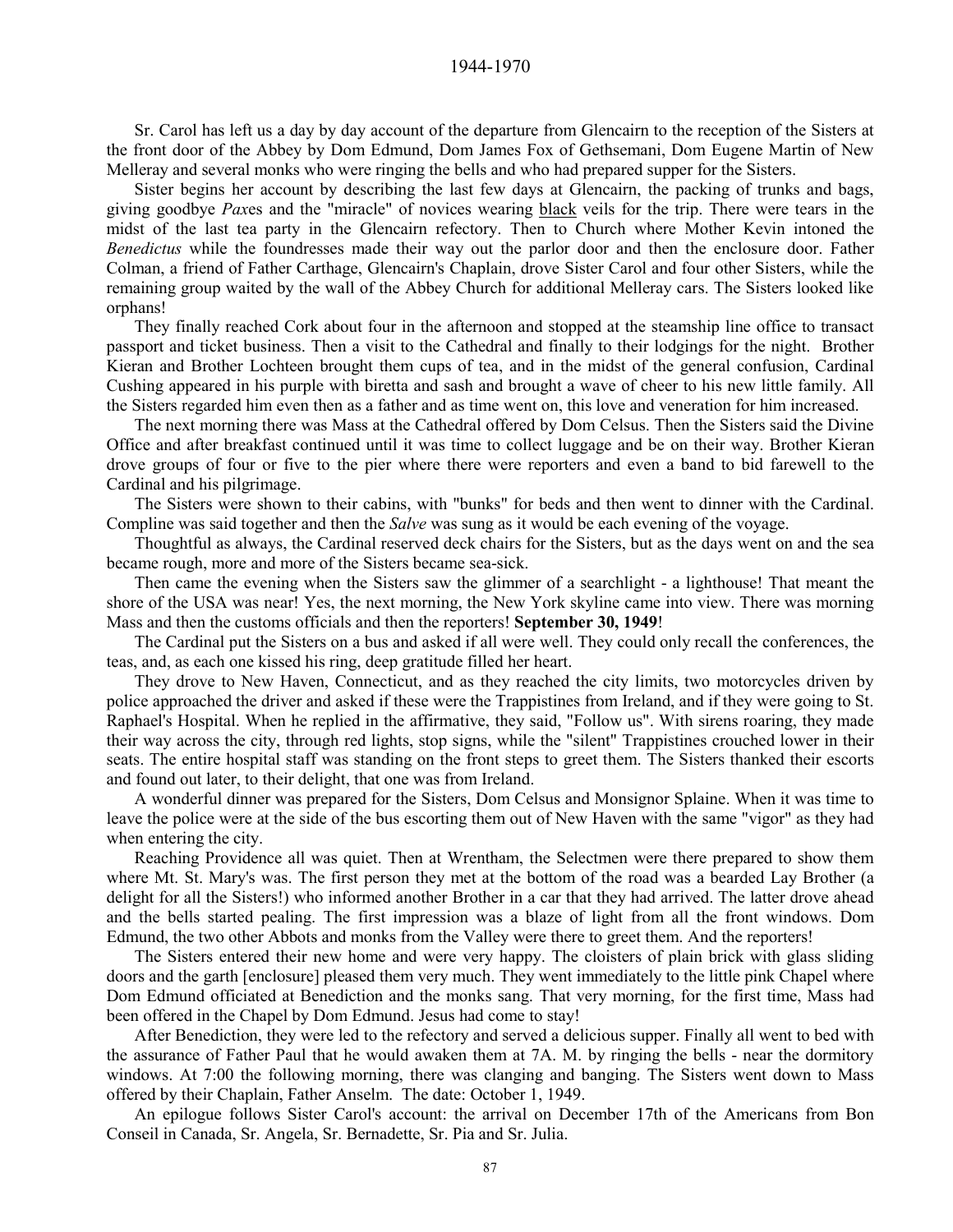1944-1970

Sr. Carol has left us a day by day account of the departure from Glencairn to the reception of the Sisters at the front door of the Abbey by Dom Edmund, Dom James Fox of Gethsemani, Dom Eugene Martin of New Melleray and several monks who were ringing the bells and who had prepared supper for the Sisters.

Sister begins her account by describing the last few days at Glencairn, the packing of trunks and bags, giving goodbye *Pax*es and the "miracle" of novices wearing black veils for the trip. There were tears in the midst of the last tea party in the Glencairn refectory. Then to Church where Mother Kevin intoned the *Benedictus* while the foundresses made their way out the parlor door and then the enclosure door. Father Colman, a friend of Father Carthage, Glencairn's Chaplain, drove Sister Carol and four other Sisters, while the remaining group waited by the wall of the Abbey Church for additional Melleray cars. The Sisters looked like orphans!

They finally reached Cork about four in the afternoon and stopped at the steamship line office to transact passport and ticket business. Then a visit to the Cathedral and finally to their lodgings for the night. Brother Kieran and Brother Lochteen brought them cups of tea, and in the midst of the general confusion, Cardinal Cushing appeared in his purple with biretta and sash and brought a wave of cheer to his new little family. All the Sisters regarded him even then as a father and as time went on, this love and veneration for him increased.

The next morning there was Mass at the Cathedral offered by Dom Celsus. Then the Sisters said the Divine Office and after breakfast continued until it was time to collect luggage and be on their way. Brother Kieran drove groups of four or five to the pier where there were reporters and even a band to bid farewell to the Cardinal and his pilgrimage.

The Sisters were shown to their cabins, with "bunks" for beds and then went to dinner with the Cardinal. Compline was said together and then the *Salve* was sung as it would be each evening of the voyage.

Thoughtful as always, the Cardinal reserved deck chairs for the Sisters, but as the days went on and the sea became rough, more and more of the Sisters became sea-sick.

Then came the evening when the Sisters saw the glimmer of a searchlight - a lighthouse! That meant the shore of the USA was near! Yes, the next morning, the New York skyline came into view. There was morning Mass and then the customs officials and then the reporters! **September 30, 1949**!

The Cardinal put the Sisters on a bus and asked if all were well. They could only recall the conferences, the teas, and, as each one kissed his ring, deep gratitude filled her heart.

They drove to New Haven, Connecticut, and as they reached the city limits, two motorcycles driven by police approached the driver and asked if these were the Trappistines from Ireland, and if they were going to St. Raphael's Hospital. When he replied in the affirmative, they said, "Follow us". With sirens roaring, they made their way across the city, through red lights, stop signs, while the "silent" Trappistines crouched lower in their seats. The entire hospital staff was standing on the front steps to greet them. The Sisters thanked their escorts and found out later, to their delight, that one was from Ireland.

A wonderful dinner was prepared for the Sisters, Dom Celsus and Monsignor Splaine. When it was time to leave the police were at the side of the bus escorting them out of New Haven with the same "vigor" as they had when entering the city.

Reaching Providence all was quiet. Then at Wrentham, the Selectmen were there prepared to show them where Mt. St. Mary's was. The first person they met at the bottom of the road was a bearded Lay Brother (a delight for all the Sisters!) who informed another Brother in a car that they had arrived. The latter drove ahead and the bells started pealing. The first impression was a blaze of light from all the front windows. Dom Edmund, the two other Abbots and monks from the Valley were there to greet them. And the reporters!

The Sisters entered their new home and were very happy. The cloisters of plain brick with glass sliding doors and the garth [enclosure] pleased them very much. They went immediately to the little pink Chapel where Dom Edmund officiated at Benediction and the monks sang. That very morning, for the first time, Mass had been offered in the Chapel by Dom Edmund. Jesus had come to stay!

After Benediction, they were led to the refectory and served a delicious supper. Finally all went to bed with the assurance of Father Paul that he would awaken them at 7A. M. by ringing the bells - near the dormitory windows. At 7:00 the following morning, there was clanging and banging. The Sisters went down to Mass offered by their Chaplain, Father Anselm. The date: October 1, 1949.

An epilogue follows Sister Carol's account: the arrival on December 17th of the Americans from Bon Conseil in Canada, Sr. Angela, Sr. Bernadette, Sr. Pia and Sr. Julia.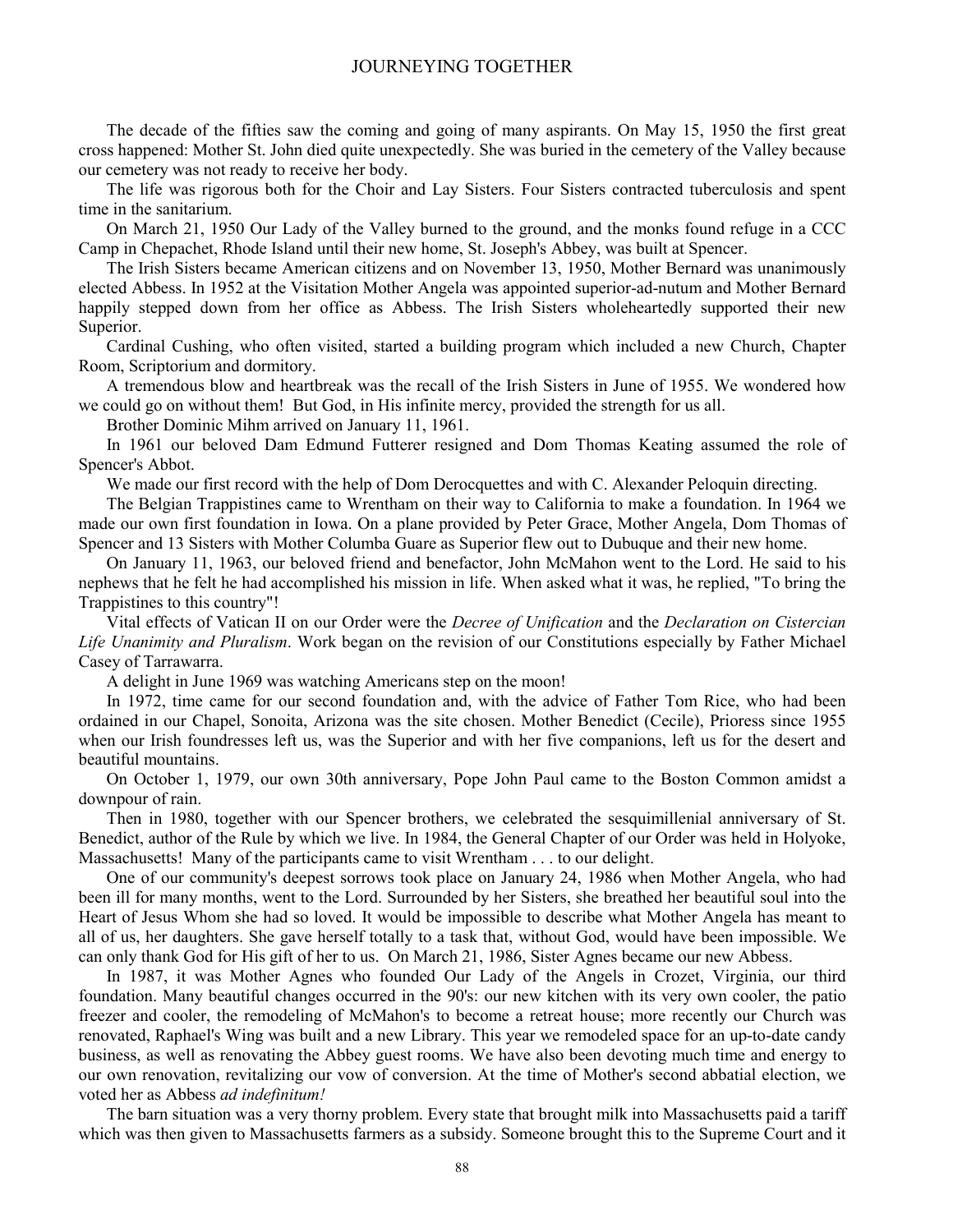The decade of the fifties saw the coming and going of many aspirants. On May 15, 1950 the first great cross happened: Mother St. John died quite unexpectedly. She was buried in the cemetery of the Valley because our cemetery was not ready to receive her body.

The life was rigorous both for the Choir and Lay Sisters. Four Sisters contracted tuberculosis and spent time in the sanitarium.

On March 21, 1950 Our Lady of the Valley burned to the ground, and the monks found refuge in a CCC Camp in Chepachet, Rhode Island until their new home, St. Joseph's Abbey, was built at Spencer.

The Irish Sisters became American citizens and on November 13, 1950, Mother Bernard was unanimously elected Abbess. In 1952 at the Visitation Mother Angela was appointed superior-ad-nutum and Mother Bernard happily stepped down from her office as Abbess. The Irish Sisters wholeheartedly supported their new Superior.

Cardinal Cushing, who often visited, started a building program which included a new Church, Chapter Room, Scriptorium and dormitory.

A tremendous blow and heartbreak was the recall of the Irish Sisters in June of 1955. We wondered how we could go on without them! But God, in His infinite mercy, provided the strength for us all.

Brother Dominic Mihm arrived on January 11, 1961.

In 1961 our beloved Dam Edmund Futterer resigned and Dom Thomas Keating assumed the role of Spencer's Abbot.

We made our first record with the help of Dom Derocquettes and with C. Alexander Peloquin directing.

The Belgian Trappistines came to Wrentham on their way to California to make a foundation. In 1964 we made our own first foundation in Iowa. On a plane provided by Peter Grace, Mother Angela, Dom Thomas of Spencer and 13 Sisters with Mother Columba Guare as Superior flew out to Dubuque and their new home.

On January 11, 1963, our beloved friend and benefactor, John McMahon went to the Lord. He said to his nephews that he felt he had accomplished his mission in life. When asked what it was, he replied, "To bring the Trappistines to this country"!

Vital effects of Vatican II on our Order were the *Decree of Unification* and the *Declaration on Cistercian Life Unanimity and Pluralism*. Work began on the revision of our Constitutions especially by Father Michael Casey of Tarrawarra.

A delight in June 1969 was watching Americans step on the moon!

In 1972, time came for our second foundation and, with the advice of Father Tom Rice, who had been ordained in our Chapel, Sonoita, Arizona was the site chosen. Mother Benedict (Cecile), Prioress since 1955 when our Irish foundresses left us, was the Superior and with her five companions, left us for the desert and beautiful mountains.

On October 1, 1979, our own 30th anniversary, Pope John Paul came to the Boston Common amidst a downpour of rain.

Then in 1980, together with our Spencer brothers, we celebrated the sesquimillenial anniversary of St. Benedict, author of the Rule by which we live. In 1984, the General Chapter of our Order was held in Holyoke, Massachusetts! Many of the participants came to visit Wrentham . . . to our delight.

One of our community's deepest sorrows took place on January 24, 1986 when Mother Angela, who had been ill for many months, went to the Lord. Surrounded by her Sisters, she breathed her beautiful soul into the Heart of Jesus Whom she had so loved. It would be impossible to describe what Mother Angela has meant to all of us, her daughters. She gave herself totally to a task that, without God, would have been impossible. We can only thank God for His gift of her to us. On March 21, 1986, Sister Agnes became our new Abbess.

In 1987, it was Mother Agnes who founded Our Lady of the Angels in Crozet, Virginia, our third foundation. Many beautiful changes occurred in the 90's: our new kitchen with its very own cooler, the patio freezer and cooler, the remodeling of McMahon's to become a retreat house; more recently our Church was renovated, Raphael's Wing was built and a new Library. This year we remodeled space for an up-to-date candy business, as well as renovating the Abbey guest rooms. We have also been devoting much time and energy to our own renovation, revitalizing our vow of conversion. At the time of Mother's second abbatial election, we voted her as Abbess *ad indefinitum!* 

The barn situation was a very thorny problem. Every state that brought milk into Massachusetts paid a tariff which was then given to Massachusetts farmers as a subsidy. Someone brought this to the Supreme Court and it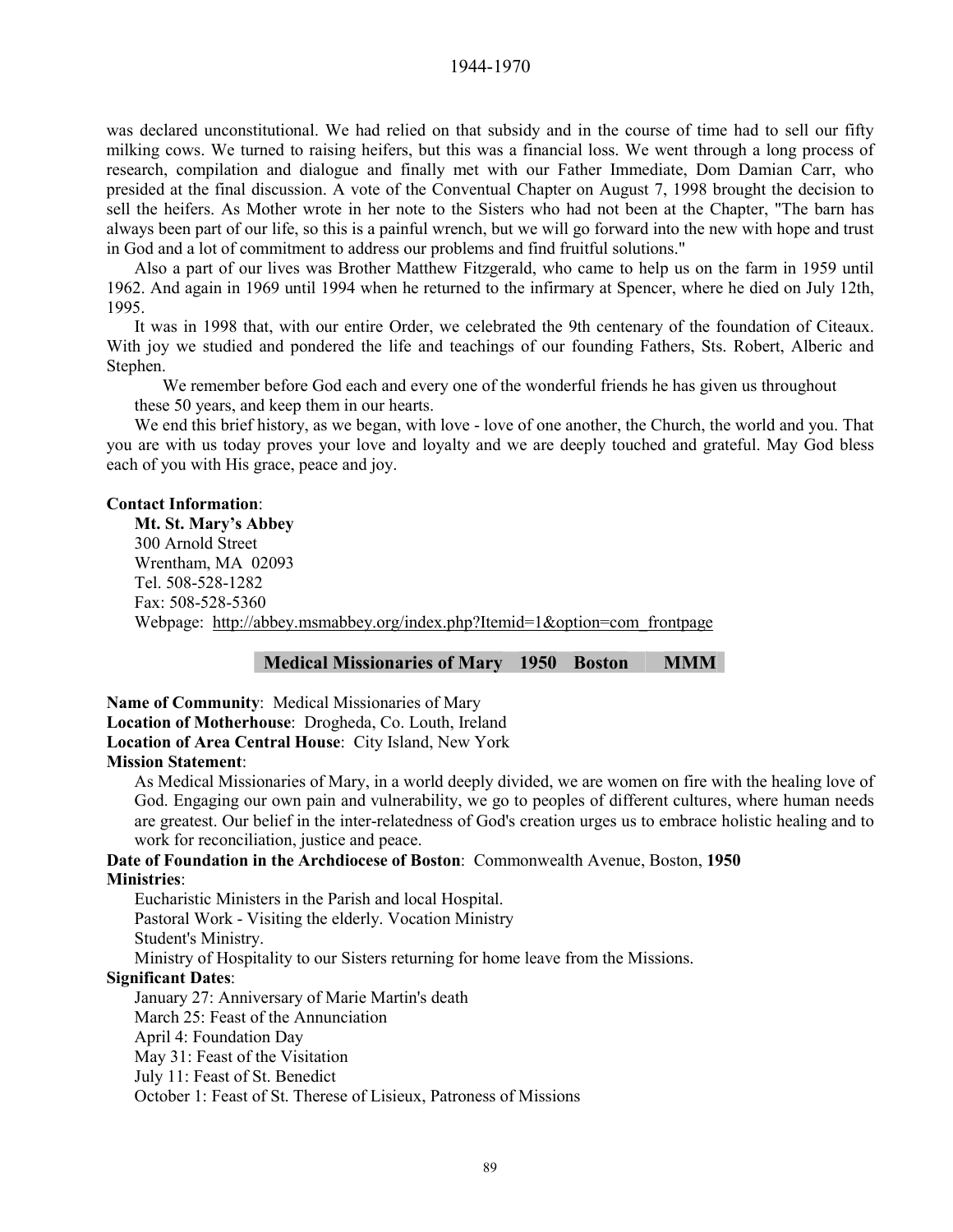was declared unconstitutional. We had relied on that subsidy and in the course of time had to sell our fifty milking cows. We turned to raising heifers, but this was a financial loss. We went through a long process of research, compilation and dialogue and finally met with our Father Immediate, Dom Damian Carr, who presided at the final discussion. A vote of the Conventual Chapter on August 7, 1998 brought the decision to sell the heifers. As Mother wrote in her note to the Sisters who had not been at the Chapter, "The barn has always been part of our life, so this is a painful wrench, but we will go forward into the new with hope and trust in God and a lot of commitment to address our problems and find fruitful solutions."

Also a part of our lives was Brother Matthew Fitzgerald, who came to help us on the farm in 1959 until 1962. And again in 1969 until 1994 when he returned to the infirmary at Spencer, where he died on July 12th, 1995.

It was in 1998 that, with our entire Order, we celebrated the 9th centenary of the foundation of Citeaux. With joy we studied and pondered the life and teachings of our founding Fathers, Sts. Robert, Alberic and Stephen.

We remember before God each and every one of the wonderful friends he has given us throughout these 50 years, and keep them in our hearts.

We end this brief history, as we began, with love - love of one another, the Church, the world and you. That you are with us today proves your love and loyalty and we are deeply touched and grateful. May God bless each of you with His grace, peace and joy.

#### **Contact Information**:

**Mt. St. Mary's Abbey**  300 Arnold Street Wrentham, MA 02093 Tel. 508-528-1282 Fax: 508-528-5360 Webpage: http://abbey.msmabbey.org/index.php?Itemid=1&option=com\_frontpage

#### **Medical Missionaries of Mary 1950 Boston MMM**

**Name of Community**: Medical Missionaries of Mary **Location of Motherhouse**: Drogheda, Co. Louth, Ireland **Location of Area Central House**: City Island, New York **Mission Statement**:

As Medical Missionaries of Mary, in a world deeply divided, we are women on fire with the healing love of God. Engaging our own pain and vulnerability, we go to peoples of different cultures, where human needs are greatest. Our belief in the inter-relatedness of God's creation urges us to embrace holistic healing and to work for reconciliation, justice and peace.

**Date of Foundation in the Archdiocese of Boston**: Commonwealth Avenue, Boston, **1950 Ministries**:

Eucharistic Ministers in the Parish and local Hospital. Pastoral Work - Visiting the elderly. Vocation Ministry Student's Ministry. Ministry of Hospitality to our Sisters returning for home leave from the Missions.

#### **Significant Dates**:

January 27: Anniversary of Marie Martin's death March 25: Feast of the Annunciation April 4: Foundation Day May 31: Feast of the Visitation July 11: Feast of St. Benedict October 1: Feast of St. Therese of Lisieux, Patroness of Missions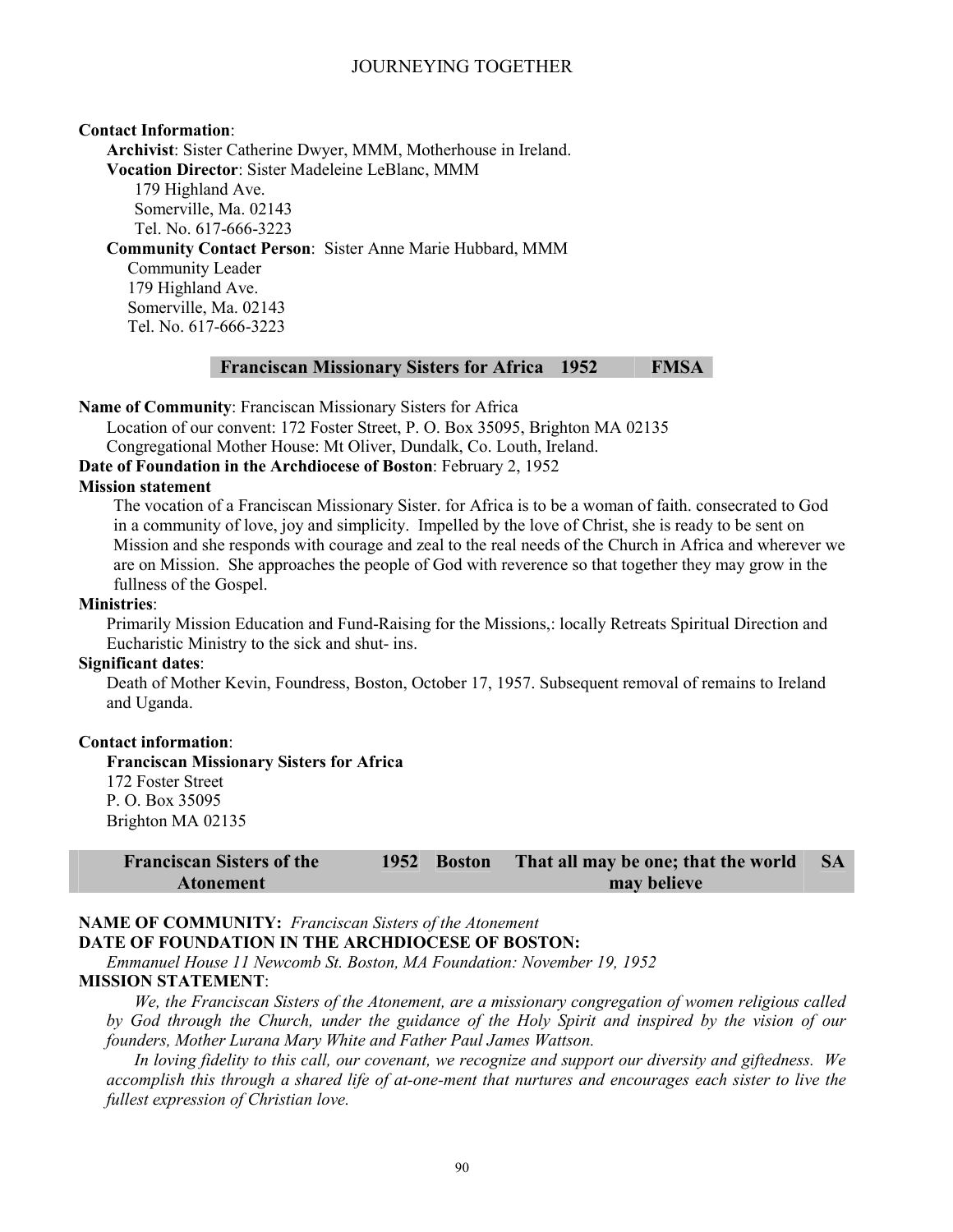#### **Contact Information**:

**Archivist**: Sister Catherine Dwyer, MMM, Motherhouse in Ireland.

**Vocation Director**: Sister Madeleine LeBlanc, MMM

179 Highland Ave. Somerville, Ma. 02143 Tel. No. 617-666-3223

**Community Contact Person**: Sister Anne Marie Hubbard, MMM

Community Leader 179 Highland Ave. Somerville, Ma. 02143 Tel. No. 617-666-3223

#### **Franciscan Missionary Sisters for Africa 1952 FMSA**

**Name of Community**: Franciscan Missionary Sisters for Africa

Location of our convent: 172 Foster Street, P. O. Box 35095, Brighton MA 02135

Congregational Mother House: Mt Oliver, Dundalk, Co. Louth, Ireland.

**Date of Foundation in the Archdiocese of Boston**: February 2, 1952

### **Mission statement**

The vocation of a Franciscan Missionary Sister. for Africa is to be a woman of faith. consecrated to God in a community of love, joy and simplicity. Impelled by the love of Christ, she is ready to be sent on Mission and she responds with courage and zeal to the real needs of the Church in Africa and wherever we are on Mission. She approaches the people of God with reverence so that together they may grow in the fullness of the Gospel.

#### **Ministries**:

Primarily Mission Education and Fund-Raising for the Missions,: locally Retreats Spiritual Direction and Eucharistic Ministry to the sick and shut- ins.

#### **Significant dates**:

Death of Mother Kevin, Foundress, Boston, October 17, 1957. Subsequent removal of remains to Ireland and Uganda.

#### **Contact information**:

**Franciscan Missionary Sisters for Africa**  172 Foster Street P. O. Box 35095 Brighton MA 02135

| <b>Franciscan Sisters of the</b> | 1952 Boston | That all may be one; that the world | SA S |
|----------------------------------|-------------|-------------------------------------|------|
| Atonement                        |             | may believe                         |      |

## **NAME OF COMMUNITY:** *Franciscan Sisters of the Atonement*

**DATE OF FOUNDATION IN THE ARCHDIOCESE OF BOSTON:** 

*Emmanuel House 11 Newcomb St. Boston, MA Foundation: November 19, 1952*

#### **MISSION STATEMENT**:

*We, the Franciscan Sisters of the Atonement, are a missionary congregation of women religious called by God through the Church, under the guidance of the Holy Spirit and inspired by the vision of our founders, Mother Lurana Mary White and Father Paul James Wattson.* 

*In loving fidelity to this call, our covenant, we recognize and support our diversity and giftedness. We accomplish this through a shared life of at-one-ment that nurtures and encourages each sister to live the fullest expression of Christian love.*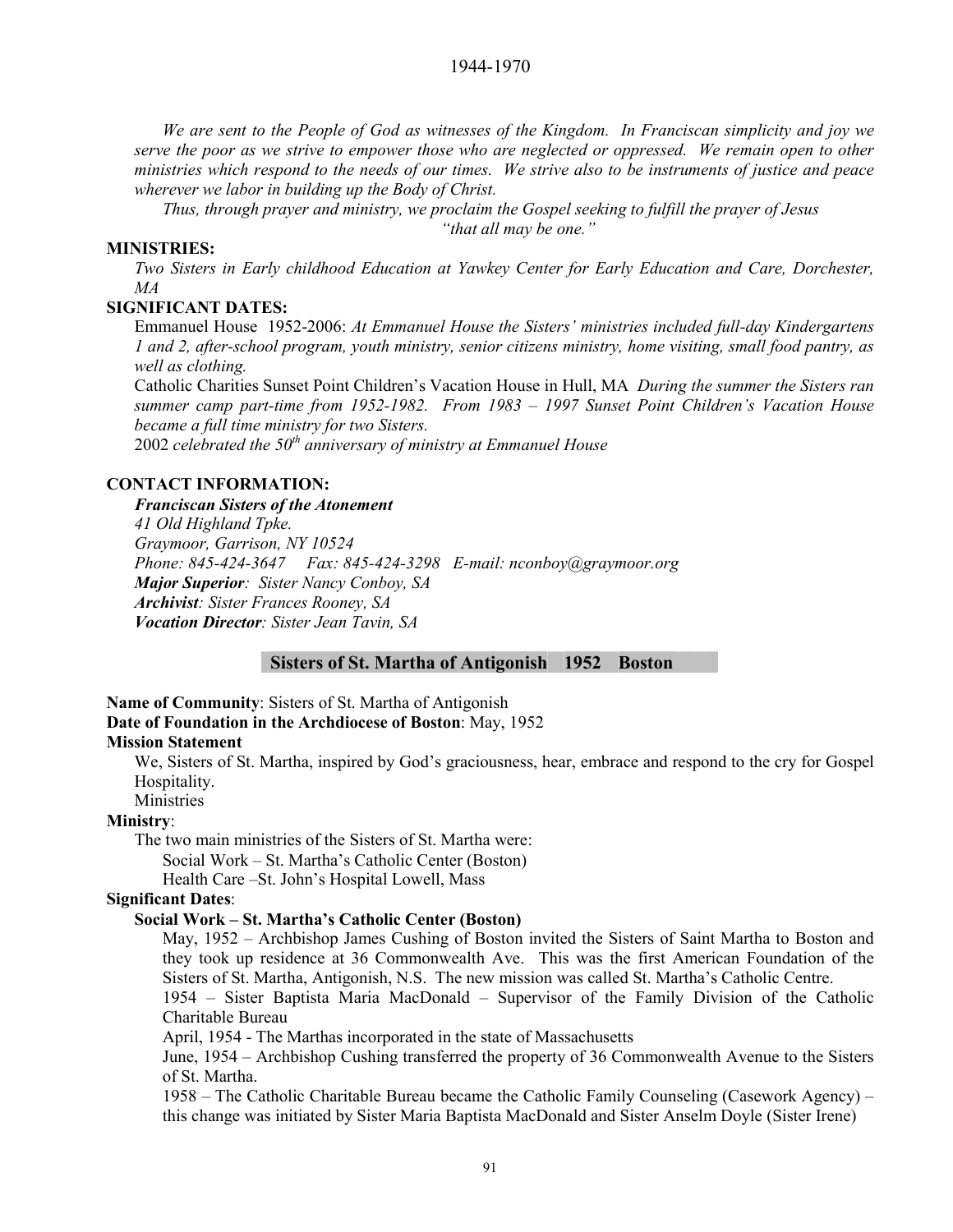*We are sent to the People of God as witnesses of the Kingdom. In Franciscan simplicity and joy we serve the poor as we strive to empower those who are neglected or oppressed. We remain open to other ministries which respond to the needs of our times. We strive also to be instruments of justice and peace wherever we labor in building up the Body of Christ.* 

*Thus, through prayer and ministry, we proclaim the Gospel seeking to fulfill the prayer of Jesus "that all may be one."*

## **MINISTRIES:**

*Two Sisters in Early childhood Education at Yawkey Center for Early Education and Care, Dorchester, MA*

#### **SIGNIFICANT DATES:**

Emmanuel House 1952-2006: *At Emmanuel House the Sisters' ministries included full-day Kindergartens 1 and 2, after-school program, youth ministry, senior citizens ministry, home visiting, small food pantry, as well as clothing.* 

Catholic Charities Sunset Point Children's Vacation House in Hull, MA *During the summer the Sisters ran summer camp part-time from 1952-1982. From 1983 – 1997 Sunset Point Children's Vacation House became a full time ministry for two Sisters.* 

2002 *celebrated the 50th anniversary of ministry at Emmanuel House* 

#### **CONTACT INFORMATION:**

*Franciscan Sisters of the Atonement 41 Old Highland Tpke. Graymoor, Garrison, NY 10524 Phone: 845-424-3647 Fax: 845-424-3298 E-mail: nconboy@graymoor.org Major Superior: Sister Nancy Conboy, SA Archivist: Sister Frances Rooney, SA Vocation Director: Sister Jean Tavin, SA* 

**Sisters of St. Martha of Antigonish 1952 Boston** 

**Name of Community**: Sisters of St. Martha of Antigonish **Date of Foundation in the Archdiocese of Boston**: May, 1952 **Mission Statement** 

We, Sisters of St. Martha, inspired by God's graciousness, hear, embrace and respond to the cry for Gospel Hospitality.

Ministries

#### **Ministry**:

The two main ministries of the Sisters of St. Martha were:

Social Work – St. Martha's Catholic Center (Boston)

Health Care –St. John's Hospital Lowell, Mass

## **Significant Dates**:

#### **Social Work – St. Martha's Catholic Center (Boston)**

May, 1952 – Archbishop James Cushing of Boston invited the Sisters of Saint Martha to Boston and they took up residence at 36 Commonwealth Ave. This was the first American Foundation of the Sisters of St. Martha, Antigonish, N.S. The new mission was called St. Martha's Catholic Centre.

1954 – Sister Baptista Maria MacDonald – Supervisor of the Family Division of the Catholic Charitable Bureau

April, 1954 - The Marthas incorporated in the state of Massachusetts

June, 1954 – Archbishop Cushing transferred the property of 36 Commonwealth Avenue to the Sisters of St. Martha.

1958 – The Catholic Charitable Bureau became the Catholic Family Counseling (Casework Agency) – this change was initiated by Sister Maria Baptista MacDonald and Sister Anselm Doyle (Sister Irene)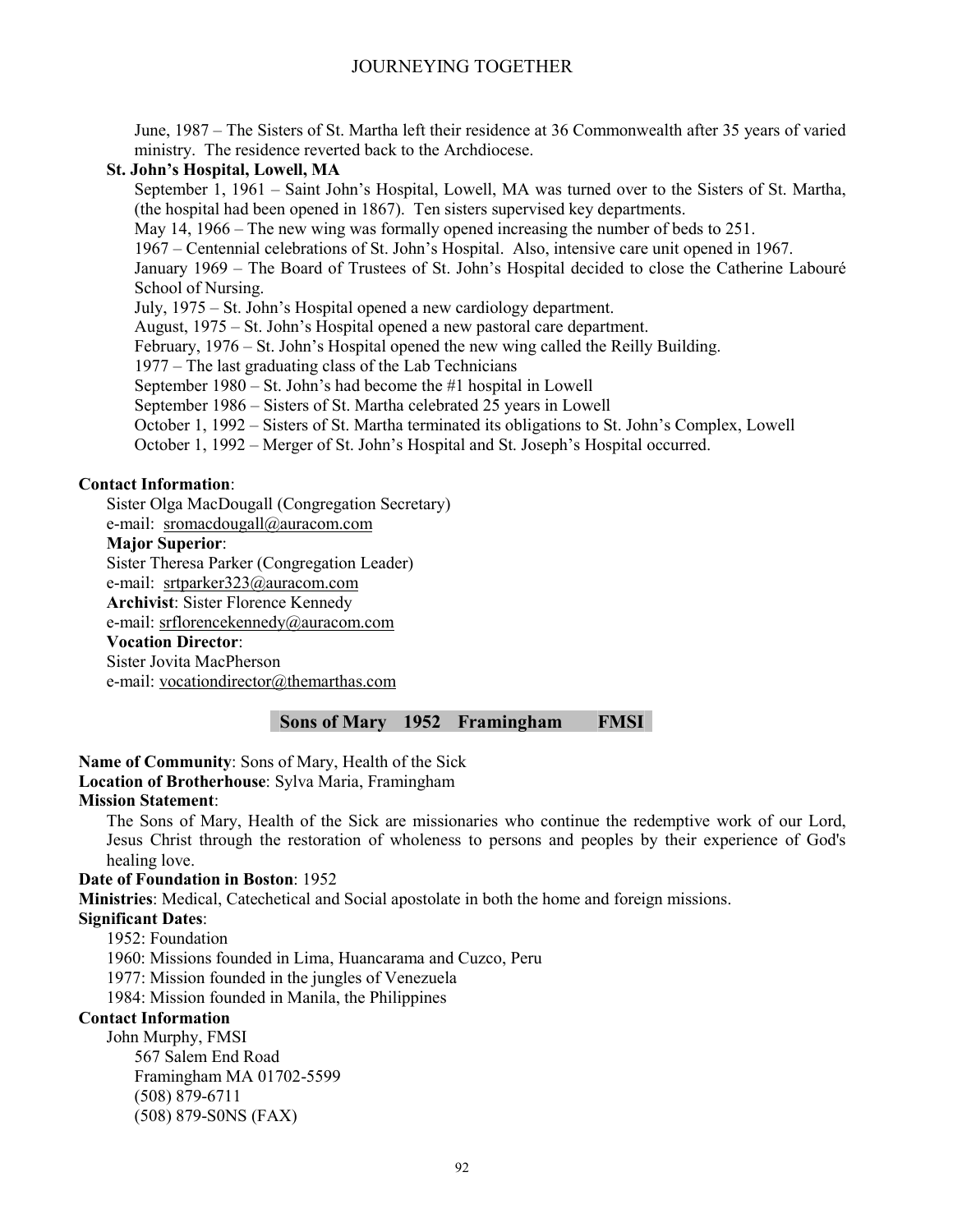June, 1987 – The Sisters of St. Martha left their residence at 36 Commonwealth after 35 years of varied ministry. The residence reverted back to the Archdiocese.

#### **St. John's Hospital, Lowell, MA**

September 1, 1961 – Saint John's Hospital, Lowell, MA was turned over to the Sisters of St. Martha, (the hospital had been opened in 1867). Ten sisters supervised key departments.

May 14, 1966 – The new wing was formally opened increasing the number of beds to 251.

1967 – Centennial celebrations of St. John's Hospital. Also, intensive care unit opened in 1967.

January 1969 – The Board of Trustees of St. John's Hospital decided to close the Catherine Labouré School of Nursing.

July, 1975 – St. John's Hospital opened a new cardiology department.

August, 1975 – St. John's Hospital opened a new pastoral care department.

February, 1976 – St. John's Hospital opened the new wing called the Reilly Building.

1977 – The last graduating class of the Lab Technicians

September 1980 – St. John's had become the #1 hospital in Lowell

September 1986 – Sisters of St. Martha celebrated 25 years in Lowell

October 1, 1992 – Sisters of St. Martha terminated its obligations to St. John's Complex, Lowell

October 1, 1992 – Merger of St. John's Hospital and St. Joseph's Hospital occurred.

#### **Contact Information**:

Sister Olga MacDougall (Congregation Secretary)

e-mail: sromacdougall@auracom.com

### **Major Superior**:

Sister Theresa Parker (Congregation Leader)

e-mail: srtparker323@auracom.com

**Archivist**: Sister Florence Kennedy

e-mail: srflorencekennedy@auracom.com

## **Vocation Director**:

Sister Jovita MacPherson

e-mail: vocationdirector@themarthas.com

## **Sons of Mary 1952 Framingham FMSI**

**Name of Community**: Sons of Mary, Health of the Sick **Location of Brotherhouse**: Sylva Maria, Framingham **Mission Statement**:

The Sons of Mary, Health of the Sick are missionaries who continue the redemptive work of our Lord, Jesus Christ through the restoration of wholeness to persons and peoples by their experience of God's healing love.

#### **Date of Foundation in Boston**: 1952

**Ministries**: Medical, Catechetical and Social apostolate in both the home and foreign missions.

**Significant Dates**:

1952: Foundation

1960: Missions founded in Lima, Huancarama and Cuzco, Peru

1977: Mission founded in the jungles of Venezuela

1984: Mission founded in Manila, the Philippines

## **Contact Information**

John Murphy, FMSI 567 Salem End Road Framingham MA 01702-5599 (508) 879-6711 (508) 879-S0NS (FAX)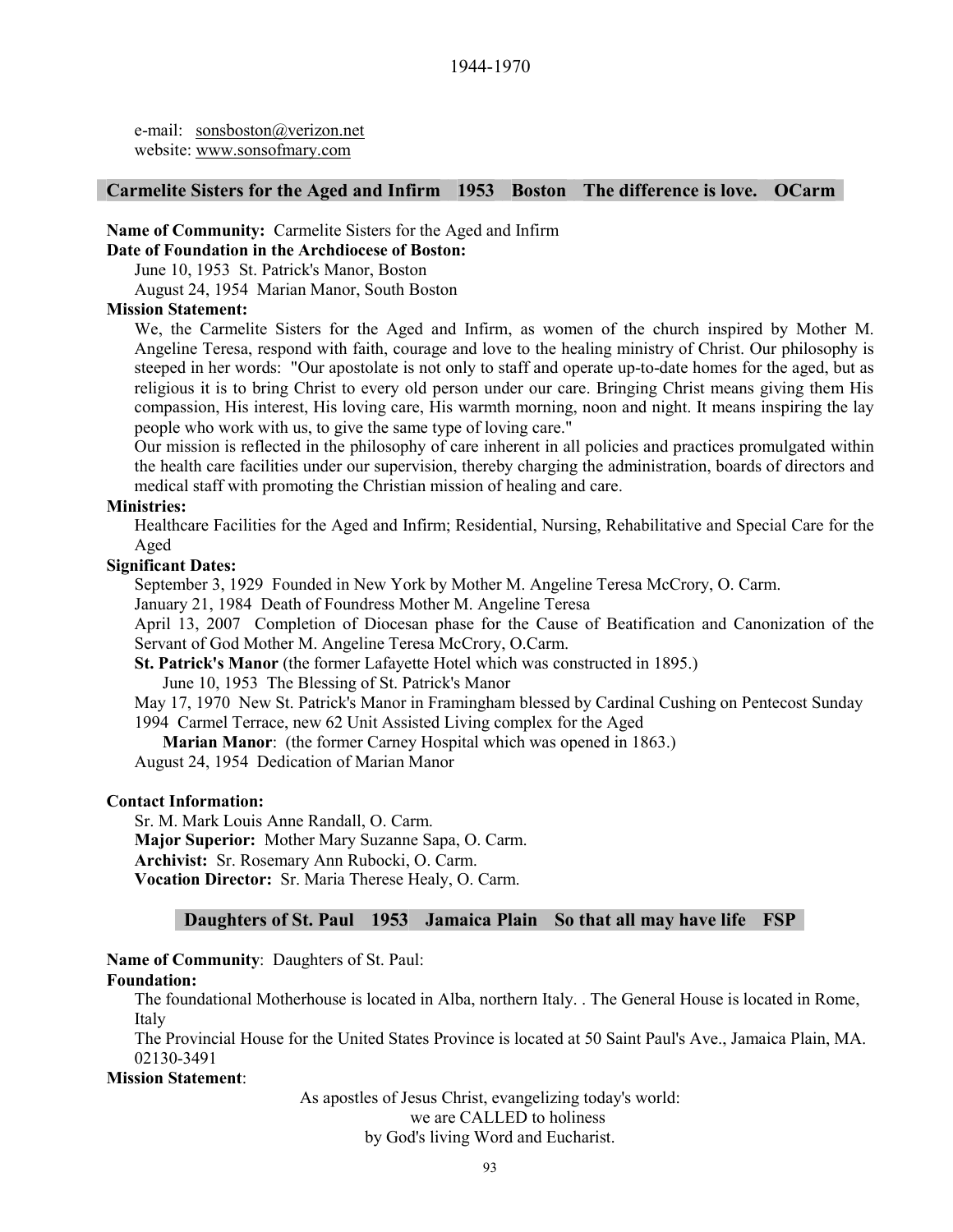e-mail: sonsboston@verizon.net website: www.sonsofmary.com

## **Carmelite Sisters for the Aged and Infirm 1953 Boston The difference is love. OCarm**

## **Name of Community:** Carmelite Sisters for the Aged and Infirm

#### **Date of Foundation in the Archdiocese of Boston:**

June 10, 1953 St. Patrick's Manor, Boston

August 24, 1954 Marian Manor, South Boston

#### **Mission Statement:**

We, the Carmelite Sisters for the Aged and Infirm, as women of the church inspired by Mother M. Angeline Teresa, respond with faith, courage and love to the healing ministry of Christ. Our philosophy is steeped in her words: "Our apostolate is not only to staff and operate up-to-date homes for the aged, but as religious it is to bring Christ to every old person under our care. Bringing Christ means giving them His compassion, His interest, His loving care, His warmth morning, noon and night. It means inspiring the lay people who work with us, to give the same type of loving care."

Our mission is reflected in the philosophy of care inherent in all policies and practices promulgated within the health care facilities under our supervision, thereby charging the administration, boards of directors and medical staff with promoting the Christian mission of healing and care.

#### **Ministries:**

Healthcare Facilities for the Aged and Infirm; Residential, Nursing, Rehabilitative and Special Care for the Aged

#### **Significant Dates:**

September 3, 1929 Founded in New York by Mother M. Angeline Teresa McCrory, O. Carm.

January 21, 1984 Death of Foundress Mother M. Angeline Teresa

April 13, 2007 Completion of Diocesan phase for the Cause of Beatification and Canonization of the Servant of God Mother M. Angeline Teresa McCrory, O.Carm.

**St. Patrick's Manor** (the former Lafayette Hotel which was constructed in 1895.)

June 10, 1953 The Blessing of St. Patrick's Manor

May 17, 1970 New St. Patrick's Manor in Framingham blessed by Cardinal Cushing on Pentecost Sunday 1994 Carmel Terrace, new 62 Unit Assisted Living complex for the Aged

**Marian Manor**: (the former Carney Hospital which was opened in 1863.)

August 24, 1954 Dedication of Marian Manor

#### **Contact Information:**

Sr. M. Mark Louis Anne Randall, O. Carm. **Major Superior:** Mother Mary Suzanne Sapa, O. Carm. **Archivist:** Sr. Rosemary Ann Rubocki, O. Carm. **Vocation Director:** Sr. Maria Therese Healy, O. Carm.

#### **Daughters of St. Paul 1953 Jamaica Plain So that all may have life FSP**

**Name of Community**: Daughters of St. Paul:

#### **Foundation:**

The foundational Motherhouse is located in Alba, northern Italy. . The General House is located in Rome, Italy

The Provincial House for the United States Province is located at 50 Saint Paul's Ave., Jamaica Plain, MA. 02130-3491

#### **Mission Statement**:

As apostles of Jesus Christ, evangelizing today's world:

we are CALLED to holiness

by God's living Word and Eucharist.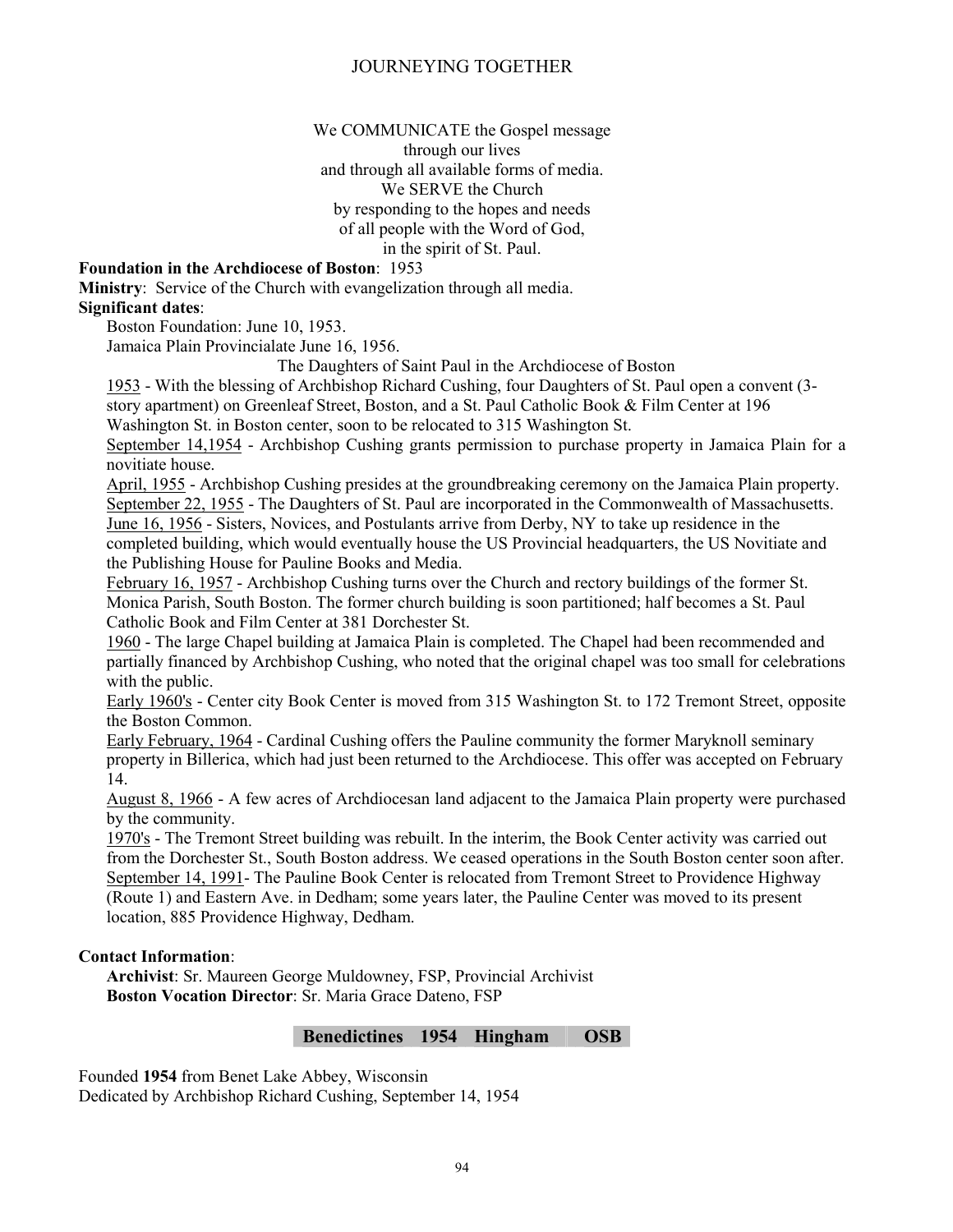We COMMUNICATE the Gospel message

through our lives and through all available forms of media. We SERVE the Church by responding to the hopes and needs of all people with the Word of God, in the spirit of St. Paul.

## **Foundation in the Archdiocese of Boston**: 1953

**Ministry**: Service of the Church with evangelization through all media. **Significant dates**:

Boston Foundation: June 10, 1953.

Jamaica Plain Provincialate June 16, 1956.

The Daughters of Saint Paul in the Archdiocese of Boston

1953 - With the blessing of Archbishop Richard Cushing, four Daughters of St. Paul open a convent (3 story apartment) on Greenleaf Street, Boston, and a St. Paul Catholic Book & Film Center at 196 Washington St. in Boston center, soon to be relocated to 315 Washington St.

September 14,1954 - Archbishop Cushing grants permission to purchase property in Jamaica Plain for a novitiate house.

April, 1955 - Archbishop Cushing presides at the groundbreaking ceremony on the Jamaica Plain property. September 22, 1955 - The Daughters of St. Paul are incorporated in the Commonwealth of Massachusetts. June 16, 1956 - Sisters, Novices, and Postulants arrive from Derby, NY to take up residence in the completed building, which would eventually house the US Provincial headquarters, the US Novitiate and the Publishing House for Pauline Books and Media.

February 16, 1957 - Archbishop Cushing turns over the Church and rectory buildings of the former St. Monica Parish, South Boston. The former church building is soon partitioned; half becomes a St. Paul Catholic Book and Film Center at 381 Dorchester St.

1960 - The large Chapel building at Jamaica Plain is completed. The Chapel had been recommended and partially financed by Archbishop Cushing, who noted that the original chapel was too small for celebrations with the public.

Early 1960's - Center city Book Center is moved from 315 Washington St. to 172 Tremont Street, opposite the Boston Common.

Early February, 1964 - Cardinal Cushing offers the Pauline community the former Maryknoll seminary property in Billerica, which had just been returned to the Archdiocese. This offer was accepted on February 14.

August 8, 1966 - A few acres of Archdiocesan land adjacent to the Jamaica Plain property were purchased by the community.

1970's - The Tremont Street building was rebuilt. In the interim, the Book Center activity was carried out from the Dorchester St., South Boston address. We ceased operations in the South Boston center soon after. September 14, 1991- The Pauline Book Center is relocated from Tremont Street to Providence Highway (Route 1) and Eastern Ave. in Dedham; some years later, the Pauline Center was moved to its present location, 885 Providence Highway, Dedham.

#### **Contact Information**:

**Archivist**: Sr. Maureen George Muldowney, FSP, Provincial Archivist **Boston Vocation Director**: Sr. Maria Grace Dateno, FSP

#### **Benedictines 1954 Hingham OSB**

Founded **1954** from Benet Lake Abbey, Wisconsin Dedicated by Archbishop Richard Cushing, September 14, 1954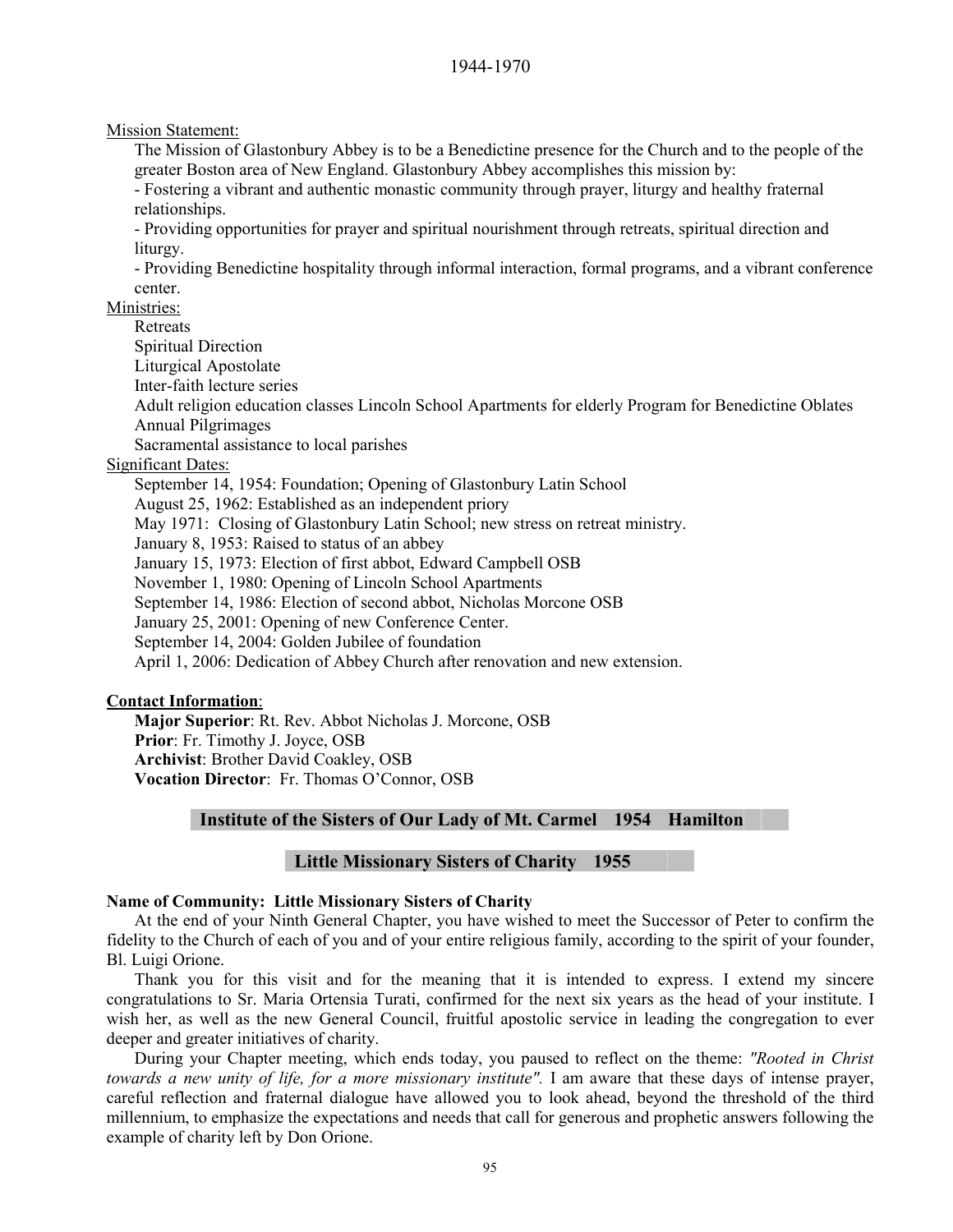#### 1944-1970

#### Mission Statement:

The Mission of Glastonbury Abbey is to be a Benedictine presence for the Church and to the people of the greater Boston area of New England. Glastonbury Abbey accomplishes this mission by:

- Fostering a vibrant and authentic monastic community through prayer, liturgy and healthy fraternal relationships.

- Providing opportunities for prayer and spiritual nourishment through retreats, spiritual direction and liturgy.

- Providing Benedictine hospitality through informal interaction, formal programs, and a vibrant conference center.

Ministries:

Retreats

Spiritual Direction

Liturgical Apostolate

Inter-faith lecture series

Adult religion education classes Lincoln School Apartments for elderly Program for Benedictine Oblates Annual Pilgrimages

Sacramental assistance to local parishes

#### Significant Dates:

September 14, 1954: Foundation; Opening of Glastonbury Latin School August 25, 1962: Established as an independent priory May 1971: Closing of Glastonbury Latin School; new stress on retreat ministry. January 8, 1953: Raised to status of an abbey January 15, 1973: Election of first abbot, Edward Campbell OSB November 1, 1980: Opening of Lincoln School Apartments September 14, 1986: Election of second abbot, Nicholas Morcone OSB January 25, 2001: Opening of new Conference Center. September 14, 2004: Golden Jubilee of foundation

April 1, 2006: Dedication of Abbey Church after renovation and new extension.

#### **Contact Information**:

**Major Superior**: Rt. Rev. Abbot Nicholas J. Morcone, OSB **Prior**: Fr. Timothy J. Joyce, OSB **Archivist**: Brother David Coakley, OSB **Vocation Director**: Fr. Thomas O'Connor, OSB

## **Institute of the Sisters of Our Lady of Mt. Carmel 1954 Hamilton**

## **Little Missionary Sisters of Charity 1955**

#### **Name of Community: Little Missionary Sisters of Charity**

At the end of your Ninth General Chapter, you have wished to meet the Successor of Peter to confirm the fidelity to the Church of each of you and of your entire religious family, according to the spirit of your founder, Bl. Luigi Orione.

Thank you for this visit and for the meaning that it is intended to express. I extend my sincere congratulations to Sr. Maria Ortensia Turati, confirmed for the next six years as the head of your institute. I wish her, as well as the new General Council, fruitful apostolic service in leading the congregation to ever deeper and greater initiatives of charity.

During your Chapter meeting, which ends today, you paused to reflect on the theme: *"Rooted in Christ towards a new unity of life, for a more missionary institute".* I am aware that these days of intense prayer, careful reflection and fraternal dialogue have allowed you to look ahead, beyond the threshold of the third millennium, to emphasize the expectations and needs that call for generous and prophetic answers following the example of charity left by Don Orione.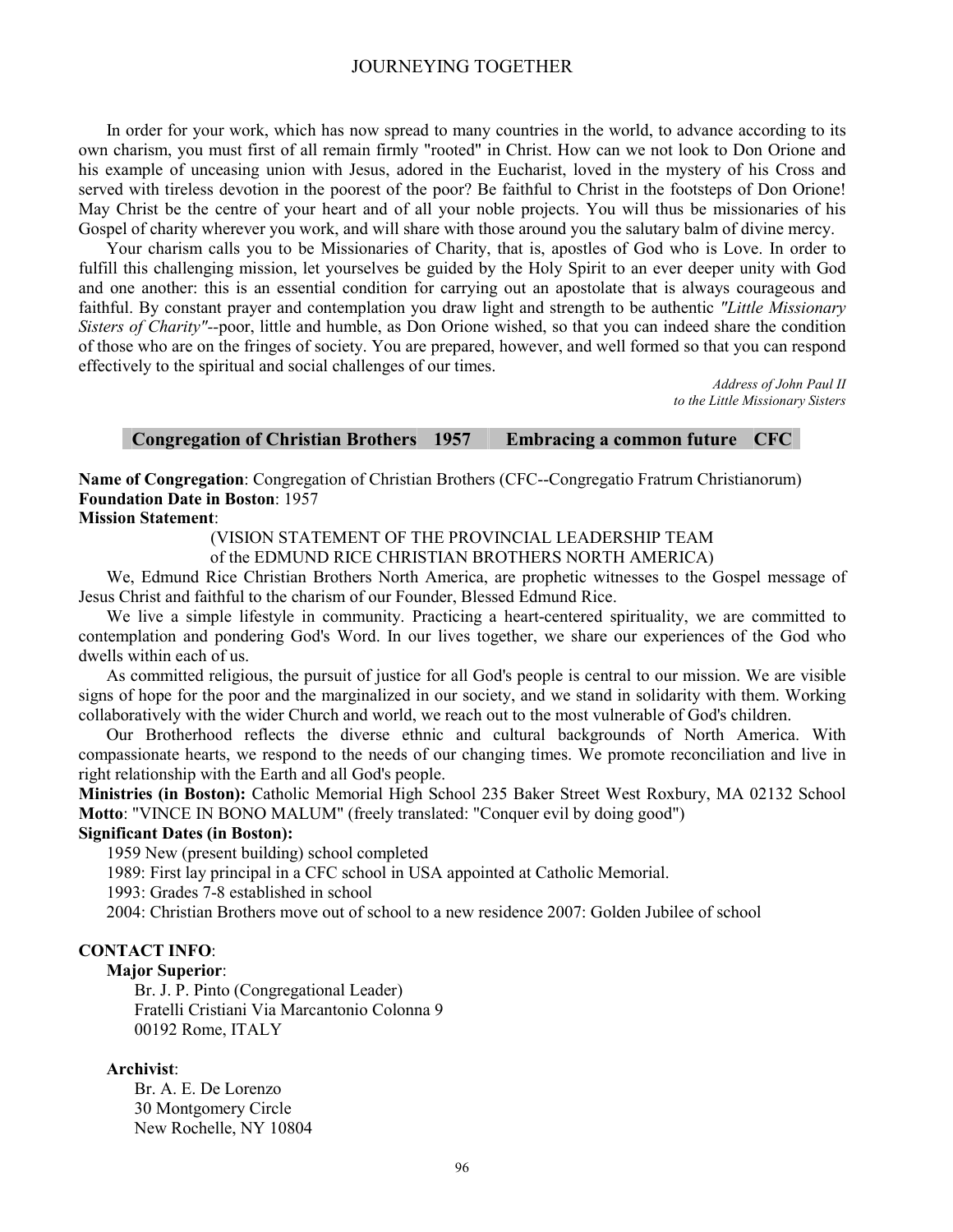In order for your work, which has now spread to many countries in the world, to advance according to its own charism, you must first of all remain firmly "rooted" in Christ. How can we not look to Don Orione and his example of unceasing union with Jesus, adored in the Eucharist, loved in the mystery of his Cross and served with tireless devotion in the poorest of the poor? Be faithful to Christ in the footsteps of Don Orione! May Christ be the centre of your heart and of all your noble projects. You will thus be missionaries of his Gospel of charity wherever you work, and will share with those around you the salutary balm of divine mercy.

Your charism calls you to be Missionaries of Charity, that is, apostles of God who is Love. In order to fulfill this challenging mission, let yourselves be guided by the Holy Spirit to an ever deeper unity with God and one another: this is an essential condition for carrying out an apostolate that is always courageous and faithful. By constant prayer and contemplation you draw light and strength to be authentic *"Little Missionary Sisters of Charity"--*poor, little and humble, as Don Orione wished, so that you can indeed share the condition of those who are on the fringes of society. You are prepared, however, and well formed so that you can respond effectively to the spiritual and social challenges of our times.

> *Address of John Paul II to the Little Missionary Sisters*

#### **Congregation of Christian Brothers 1957 Embracing a common future CFC**

**Name of Congregation**: Congregation of Christian Brothers (CFC--Congregatio Fratrum Christianorum) **Foundation Date in Boston**: 1957

#### **Mission Statement**:

(VISION STATEMENT OF THE PROVINCIAL LEADERSHIP TEAM

of the EDMUND RICE CHRISTIAN BROTHERS NORTH AMERICA)

We, Edmund Rice Christian Brothers North America, are prophetic witnesses to the Gospel message of Jesus Christ and faithful to the charism of our Founder, Blessed Edmund Rice.

We live a simple lifestyle in community. Practicing a heart-centered spirituality, we are committed to contemplation and pondering God's Word. In our lives together, we share our experiences of the God who dwells within each of us.

As committed religious, the pursuit of justice for all God's people is central to our mission. We are visible signs of hope for the poor and the marginalized in our society, and we stand in solidarity with them. Working collaboratively with the wider Church and world, we reach out to the most vulnerable of God's children.

Our Brotherhood reflects the diverse ethnic and cultural backgrounds of North America. With compassionate hearts, we respond to the needs of our changing times. We promote reconciliation and live in right relationship with the Earth and all God's people.

**Ministries (in Boston):** Catholic Memorial High School 235 Baker Street West Roxbury, MA 02132 School **Motto**: "VINCE IN BONO MALUM" (freely translated: "Conquer evil by doing good")

#### **Significant Dates (in Boston):**

1959 New (present building) school completed

1989: First lay principal in a CFC school in USA appointed at Catholic Memorial.

1993: Grades 7-8 established in school

2004: Christian Brothers move out of school to a new residence 2007: Golden Jubilee of school

#### **CONTACT INFO**:

#### **Major Superior**:

Br. J. P. Pinto (Congregational Leader) Fratelli Cristiani Via Marcantonio Colonna 9 00192 Rome, ITALY

#### **Archivist**:

Br. A. E. De Lorenzo 30 Montgomery Circle New Rochelle, NY 10804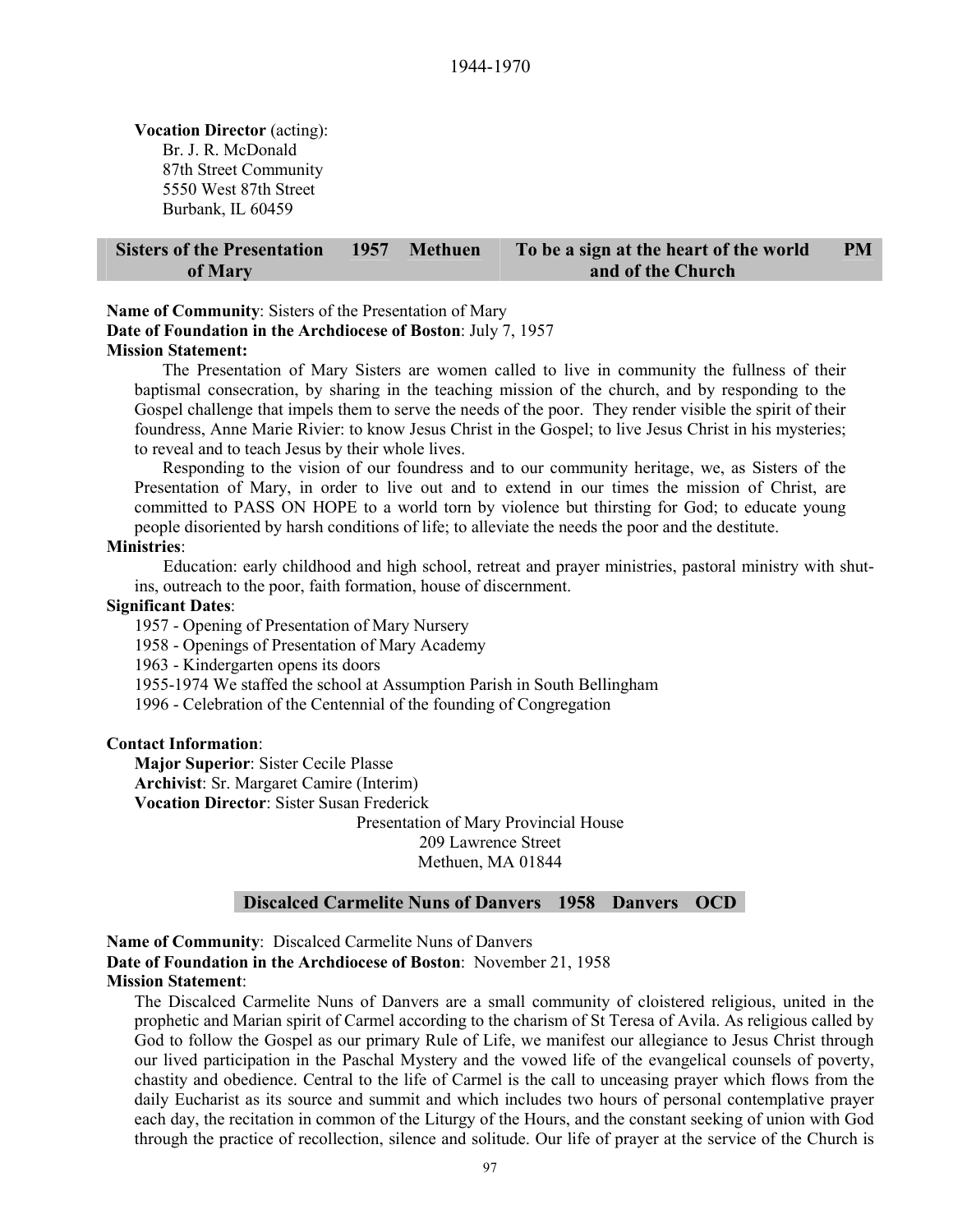**Vocation Director** (acting): Br. J. R. McDonald 87th Street Community 5550 West 87th Street Burbank, IL 60459

#### **Sisters of the Presentation of Mary 1957 Methuen To be a sign at the heart of the world and of the Church PM**

**Name of Community**: Sisters of the Presentation of Mary **Date of Foundation in the Archdiocese of Boston**: July 7, 1957

**Mission Statement:**

The Presentation of Mary Sisters are women called to live in community the fullness of their baptismal consecration, by sharing in the teaching mission of the church, and by responding to the Gospel challenge that impels them to serve the needs of the poor. They render visible the spirit of their foundress, Anne Marie Rivier: to know Jesus Christ in the Gospel; to live Jesus Christ in his mysteries; to reveal and to teach Jesus by their whole lives.

Responding to the vision of our foundress and to our community heritage, we, as Sisters of the Presentation of Mary, in order to live out and to extend in our times the mission of Christ, are committed to PASS ON HOPE to a world torn by violence but thirsting for God; to educate young people disoriented by harsh conditions of life; to alleviate the needs the poor and the destitute.

#### **Ministries**:

Education: early childhood and high school, retreat and prayer ministries, pastoral ministry with shutins, outreach to the poor, faith formation, house of discernment.

#### **Significant Dates**:

1957 - Opening of Presentation of Mary Nursery

1958 - Openings of Presentation of Mary Academy

1963 - Kindergarten opens its doors

1955-1974 We staffed the school at Assumption Parish in South Bellingham

1996 - Celebration of the Centennial of the founding of Congregation

#### **Contact Information**:

**Major Superior**: Sister Cecile Plasse **Archivist**: Sr. Margaret Camire (Interim)

**Vocation Director**: Sister Susan Frederick

Presentation of Mary Provincial House 209 Lawrence Street Methuen, MA 01844

## **Discalced Carmelite Nuns of Danvers 1958 Danvers OCD**

**Name of Community**: Discalced Carmelite Nuns of Danvers **Date of Foundation in the Archdiocese of Boston**: November 21, 1958 **Mission Statement**:

The Discalced Carmelite Nuns of Danvers are a small community of cloistered religious, united in the prophetic and Marian spirit of Carmel according to the charism of St Teresa of Avila. As religious called by God to follow the Gospel as our primary Rule of Life, we manifest our allegiance to Jesus Christ through our lived participation in the Paschal Mystery and the vowed life of the evangelical counsels of poverty, chastity and obedience. Central to the life of Carmel is the call to unceasing prayer which flows from the daily Eucharist as its source and summit and which includes two hours of personal contemplative prayer each day, the recitation in common of the Liturgy of the Hours, and the constant seeking of union with God through the practice of recollection, silence and solitude. Our life of prayer at the service of the Church is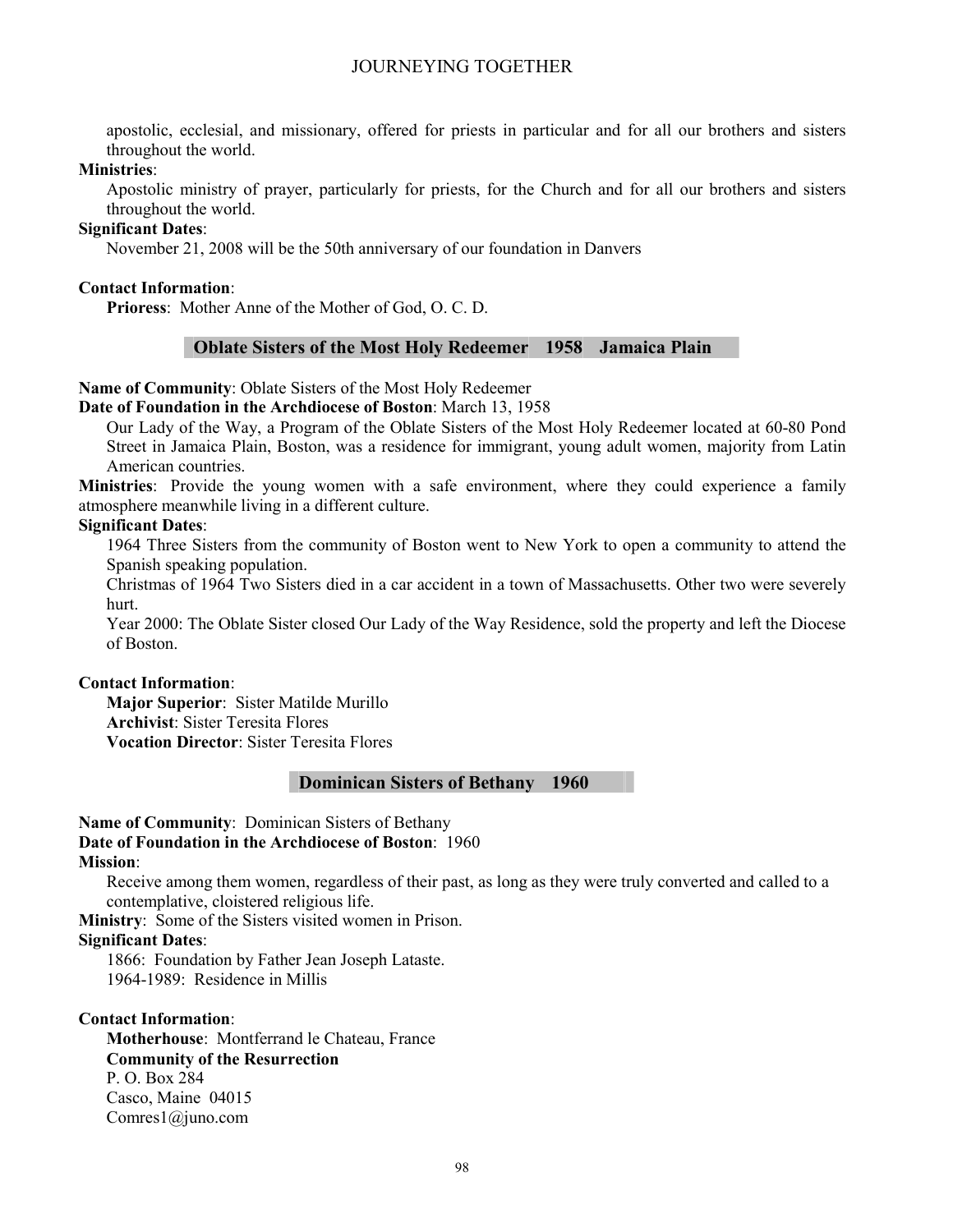apostolic, ecclesial, and missionary, offered for priests in particular and for all our brothers and sisters throughout the world.

#### **Ministries**:

Apostolic ministry of prayer, particularly for priests, for the Church and for all our brothers and sisters throughout the world.

#### **Significant Dates**:

November 21, 2008 will be the 50th anniversary of our foundation in Danvers

#### **Contact Information**:

**Prioress**: Mother Anne of the Mother of God, O. C. D.

#### **Oblate Sisters of the Most Holy Redeemer 1958 Jamaica Plain**

#### **Name of Community**: Oblate Sisters of the Most Holy Redeemer

**Date of Foundation in the Archdiocese of Boston**: March 13, 1958

Our Lady of the Way, a Program of the Oblate Sisters of the Most Holy Redeemer located at 60-80 Pond Street in Jamaica Plain, Boston, was a residence for immigrant, young adult women, majority from Latin American countries.

**Ministries**: Provide the young women with a safe environment, where they could experience a family atmosphere meanwhile living in a different culture.

#### **Significant Dates**:

1964 Three Sisters from the community of Boston went to New York to open a community to attend the Spanish speaking population.

Christmas of 1964 Two Sisters died in a car accident in a town of Massachusetts. Other two were severely hurt.

Year 2000: The Oblate Sister closed Our Lady of the Way Residence, sold the property and left the Diocese of Boston.

#### **Contact Information**:

**Major Superior**: Sister Matilde Murillo **Archivist**: Sister Teresita Flores **Vocation Director**: Sister Teresita Flores

## **Dominican Sisters of Bethany 1960**

**Name of Community**: Dominican Sisters of Bethany **Date of Foundation in the Archdiocese of Boston**: 1960 **Mission**:

Receive among them women, regardless of their past, as long as they were truly converted and called to a contemplative, cloistered religious life.

**Ministry**: Some of the Sisters visited women in Prison.

#### **Significant Dates**:

1866: Foundation by Father Jean Joseph Lataste. 1964-1989: Residence in Millis

#### **Contact Information**:

**Motherhouse**: Montferrand le Chateau, France **Community of the Resurrection**  P. O. Box 284 Casco, Maine 04015 Comres1@juno.com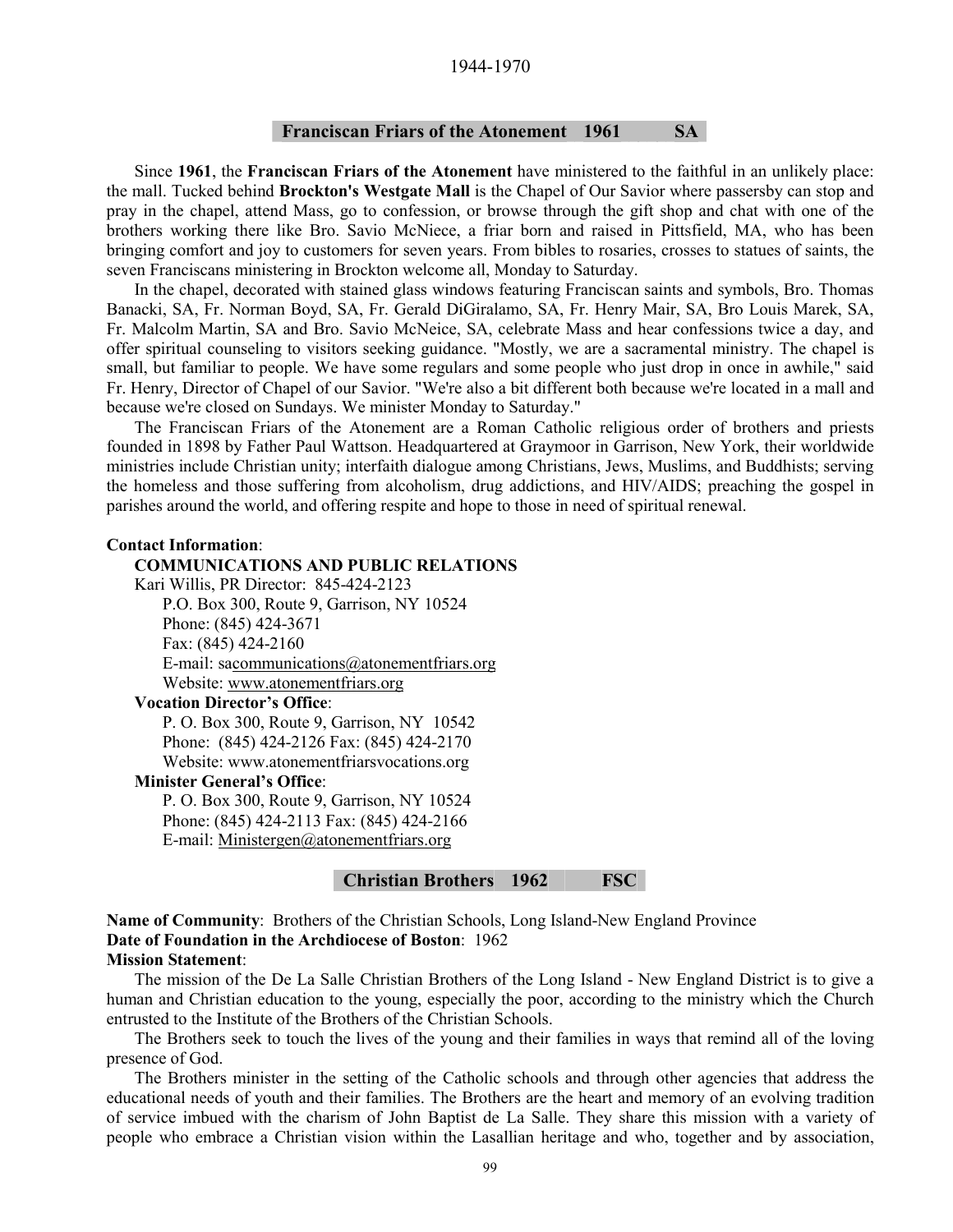#### 1944-1970

#### **Franciscan Friars of the Atonement 1961 SA**

Since **1961**, the **Franciscan Friars of the Atonement** have ministered to the faithful in an unlikely place: the mall. Tucked behind **Brockton's Westgate Mall** is the Chapel of Our Savior where passersby can stop and pray in the chapel, attend Mass, go to confession, or browse through the gift shop and chat with one of the brothers working there like Bro. Savio McNiece, a friar born and raised in Pittsfield, MA, who has been bringing comfort and joy to customers for seven years. From bibles to rosaries, crosses to statues of saints, the seven Franciscans ministering in Brockton welcome all, Monday to Saturday.

In the chapel, decorated with stained glass windows featuring Franciscan saints and symbols, Bro. Thomas Banacki, SA, Fr. Norman Boyd, SA, Fr. Gerald DiGiralamo, SA, Fr. Henry Mair, SA, Bro Louis Marek, SA, Fr. Malcolm Martin, SA and Bro. Savio McNeice, SA, celebrate Mass and hear confessions twice a day, and offer spiritual counseling to visitors seeking guidance. "Mostly, we are a sacramental ministry. The chapel is small, but familiar to people. We have some regulars and some people who just drop in once in awhile," said Fr. Henry, Director of Chapel of our Savior. "We're also a bit different both because we're located in a mall and because we're closed on Sundays. We minister Monday to Saturday."

The Franciscan Friars of the Atonement are a Roman Catholic religious order of brothers and priests founded in 1898 by Father Paul Wattson. Headquartered at Graymoor in Garrison, New York, their worldwide ministries include Christian unity; interfaith dialogue among Christians, Jews, Muslims, and Buddhists; serving the homeless and those suffering from alcoholism, drug addictions, and HIV/AIDS; preaching the gospel in parishes around the world, and offering respite and hope to those in need of spiritual renewal.

#### **Contact Information**:

**COMMUNICATIONS AND PUBLIC RELATIONS**  Kari Willis, PR Director: 845-424-2123 P.O. Box 300, Route 9, Garrison, NY 10524 Phone: (845) 424-3671 Fax: (845) 424-2160 E-mail: sacommunications@atonementfriars.org Website: www.atonementfriars.org **Vocation Director's Office**: P. O. Box 300, Route 9, Garrison, NY 10542 Phone: (845) 424-2126 Fax: (845) 424-2170 Website: www.atonementfriarsvocations.org **Minister General's Office**: P. O. Box 300, Route 9, Garrison, NY 10524 Phone: (845) 424-2113 Fax: (845) 424-2166 E-mail: Ministergen@atonementfriars.org

#### **Christian Brothers 1962 FSC**

**Name of Community**: Brothers of the Christian Schools, Long Island-New England Province **Date of Foundation in the Archdiocese of Boston**: 1962 **Mission Statement**:

The mission of the De La Salle Christian Brothers of the Long Island - New England District is to give a human and Christian education to the young, especially the poor, according to the ministry which the Church entrusted to the Institute of the Brothers of the Christian Schools.

The Brothers seek to touch the lives of the young and their families in ways that remind all of the loving presence of God.

The Brothers minister in the setting of the Catholic schools and through other agencies that address the educational needs of youth and their families. The Brothers are the heart and memory of an evolving tradition of service imbued with the charism of John Baptist de La Salle. They share this mission with a variety of people who embrace a Christian vision within the Lasallian heritage and who, together and by association,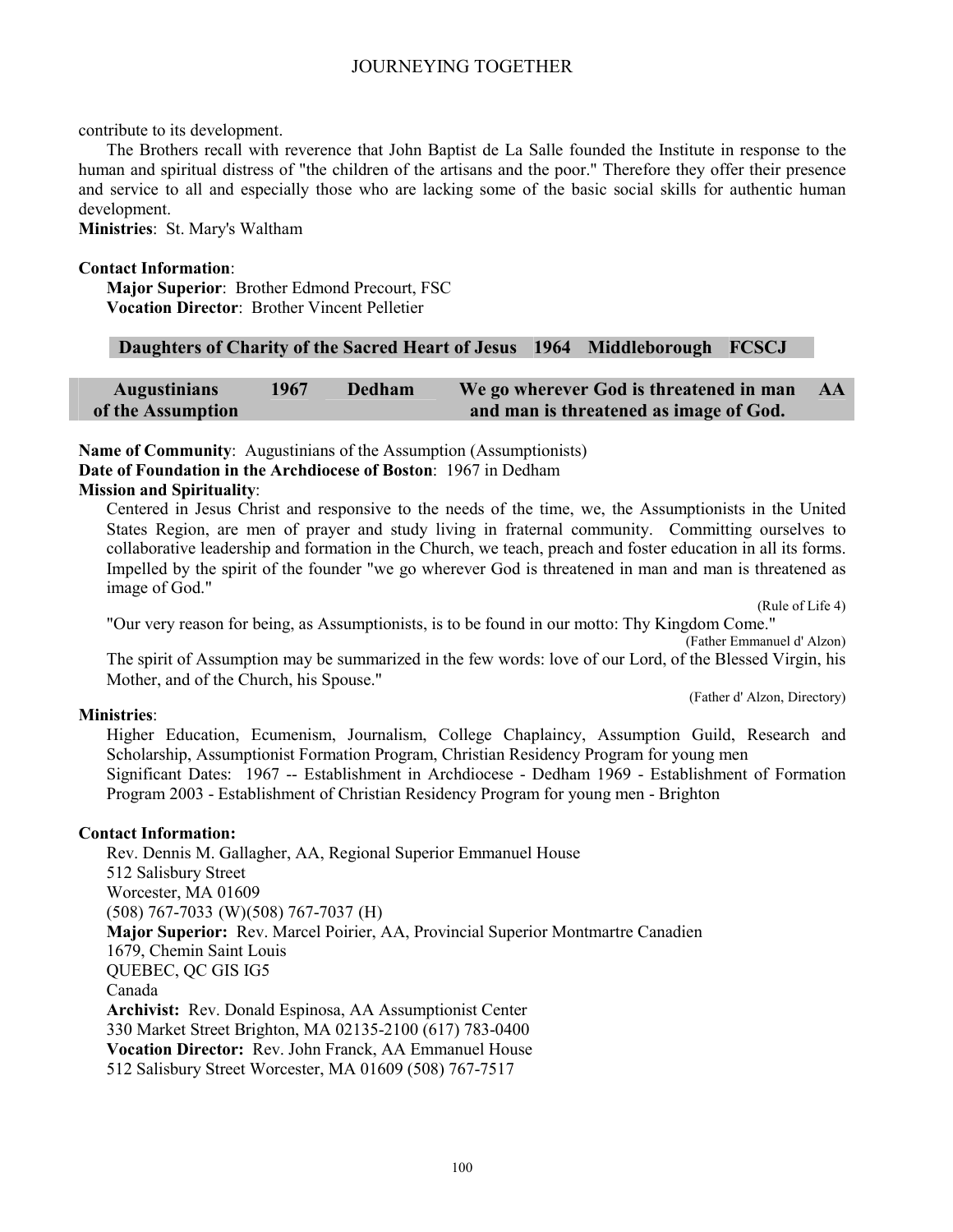contribute to its development.

The Brothers recall with reverence that John Baptist de La Salle founded the Institute in response to the human and spiritual distress of "the children of the artisans and the poor." Therefore they offer their presence and service to all and especially those who are lacking some of the basic social skills for authentic human development.

**Ministries**: St. Mary's Waltham

#### **Contact Information**:

**Major Superior**: Brother Edmond Precourt, FSC **Vocation Director**: Brother Vincent Pelletier

| Daughters of Charity of the Sacred Heart of Jesus 1964 Middleborough FCSCJ |  |  |  |
|----------------------------------------------------------------------------|--|--|--|
|----------------------------------------------------------------------------|--|--|--|

| <b>Augustinians</b> | 1967 | Dedham | We go wherever God is threatened in man | AA |
|---------------------|------|--------|-----------------------------------------|----|
| of the Assumption   |      |        | and man is threatened as image of God.  |    |

**Name of Community**: Augustinians of the Assumption (Assumptionists) **Date of Foundation in the Archdiocese of Boston**: 1967 in Dedham

#### **Mission and Spirituality**:

Centered in Jesus Christ and responsive to the needs of the time, we, the Assumptionists in the United States Region, are men of prayer and study living in fraternal community. Committing ourselves to collaborative leadership and formation in the Church, we teach, preach and foster education in all its forms. Impelled by the spirit of the founder "we go wherever God is threatened in man and man is threatened as image of God."

(Rule of Life 4)

"Our very reason for being, as Assumptionists, is to be found in our motto: Thy Kingdom Come." (Father Emmanuel d' Alzon)

The spirit of Assumption may be summarized in the few words: love of our Lord, of the Blessed Virgin, his Mother, and of the Church, his Spouse."

(Father d' Alzon, Directory)

#### **Ministries**:

Higher Education, Ecumenism, Journalism, College Chaplaincy, Assumption Guild, Research and Scholarship, Assumptionist Formation Program, Christian Residency Program for young men Significant Dates: 1967 -- Establishment in Archdiocese - Dedham 1969 - Establishment of Formation Program 2003 - Establishment of Christian Residency Program for young men - Brighton

#### **Contact Information:**

Rev. Dennis M. Gallagher, AA, Regional Superior Emmanuel House 512 Salisbury Street Worcester, MA 01609 (508) 767-7033 (W) (508) 767-7037 (H) **Major Superior:** Rev. Marcel Poirier, AA, Provincial Superior Montmartre Canadien 1679, Chemin Saint Louis QUEBEC, QC GIS IG5 Canada **Archivist:** Rev. Donald Espinosa, AA Assumptionist Center 330 Market Street Brighton, MA 02135-2100 (617) 783-0400 **Vocation Director:** Rev. John Franck, AA Emmanuel House 512 Salisbury Street Worcester, MA 01609 (508) 767-7517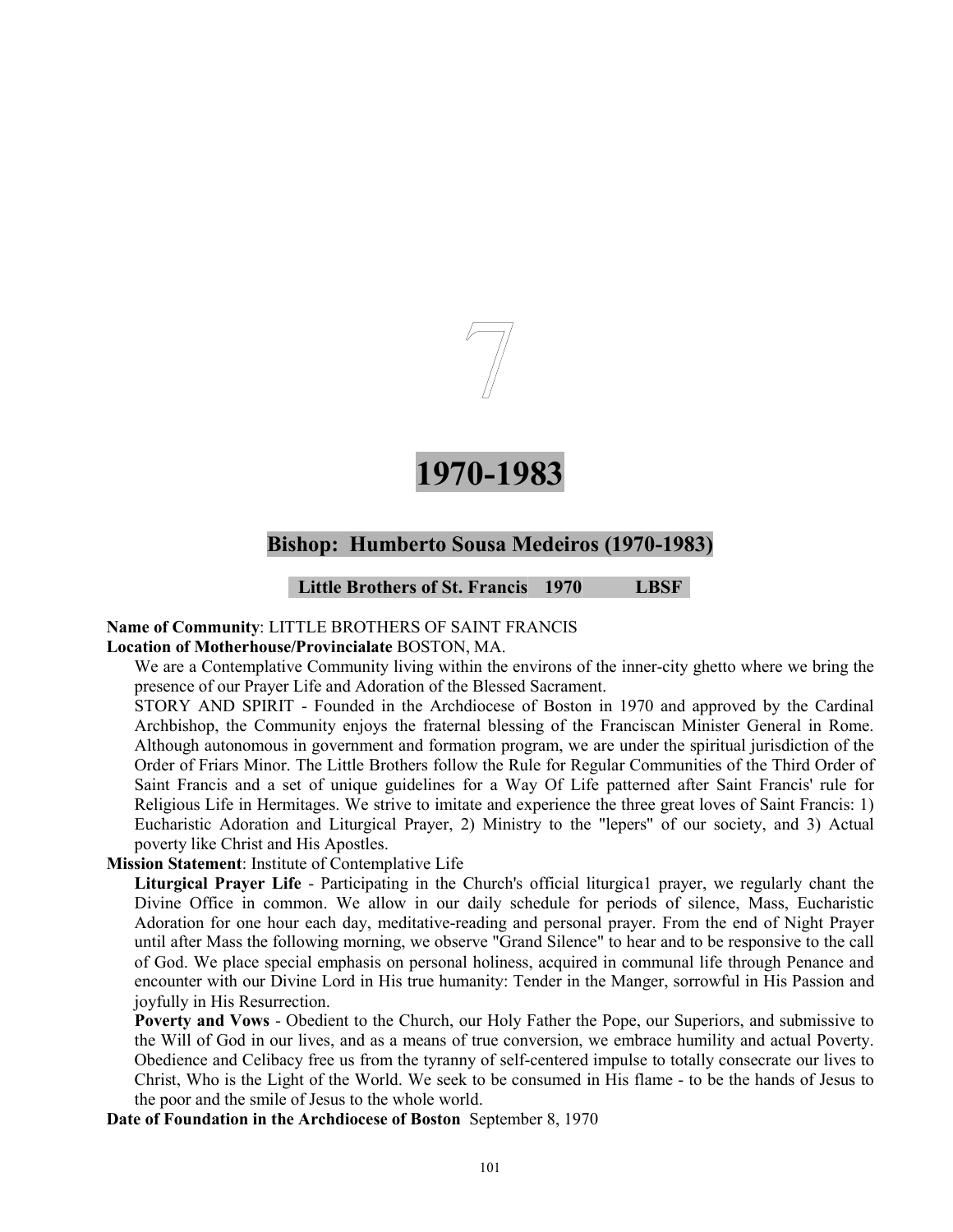

# **1970-1983**

# **Bishop: Humberto Sousa Medeiros (1970-1983)**

**Little Brothers of St. Francis 1970 LBSF** 

## **Name of Community**: LITTLE BROTHERS OF SAINT FRANCIS

#### **Location of Motherhouse/Provincialate** BOSTON, MA.

We are a Contemplative Community living within the environs of the inner-city ghetto where we bring the presence of our Prayer Life and Adoration of the Blessed Sacrament.

STORY AND SPIRIT - Founded in the Archdiocese of Boston in 1970 and approved by the Cardinal Archbishop, the Community enjoys the fraternal blessing of the Franciscan Minister General in Rome. Although autonomous in government and formation program, we are under the spiritual jurisdiction of the Order of Friars Minor. The Little Brothers follow the Rule for Regular Communities of the Third Order of Saint Francis and a set of unique guidelines for a Way Of Life patterned after Saint Francis' rule for Religious Life in Hermitages. We strive to imitate and experience the three great loves of Saint Francis: 1) Eucharistic Adoration and Liturgical Prayer, 2) Ministry to the "lepers" of our society, and 3) Actual poverty like Christ and His Apostles.

## **Mission Statement**: Institute of Contemplative Life

**Liturgical Prayer Life** - Participating in the Church's official liturgica1 prayer, we regularly chant the Divine Office in common. We allow in our daily schedule for periods of silence, Mass, Eucharistic Adoration for one hour each day, meditative-reading and personal prayer. From the end of Night Prayer until after Mass the following morning, we observe "Grand Silence" to hear and to be responsive to the call of God. We place special emphasis on personal holiness, acquired in communal life through Penance and encounter with our Divine Lord in His true humanity: Tender in the Manger, sorrowful in His Passion and joyfully in His Resurrection.

**Poverty and Vows** - Obedient to the Church, our Holy Father the Pope, our Superiors, and submissive to the Will of God in our lives, and as a means of true conversion, we embrace humility and actual Poverty. Obedience and Celibacy free us from the tyranny of self-centered impulse to totally consecrate our lives to Christ, Who is the Light of the World. We seek to be consumed in His flame - to be the hands of Jesus to the poor and the smile of Jesus to the whole world.

**Date of Foundation in the Archdiocese of Boston** September 8, 1970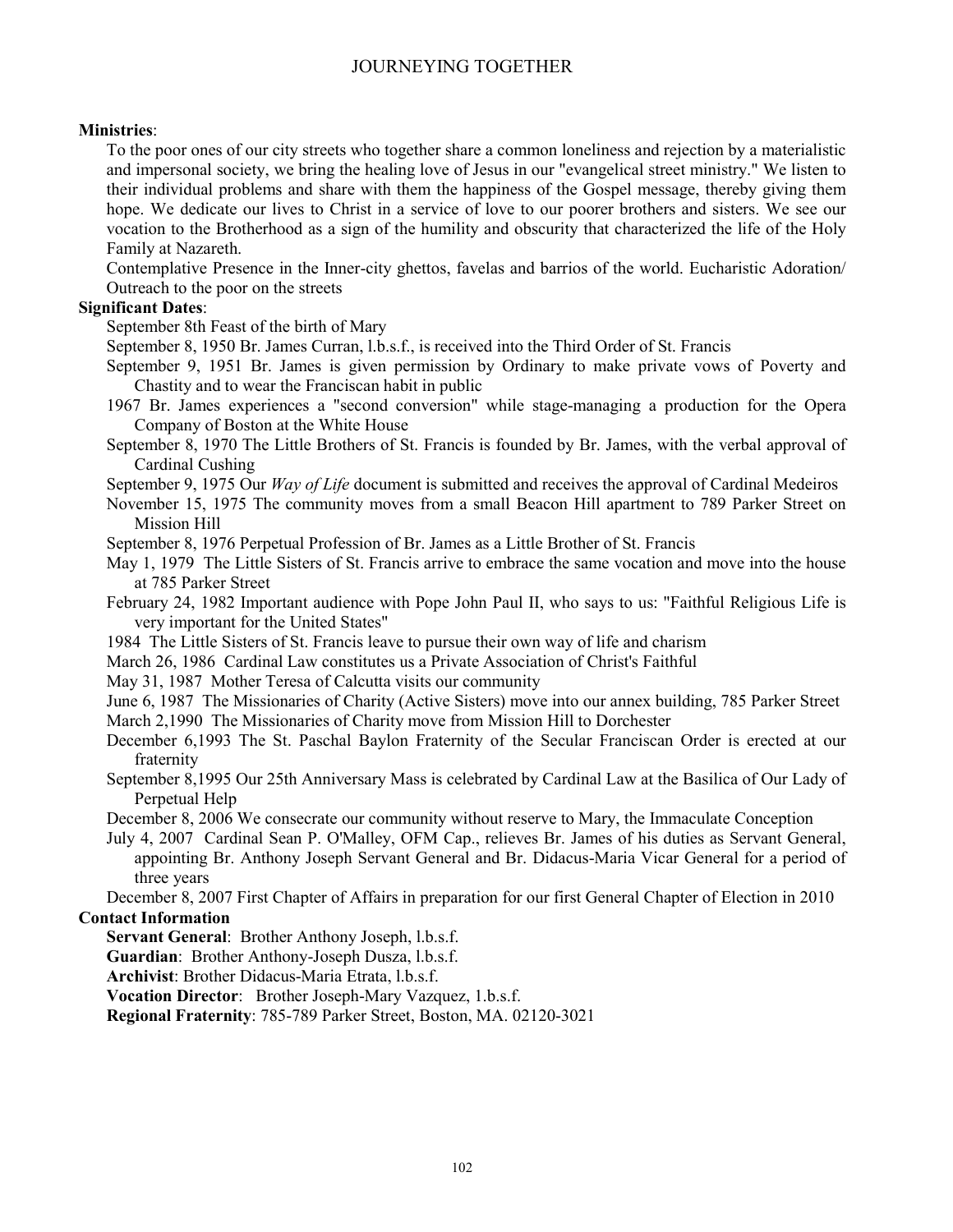## **Ministries**:

To the poor ones of our city streets who together share a common loneliness and rejection by a materialistic and impersonal society, we bring the healing love of Jesus in our "evangelical street ministry." We listen to their individual problems and share with them the happiness of the Gospel message, thereby giving them hope. We dedicate our lives to Christ in a service of love to our poorer brothers and sisters. We see our vocation to the Brotherhood as a sign of the humility and obscurity that characterized the life of the Holy Family at Nazareth.

Contemplative Presence in the Inner-city ghettos, favelas and barrios of the world. Eucharistic Adoration/ Outreach to the poor on the streets

## **Significant Dates**:

September 8th Feast of the birth of Mary

September 8, 1950 Br. James Curran, l.b.s.f., is received into the Third Order of St. Francis

- September 9, 1951 Br. James is given permission by Ordinary to make private vows of Poverty and Chastity and to wear the Franciscan habit in public
- 1967 Br. James experiences a "second conversion" while stage-managing a production for the Opera Company of Boston at the White House
- September 8, 1970 The Little Brothers of St. Francis is founded by Br. James, with the verbal approval of Cardinal Cushing
- September 9, 1975 Our *Way of Life* document is submitted and receives the approval of Cardinal Medeiros

November 15, 1975 The community moves from a small Beacon Hill apartment to 789 Parker Street on Mission Hill

September 8, 1976 Perpetual Profession of Br. James as a Little Brother of St. Francis

May 1, 1979 The Little Sisters of St. Francis arrive to embrace the same vocation and move into the house at 785 Parker Street

February 24, 1982 Important audience with Pope John Paul II, who says to us: "Faithful Religious Life is very important for the United States"

- 1984 The Little Sisters of St. Francis leave to pursue their own way of life and charism
- March 26, 1986 Cardinal Law constitutes us a Private Association of Christ's Faithful

May 31, 1987 Mother Teresa of Calcutta visits our community

June 6, 1987 The Missionaries of Charity (Active Sisters) move into our annex building, 785 Parker Street March 2,1990 The Missionaries of Charity move from Mission Hill to Dorchester

December 6,1993 The St. Paschal Baylon Fraternity of the Secular Franciscan Order is erected at our fraternity

September 8,1995 Our 25th Anniversary Mass is celebrated by Cardinal Law at the Basilica of Our Lady of Perpetual Help

December 8, 2006 We consecrate our community without reserve to Mary, the Immaculate Conception

July 4, 2007 Cardinal Sean P. O'Malley, OFM Cap., relieves Br. James of his duties as Servant General, appointing Br. Anthony Joseph Servant General and Br. Didacus-Maria Vicar General for a period of three years

December 8, 2007 First Chapter of Affairs in preparation for our first General Chapter of Election in 2010 **Contact Information** 

**Servant General**: Brother Anthony Joseph, l.b.s.f.

**Guardian**: Brother Anthony-Joseph Dusza, l.b.s.f.

**Archivist**: Brother Didacus-Maria Etrata, l.b.s.f.

**Vocation Director**: Brother Joseph-Mary Vazquez, 1.b.s.f.

**Regional Fraternity**: 785-789 Parker Street, Boston, MA. 02120-3021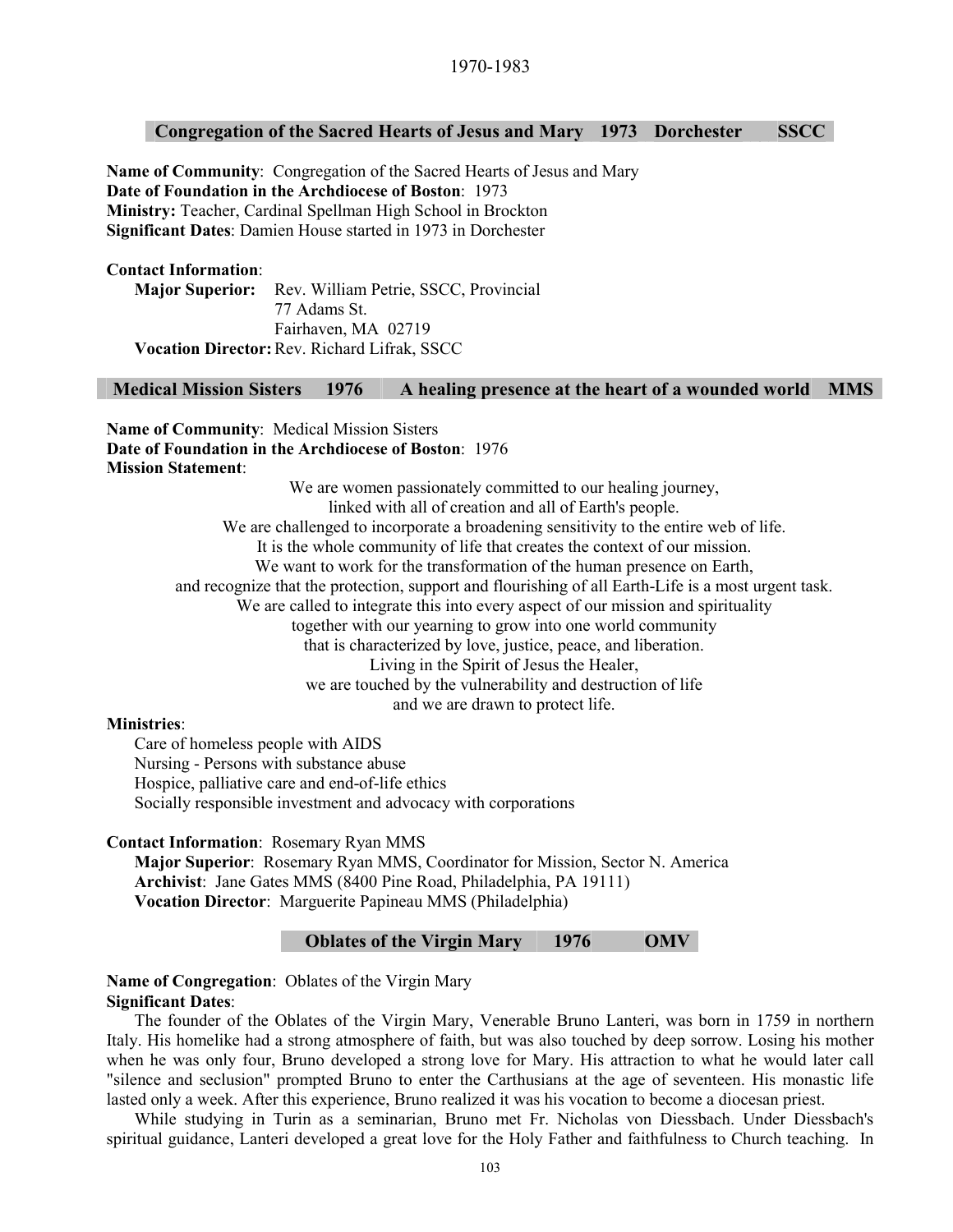# **Congregation of the Sacred Hearts of Jesus and Mary 1973 Dorchester SSCC**

**Name of Community**: Congregation of the Sacred Hearts of Jesus and Mary **Date of Foundation in the Archdiocese of Boston**: 1973 **Ministry:** Teacher, Cardinal Spellman High School in Brockton **Significant Dates**: Damien House started in 1973 in Dorchester

#### **Contact Information**:

**Major Superior:** Rev. William Petrie, SSCC, Provincial 77 Adams St. Fairhaven, MA 02719 **Vocation Director:** Rev. Richard Lifrak, SSCC

# **Medical Mission Sisters 1976 A healing presence at the heart of a wounded world MMS**

**Name of Community**: Medical Mission Sisters **Date of Foundation in the Archdiocese of Boston**: 1976 **Mission Statement**:

> We are women passionately committed to our healing journey, linked with all of creation and all of Earth's people. We are challenged to incorporate a broadening sensitivity to the entire web of life. It is the whole community of life that creates the context of our mission. We want to work for the transformation of the human presence on Earth, and recognize that the protection, support and flourishing of all Earth-Life is a most urgent task. We are called to integrate this into every aspect of our mission and spirituality together with our yearning to grow into one world community that is characterized by love, justice, peace, and liberation. Living in the Spirit of Jesus the Healer, we are touched by the vulnerability and destruction of life and we are drawn to protect life.

#### **Ministries**:

Care of homeless people with AIDS Nursing - Persons with substance abuse Hospice, palliative care and end-of-life ethics Socially responsible investment and advocacy with corporations

#### **Contact Information**: Rosemary Ryan MMS

**Major Superior**: Rosemary Ryan MMS, Coordinator for Mission, Sector N. America **Archivist**: Jane Gates MMS (8400 Pine Road, Philadelphia, PA 19111) **Vocation Director**: Marguerite Papineau MMS (Philadelphia)

# **Oblates of the Virgin Mary 1976 OMV**

#### **Name of Congregation**: Oblates of the Virgin Mary **Significant Dates**:

The founder of the Oblates of the Virgin Mary, Venerable Bruno Lanteri, was born in 1759 in northern Italy. His homelike had a strong atmosphere of faith, but was also touched by deep sorrow. Losing his mother when he was only four, Bruno developed a strong love for Mary. His attraction to what he would later call "silence and seclusion" prompted Bruno to enter the Carthusians at the age of seventeen. His monastic life lasted only a week. After this experience, Bruno realized it was his vocation to become a diocesan priest.

While studying in Turin as a seminarian, Bruno met Fr. Nicholas von Diessbach. Under Diessbach's spiritual guidance, Lanteri developed a great love for the Holy Father and faithfulness to Church teaching. In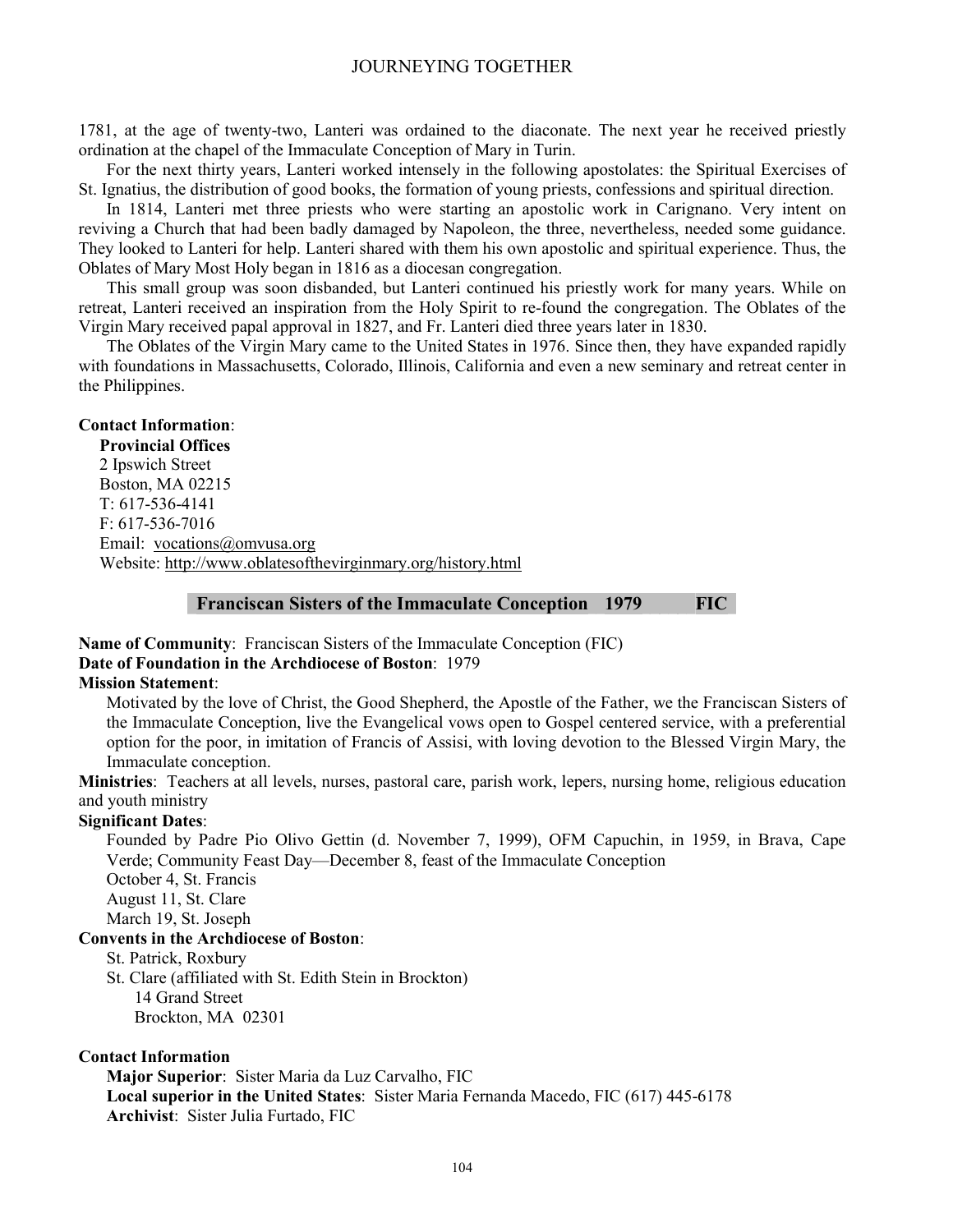1781, at the age of twenty-two, Lanteri was ordained to the diaconate. The next year he received priestly ordination at the chapel of the Immaculate Conception of Mary in Turin.

For the next thirty years, Lanteri worked intensely in the following apostolates: the Spiritual Exercises of St. Ignatius, the distribution of good books, the formation of young priests, confessions and spiritual direction.

In 1814, Lanteri met three priests who were starting an apostolic work in Carignano. Very intent on reviving a Church that had been badly damaged by Napoleon, the three, nevertheless, needed some guidance. They looked to Lanteri for help. Lanteri shared with them his own apostolic and spiritual experience. Thus, the Oblates of Mary Most Holy began in 1816 as a diocesan congregation.

This small group was soon disbanded, but Lanteri continued his priestly work for many years. While on retreat, Lanteri received an inspiration from the Holy Spirit to re-found the congregation. The Oblates of the Virgin Mary received papal approval in 1827, and Fr. Lanteri died three years later in 1830.

The Oblates of the Virgin Mary came to the United States in 1976. Since then, they have expanded rapidly with foundations in Massachusetts, Colorado, Illinois, California and even a new seminary and retreat center in the Philippines.

### **Contact Information**:

**Provincial Offices**  2 Ipswich Street Boston, MA 02215 T: 617-536-4141 F: 617-536-7016 Email: vocations@omvusa.org Website: http://www.oblatesofthevirginmary.org/history.html

#### **Franciscan Sisters of the Immaculate Conception 1979 FIC**

# **Name of Community**: Franciscan Sisters of the Immaculate Conception (FIC) **Date of Foundation in the Archdiocese of Boston**: 1979

# **Mission Statement**:

Motivated by the love of Christ, the Good Shepherd, the Apostle of the Father, we the Franciscan Sisters of the Immaculate Conception, live the Evangelical vows open to Gospel centered service, with a preferential option for the poor, in imitation of Francis of Assisi, with loving devotion to the Blessed Virgin Mary, the Immaculate conception.

**Ministries**: Teachers at all levels, nurses, pastoral care, parish work, lepers, nursing home, religious education and youth ministry

#### **Significant Dates**:

Founded by Padre Pio Olivo Gettin (d. November 7, 1999), OFM Capuchin, in 1959, in Brava, Cape Verde; Community Feast Day—December 8, feast of the Immaculate Conception

October 4, St. Francis

August 11, St. Clare

March 19, St. Joseph

#### **Convents in the Archdiocese of Boston**:

St. Patrick, Roxbury

 St. Clare (affiliated with St. Edith Stein in Brockton) 14 Grand Street

Brockton, MA 02301

#### **Contact Information**

**Major Superior**: Sister Maria da Luz Carvalho, FIC **Local superior in the United States**: Sister Maria Fernanda Macedo, FIC (617) 445-6178 **Archivist**: Sister Julia Furtado, FIC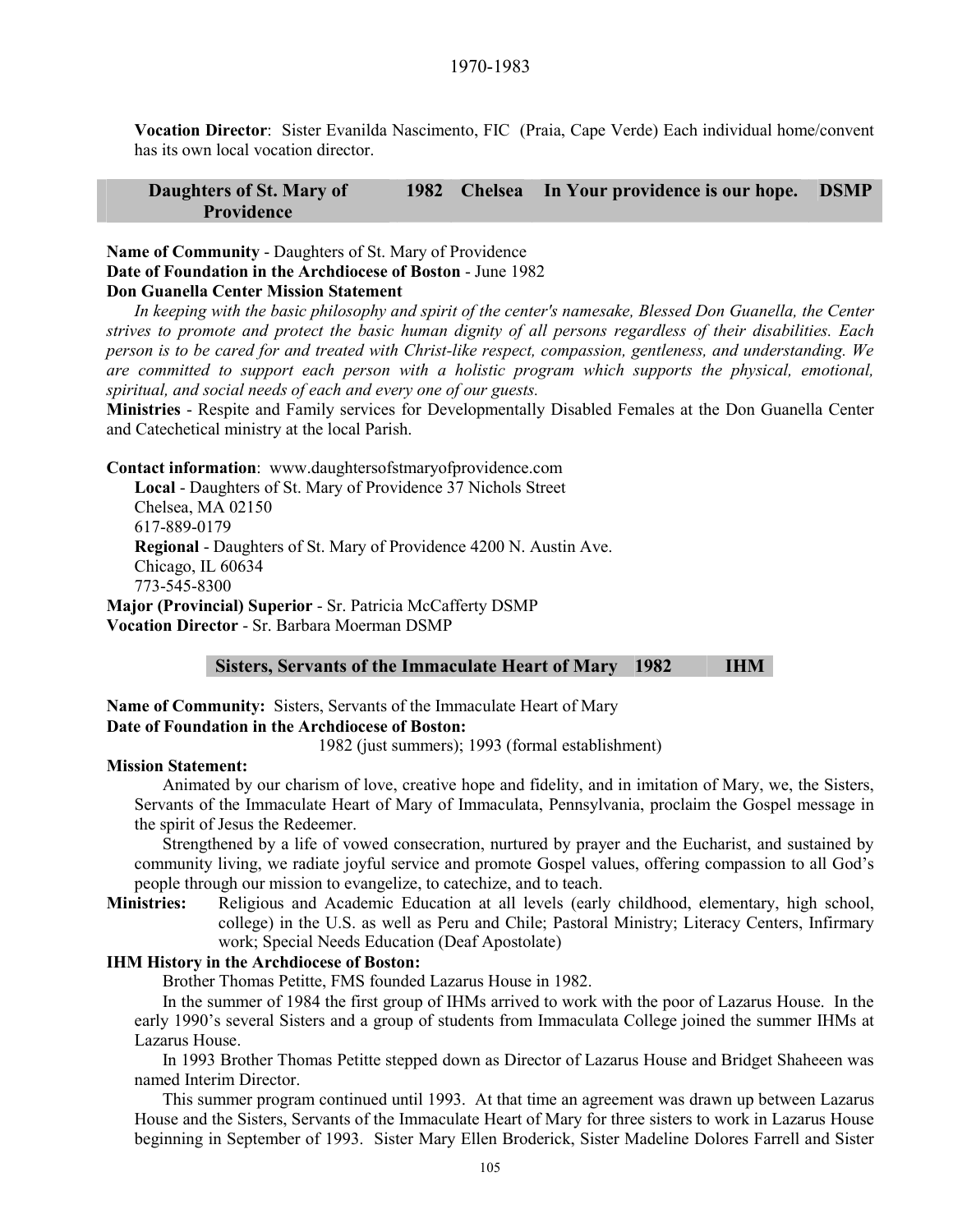**Vocation Director**: Sister Evanilda Nascimento, FIC (Praia, Cape Verde) Each individual home/convent has its own local vocation director.

#### **Daughters of St. Mary of Providence 1982 Chelsea In Your providence is our hope. DSMP**

**Name of Community** - Daughters of St. Mary of Providence **Date of Foundation in the Archdiocese of Boston** - June 1982 **Don Guanella Center Mission Statement** 

*In keeping with the basic philosophy and spirit of the center's namesake, Blessed Don Guanella, the Center strives to promote and protect the basic human dignity of all persons regardless of their disabilities. Each person is to be cared for and treated with Christ-like respect, compassion, gentleness, and understanding. We are committed to support each person with a holistic program which supports the physical, emotional, spiritual, and social needs of each and every one of our guests.* 

**Ministries** - Respite and Family services for Developmentally Disabled Females at the Don Guanella Center and Catechetical ministry at the local Parish.

**Contact information**: www.daughtersofstmaryofprovidence.com

**Local** - Daughters of St. Mary of Providence 37 Nichols Street Chelsea, MA 02150 617-889-0179 **Regional** - Daughters of St. Mary of Providence 4200 N. Austin Ave. Chicago, IL 60634 773-545-8300 **Major (Provincial) Superior** - Sr. Patricia McCafferty DSMP

**Vocation Director** - Sr. Barbara Moerman DSMP

#### **Sisters, Servants of the Immaculate Heart of Mary 1982 IHM**

**Name of Community:** Sisters, Servants of the Immaculate Heart of Mary **Date of Foundation in the Archdiocese of Boston:**

1982 (just summers); 1993 (formal establishment)

#### **Mission Statement:**

Animated by our charism of love, creative hope and fidelity, and in imitation of Mary, we, the Sisters, Servants of the Immaculate Heart of Mary of Immaculata, Pennsylvania, proclaim the Gospel message in the spirit of Jesus the Redeemer.

Strengthened by a life of vowed consecration, nurtured by prayer and the Eucharist, and sustained by community living, we radiate joyful service and promote Gospel values, offering compassion to all God's people through our mission to evangelize, to catechize, and to teach.

**Ministries:** Religious and Academic Education at all levels (early childhood, elementary, high school, college) in the U.S. as well as Peru and Chile; Pastoral Ministry; Literacy Centers, Infirmary work; Special Needs Education (Deaf Apostolate)

# **IHM History in the Archdiocese of Boston:**

Brother Thomas Petitte, FMS founded Lazarus House in 1982.

In the summer of 1984 the first group of IHMs arrived to work with the poor of Lazarus House. In the early 1990's several Sisters and a group of students from Immaculata College joined the summer IHMs at Lazarus House.

 In 1993 Brother Thomas Petitte stepped down as Director of Lazarus House and Bridget Shaheeen was named Interim Director.

 This summer program continued until 1993. At that time an agreement was drawn up between Lazarus House and the Sisters, Servants of the Immaculate Heart of Mary for three sisters to work in Lazarus House beginning in September of 1993. Sister Mary Ellen Broderick, Sister Madeline Dolores Farrell and Sister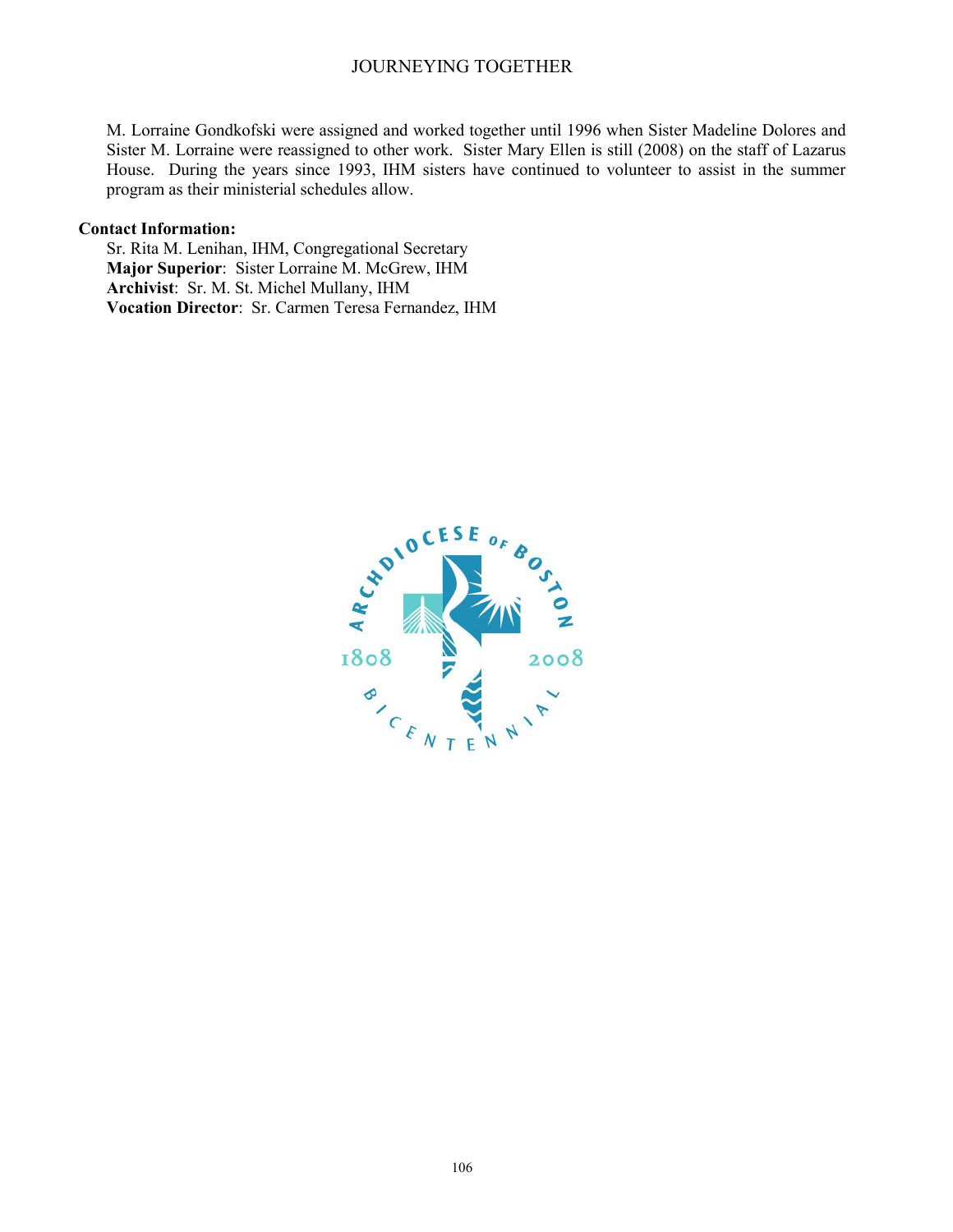M. Lorraine Gondkofski were assigned and worked together until 1996 when Sister Madeline Dolores and Sister M. Lorraine were reassigned to other work. Sister Mary Ellen is still (2008) on the staff of Lazarus House. During the years since 1993, IHM sisters have continued to volunteer to assist in the summer program as their ministerial schedules allow.

#### **Contact Information:**

Sr. Rita M. Lenihan, IHM, Congregational Secretary **Major Superior**: Sister Lorraine M. McGrew, IHM **Archivist**: Sr. M. St. Michel Mullany, IHM **Vocation Director**: Sr. Carmen Teresa Fernandez, IHM

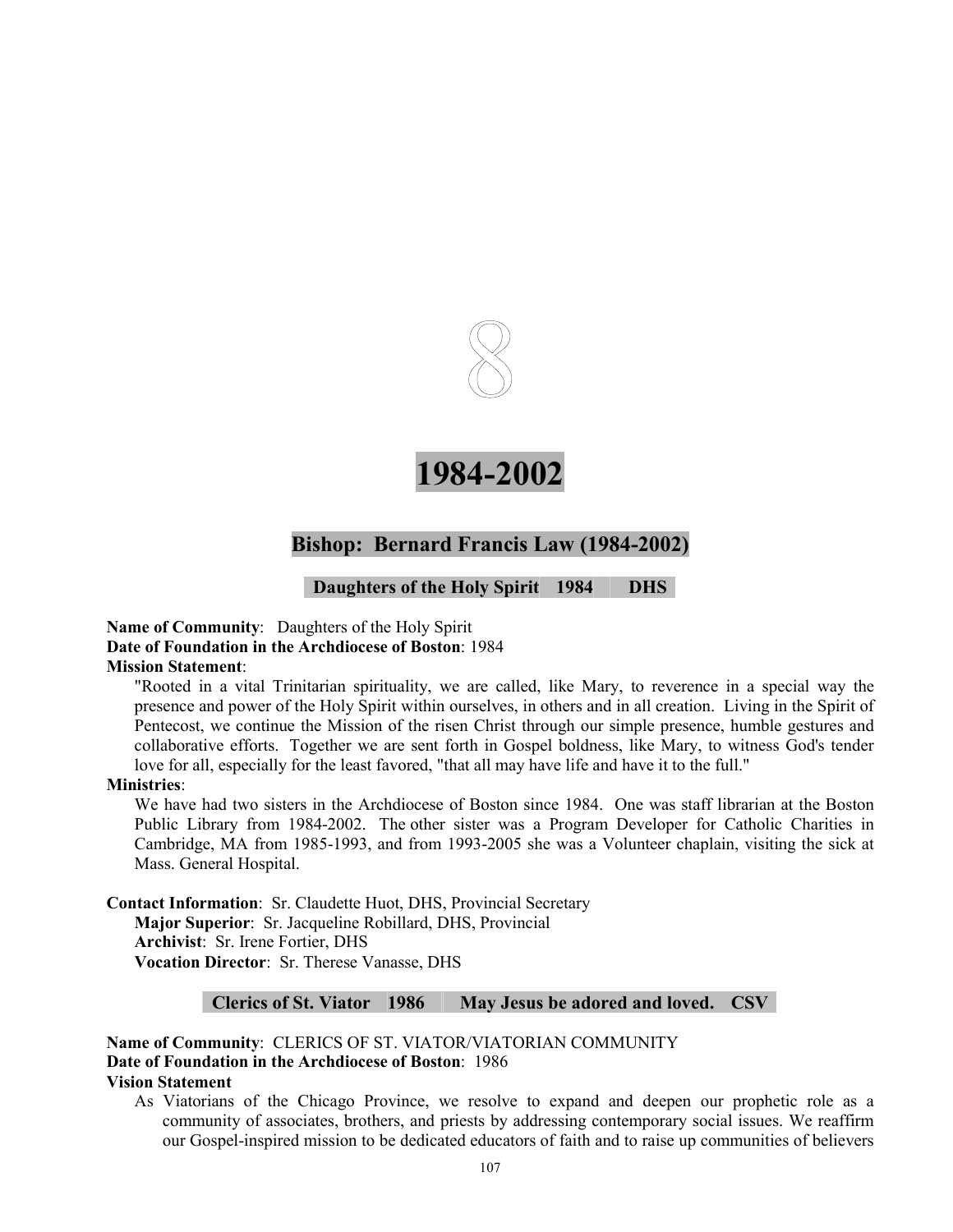

# **1984-2002**

# **Bishop: Bernard Francis Law (1984-2002)**

# **Daughters of the Holy Spirit 1984 DHS**

#### **Name of Community**: Daughters of the Holy Spirit **Date of Foundation in the Archdiocese of Boston**: 1984 **Mission Statement**:

"Rooted in a vital Trinitarian spirituality, we are called, like Mary, to reverence in a special way the presence and power of the Holy Spirit within ourselves, in others and in all creation. Living in the Spirit of Pentecost, we continue the Mission of the risen Christ through our simple presence, humble gestures and collaborative efforts. Together we are sent forth in Gospel boldness, like Mary, to witness God's tender love for all, especially for the least favored, "that all may have life and have it to the full."

#### **Ministries**:

We have had two sisters in the Archdiocese of Boston since 1984. One was staff librarian at the Boston Public Library from 1984-2002. The other sister was a Program Developer for Catholic Charities in Cambridge, MA from 1985-1993, and from 1993-2005 she was a Volunteer chaplain, visiting the sick at Mass. General Hospital.

**Contact Information**: Sr. Claudette Huot, DHS, Provincial Secretary **Major Superior**: Sr. Jacqueline Robillard, DHS, Provincial **Archivist**: Sr. Irene Fortier, DHS **Vocation Director**: Sr. Therese Vanasse, DHS

#### **Clerics of St. Viator 1986 May Jesus be adored and loved. CSV**

**Name of Community**: CLERICS OF ST. VIATOR/VIATORIAN COMMUNITY **Date of Foundation in the Archdiocese of Boston**: 1986 **Vision Statement** 

As Viatorians of the Chicago Province, we resolve to expand and deepen our prophetic role as a community of associates, brothers, and priests by addressing contemporary social issues. We reaffirm our Gospel-inspired mission to be dedicated educators of faith and to raise up communities of believers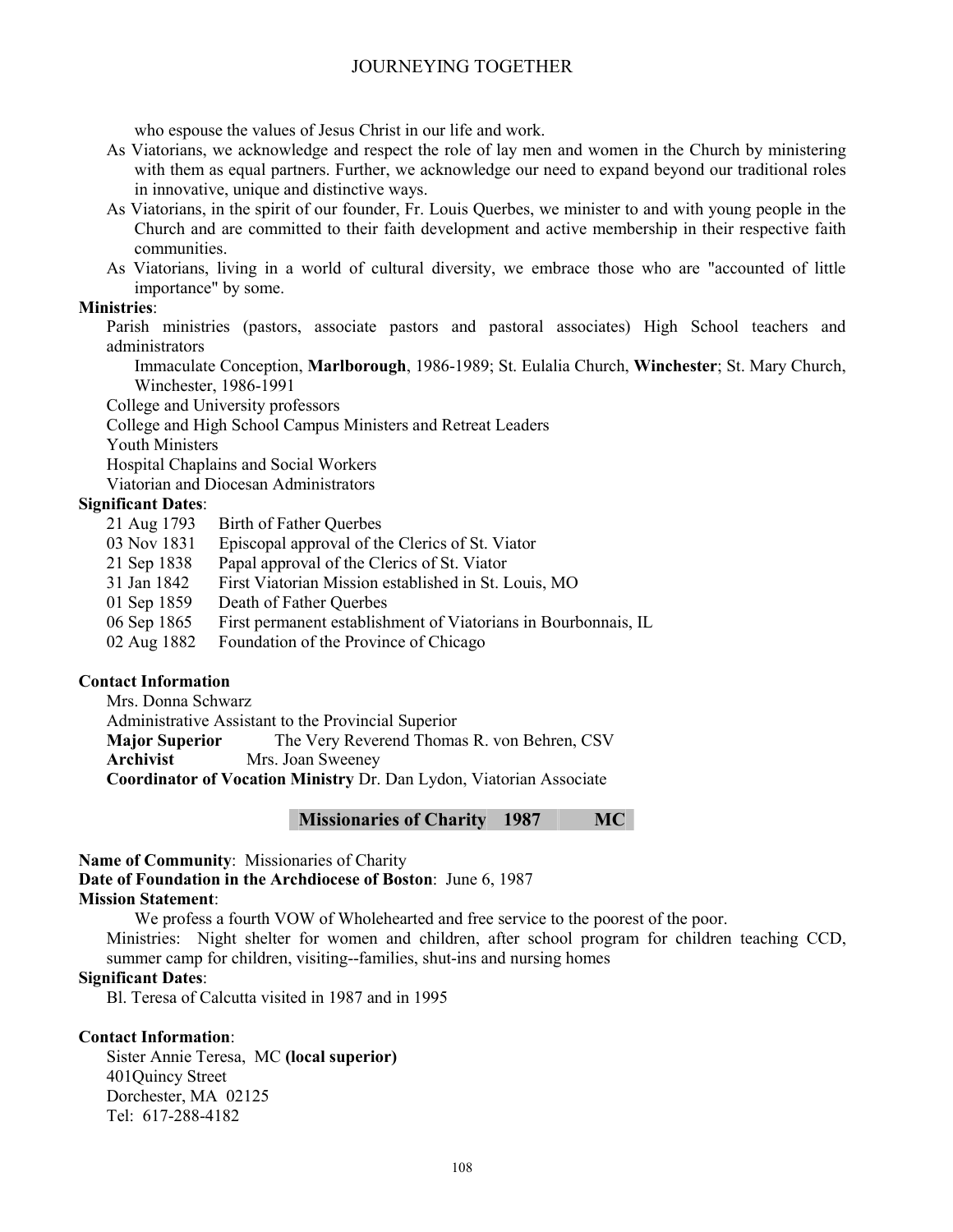who espouse the values of Jesus Christ in our life and work.

- As Viatorians, we acknowledge and respect the role of lay men and women in the Church by ministering with them as equal partners. Further, we acknowledge our need to expand beyond our traditional roles in innovative, unique and distinctive ways.
- As Viatorians, in the spirit of our founder, Fr. Louis Querbes, we minister to and with young people in the Church and are committed to their faith development and active membership in their respective faith communities.
- As Viatorians, living in a world of cultural diversity, we embrace those who are "accounted of little importance" by some.

# **Ministries**:

Parish ministries (pastors, associate pastors and pastoral associates) High School teachers and administrators

Immaculate Conception, **Marlborough**, 1986-1989; St. Eulalia Church, **Winchester**; St. Mary Church, Winchester, 1986-1991

College and University professors

College and High School Campus Ministers and Retreat Leaders

Youth Ministers

Hospital Chaplains and Social Workers

Viatorian and Diocesan Administrators

# **Significant Dates**:

- 21 Aug 1793 Birth of Father Querbes
- 03 Nov 1831 Episcopal approval of the Clerics of St. Viator
- 21 Sep 1838 Papal approval of the Clerics of St. Viator
- 31 Jan 1842 First Viatorian Mission established in St. Louis, MO
- 01 Sep 1859 Death of Father Querbes
- 06 Sep 1865 First permanent establishment of Viatorians in Bourbonnais, IL
- 02 Aug 1882 Foundation of the Province of Chicago

# **Contact Information**

Mrs. Donna Schwarz

Administrative Assistant to the Provincial Superior

**Major Superior** The Very Reverend Thomas R. von Behren. CSV

**Archivist** Mrs. Joan Sweeney

**Coordinator of Vocation Ministry** Dr. Dan Lydon, Viatorian Associate

**Missionaries of Charity 1987 MC** 

**Name of Community**: Missionaries of Charity

**Date of Foundation in the Archdiocese of Boston**: June 6, 1987

# **Mission Statement**:

We profess a fourth VOW of Wholehearted and free service to the poorest of the poor. Ministries: Night shelter for women and children, after school program for children teaching CCD,

summer camp for children, visiting--families, shut-ins and nursing homes

# **Significant Dates**:

Bl. Teresa of Calcutta visited in 1987 and in 1995

# **Contact Information**:

Sister Annie Teresa, MC **(local superior)**  401Quincy Street Dorchester, MA 02125 Tel: 617-288-4182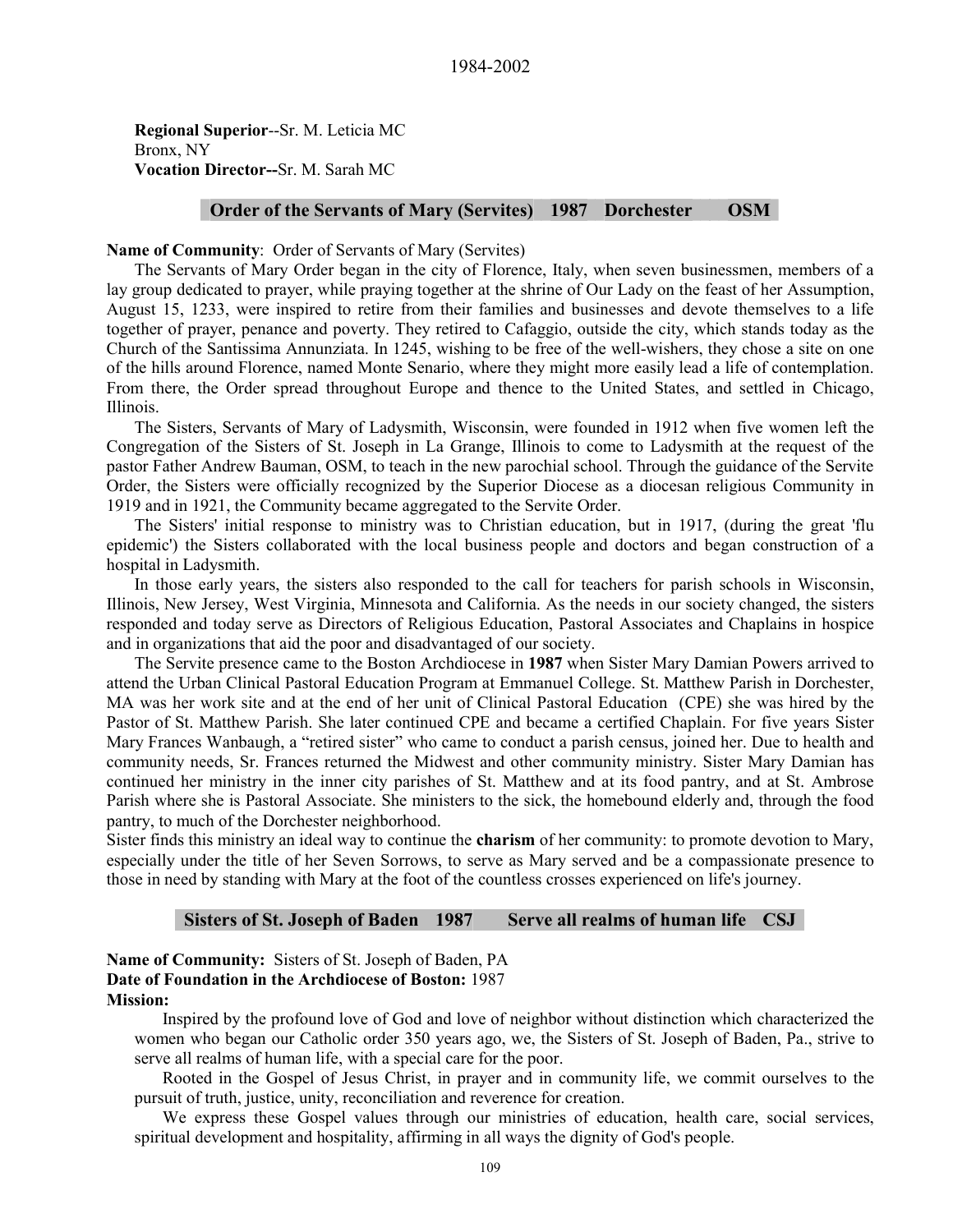**Regional Superior**--Sr. M. Leticia MC Bronx, NY **Vocation Director--**Sr. M. Sarah MC

#### **Order of the Servants of Mary (Servites) 1987 Dorchester OSM**

#### **Name of Community**: Order of Servants of Mary (Servites)

The Servants of Mary Order began in the city of Florence, Italy, when seven businessmen, members of a lay group dedicated to prayer, while praying together at the shrine of Our Lady on the feast of her Assumption, August 15, 1233, were inspired to retire from their families and businesses and devote themselves to a life together of prayer, penance and poverty. They retired to Cafaggio, outside the city, which stands today as the Church of the Santissima Annunziata. In 1245, wishing to be free of the well-wishers, they chose a site on one of the hills around Florence, named Monte Senario, where they might more easily lead a life of contemplation. From there, the Order spread throughout Europe and thence to the United States, and settled in Chicago, Illinois.

The Sisters, Servants of Mary of Ladysmith, Wisconsin, were founded in 1912 when five women left the Congregation of the Sisters of St. Joseph in La Grange, Illinois to come to Ladysmith at the request of the pastor Father Andrew Bauman, OSM, to teach in the new parochial school. Through the guidance of the Servite Order, the Sisters were officially recognized by the Superior Diocese as a diocesan religious Community in 1919 and in 1921, the Community became aggregated to the Servite Order.

The Sisters' initial response to ministry was to Christian education, but in 1917, (during the great 'flu epidemic') the Sisters collaborated with the local business people and doctors and began construction of a hospital in Ladysmith.

In those early years, the sisters also responded to the call for teachers for parish schools in Wisconsin, Illinois, New Jersey, West Virginia, Minnesota and California. As the needs in our society changed, the sisters responded and today serve as Directors of Religious Education, Pastoral Associates and Chaplains in hospice and in organizations that aid the poor and disadvantaged of our society.

The Servite presence came to the Boston Archdiocese in **1987** when Sister Mary Damian Powers arrived to attend the Urban Clinical Pastoral Education Program at Emmanuel College. St. Matthew Parish in Dorchester, MA was her work site and at the end of her unit of Clinical Pastoral Education (CPE) she was hired by the Pastor of St. Matthew Parish. She later continued CPE and became a certified Chaplain. For five years Sister Mary Frances Wanbaugh, a "retired sister" who came to conduct a parish census, joined her. Due to health and community needs, Sr. Frances returned the Midwest and other community ministry. Sister Mary Damian has continued her ministry in the inner city parishes of St. Matthew and at its food pantry, and at St. Ambrose Parish where she is Pastoral Associate. She ministers to the sick, the homebound elderly and, through the food pantry, to much of the Dorchester neighborhood.

Sister finds this ministry an ideal way to continue the **charism** of her community: to promote devotion to Mary, especially under the title of her Seven Sorrows, to serve as Mary served and be a compassionate presence to those in need by standing with Mary at the foot of the countless crosses experienced on life's journey.

#### **Sisters of St. Joseph of Baden 1987 Serve all realms of human life CSJ**

#### **Name of Community:** Sisters of St. Joseph of Baden, PA **Date of Foundation in the Archdiocese of Boston:** 1987 **Mission:**

Inspired by the profound love of God and love of neighbor without distinction which characterized the women who began our Catholic order 350 years ago, we, the Sisters of St. Joseph of Baden, Pa., strive to serve all realms of human life, with a special care for the poor.

Rooted in the Gospel of Jesus Christ, in prayer and in community life, we commit ourselves to the pursuit of truth, justice, unity, reconciliation and reverence for creation.

We express these Gospel values through our ministries of education, health care, social services, spiritual development and hospitality, affirming in all ways the dignity of God's people.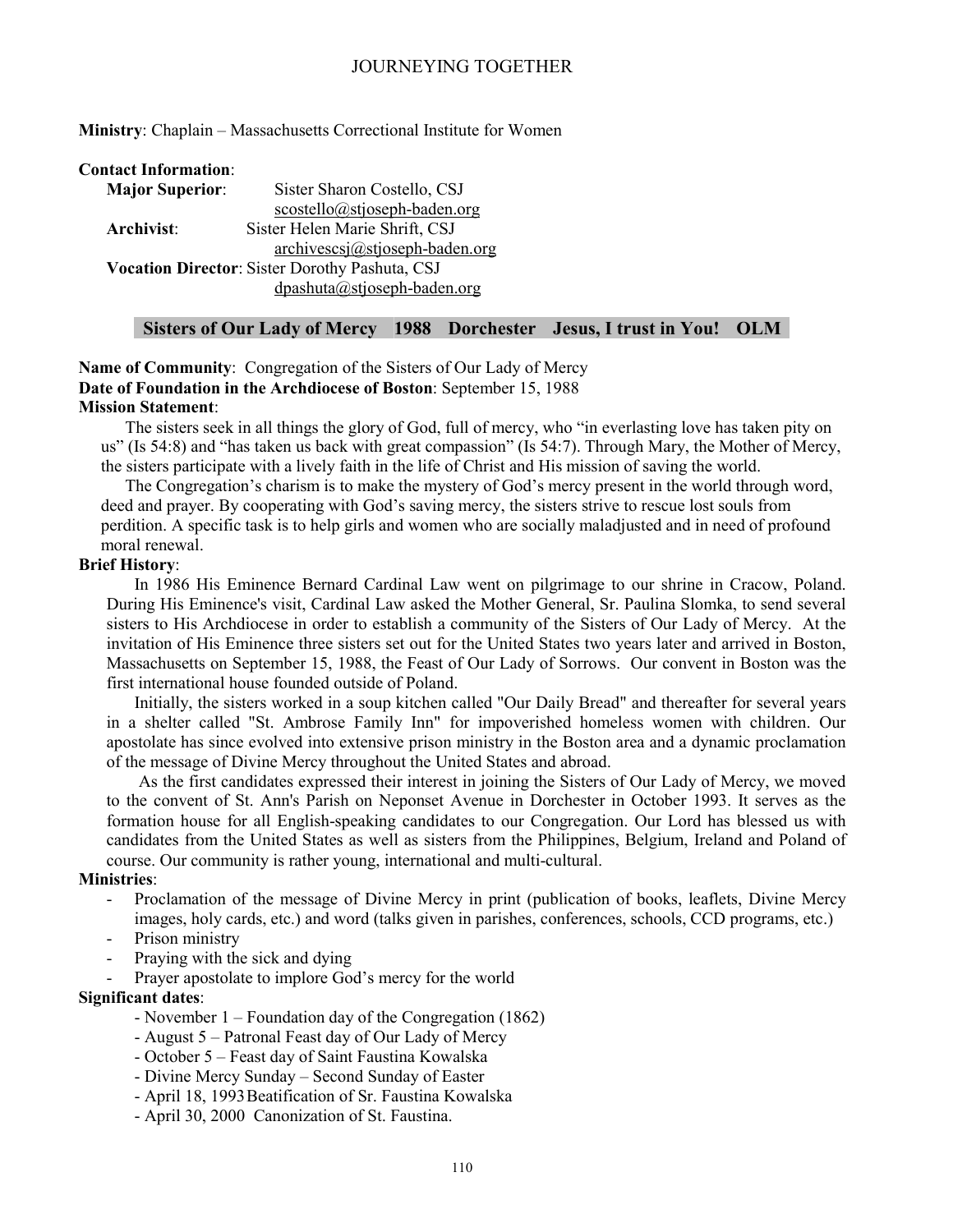**Ministry**: Chaplain – Massachusetts Correctional Institute for Women

#### **Contact Information**:

| <b>Major Superior:</b> | Sister Sharon Costello, CSJ                    |
|------------------------|------------------------------------------------|
|                        | $scostello@stjoseph-baden.org$                 |
| Archivist:             | Sister Helen Marie Shrift, CSJ                 |
|                        | $archivescsj@stjoseph-baden.org$               |
|                        | Vocation Director: Sister Dorothy Pashuta, CSJ |
|                        | $d$ pashuta@stjoseph-baden.org                 |

# **Sisters of Our Lady of Mercy 1988 Dorchester Jesus, I trust in You! OLM**

**Name of Community**: Congregation of the Sisters of Our Lady of Mercy **Date of Foundation in the Archdiocese of Boston**: September 15, 1988 **Mission Statement**:

The sisters seek in all things the glory of God, full of mercy, who "in everlasting love has taken pity on us" (Is 54:8) and "has taken us back with great compassion" (Is 54:7). Through Mary, the Mother of Mercy, the sisters participate with a lively faith in the life of Christ and His mission of saving the world.

The Congregation's charism is to make the mystery of God's mercy present in the world through word, deed and prayer. By cooperating with God's saving mercy, the sisters strive to rescue lost souls from perdition. A specific task is to help girls and women who are socially maladjusted and in need of profound moral renewal.

#### **Brief History**:

In 1986 His Eminence Bernard Cardinal Law went on pilgrimage to our shrine in Cracow, Poland. During His Eminence's visit, Cardinal Law asked the Mother General, Sr. Paulina Slomka, to send several sisters to His Archdiocese in order to establish a community of the Sisters of Our Lady of Mercy. At the invitation of His Eminence three sisters set out for the United States two years later and arrived in Boston, Massachusetts on September 15, 1988, the Feast of Our Lady of Sorrows. Our convent in Boston was the first international house founded outside of Poland.

Initially, the sisters worked in a soup kitchen called "Our Daily Bread" and thereafter for several years in a shelter called "St. Ambrose Family Inn" for impoverished homeless women with children. Our apostolate has since evolved into extensive prison ministry in the Boston area and a dynamic proclamation of the message of Divine Mercy throughout the United States and abroad.

 As the first candidates expressed their interest in joining the Sisters of Our Lady of Mercy, we moved to the convent of St. Ann's Parish on Neponset Avenue in Dorchester in October 1993. It serves as the formation house for all English-speaking candidates to our Congregation. Our Lord has blessed us with candidates from the United States as well as sisters from the Philippines, Belgium, Ireland and Poland of course. Our community is rather young, international and multi-cultural.

#### **Ministries**:

- Proclamation of the message of Divine Mercy in print (publication of books, leaflets, Divine Mercy images, holy cards, etc.) and word (talks given in parishes, conferences, schools, CCD programs, etc.)
- Prison ministry
- Praying with the sick and dying
- Prayer apostolate to implore God's mercy for the world

#### **Significant dates**:

- November 1 Foundation day of the Congregation (1862)
- August 5 Patronal Feast day of Our Lady of Mercy
- October 5 Feast day of Saint Faustina Kowalska
- Divine Mercy Sunday Second Sunday of Easter
- April 18, 1993 Beatification of Sr. Faustina Kowalska
- April 30, 2000 Canonization of St. Faustina.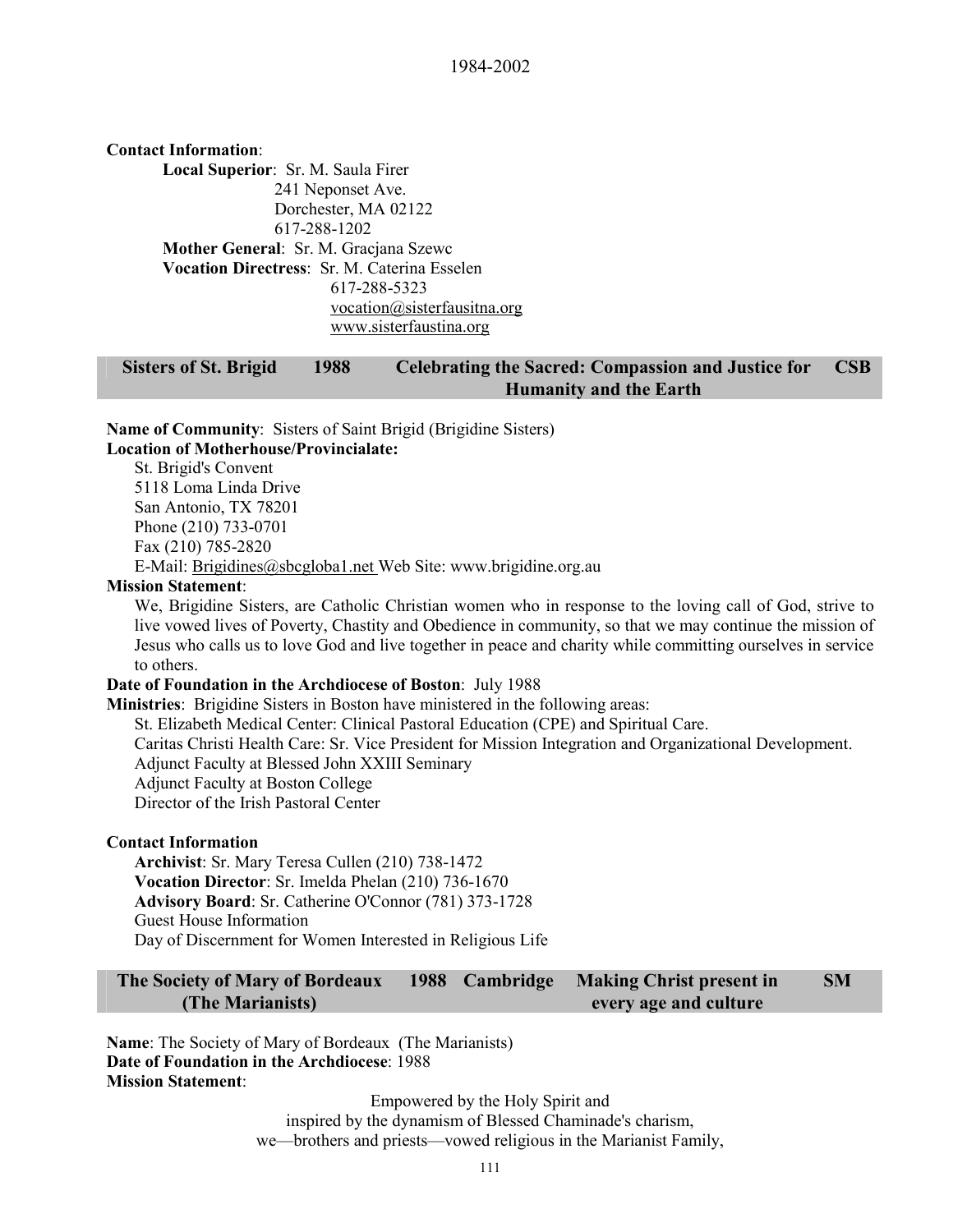**Contact Information**: **Local Superior**: Sr. M. Saula Firer 241 Neponset Ave. Dorchester, MA 02122 617-288-1202 **Mother General**: Sr. M. Gracjana Szewc **Vocation Directress**: Sr. M. Caterina Esselen 617-288-5323 vocation@sisterfausitna.org www.sisterfaustina.org

#### **Sisters of St. Brigid 1988 Celebrating the Sacred: Compassion and Justice for Humanity and the Earth CSB**

**Name of Community**: Sisters of Saint Brigid (Brigidine Sisters)

#### **Location of Motherhouse/Provincialate:**

St. Brigid's Convent 5118 Loma Linda Drive San Antonio, TX 78201 Phone (210) 733-0701 Fax (210) 785-2820

E-Mail: Brigidines@sbcgloba1.net Web Site: www.brigidine.org.au

#### **Mission Statement**:

We, Brigidine Sisters, are Catholic Christian women who in response to the loving call of God, strive to live vowed lives of Poverty, Chastity and Obedience in community, so that we may continue the mission of Jesus who calls us to love God and live together in peace and charity while committing ourselves in service to others.

#### **Date of Foundation in the Archdiocese of Boston**: July 1988

**Ministries**: Brigidine Sisters in Boston have ministered in the following areas: St. Elizabeth Medical Center: Clinical Pastoral Education (CPE) and Spiritual Care. Caritas Christi Health Care: Sr. Vice President for Mission Integration and Organizational Development. Adjunct Faculty at Blessed John XXIII Seminary Adjunct Faculty at Boston College Director of the Irish Pastoral Center

#### **Contact Information**

**Archivist**: Sr. Mary Teresa Cullen (210) 738-1472 **Vocation Director**: Sr. Imelda Phelan (210) 736-1670 **Advisory Board**: Sr. Catherine O'Connor (781) 373-1728 Guest House Information Day of Discernment for Women Interested in Religious Life

**The Society of Mary of Bordeaux (The Marianists) 1988 Cambridge Making Christ present in every age and culture SM** 

**Name**: The Society of Mary of Bordeaux (The Marianists) **Date of Foundation in the Archdiocese**: 1988 **Mission Statement**:

> Empowered by the Holy Spirit and inspired by the dynamism of Blessed Chaminade's charism, we—brothers and priests—vowed religious in the Marianist Family,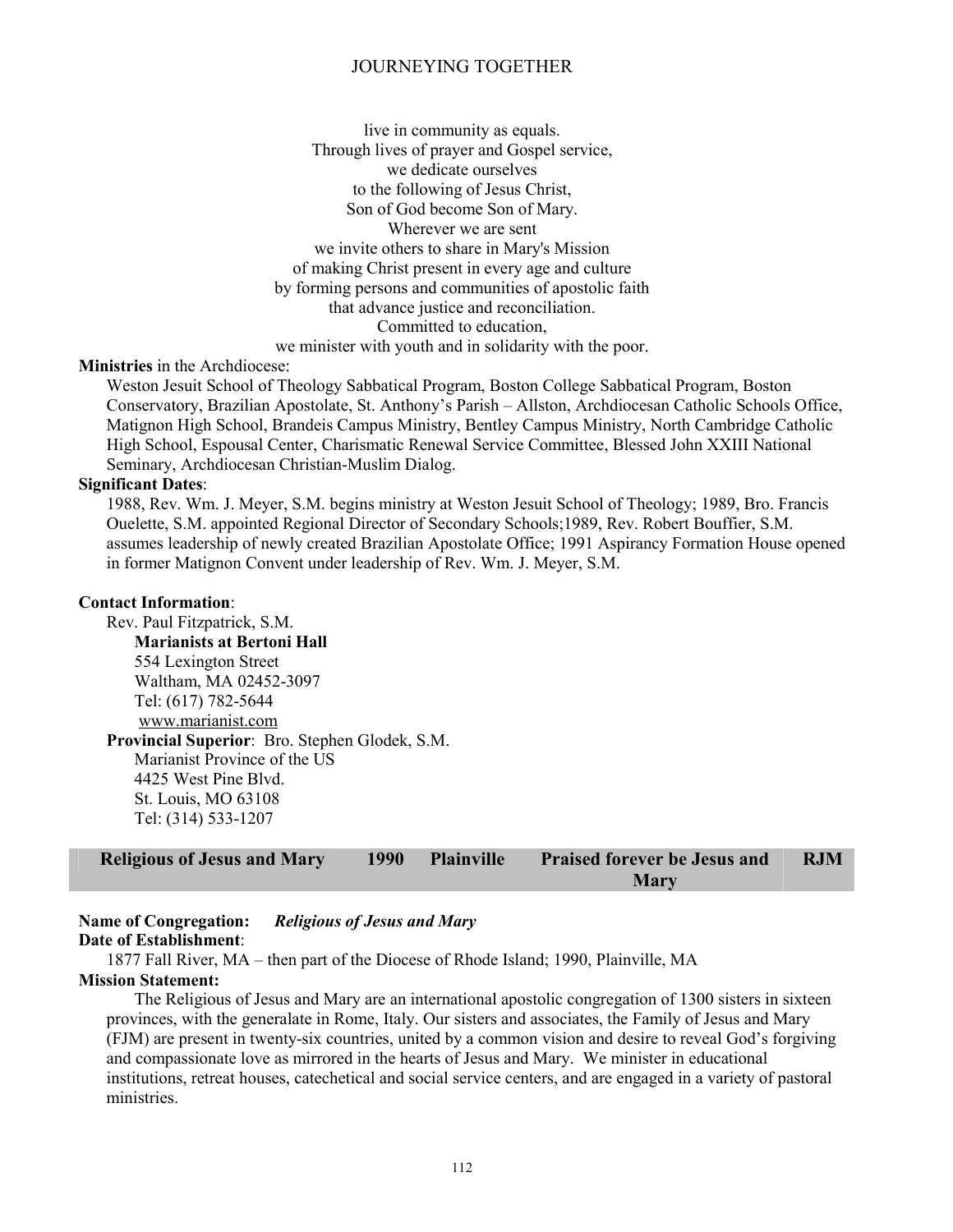live in community as equals. Through lives of prayer and Gospel service, we dedicate ourselves to the following of Jesus Christ, Son of God become Son of Mary. Wherever we are sent we invite others to share in Mary's Mission of making Christ present in every age and culture by forming persons and communities of apostolic faith that advance justice and reconciliation. Committed to education, we minister with youth and in solidarity with the poor.

# **Ministries** in the Archdiocese:

Weston Jesuit School of Theology Sabbatical Program, Boston College Sabbatical Program, Boston Conservatory, Brazilian Apostolate, St. Anthony's Parish – Allston, Archdiocesan Catholic Schools Office, Matignon High School, Brandeis Campus Ministry, Bentley Campus Ministry, North Cambridge Catholic High School, Espousal Center, Charismatic Renewal Service Committee, Blessed John XXIII National Seminary, Archdiocesan Christian-Muslim Dialog.

#### **Significant Dates**:

1988, Rev. Wm. J. Meyer, S.M. begins ministry at Weston Jesuit School of Theology; 1989, Bro. Francis Ouelette, S.M. appointed Regional Director of Secondary Schools;1989, Rev. Robert Bouffier, S.M. assumes leadership of newly created Brazilian Apostolate Office; 1991 Aspirancy Formation House opened in former Matignon Convent under leadership of Rev. Wm. J. Meyer, S.M.

#### **Contact Information**:

Rev. Paul Fitzpatrick, S.M. **Marianists at Bertoni Hall**  554 Lexington Street Waltham, MA 02452-3097 Tel: (617) 782-5644 www.marianist.com **Provincial Superior**: Bro. Stephen Glodek, S.M. Marianist Province of the US 4425 West Pine Blvd. St. Louis, MO 63108 Tel: (314) 533-1207

| <b>Religious of Jesus and Mary</b> | 1990 | Plainville | <b>Praised forever be Jesus and</b> | <b>RJM</b> |
|------------------------------------|------|------------|-------------------------------------|------------|
|                                    |      |            | <b>Mary</b>                         |            |

# **Name of Congregation:** *Religious of Jesus and Mary*

#### **Date of Establishment**:

1877 Fall River, MA – then part of the Diocese of Rhode Island; 1990, Plainville, MA

#### **Mission Statement:**

The Religious of Jesus and Mary are an international apostolic congregation of 1300 sisters in sixteen provinces, with the generalate in Rome, Italy. Our sisters and associates, the Family of Jesus and Mary (FJM) are present in twenty-six countries, united by a common vision and desire to reveal God's forgiving and compassionate love as mirrored in the hearts of Jesus and Mary. We minister in educational institutions, retreat houses, catechetical and social service centers, and are engaged in a variety of pastoral ministries.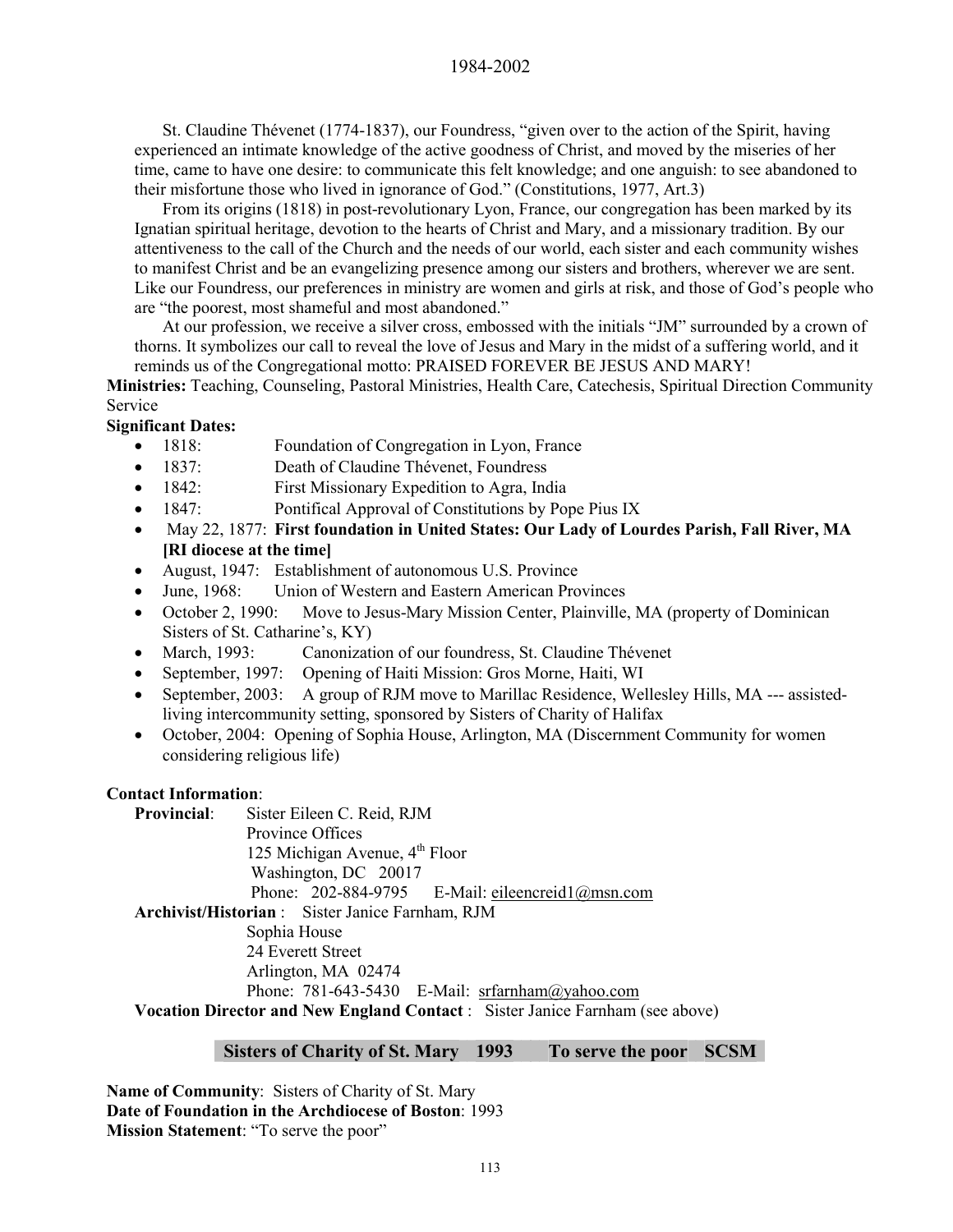# 1984-2002

St. Claudine Thévenet (1774-1837), our Foundress, "given over to the action of the Spirit, having experienced an intimate knowledge of the active goodness of Christ, and moved by the miseries of her time, came to have one desire: to communicate this felt knowledge; and one anguish: to see abandoned to their misfortune those who lived in ignorance of God." (Constitutions, 1977, Art.3)

From its origins (1818) in post-revolutionary Lyon, France, our congregation has been marked by its Ignatian spiritual heritage, devotion to the hearts of Christ and Mary, and a missionary tradition. By our attentiveness to the call of the Church and the needs of our world, each sister and each community wishes to manifest Christ and be an evangelizing presence among our sisters and brothers, wherever we are sent. Like our Foundress, our preferences in ministry are women and girls at risk, and those of God's people who are "the poorest, most shameful and most abandoned."

At our profession, we receive a silver cross, embossed with the initials "JM" surrounded by a crown of thorns. It symbolizes our call to reveal the love of Jesus and Mary in the midst of a suffering world, and it reminds us of the Congregational motto: PRAISED FOREVER BE JESUS AND MARY!

**Ministries:** Teaching, Counseling, Pastoral Ministries, Health Care, Catechesis, Spiritual Direction Community Service

**Significant Dates:** 

- 1818: Foundation of Congregation in Lyon, France
- 1837: Death of Claudine Thévenet, Foundress
- 1842: First Missionary Expedition to Agra, India
- 1847: Pontifical Approval of Constitutions by Pope Pius IX
- May 22, 1877: **First foundation in United States: Our Lady of Lourdes Parish, Fall River, MA [RI diocese at the time]**
- August, 1947: Establishment of autonomous U.S. Province
- June, 1968: Union of Western and Eastern American Provinces
- October 2, 1990: Move to Jesus-Mary Mission Center, Plainville, MA (property of Dominican Sisters of St. Catharine's, KY)
- March, 1993: Canonization of our foundress, St. Claudine Thévenet
- September, 1997: Opening of Haiti Mission: Gros Morne, Haiti, WI
- September, 2003: A group of RJM move to Marillac Residence, Wellesley Hills, MA --- assistedliving intercommunity setting, sponsored by Sisters of Charity of Halifax
- October, 2004: Opening of Sophia House, Arlington, MA (Discernment Community for women considering religious life)

# **Contact Information**:

**Provincial**: Sister Eileen C. Reid, RJM Province Offices 125 Michigan Avenue,  $4<sup>th</sup>$  Floor Washington, DC 20017 Phone: 202-884-9795 E-Mail: eileencreid1@msn.com **Archivist/Historian** : Sister Janice Farnham, RJM

 Sophia House 24 Everett Street Arlington, MA 02474 Phone: 781-643-5430 E-Mail: srfarnham@yahoo.com

**Vocation Director and New England Contact** : Sister Janice Farnham (see above)

# **Sisters of Charity of St. Mary 1993 To serve the poor SCSM**

**Name of Community**: Sisters of Charity of St. Mary **Date of Foundation in the Archdiocese of Boston**: 1993 **Mission Statement**: "To serve the poor"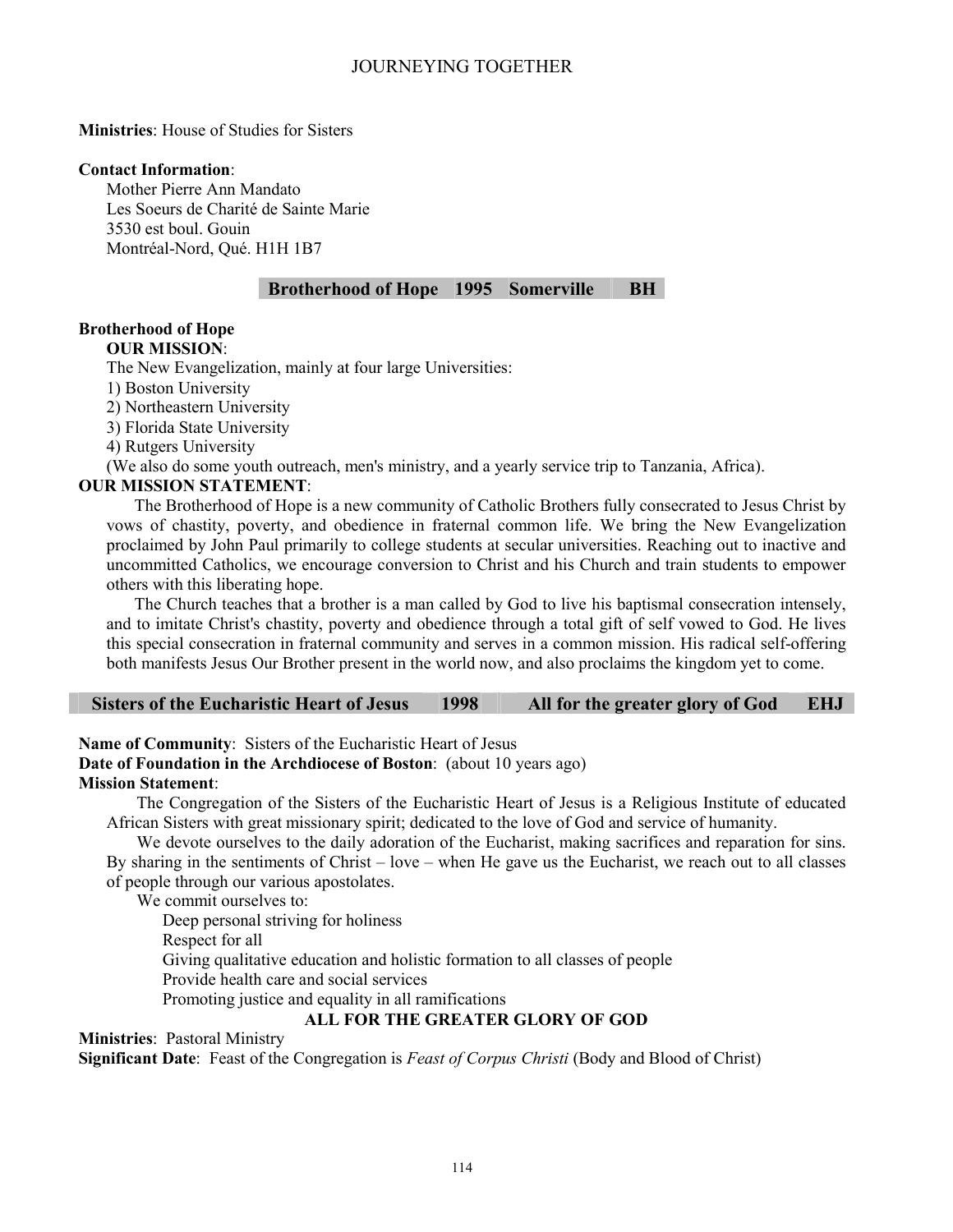**Ministries**: House of Studies for Sisters

#### **Contact Information**:

Mother Pierre Ann Mandato Les Soeurs de Charité de Sainte Marie 3530 est boul. Gouin Montréal-Nord, Qué. H1H 1B7

# **Brotherhood of Hope 1995 Somerville BH**

# **Brotherhood of Hope**

**OUR MISSION**:

The New Evangelization, mainly at four large Universities:

1) Boston University

2) Northeastern University

3) Florida State University

4) Rutgers University

(We also do some youth outreach, men's ministry, and a yearly service trip to Tanzania, Africa).

# **OUR MISSION STATEMENT**:

The Brotherhood of Hope is a new community of Catholic Brothers fully consecrated to Jesus Christ by vows of chastity, poverty, and obedience in fraternal common life. We bring the New Evangelization proclaimed by John Paul primarily to college students at secular universities. Reaching out to inactive and uncommitted Catholics, we encourage conversion to Christ and his Church and train students to empower others with this liberating hope.

The Church teaches that a brother is a man called by God to live his baptismal consecration intensely, and to imitate Christ's chastity, poverty and obedience through a total gift of self vowed to God. He lives this special consecration in fraternal community and serves in a common mission. His radical self-offering both manifests Jesus Our Brother present in the world now, and also proclaims the kingdom yet to come.

| <b>Sisters of the Eucharistic Heart of Jesus</b> | 1998 | All for the greater glory of God | <b>EHJ</b> |
|--------------------------------------------------|------|----------------------------------|------------|
|                                                  |      |                                  |            |

**Name of Community**: Sisters of the Eucharistic Heart of Jesus **Date of Foundation in the Archdiocese of Boston**: (about 10 years ago) **Mission Statement**:

The Congregation of the Sisters of the Eucharistic Heart of Jesus is a Religious Institute of educated African Sisters with great missionary spirit; dedicated to the love of God and service of humanity.

We devote ourselves to the daily adoration of the Eucharist, making sacrifices and reparation for sins. By sharing in the sentiments of Christ – love – when He gave us the Eucharist, we reach out to all classes of people through our various apostolates.

We commit ourselves to:

Deep personal striving for holiness Respect for all Giving qualitative education and holistic formation to all classes of people Provide health care and social services Promoting justice and equality in all ramifications

# **ALL FOR THE GREATER GLORY OF GOD**

**Ministries**: Pastoral Ministry

**Significant Date**: Feast of the Congregation is *Feast of Corpus Christi* (Body and Blood of Christ)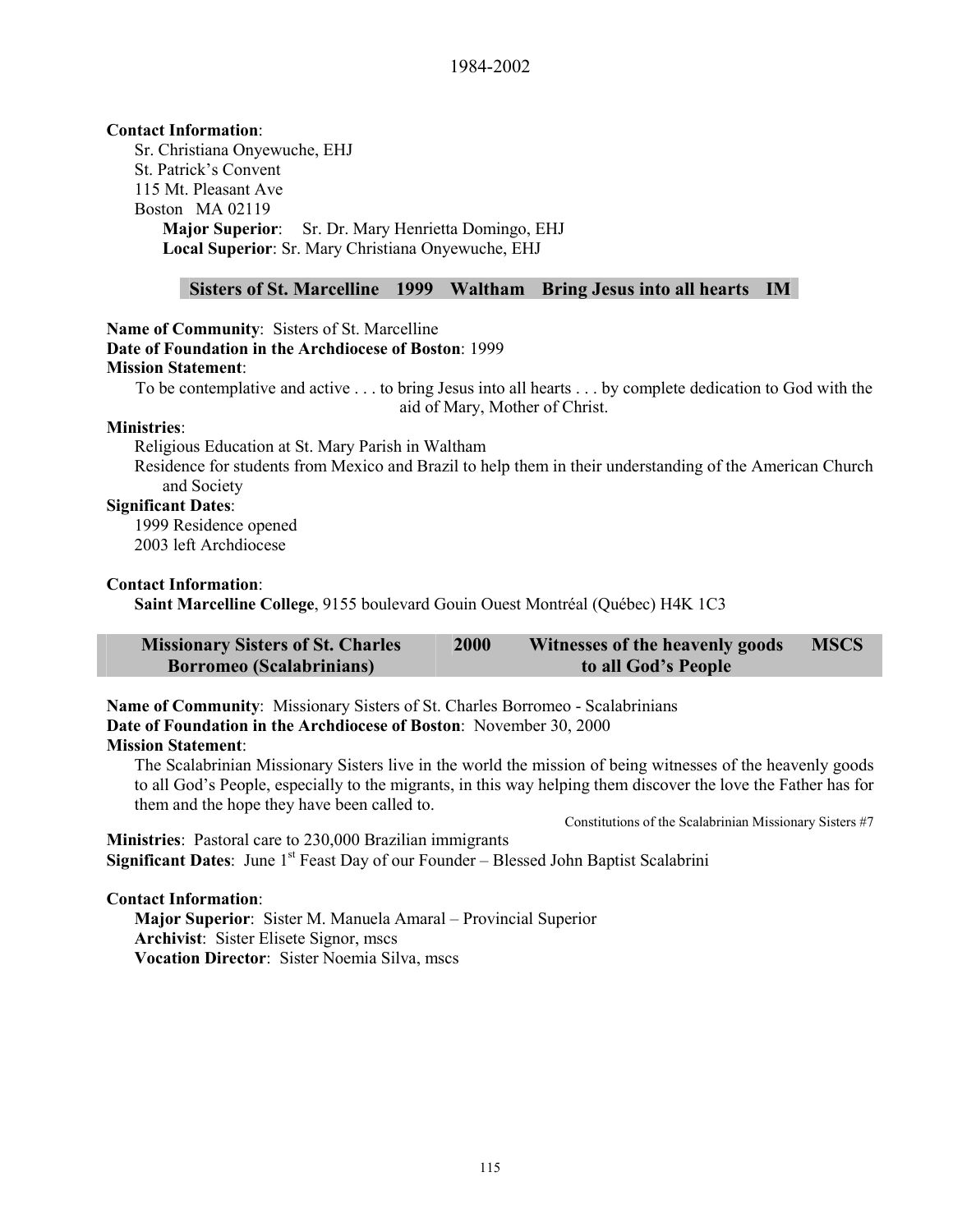# **Contact Information**:

Sr. Christiana Onyewuche, EHJ St. Patrick's Convent 115 Mt. Pleasant Ave Boston MA 02119 **Major Superior**: Sr. Dr. Mary Henrietta Domingo, EHJ **Local Superior**: Sr. Mary Christiana Onyewuche, EHJ

#### **Sisters of St. Marcelline 1999 Waltham Bring Jesus into all hearts IM**

### **Name of Community**: Sisters of St. Marcelline **Date of Foundation in the Archdiocese of Boston**: 1999 **Mission Statement**:

To be contemplative and active . . . to bring Jesus into all hearts . . . by complete dedication to God with the aid of Mary, Mother of Christ.

#### **Ministries**:

Religious Education at St. Mary Parish in Waltham

Residence for students from Mexico and Brazil to help them in their understanding of the American Church and Society

# **Significant Dates**:

1999 Residence opened 2003 left Archdiocese

#### **Contact Information**:

**Saint Marcelline College**, 9155 boulevard Gouin Ouest Montréal (Québec) H4K 1C3

| <b>Missionary Sisters of St. Charles</b> | 2000 | Witnesses of the heavenly goods | <b>MSCS</b> |
|------------------------------------------|------|---------------------------------|-------------|
| <b>Borromeo</b> (Scalabrinians)          |      | to all God's People             |             |

**Name of Community**:Missionary Sisters of St. Charles Borromeo - Scalabrinians **Date of Foundation in the Archdiocese of Boston**:November 30, 2000 **Mission Statement**:

The Scalabrinian Missionary Sisters live in the world the mission of being witnesses of the heavenly goods to all God's People, especially to the migrants, in this way helping them discover the love the Father has for them and the hope they have been called to.

Constitutions of the Scalabrinian Missionary Sisters #7

**Ministries**:Pastoral care to 230,000 Brazilian immigrants **Significant Dates:** June 1<sup>st</sup> Feast Day of our Founder – Blessed John Baptist Scalabrini

# **Contact Information**:

**Major Superior**:Sister M. Manuela Amaral – Provincial Superior **Archivist**:Sister Elisete Signor, mscs **Vocation Director**:Sister Noemia Silva, mscs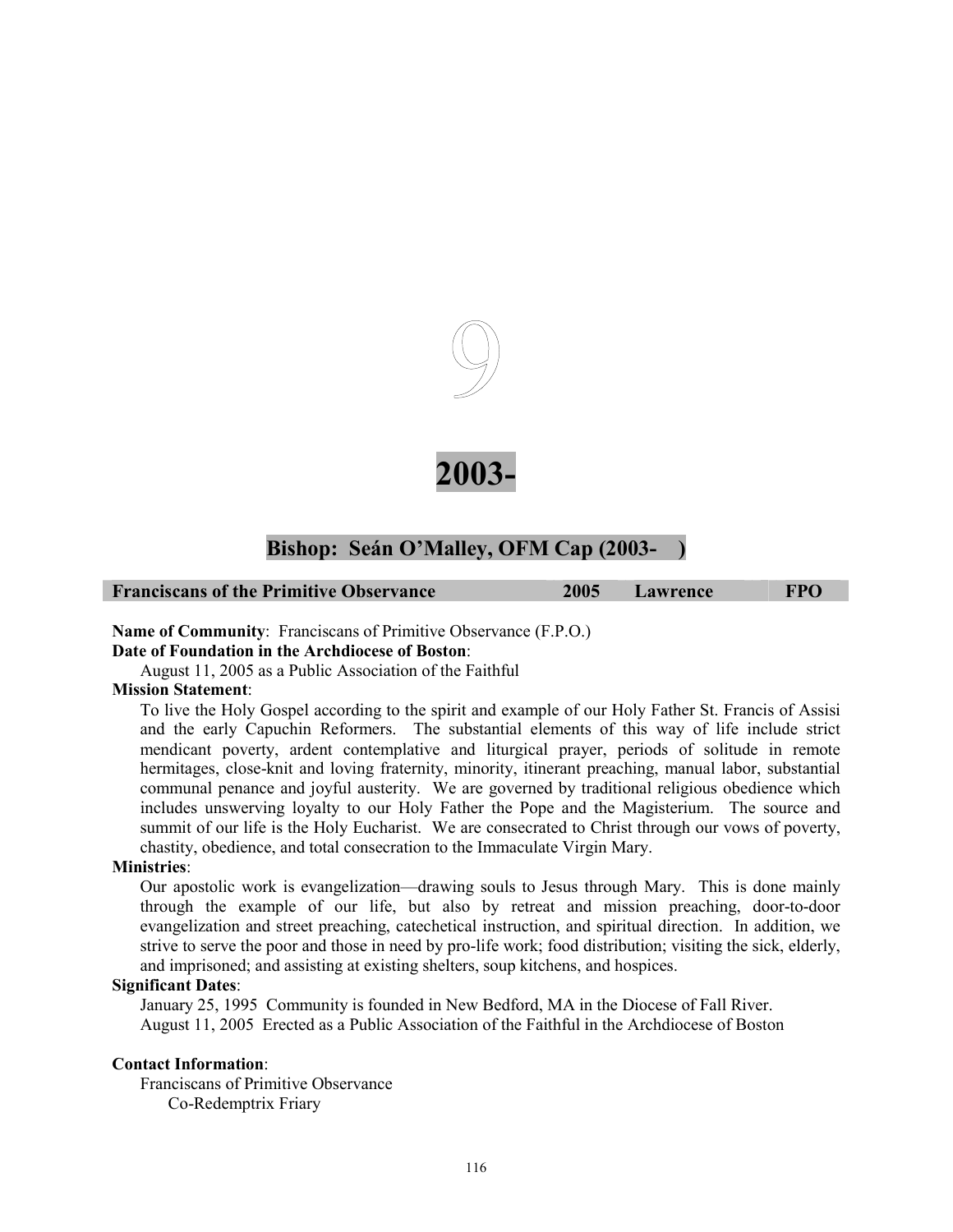



# Bishop: Seán O'Malley, OFM Cap (2003-

| <b>Franciscans of the Primitive Observance</b> | 2005 | Lawrence | <b>FPO</b> |
|------------------------------------------------|------|----------|------------|
|                                                |      |          |            |

**Name of Community**: Franciscans of Primitive Observance (F.P.O.)

#### **Date of Foundation in the Archdiocese of Boston**:

August 11, 2005 as a Public Association of the Faithful

#### **Mission Statement**:

To live the Holy Gospel according to the spirit and example of our Holy Father St. Francis of Assisi and the early Capuchin Reformers. The substantial elements of this way of life include strict mendicant poverty, ardent contemplative and liturgical prayer, periods of solitude in remote hermitages, close-knit and loving fraternity, minority, itinerant preaching, manual labor, substantial communal penance and joyful austerity. We are governed by traditional religious obedience which includes unswerving loyalty to our Holy Father the Pope and the Magisterium. The source and summit of our life is the Holy Eucharist. We are consecrated to Christ through our vows of poverty, chastity, obedience, and total consecration to the Immaculate Virgin Mary.

#### **Ministries**:

Our apostolic work is evangelization—drawing souls to Jesus through Mary. This is done mainly through the example of our life, but also by retreat and mission preaching, door-to-door evangelization and street preaching, catechetical instruction, and spiritual direction. In addition, we strive to serve the poor and those in need by pro-life work; food distribution; visiting the sick, elderly, and imprisoned; and assisting at existing shelters, soup kitchens, and hospices.

#### **Significant Dates**:

January 25, 1995 Community is founded in New Bedford, MA in the Diocese of Fall River. August 11, 2005 Erected as a Public Association of the Faithful in the Archdiocese of Boston

#### **Contact Information**:

Franciscans of Primitive Observance Co-Redemptrix Friary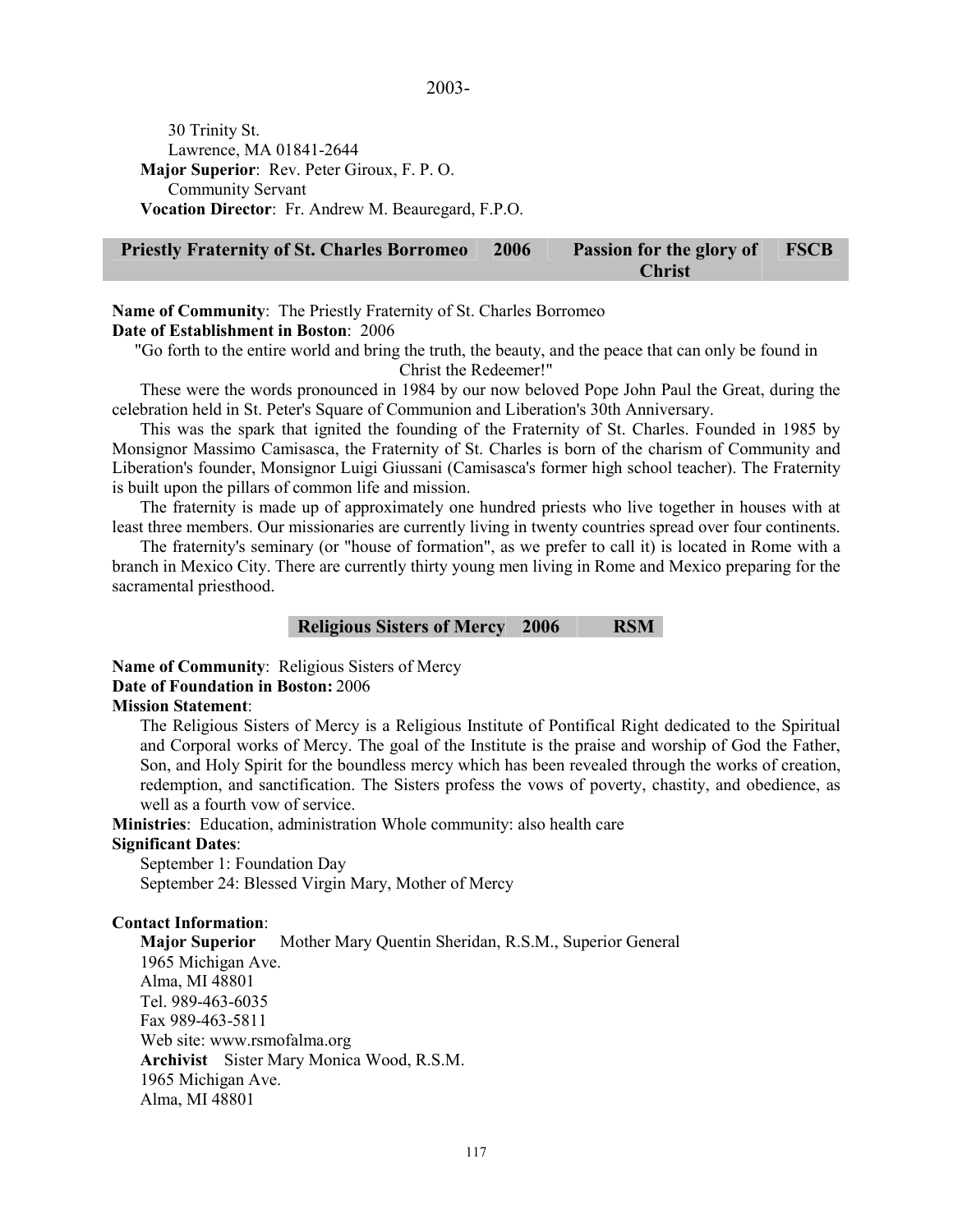30 Trinity St. Lawrence, MA 01841-2644 **Major Superior**: Rev. Peter Giroux, F. P. O. Community Servant **Vocation Director**: Fr. Andrew M. Beauregard, F.P.O.

#### **Priestly Fraternity of St. Charles Borromeo 2006 Passion for the glory of Christ FSCB**

### **Name of Community**: The Priestly Fraternity of St. Charles Borromeo **Date of Establishment in Boston**: 2006

"Go forth to the entire world and bring the truth, the beauty, and the peace that can only be found in Christ the Redeemer!"

These were the words pronounced in 1984 by our now beloved Pope John Paul the Great, during the celebration held in St. Peter's Square of Communion and Liberation's 30th Anniversary.

This was the spark that ignited the founding of the Fraternity of St. Charles. Founded in 1985 by Monsignor Massimo Camisasca, the Fraternity of St. Charles is born of the charism of Community and Liberation's founder, Monsignor Luigi Giussani (Camisasca's former high school teacher). The Fraternity is built upon the pillars of common life and mission.

The fraternity is made up of approximately one hundred priests who live together in houses with at least three members. Our missionaries are currently living in twenty countries spread over four continents.

The fraternity's seminary (or "house of formation", as we prefer to call it) is located in Rome with a branch in Mexico City. There are currently thirty young men living in Rome and Mexico preparing for the sacramental priesthood.

# **Religious Sisters of Mercy 2006 RSM**

**Name of Community**: Religious Sisters of Mercy

#### **Date of Foundation in Boston:** 2006

#### **Mission Statement**:

The Religious Sisters of Mercy is a Religious Institute of Pontifical Right dedicated to the Spiritual and Corporal works of Mercy. The goal of the Institute is the praise and worship of God the Father, Son, and Holy Spirit for the boundless mercy which has been revealed through the works of creation, redemption, and sanctification. The Sisters profess the vows of poverty, chastity, and obedience, as well as a fourth vow of service.

**Ministries**: Education, administration Whole community: also health care

#### **Significant Dates**:

September 1: Foundation Day September 24: Blessed Virgin Mary, Mother of Mercy

# **Contact Information**:

**Major Superior** Mother Mary Quentin Sheridan, R.S.M., Superior General 1965 Michigan Ave. Alma, MI 48801 Tel. 989-463-6035 Fax 989-463-5811 Web site: www.rsmofalma.org **Archivist** Sister Mary Monica Wood, R.S.M. 1965 Michigan Ave. Alma, MI 48801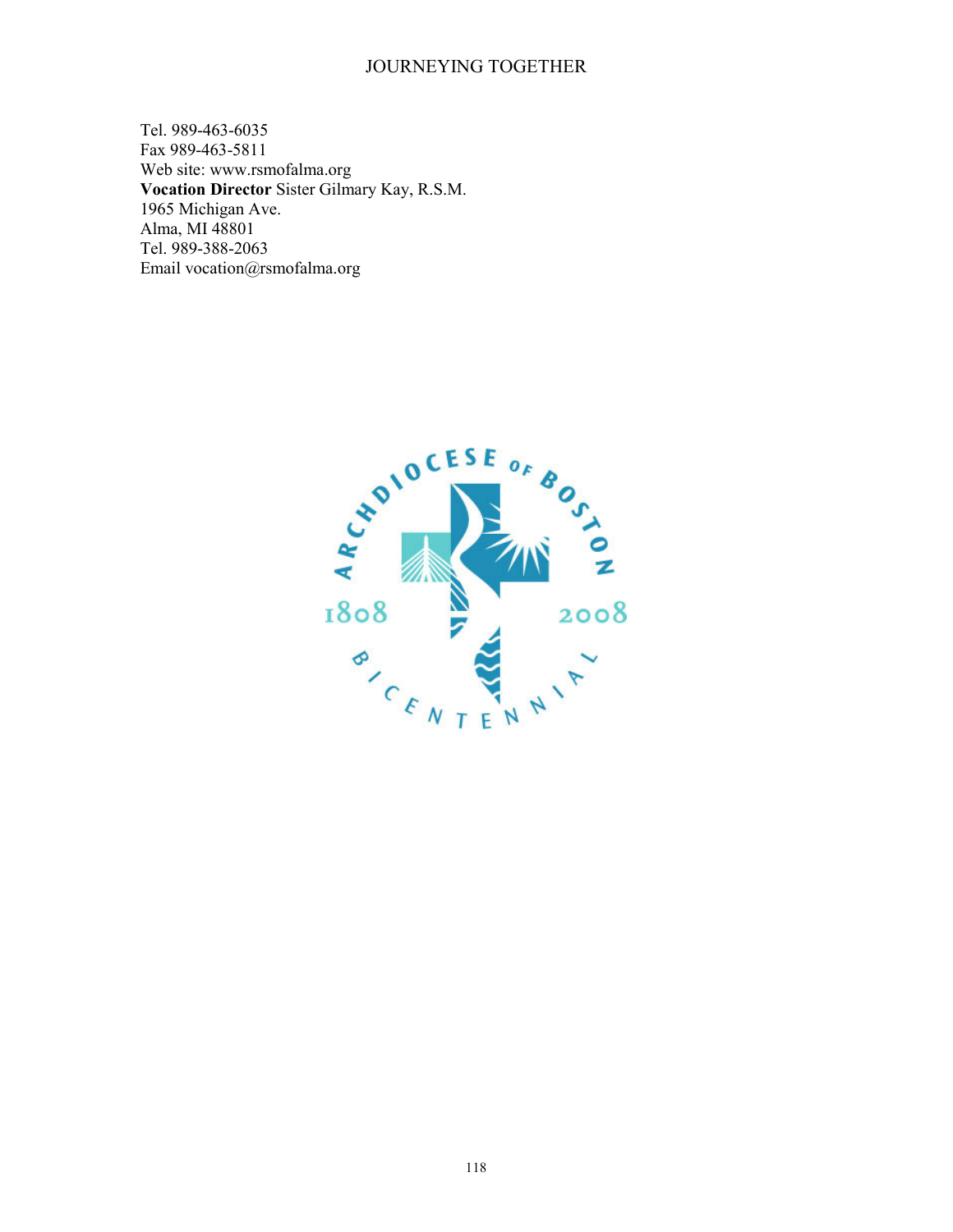Tel. 989-463-6035 Fax 989-463-5811 Web site: www.rsmofalma.org **Vocation Director** Sister Gilmary Kay, R.S.M. 1965 Michigan Ave. Alma, MI 48801 Tel. 989-388-2063 Email vocation@rsmofalma.org

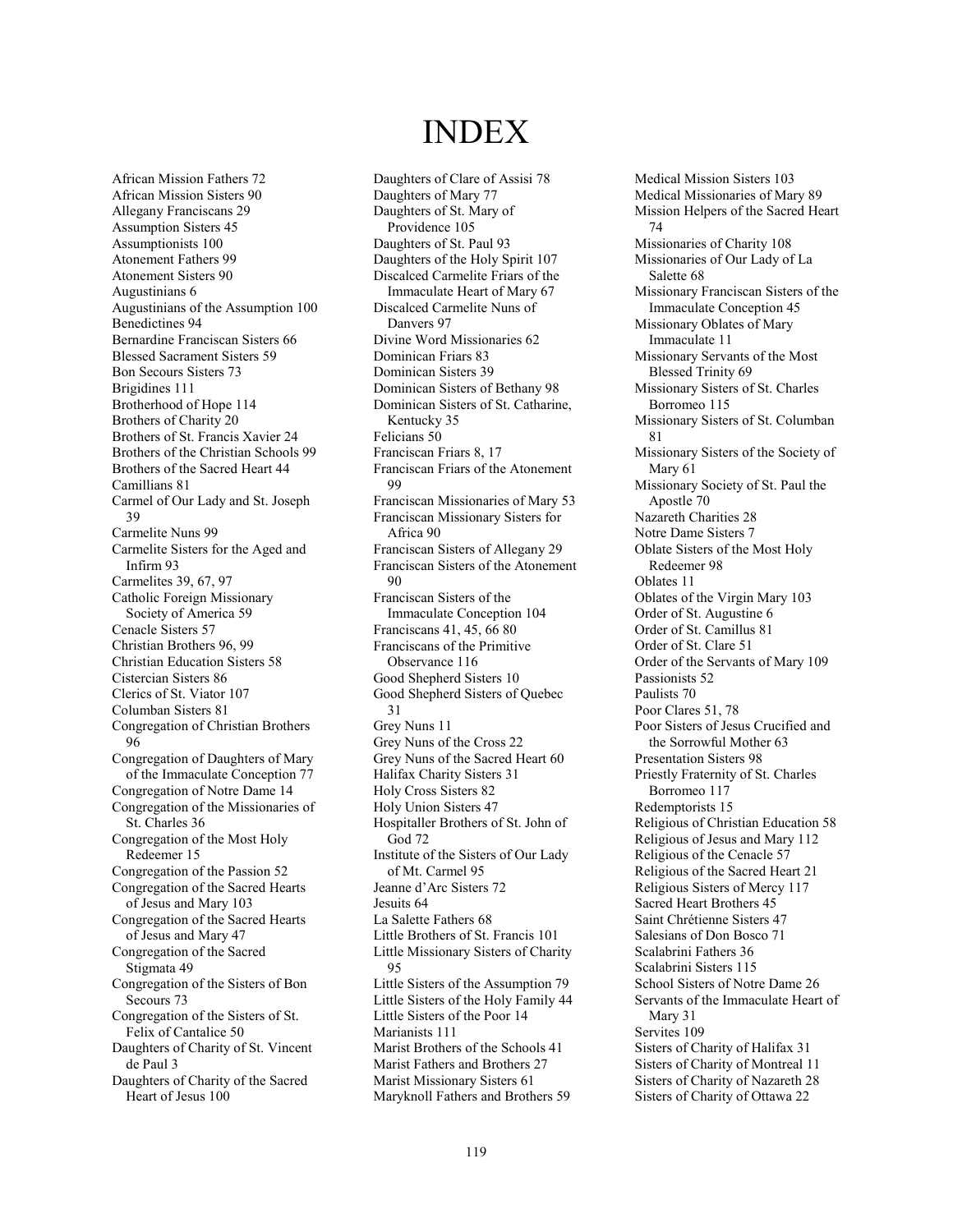# INDEX

African Mission Fathers 72 African Mission Sisters 90 Allegany Franciscans 29 Assumption Sisters 45 Assumptionists 100 Atonement Fathers 99 Atonement Sisters 90 Augustinians 6 Augustinians of the Assumption 100 Benedictines 94 Bernardine Franciscan Sisters 66 Blessed Sacrament Sisters 59 Bon Secours Sisters 73 Brigidines 111 Brotherhood of Hope 114 Brothers of Charity 20 Brothers of St. Francis Xavier 24 Brothers of the Christian Schools 99 Brothers of the Sacred Heart 44 Camillians 81 Carmel of Our Lady and St. Joseph 39 Carmelite Nuns 99 Carmelite Sisters for the Aged and Infirm 93 Carmelites 39, 67, 97 Catholic Foreign Missionary Society of America 59 Cenacle Sisters 57 Christian Brothers 96, 99 Christian Education Sisters 58 Cistercian Sisters 86 Clerics of St. Viator 107 Columban Sisters 81 Congregation of Christian Brothers 96 Congregation of Daughters of Mary of the Immaculate Conception 77 Congregation of Notre Dame 14 Congregation of the Missionaries of St. Charles 36 Congregation of the Most Holy Redeemer 15 Congregation of the Passion 52 Congregation of the Sacred Hearts of Jesus and Mary 103 Congregation of the Sacred Hearts of Jesus and Mary 47 Congregation of the Sacred Stigmata 49 Congregation of the Sisters of Bon Secours 73 Congregation of the Sisters of St. Felix of Cantalice 50 Daughters of Charity of St. Vincent de Paul 3 Daughters of Charity of the Sacred Heart of Jesus 100

Daughters of Clare of Assisi 78 Daughters of Mary 77 Daughters of St. Mary of Providence 105 Daughters of St. Paul 93 Daughters of the Holy Spirit 107 Discalced Carmelite Friars of the Immaculate Heart of Mary 67 Discalced Carmelite Nuns of Danvers 97 Divine Word Missionaries 62 Dominican Friars 83 Dominican Sisters 39 Dominican Sisters of Bethany 98 Dominican Sisters of St. Catharine, Kentucky 35 Felicians 50 Franciscan Friars 8, 17 Franciscan Friars of the Atonement 99 Franciscan Missionaries of Mary 53 Franciscan Missionary Sisters for Africa 90 Franciscan Sisters of Allegany 29 Franciscan Sisters of the Atonement  $90$ Franciscan Sisters of the Immaculate Conception 104 Franciscans 41, 45, 66 80 Franciscans of the Primitive Observance 116 Good Shepherd Sisters 10 Good Shepherd Sisters of Quebec 31 Grey Nuns 11 Grey Nuns of the Cross 22 Grey Nuns of the Sacred Heart 60 Halifax Charity Sisters 31 Holy Cross Sisters 82 Holy Union Sisters 47 Hospitaller Brothers of St. John of God 72 Institute of the Sisters of Our Lady of Mt. Carmel 95 Jeanne d'Arc Sisters 72 Jesuits 64 La Salette Fathers 68 Little Brothers of St. Francis 101 Little Missionary Sisters of Charity 95 Little Sisters of the Assumption 79 Little Sisters of the Holy Family 44 Little Sisters of the Poor 14 Marianists 111 Marist Brothers of the Schools 41 Marist Fathers and Brothers 27 Marist Missionary Sisters 61 Maryknoll Fathers and Brothers 59

Medical Mission Sisters 103 Medical Missionaries of Mary 89 Mission Helpers of the Sacred Heart 74 Missionaries of Charity 108 Missionaries of Our Lady of La Salette 68 Missionary Franciscan Sisters of the Immaculate Conception 45 Missionary Oblates of Mary Immaculate 11 Missionary Servants of the Most Blessed Trinity 69 Missionary Sisters of St. Charles Borromeo 115 Missionary Sisters of St. Columban 81 Missionary Sisters of the Society of Mary 61 Missionary Society of St. Paul the Apostle 70 Nazareth Charities 28 Notre Dame Sisters 7 Oblate Sisters of the Most Holy Redeemer 98 Oblates 11 Oblates of the Virgin Mary 103 Order of St. Augustine 6 Order of St. Camillus 81 Order of St. Clare 51 Order of the Servants of Mary 109 Passionists 52 Paulists 70 Poor Clares 51, 78 Poor Sisters of Jesus Crucified and the Sorrowful Mother 63 Presentation Sisters 98 Priestly Fraternity of St. Charles Borromeo 117 Redemptorists 15 Religious of Christian Education 58 Religious of Jesus and Mary 112 Religious of the Cenacle 57 Religious of the Sacred Heart 21 Religious Sisters of Mercy 117 Sacred Heart Brothers 45 Saint Chrétienne Sisters 47 Salesians of Don Bosco 71 Scalabrini Fathers 36 Scalabrini Sisters 115 School Sisters of Notre Dame 26 Servants of the Immaculate Heart of Mary 31 Servites 109 Sisters of Charity of Halifax 31 Sisters of Charity of Montreal 11 Sisters of Charity of Nazareth 28 Sisters of Charity of Ottawa 22